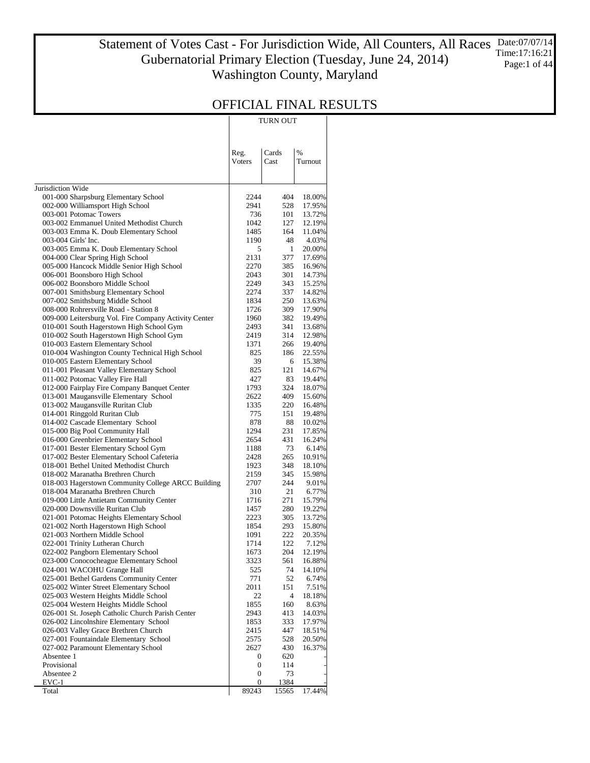#### Statement of Votes Cast - For Jurisdiction Wide, All Counters, All Races Gubernatorial Primary Election (Tuesday, June 24, 2014) Washington County, Maryland Date:07/07/14 Time:17:16:21 Page:1 of 44

|                                                                               |                  | TURN OUT            |                  |
|-------------------------------------------------------------------------------|------------------|---------------------|------------------|
|                                                                               |                  |                     |                  |
|                                                                               |                  | Cards               | $\%$             |
|                                                                               | Reg.<br>Voters   | Cast                | Turnout          |
|                                                                               |                  |                     |                  |
| Jurisdiction Wide                                                             |                  |                     |                  |
| 001-000 Sharpsburg Elementary School                                          | 2244             | 404                 | 18.00%           |
| 002-000 Williamsport High School                                              | 2941             | 528                 | 17.95%           |
| 003-001 Potomac Towers                                                        | 736              | 101                 | 13.72%           |
| 003-002 Emmanuel United Methodist Church                                      | 1042             | 127                 | 12.19%           |
| 003-003 Emma K. Doub Elementary School                                        | 1485             | 164                 | 11.04%           |
| 003-004 Girls' Inc.                                                           | 1190             | 48                  | 4.03%            |
| 003-005 Emma K. Doub Elementary School<br>004-000 Clear Spring High School    | 5<br>2131        | $\mathbf{1}$<br>377 | 20.00%<br>17.69% |
| 005-000 Hancock Middle Senior High School                                     | 2270             | 385                 | 16.96%           |
| 006-001 Boonsboro High School                                                 | 2043             | 301                 | 14.73%           |
| 006-002 Boonsboro Middle School                                               | 2249             | 343                 | 15.25%           |
| 007-001 Smithsburg Elementary School                                          | 2274             | 337                 | 14.82%           |
| 007-002 Smithsburg Middle School                                              | 1834             | 250                 | 13.63%           |
| 008-000 Rohrersville Road - Station 8                                         | 1726             | 309                 | 17.90%           |
| 009-000 Leitersburg Vol. Fire Company Activity Center                         | 1960             | 382                 | 19.49%           |
| 010-001 South Hagerstown High School Gym                                      | 2493             | 341                 | 13.68%           |
| 010-002 South Hagerstown High School Gym<br>010-003 Eastern Elementary School | 2419<br>1371     | 314<br>266          | 12.98%           |
| 010-004 Washington County Technical High School                               | 825              | 186                 | 19.40%<br>22.55% |
| 010-005 Eastern Elementary School                                             | 39               | 6                   | 15.38%           |
| 011-001 Pleasant Valley Elementary School                                     | 825              | 121                 | 14.67%           |
| 011-002 Potomac Valley Fire Hall                                              | 427              | 83                  | 19.44%           |
| 012-000 Fairplay Fire Company Banquet Center                                  | 1793             | 324                 | 18.07%           |
| 013-001 Maugansville Elementary School                                        | 2622             | 409                 | 15.60%           |
| 013-002 Maugansville Ruritan Club                                             | 1335             | 220                 | 16.48%           |
| 014-001 Ringgold Ruritan Club                                                 | 775              | 151                 | 19.48%           |
| 014-002 Cascade Elementary School                                             | 878              | 88                  | 10.02%           |
| 015-000 Big Pool Community Hall                                               | 1294             | 231                 | 17.85%           |
| 016-000 Greenbrier Elementary School<br>017-001 Bester Elementary School Gym  | 2654<br>1188     | 431<br>73           | 16.24%<br>6.14%  |
| 017-002 Bester Elementary School Cafeteria                                    | 2428             | 265                 | 10.91%           |
| 018-001 Bethel United Methodist Church                                        | 1923             | 348                 | 18.10%           |
| 018-002 Maranatha Brethren Church                                             | 2159             | 345                 | 15.98%           |
| 018-003 Hagerstown Community College ARCC Building                            | 2707             | 244                 | 9.01%            |
| 018-004 Maranatha Brethren Church                                             | 310              | 21                  | 6.77%            |
| 019-000 Little Antietam Community Center                                      | 1716             | 271                 | 15.79%           |
| 020-000 Downsville Ruritan Club                                               | 1457             | 280                 | 19.22%           |
| 021-001 Potomac Heights Elementary School                                     | 2223             | 305                 | 13.72%           |
| 021-002 North Hagerstown High School                                          | 1854             | 293                 | 15.80%           |
| 021-003 Northern Middle School                                                | 1091             | 222<br>122          | 20.35%           |
| 022-001 Trinity Lutheran Church<br>022-002 Pangborn Elementary School         | 1714<br>1673     | 204                 | 7.12%<br>12.19%  |
| 023-000 Conococheague Elementary School                                       | 3323             | 561                 | 16.88%           |
| 024-001 WACOHU Grange Hall                                                    | 525              | 74                  | 14.10%           |
| 025-001 Bethel Gardens Community Center                                       | 771              | 52                  | 6.74%            |
| 025-002 Winter Street Elementary School                                       | 2011             | 151                 | 7.51%            |
| 025-003 Western Heights Middle School                                         | 22               | 4                   | 18.18%           |
| 025-004 Western Heights Middle School                                         | 1855             | 160                 | 8.63%            |
| 026-001 St. Joseph Catholic Church Parish Center                              | 2943             | 413                 | 14.03%           |
| 026-002 Lincolnshire Elementary School                                        | 1853             | 333                 | 17.97%           |
| 026-003 Valley Grace Brethren Church                                          | 2415             | 447                 | 18.51%           |
| 027-001 Fountaindale Elementary School<br>027-002 Paramount Elementary School | 2575<br>2627     | 528<br>430          | 20.50%<br>16.37% |
| Absentee 1                                                                    | 0                | 620                 |                  |
| Provisional                                                                   | $\boldsymbol{0}$ | 114                 |                  |
| Absentee 2                                                                    | $\boldsymbol{0}$ | 73                  |                  |
| $EVC-1$                                                                       | 0                | 1384                |                  |
| Total                                                                         | 89243            | 15565               | 17.44%           |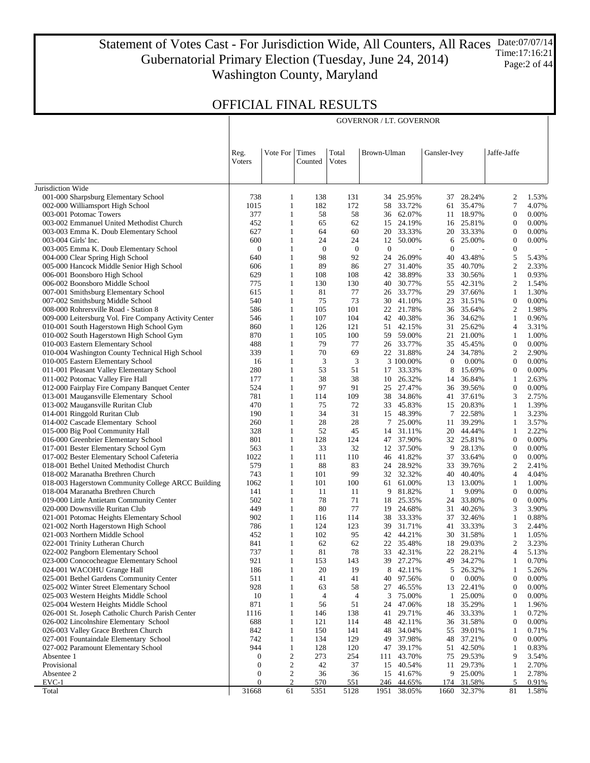Statement of Votes Cast - For Jurisdiction Wide, All Counters, All Races Gubernatorial Primary Election (Tuesday, June 24, 2014) Washington County, Maryland Date:07/07/14 Time:17:16:21 Page:2 of 44

GOVERNOR / LT. GOVERNOR

|                                                                                  | Reg.<br>Voters | Vote For                     | Times<br>Counted | Total<br>Votes | Brown-Ulman  |                        | Gansler-Ivey     |                     | Jaffe-Jaffe                    |                |
|----------------------------------------------------------------------------------|----------------|------------------------------|------------------|----------------|--------------|------------------------|------------------|---------------------|--------------------------------|----------------|
|                                                                                  |                |                              |                  |                |              |                        |                  |                     |                                |                |
| Jurisdiction Wide                                                                |                |                              |                  |                |              |                        |                  |                     |                                |                |
| 001-000 Sharpsburg Elementary School                                             | 738            | 1                            | 138              | 131            | 34           | 25.95%                 | 37               | 28.24%              | $\mathfrak{2}$                 | 1.53%          |
| 002-000 Williamsport High School                                                 | 1015           | $\mathbf{1}$                 | 182              | 172            | 58           | 33.72%                 | 61               | 35.47%              | $\overline{7}$                 | 4.07%          |
| 003-001 Potomac Towers                                                           | 377            | $\mathbf{1}$                 | 58               | 58             | 36           | 62.07%                 |                  | 11 18.97%           | $\mathbf{0}$                   | 0.00%          |
| 003-002 Emmanuel United Methodist Church                                         | 452            | $\mathbf{1}$                 | 65               | 62             | 15           | 24.19%                 |                  | 16 25.81%           | $\mathbf{0}$                   | 0.00%          |
| 003-003 Emma K. Doub Elementary School                                           | 627            | $\mathbf{1}$                 | 64               | 60             | 20           | 33.33%                 | 20               | 33.33%              | $\mathbf{0}$                   | 0.00%          |
| 003-004 Girls' Inc.                                                              | 600            | $\mathbf{1}$                 | 24               | 24             | 12           | 50.00%                 | 6                | 25.00%              | $\boldsymbol{0}$               | 0.00%          |
| 003-005 Emma K. Doub Elementary School                                           | $\mathbf{0}$   | $\mathbf{1}$                 | $\boldsymbol{0}$ | $\bf{0}$       | $\mathbf{0}$ |                        | $\mathbf{0}$     |                     | $\boldsymbol{0}$               |                |
| 004-000 Clear Spring High School                                                 | 640            | $\mathbf{1}$                 | 98               | 92             | 24           | 26.09%                 | 40               | 43.48%              | 5                              | 5.43%          |
| 005-000 Hancock Middle Senior High School                                        | 606            | $\mathbf{1}$<br>$\mathbf{1}$ | 89               | 86             | 27           | 31.40%                 | 35               | 40.70%              | $\mathfrak{2}$<br>$\mathbf{1}$ | 2.33%          |
| 006-001 Boonsboro High School<br>006-002 Boonsboro Middle School                 | 629<br>775     | $\mathbf{1}$                 | 108<br>130       | 108<br>130     | 42<br>40     | 38.89%<br>30.77%       | 33               | 30.56%<br>55 42.31% | $\mathfrak{2}$                 | 0.93%<br>1.54% |
| 007-001 Smithsburg Elementary School                                             | 615            | $\mathbf{1}$                 | 81               | 77             | 26           | 33.77%                 | 29               | 37.66%              | -1                             | 1.30%          |
| 007-002 Smithsburg Middle School                                                 | 540            | $\mathbf{1}$                 | 75               | 73             | 30           | 41.10%                 | 23               | 31.51%              | $\boldsymbol{0}$               | 0.00%          |
| 008-000 Rohrersville Road - Station 8                                            | 586            | $\mathbf{1}$                 | 105              | 101            | 22           | 21.78%                 |                  | 36 35.64%           | $\overline{2}$                 | 1.98%          |
| 009-000 Leitersburg Vol. Fire Company Activity Center                            | 546            | $\mathbf{1}$                 | 107              | 104            | 42           | 40.38%                 |                  | 36 34.62%           | $\mathbf{1}$                   | 0.96%          |
| 010-001 South Hagerstown High School Gym                                         | 860            | $\mathbf{1}$                 | 126              | 121            | 51           | 42.15%                 |                  | 31 25.62%           | $\overline{4}$                 | 3.31%          |
| 010-002 South Hagerstown High School Gym                                         | 870            | $\mathbf{1}$                 | 105              | 100            | 59           | 59.00%                 | 21               | 21.00%              | $\mathbf{1}$                   | 1.00%          |
| 010-003 Eastern Elementary School                                                | 488            | $\mathbf{1}$                 | 79               | 77             | 26           | 33.77%                 |                  | 35 45.45%           | $\mathbf{0}$                   | 0.00%          |
| 010-004 Washington County Technical High School                                  | 339            | $\mathbf{1}$                 | 70               | 69             |              | 22 31.88%              |                  | 24 34.78%           | $\mathfrak{2}$                 | 2.90%          |
| 010-005 Eastern Elementary School                                                | 16             | $\mathbf{1}$                 | 3                | 3              |              | 3 100.00%              | $\boldsymbol{0}$ | $0.00\%$            | $\mathbf{0}$                   | 0.00%          |
| 011-001 Pleasant Valley Elementary School                                        | 280            | $\mathbf{1}$                 | 53               | 51             | 17           | 33.33%                 | 8                | 15.69%              | $\boldsymbol{0}$               | 0.00%          |
| 011-002 Potomac Valley Fire Hall                                                 | 177            | $\mathbf{1}$                 | 38               | 38             | 10           | 26.32%                 | 14               | 36.84%              | -1                             | 2.63%          |
| 012-000 Fairplay Fire Company Banquet Center                                     | 524            | $\mathbf{1}$                 | 97               | 91             | 25           | 27.47%                 |                  | 36 39.56%           | $\mathbf{0}$                   | 0.00%          |
| 013-001 Maugansville Elementary School                                           | 781            | $\mathbf{1}$                 | 114              | 109            | 38           | 34.86%                 |                  | 41 37.61%           | 3                              | 2.75%          |
| 013-002 Maugansville Ruritan Club                                                | 470            | $\mathbf{1}$                 | 75               | 72             | 33           | 45.83%                 | 15               | 20.83%              | 1                              | 1.39%          |
| 014-001 Ringgold Ruritan Club                                                    | 190            | $\mathbf{1}$                 | 34               | 31             | 15           | 48.39%                 | $\tau$           | 22.58%              | 1                              | 3.23%          |
| 014-002 Cascade Elementary School                                                | 260            | $\mathbf{1}$                 | 28               | 28             | 7            | 25.00%                 | 11               | 39.29%              | 1                              | 3.57%          |
| 015-000 Big Pool Community Hall                                                  | 328            | $\mathbf{1}$                 | 52               | 45             | 14           | 31.11%                 |                  | 20 44.44%           | 1                              | 2.22%          |
| 016-000 Greenbrier Elementary School                                             | 801            | $\mathbf{1}$                 | 128              | 124            | 47           | 37.90%                 |                  | 32 25.81%           | $\mathbf{0}$                   | 0.00%          |
| 017-001 Bester Elementary School Gym                                             | 563            | $\mathbf{1}$                 | 33               | 32             | 12           | 37.50%                 | 9                | 28.13%              | $\mathbf{0}$                   | 0.00%          |
| 017-002 Bester Elementary School Cafeteria                                       | 1022           | $\mathbf{1}$                 | 111              | 110            | 46           | 41.82%                 | 37               | 33.64%              | $\boldsymbol{0}$               | 0.00%          |
| 018-001 Bethel United Methodist Church                                           | 579            | $\mathbf{1}$                 | 88               | 83             | 24           | 28.92%                 | 33               | 39.76%              | $\overline{2}$                 | 2.41%          |
| 018-002 Maranatha Brethren Church                                                | 743            | $\mathbf{1}$                 | 101              | 99             | 32           | 32.32%                 | 40               | 40.40%              | $\overline{4}$                 | 4.04%          |
| 018-003 Hagerstown Community College ARCC Building                               | 1062           | $\mathbf{1}$                 | 101              | 100            | 61           | 61.00%                 |                  | 13 13.00%           | -1                             | 1.00%          |
| 018-004 Maranatha Brethren Church                                                | 141            | $\mathbf{1}$                 | 11               | 11             | 9            | 81.82%                 | 1                | 9.09%               | $\mathbf{0}$                   | 0.00%          |
| 019-000 Little Antietam Community Center                                         | 502            | $\mathbf{1}$                 | 78               | 71             | 18           | 25.35%                 | 24               | 33.80%              | $\mathbf{0}$                   | 0.00%          |
| 020-000 Downsville Ruritan Club                                                  | 449            | $\mathbf{1}$                 | 80               | 77             | 19           | 24.68%                 | 31               | 40.26%              | 3                              | 3.90%          |
| 021-001 Potomac Heights Elementary School                                        | 902            | $\mathbf{1}$                 | 116              | 114            | 38           | 33.33%                 |                  | 37 32.46%           | -1                             | 0.88%          |
| 021-002 North Hagerstown High School                                             | 786            | $\mathbf{1}$                 | 124              | 123            | 39           | 31.71%                 |                  | 41 33.33%           | 3                              | 2.44%          |
| 021-003 Northern Middle School                                                   | 452            | $\mathbf{1}$                 | 102              | 95             | 42           | 44.21%                 |                  | 30 31.58%           | -1                             | 1.05%          |
| 022-001 Trinity Lutheran Church                                                  | 841            | $\mathbf{1}$                 | 62               | 62             | 22           | 35.48%                 | 18               | 29.03%              | $\mathfrak{2}$                 | 3.23%          |
| 022-002 Pangborn Elementary School                                               | 737            | $\mathbf{1}$<br>$\mathbf{1}$ | 81               | 78<br>143      |              | 33 42.31%<br>39 27.27% |                  | 22 28.21%           | 4<br>1                         | 5.13%          |
| 023-000 Conococheague Elementary School                                          | 921<br>186     |                              | 153<br>20        | 19             | 8            |                        | 5                | 49 34.27%           | 1                              | 0.70%<br>5.26% |
| 024-001 WACOHU Grange Hall<br>025-001 Bethel Gardens Community Center            | 511            | 1<br>1                       | 41               | 41             | 40           | 42.11%<br>97.56%       | $\mathbf{0}$     | 26.32%<br>0.00%     | $\boldsymbol{0}$               | 0.00%          |
|                                                                                  | 928            | 1                            | 63               | 58             | 27           | 46.55%                 | 13               | 22.41%              | $\mathbf{0}$                   | 0.00%          |
| 025-002 Winter Street Elementary School<br>025-003 Western Heights Middle School | 10             | 1                            | $\overline{4}$   | 4              | 3            | 75.00%                 | -1               | 25.00%              | $\bf{0}$                       | 0.00%          |
| 025-004 Western Heights Middle School                                            | 871            | 1                            | 56               | 51             | 24           | 47.06%                 | 18               | 35.29%              | -1                             | 1.96%          |
| 026-001 St. Joseph Catholic Church Parish Center                                 | 1116           | 1                            | 146              | 138            | 41           | 29.71%                 | 46               | 33.33%              | 1                              | 0.72%          |
| 026-002 Lincolnshire Elementary School                                           | 688            | 1                            | 121              | 114            | 48           | 42.11%                 | 36               | 31.58%              | $\bf{0}$                       | 0.00%          |
| 026-003 Valley Grace Brethren Church                                             | 842            | 1                            | 150              | 141            | 48           | 34.04%                 | 55               | 39.01%              | 1                              | 0.71%          |
| 027-001 Fountaindale Elementary School                                           | 742            | 1                            | 134              | 129            | 49           | 37.98%                 | 48               | 37.21%              | $\mathbf{0}$                   | 0.00%          |
| 027-002 Paramount Elementary School                                              | 944            | $\mathbf{1}$                 | 128              | 120            | 47           | 39.17%                 | 51               | 42.50%              | -1                             | 0.83%          |
| Absentee 1                                                                       | 0              | $\overline{c}$               | 273              | 254            | 111          | 43.70%                 | 75               | 29.53%              | 9                              | 3.54%          |
| Provisional                                                                      | 0              | 2                            | 42               | 37             | 15           | 40.54%                 | 11               | 29.73%              | -1                             | 2.70%          |
| Absentee 2                                                                       | 0              | 2                            | 36               | 36             | 15           | 41.67%                 | 9                | 25.00%              | -1                             | 2.78%          |
| $EVC-1$                                                                          | $\Omega$       | $\overline{2}$               | 570              | <u>551</u>     | 246          | 44.65%                 | 174              | 31.58%              | 5                              | 0.91%          |
| Total                                                                            | 31668          | 61                           | 5351             | 5128           | 1951         | 38.05%                 | 1660             | 32.37%              | 81                             | 1.58%          |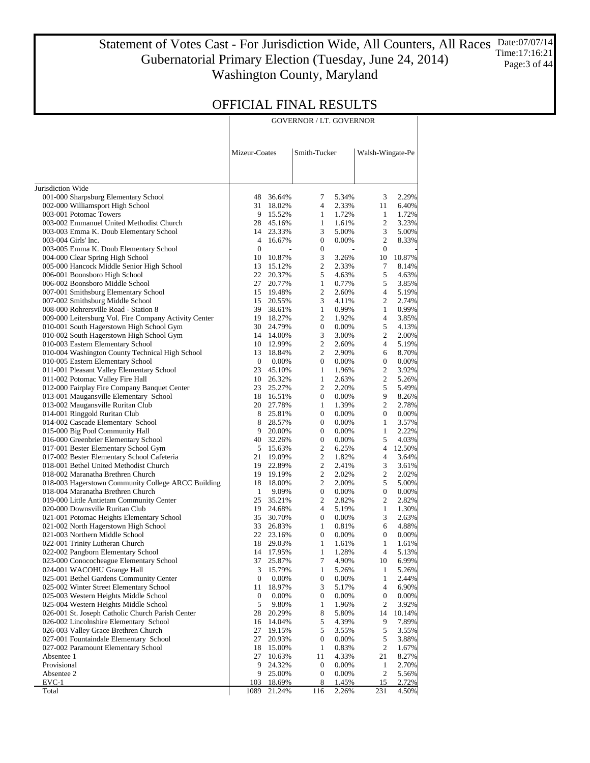Statement of Votes Cast - For Jurisdiction Wide, All Counters, All Races Date:07/07/14 Gubernatorial Primary Election (Tuesday, June 24, 2014) Washington County, Maryland Time:17:16:21 Page:3 of 44

|               | <b>GOVERNOR / LT. GOVERNOR</b> |                  |
|---------------|--------------------------------|------------------|
| Mizeur-Coates | Smith-Tucker                   | Walsh-Wingate-Pe |

| Jurisdiction Wide                                                                |                  |                     |                              |                |                  |                |
|----------------------------------------------------------------------------------|------------------|---------------------|------------------------------|----------------|------------------|----------------|
| 001-000 Sharpsburg Elementary School                                             | 48               | 36.64%              | 7                            | 5.34%          | 3                | 2.29%          |
| 002-000 Williamsport High School                                                 | 31               | 18.02%              | $\overline{4}$               | 2.33%          | 11               | 6.40%          |
| 003-001 Potomac Towers                                                           |                  | 9 15.52%            | $\mathbf{1}$                 | 1.72%          | $\mathbf{1}$     | 1.72%          |
| 003-002 Emmanuel United Methodist Church                                         |                  | 28 45.16%           | $\mathbf{1}$                 | 1.61%          | 2                | 3.23%          |
| 003-003 Emma K. Doub Elementary School                                           | 14               | 23.33%              | 3                            | 5.00%          | 3                | 5.00%          |
| 003-004 Girls' Inc.                                                              | 4                | 16.67%              | $\boldsymbol{0}$             | 0.00%          | 2                | 8.33%          |
| 003-005 Emma K. Doub Elementary School                                           | $\boldsymbol{0}$ |                     | $\boldsymbol{0}$             |                | $\boldsymbol{0}$ |                |
| 004-000 Clear Spring High School                                                 | 10               | 10.87%              | 3                            | 3.26%          | 10               | 10.87%         |
| 005-000 Hancock Middle Senior High School                                        | 13               | 15.12%              | 2                            | 2.33%          | 7                | 8.14%          |
| 006-001 Boonsboro High School                                                    | 22               | 20.37%              | 5                            | 4.63%          | 5                | 4.63%          |
| 006-002 Boonsboro Middle School                                                  | 27               | 20.77%              | $\mathbf{1}$                 | 0.77%          | 5                | 3.85%          |
| 007-001 Smithsburg Elementary School                                             |                  | 15 19.48%           | 2                            | 2.60%          | 4                | 5.19%          |
| 007-002 Smithsburg Middle School                                                 | 15               | 20.55%              | 3                            | 4.11%          | 2                | 2.74%          |
| 008-000 Rohrersville Road - Station 8                                            | 39               | 38.61%              | $\mathbf{1}$                 | 0.99%          | $\mathbf{1}$     | 0.99%          |
| 009-000 Leitersburg Vol. Fire Company Activity Center                            |                  | 19 18.27%           | 2                            | 1.92%          | 4                | 3.85%          |
| 010-001 South Hagerstown High School Gym                                         |                  | 30 24.79%           | $\boldsymbol{0}$             | 0.00%          | 5                | 4.13%          |
| 010-002 South Hagerstown High School Gym                                         |                  | 14 14.00%           | 3                            | 3.00%          | 2                | 2.00%          |
| 010-003 Eastern Elementary School                                                |                  | 10 12.99%           | 2                            | 2.60%          | 4                | 5.19%          |
| 010-004 Washington County Technical High School                                  | 13               | 18.84%              | 2                            | 2.90%          | 6                | 8.70%          |
| 010-005 Eastern Elementary School                                                | $\mathbf{0}$     | 0.00%               | 0                            | 0.00%<br>1.96% | 0                | 0.00%          |
| 011-001 Pleasant Valley Elementary School                                        | 23               | 45.10%<br>10 26.32% | $\mathbf{1}$<br>$\mathbf{1}$ |                | 2<br>2           | 3.92%          |
| 011-002 Potomac Valley Fire Hall<br>012-000 Fairplay Fire Company Banquet Center | 23               |                     | 2                            | 2.63%<br>2.20% | 5                | 5.26%<br>5.49% |
| 013-001 Maugansville Elementary School                                           |                  | 25.27%<br>18 16.51% | 0                            | 0.00%          | 9                | 8.26%          |
| 013-002 Maugansville Ruritan Club                                                |                  | 20 27.78%           | $\mathbf{1}$                 | 1.39%          | 2                | 2.78%          |
| 014-001 Ringgold Ruritan Club                                                    |                  | 8 25.81%            | $\boldsymbol{0}$             | 0.00%          | $\boldsymbol{0}$ | 0.00%          |
| 014-002 Cascade Elementary School                                                | 8                | 28.57%              | $\boldsymbol{0}$             | 0.00%          | $\mathbf{1}$     | 3.57%          |
| 015-000 Big Pool Community Hall                                                  | 9.               | 20.00%              | $\boldsymbol{0}$             | 0.00%          | $\mathbf{1}$     | 2.22%          |
| 016-000 Greenbrier Elementary School                                             |                  | 40 32.26%           | $\boldsymbol{0}$             | 0.00%          | 5                | 4.03%          |
| 017-001 Bester Elementary School Gym                                             |                  | 5 15.63%            | 2                            | 6.25%          | 4                | 12.50%         |
| 017-002 Bester Elementary School Cafeteria                                       | 21               | 19.09%              | 2                            | 1.82%          | 4                | 3.64%          |
| 018-001 Bethel United Methodist Church                                           | 19               | 22.89%              | 2                            | 2.41%          | 3                | 3.61%          |
| 018-002 Maranatha Brethren Church                                                |                  | 19 19.19%           | 2                            | 2.02%          | 2                | 2.02%          |
| 018-003 Hagerstown Community College ARCC Building                               | 18               | 18.00%              | 2                            | 2.00%          | 5                | 5.00%          |
| 018-004 Maranatha Brethren Church                                                | 1                | 9.09%               | $\boldsymbol{0}$             | 0.00%          | $\boldsymbol{0}$ | 0.00%          |
| 019-000 Little Antietam Community Center                                         | 25               | 35.21%              | 2                            | 2.82%          | 2                | 2.82%          |
| 020-000 Downsville Ruritan Club                                                  | 19               | 24.68%              | $\overline{4}$               | 5.19%          | $\mathbf{1}$     | 1.30%          |
| 021-001 Potomac Heights Elementary School                                        | 35               | 30.70%              | $\boldsymbol{0}$             | 0.00%          | 3                | 2.63%          |
| 021-002 North Hagerstown High School                                             | 33               | 26.83%              | $\mathbf{1}$                 | 0.81%          | 6                | 4.88%          |
| 021-003 Northern Middle School                                                   |                  | 22 23.16%           | $\boldsymbol{0}$             | 0.00%          | $\boldsymbol{0}$ | 0.00%          |
| 022-001 Trinity Lutheran Church                                                  |                  | 18 29.03%           | $\mathbf{1}$                 | 1.61%          | $\mathbf{1}$     | 1.61%          |
| 022-002 Pangborn Elementary School                                               |                  | 14 17.95%           | $\mathbf{1}$                 | 1.28%          | $\overline{4}$   | 5.13%          |
| 023-000 Conococheague Elementary School                                          | 37               | 25.87%              | 7                            | 4.90%          | 10               | 6.99%          |
| 024-001 WACOHU Grange Hall                                                       | 3                | 15.79%              | $\mathbf{1}$                 | 5.26%          | 1                | 5.26%          |
| 025-001 Bethel Gardens Community Center                                          | $\mathbf{0}$     | $0.00\%$            | $\boldsymbol{0}$             | $0.00\%$       | $\mathbf{1}$     | 2.44%          |
| 025-002 Winter Street Elementary School                                          | 11               | 18.97%              | 3                            | 5.17%          | 4                | 6.90%          |
| 025-003 Western Heights Middle School                                            | 0                | 0.00%               | $\boldsymbol{0}$             | 0.00%          | $\boldsymbol{0}$ | 0.00%          |
| 025-004 Western Heights Middle School                                            | 5                | 9.80%               | 1                            | 1.96%          | 2                | 3.92%          |
| 026-001 St. Joseph Catholic Church Parish Center                                 | 28               | 20.29%              | 8                            | 5.80%          | 14               | 10.14%         |
| 026-002 Lincolnshire Elementary School                                           | 16               | 14.04%              | 5                            | 4.39%          | 9                | 7.89%          |
| 026-003 Valley Grace Brethren Church                                             | 27               | 19.15%              | 5                            | 3.55%          | 5                | 3.55%          |
| 027-001 Fountaindale Elementary School<br>027-002 Paramount Elementary School    | 27               | 20.93%              | 0                            | 0.00%          | 5                | 3.88%          |
| Absentee 1                                                                       | 18<br>27         | 15.00%<br>10.63%    | $\mathbf{1}$<br>11           | 0.83%<br>4.33% | 2<br>21          | 1.67%<br>8.27% |
| Provisional                                                                      | 9                | 24.32%              | $\boldsymbol{0}$             | 0.00%          | $\mathbf{1}$     | 2.70%          |
| Absentee 2                                                                       | 9                | 25.00%              | 0                            | 0.00%          | $\overline{c}$   | 5.56%          |
| EVC-1                                                                            | 103              | 18.69%              | $8\phantom{.}$               | 1.45%          | 15               | 2.72%          |
| Total                                                                            | 1089             | 21.24%              | 116                          | 2.26%          | 231              | 4.50%          |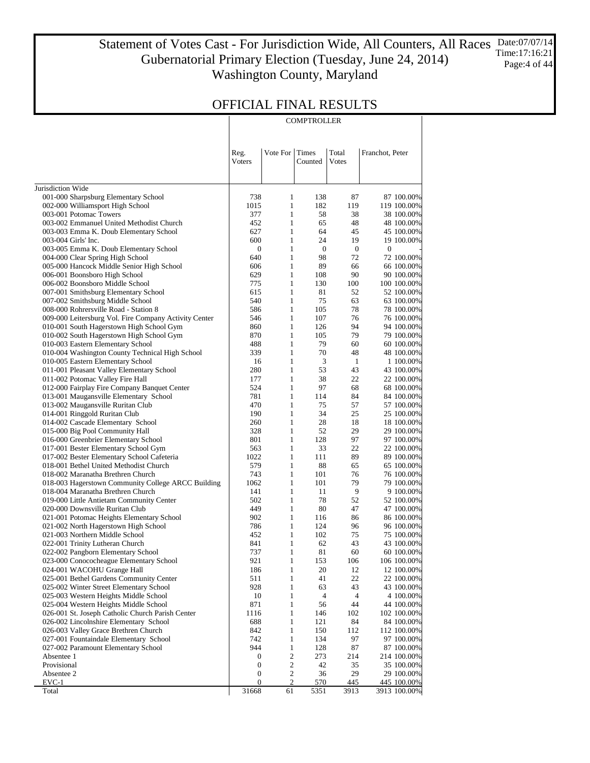Statement of Votes Cast - For Jurisdiction Wide, All Counters, All Races Date:07/07/14 Gubernatorial Primary Election (Tuesday, June 24, 2014) Washington County, Maryland Time:17:16:21 Page: 4 of 44

### OFFICIAL FINAL RESULTS

|                                                                                |                  |                              | COMPTROLLER      |                  |                           |
|--------------------------------------------------------------------------------|------------------|------------------------------|------------------|------------------|---------------------------|
|                                                                                |                  |                              |                  |                  |                           |
|                                                                                | Reg.             | Vote For                     | Times            | Total            | Franchot, Peter           |
|                                                                                | Voters           |                              | Counted          | Votes            |                           |
|                                                                                |                  |                              |                  |                  |                           |
| Jurisdiction Wide                                                              |                  |                              |                  |                  |                           |
| 001-000 Sharpsburg Elementary School                                           | 738              | 1                            | 138              | 87               | 87 100.00%                |
| 002-000 Williamsport High School<br>003-001 Potomac Towers                     | 1015<br>377      | $\mathbf{1}$<br>$\mathbf{1}$ | 182<br>58        | 119<br>38        | 119 100.00%<br>38 100.00% |
| 003-002 Emmanuel United Methodist Church                                       | 452              | $\mathbf{1}$                 | 65               | 48               | 48 100.00%                |
| 003-003 Emma K. Doub Elementary School                                         | 627              | $\mathbf{1}$                 | 64               | 45               | 45 100.00%                |
| 003-004 Girls' Inc.                                                            | 600              | $\mathbf{1}$                 | 24               | 19               | 19 100.00%                |
| 003-005 Emma K. Doub Elementary School                                         | $\boldsymbol{0}$ | $\mathbf{1}$                 | $\boldsymbol{0}$ | $\boldsymbol{0}$ | 0                         |
| 004-000 Clear Spring High School                                               | 640              | $\mathbf{1}$                 | 98               | 72               | 72 100.00%                |
| 005-000 Hancock Middle Senior High School                                      | 606              | $\mathbf{1}$                 | 89               | 66               | 66 100.00%                |
| 006-001 Boonsboro High School                                                  | 629              | $\mathbf{1}$                 | 108              | 90               | 90 100.00%                |
| 006-002 Boonsboro Middle School                                                | 775              | $\mathbf{1}$                 | 130              | 100              | 100 100.00%               |
| 007-001 Smithsburg Elementary School                                           | 615<br>540       | $\mathbf{1}$<br>$\mathbf{1}$ | 81<br>75         | 52<br>63         | 52 100.00%                |
| 007-002 Smithsburg Middle School<br>008-000 Rohrersville Road - Station 8      | 586              | $\mathbf{1}$                 | 105              | 78               | 63 100.00%<br>78 100.00%  |
| 009-000 Leitersburg Vol. Fire Company Activity Center                          | 546              | $\mathbf{1}$                 | 107              | 76               | 76 100.00%                |
| 010-001 South Hagerstown High School Gym                                       | 860              | $\mathbf{1}$                 | 126              | 94               | 94 100.00%                |
| 010-002 South Hagerstown High School Gym                                       | 870              | $\mathbf{1}$                 | 105              | 79               | 79 100.00%                |
| 010-003 Eastern Elementary School                                              | 488              | $\mathbf{1}$                 | 79               | 60               | 60 100.00%                |
| 010-004 Washington County Technical High School                                | 339              | $\mathbf{1}$                 | 70               | 48               | 48 100.00%                |
| 010-005 Eastern Elementary School                                              | 16               | $\mathbf{1}$                 | 3                | $\mathbf{1}$     | 1 100.00%                 |
| 011-001 Pleasant Valley Elementary School                                      | 280              | $\mathbf{1}$                 | 53               | 43               | 43 100.00%                |
| 011-002 Potomac Valley Fire Hall                                               | 177              | $\mathbf{1}$                 | 38               | 22               | 22 100.00%                |
| 012-000 Fairplay Fire Company Banquet Center                                   | 524              | $\mathbf{1}$                 | 97               | 68               | 68 100.00%                |
| 013-001 Maugansville Elementary School                                         | 781              | $\mathbf{1}$                 | 114              | 84               | 84 100.00%                |
| 013-002 Maugansville Ruritan Club                                              | 470              | $\mathbf{1}$<br>$\mathbf{1}$ | 75<br>34         | 57               | 57 100.00%                |
| 014-001 Ringgold Ruritan Club<br>014-002 Cascade Elementary School             | 190<br>260       | $\mathbf{1}$                 | 28               | 25<br>18         | 25 100.00%<br>18 100.00%  |
| 015-000 Big Pool Community Hall                                                | 328              | $\mathbf{1}$                 | 52               | 29               | 29 100.00%                |
| 016-000 Greenbrier Elementary School                                           | 801              | $\mathbf{1}$                 | 128              | 97               | 97 100.00%                |
| 017-001 Bester Elementary School Gym                                           | 563              | $\mathbf{1}$                 | 33               | 22               | 22 100.00%                |
| 017-002 Bester Elementary School Cafeteria                                     | 1022             | $\mathbf{1}$                 | 111              | 89               | 89 100.00%                |
| 018-001 Bethel United Methodist Church                                         | 579              | $\mathbf{1}$                 | 88               | 65               | 65 100.00%                |
| 018-002 Maranatha Brethren Church                                              | 743              | $\mathbf{1}$                 | 101              | 76               | 76 100.00%                |
| 018-003 Hagerstown Community College ARCC Building                             | 1062             | $\mathbf{1}$                 | 101              | 79               | 79 100.00%                |
| 018-004 Maranatha Brethren Church                                              | 141              | $\mathbf{1}$                 | 11               | 9                | 9 100.00%                 |
| 019-000 Little Antietam Community Center                                       | 502              | $\mathbf{1}$                 | 78               | 52               | 52 100.00%                |
| 020-000 Downsville Ruritan Club                                                | 449              | $\mathbf{1}$                 | 80               | 47               | 47 100.00%                |
| 021-001 Potomac Heights Elementary School                                      | 902<br>786       | $\mathbf{1}$<br>$\mathbf{1}$ | 116<br>124       | 86<br>96         | 86 100.00%                |
| 021-002 North Hagerstown High School<br>021-003 Northern Middle School         | 452              | $\mathbf{1}$                 | 102              | 75               | 96 100.00%<br>75 100.00%  |
| 022-001 Trinity Lutheran Church                                                | 841              | 1                            | 62               | 43               | 43 100.00%                |
| 022-002 Pangborn Elementary School                                             | 737              | $\mathbf{1}$                 | $81\,$           | 60               | 60 100.00%                |
| 023-000 Conococheague Elementary School                                        | 921              | $\mathbf{1}$                 | 153              | 106              | 106 100.00%               |
| 024-001 WACOHU Grange Hall                                                     | 186              | $\mathbf{1}$                 | 20               | 12               | 12 100.00%                |
| 025-001 Bethel Gardens Community Center                                        | 511              | $\mathbf{1}$                 | 41               | 22               | 22 100.00%                |
| 025-002 Winter Street Elementary School                                        | 928              | $\mathbf{1}$                 | 63               | 43               | 43 100.00%                |
| 025-003 Western Heights Middle School                                          | 10               | $\mathbf{1}$                 | 4                | 4                | 4 100.00%                 |
| 025-004 Western Heights Middle School                                          | 871              | $\mathbf{1}$                 | 56               | 44               | 44 100.00%                |
| 026-001 St. Joseph Catholic Church Parish Center                               | 1116             | $\mathbf{1}$                 | 146              | 102              | 102 100.00%               |
| 026-002 Lincolnshire Elementary School                                         | 688              | $\,1$                        | 121              | 84               | 84 100.00%                |
| 026-003 Valley Grace Brethren Church<br>027-001 Fountaindale Elementary School | 842<br>742       | $\mathbf{1}$<br>$\,1$        | 150<br>134       | 112<br>97        | 112 100.00%               |
| 027-002 Paramount Elementary School                                            | 944              | $\mathbf{1}$                 | 128              | 87               | 97 100.00%<br>87 100.00%  |
| Absentee 1                                                                     | $\boldsymbol{0}$ | $\overline{\mathbf{c}}$      | 273              | 214              | 214 100.00%               |
| Provisional                                                                    | $\boldsymbol{0}$ | 2                            | 42               | 35               | 35 100.00%                |
| Absentee 2                                                                     | $\boldsymbol{0}$ | $\mathbf 2$                  | 36               | 29               | 29 100.00%                |
| EVC-1                                                                          | $\boldsymbol{0}$ | 2                            | 570              | 445              | 445 100.00%               |
| Total                                                                          | 31668            | 61                           | 5351             | 3913             | 3913 100.00%              |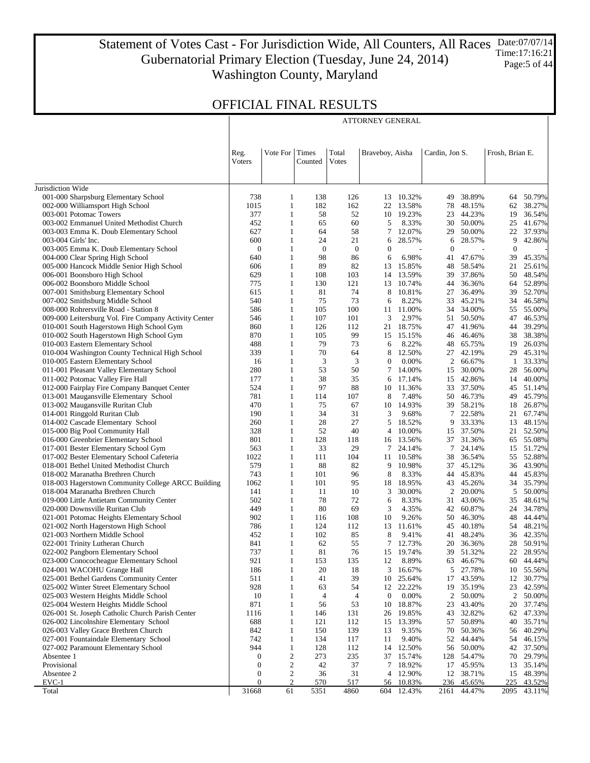Statement of Votes Cast - For Jurisdiction Wide, All Counters, All Races Gubernatorial Primary Election (Tuesday, June 24, 2014) Washington County, Maryland Date:07/07/14 Time:17:16:21 Page:5 of 44

ATTORNEY GENERAL

|                                                                          | Reg.<br>Voters | Vote For                           | Times<br>Counted | Total<br>Votes | Braveboy, Aisha  |                  | Cardin, Jon S. |                     | Frosh, Brian E.  |                     |
|--------------------------------------------------------------------------|----------------|------------------------------------|------------------|----------------|------------------|------------------|----------------|---------------------|------------------|---------------------|
| Jurisdiction Wide                                                        |                |                                    |                  |                |                  |                  |                |                     |                  |                     |
| 001-000 Sharpsburg Elementary School                                     | 738            | $\mathbf{1}$                       | 138              | 126            | 13               | 10.32%           | 49             | 38.89%              | 64               | 50.79%              |
| 002-000 Williamsport High School                                         | 1015           | $\mathbf{1}$                       | 182              | 162            | 22               | 13.58%           | 78             | 48.15%              | 62               | 38.27%              |
| 003-001 Potomac Towers                                                   | 377            | $\mathbf{1}$                       | 58               | 52             | 10               | 19.23%           | 23             | 44.23%              | 19               | 36.54%              |
| 003-002 Emmanuel United Methodist Church                                 | 452            | $\mathbf{1}$                       | 65               | 60             | 5                | 8.33%            | 30             | 50.00%              | 25               | 41.67%              |
| 003-003 Emma K. Doub Elementary School                                   | 627            | $\mathbf{1}$                       | 64               | 58             | 7                | 12.07%           | 29             | 50.00%              | 22               | 37.93%              |
| 003-004 Girls' Inc.                                                      | 600            | $\mathbf{1}$                       | 24               | 21             | 6                | 28.57%           | 6              | 28.57%              | 9                | 42.86%              |
| 003-005 Emma K. Doub Elementary School                                   | $\mathbf{0}$   | $\mathbf{1}$                       | $\mathbf{0}$     | $\bf{0}$       | $\boldsymbol{0}$ |                  | $\theta$       |                     | $\theta$         |                     |
| 004-000 Clear Spring High School                                         | 640            | $\mathbf{1}$                       | 98               | 86             | 6                | 6.98%            | 41             | 47.67%              | 39               | 45.35%              |
| 005-000 Hancock Middle Senior High School                                | 606            | $\mathbf{1}$                       | 89               | 82             | 13               | 15.85%           | 48             | 58.54%              | 21               | 25.61%              |
| 006-001 Boonsboro High School                                            | 629            | $\mathbf{1}$                       | 108              | 103            | 14               | 13.59%           | 39             | 37.86%              | 50               | 48.54%              |
| 006-002 Boonsboro Middle School                                          | 775            | $\mathbf{1}$                       | 130              | 121            | 13               | 10.74%           | 44             | 36.36%              | 64               | 52.89%              |
| 007-001 Smithsburg Elementary School<br>007-002 Smithsburg Middle School | 615<br>540     | $\mathbf{1}$<br>$\mathbf{1}$       | 81<br>75         | 74<br>73       | 8<br>6           | 10.81%<br>8.22%  | 27<br>33       | 36.49%<br>45.21%    | 39<br>34         | 52.70%<br>46.58%    |
| 008-000 Rohrersville Road - Station 8                                    | 586            | $\mathbf{1}$                       | 105              | 100            | 11               | 11.00%           | 34             | 34.00%              | 55               | 55.00%              |
| 009-000 Leitersburg Vol. Fire Company Activity Center                    | 546            | $\mathbf{1}$                       | 107              | 101            | 3                | 2.97%            | 51             | 50.50%              | 47               | 46.53%              |
| 010-001 South Hagerstown High School Gym                                 | 860            | $\mathbf{1}$                       | 126              | 112            | 21               | 18.75%           | 47             | 41.96%              | 44               | 39.29%              |
| 010-002 South Hagerstown High School Gym                                 | 870            | $\mathbf{1}$                       | 105              | 99             | 15               | 15.15%           | 46             | 46.46%              | 38               | 38.38%              |
| 010-003 Eastern Elementary School                                        | 488            | 1                                  | 79               | 73             | 6                | 8.22%            | 48             | 65.75%              | 19               | 26.03%              |
| 010-004 Washington County Technical High School                          | 339            | $\mathbf{1}$                       | 70               | 64             | 8                | 12.50%           | 27             | 42.19%              | 29               | 45.31%              |
| 010-005 Eastern Elementary School                                        | 16             | $\mathbf{1}$                       | 3                | 3              | $\boldsymbol{0}$ | 0.00%            | $\overline{2}$ | 66.67%              | $\mathbf{1}$     | 33.33%              |
| 011-001 Pleasant Valley Elementary School                                | 280            | 1                                  | 53               | 50             | 7                | 14.00%           | 15             | 30.00%              | 28               | 56.00%              |
| 011-002 Potomac Valley Fire Hall                                         | 177            | 1                                  | 38               | 35             | 6                | 17.14%           | 15             | 42.86%              | 14               | 40.00%              |
| 012-000 Fairplay Fire Company Banquet Center                             | 524            | 1                                  | 97               | 88             | 10               | 11.36%           | 33             | 37.50%              | 45               | 51.14%              |
| 013-001 Maugansville Elementary School                                   | 781            | 1                                  | 114              | 107            | 8                | 7.48%            | 50             | 46.73%              | 49               | 45.79%              |
| 013-002 Maugansville Ruritan Club                                        | 470            | 1                                  | 75               | 67             | 10               | 14.93%           | 39             | 58.21%              | 18               | 26.87%              |
| 014-001 Ringgold Ruritan Club                                            | 190            | 1                                  | 34               | 31             | 3                | 9.68%            | $\tau$         | 22.58%              | 21               | 67.74%              |
| 014-002 Cascade Elementary School                                        | 260            | $\mathbf{1}$                       | 28               | 27<br>40       | 5                | 18.52%           | 9              | 33.33%              | 13               | 48.15%              |
| 015-000 Big Pool Community Hall<br>016-000 Greenbrier Elementary School  | 328<br>801     | $\mathbf{1}$<br>1                  | 52<br>128        | 118            | 4<br>16          | 10.00%<br>13.56% | 15<br>37       | 37.50%<br>31.36%    | 21<br>65         | 52.50%<br>55.08%    |
| 017-001 Bester Elementary School Gym                                     | 563            | $\mathbf{1}$                       | 33               | 29             | 7                | 24.14%           | $\tau$         | 24.14%              | 15               | 51.72%              |
| 017-002 Bester Elementary School Cafeteria                               | 1022           | $\mathbf{1}$                       | 111              | 104            | 11               | 10.58%           | 38             | 36.54%              | 55               | 52.88%              |
| 018-001 Bethel United Methodist Church                                   | 579            | $\mathbf{1}$                       | 88               | 82             | 9                | 10.98%           |                | 37 45.12%           | 36               | 43.90%              |
| 018-002 Maranatha Brethren Church                                        | 743            | 1                                  | 101              | 96             | 8                | 8.33%            | 44             | 45.83%              | 44               | 45.83%              |
| 018-003 Hagerstown Community College ARCC Building                       | 1062           | 1                                  | 101              | 95             | 18               | 18.95%           | 43             | 45.26%              | 34               | 35.79%              |
| 018-004 Maranatha Brethren Church                                        | 141            | 1                                  | 11               | 10             | 3                | 30.00%           | 2              | 20.00%              | 5                | 50.00%              |
| 019-000 Little Antietam Community Center                                 | 502            | $\mathbf{1}$                       | 78               | 72             | 6                | 8.33%            | 31             | 43.06%              | 35               | 48.61%              |
| 020-000 Downsville Ruritan Club                                          | 449            | 1                                  | 80               | 69             | 3                | 4.35%            | 42             | 60.87%              | 24               | 34.78%              |
| 021-001 Potomac Heights Elementary School                                | 902            | $\mathbf{1}$                       | 116              | 108            | 10               | 9.26%            | 50             | 46.30%              | 48               | 44.44%              |
| 021-002 North Hagerstown High School                                     | 786            | $\mathbf{1}$                       | 124              | 112            | 13               | 11.61%           | 45             | 40.18%              | 54               | 48.21%              |
| 021-003 Northern Middle School                                           | 452<br>841     | 1<br>1                             | 102<br>62        | 85<br>55       | 8<br>7           | 9.41%<br>12.73%  | 41<br>20       | 48.24%              | 36<br>28         | 42.35%              |
| 022-001 Trinity Lutheran Church<br>022-002 Pangborn Elementary School    | 737            | 1                                  | 81               | 76             |                  | 15 19.74%        |                | 36.36%<br>39 51.32% |                  | 50.91%<br>22 28.95% |
| 023-000 Conococheague Elementary School                                  | 921            | -1                                 | 153              | 135            | 12               | 8.89%            | 63             | 46.67%              | 60               | 44.44%              |
| 024-001 WACOHU Grange Hall                                               | 186            | $\mathbf{1}$                       | 20               | 18             | 3                | 16.67%           | 5              | 27.78%              | 10               | 55.56%              |
| 025-001 Bethel Gardens Community Center                                  | 511            | $\mathbf{1}$                       | 41               | 39             | 10               | 25.64%           | 17             | 43.59%              | 12               | 30.77%              |
| 025-002 Winter Street Elementary School                                  | 928            | $\mathbf{1}$                       | 63               | 54             |                  | 12 22.22%        | 19             | 35.19%              | 23               | 42.59%              |
| 025-003 Western Heights Middle School                                    | 10             | $\mathbf{1}$                       | $\overline{4}$   | 4              | $\mathbf{0}$     | 0.00%            | $\overline{c}$ | 50.00%              | $\boldsymbol{2}$ | 50.00%              |
| 025-004 Western Heights Middle School                                    | 871            | $\mathbf{1}$                       | 56               | 53             | 10               | 18.87%           | 23             | 43.40%              | 20               | 37.74%              |
| 026-001 St. Joseph Catholic Church Parish Center                         | 1116           | $\mathbf{1}$                       | 146              | 131            | 26               | 19.85%           | 43             | 32.82%              | 62               | 47.33%              |
| 026-002 Lincolnshire Elementary School                                   | 688            | $\mathbf{1}$                       | 121              | 112            | 15               | 13.39%           | 57             | 50.89%              | 40               | 35.71%              |
| 026-003 Valley Grace Brethren Church                                     | 842            | $\mathbf{1}$                       | 150              | 139            | 13               | 9.35%            | 70             | 50.36%              | 56               | 40.29%              |
| 027-001 Fountaindale Elementary School                                   | 742            | $\mathbf{1}$                       | 134              | 117            | 11               | 9.40%            | 52             | 44.44%              | 54               | 46.15%              |
| 027-002 Paramount Elementary School                                      | 944            | $\mathbf{1}$                       | 128              | 112            | 14               | 12.50%           | 56             | 50.00%              | 42               | 37.50%              |
| Absentee 1                                                               | 0              | $\boldsymbol{2}$                   | 273              | 235            | 37               | 15.74%           | 128            | 54.47%              | 70               | 29.79%              |
| Provisional<br>Absentee 2                                                | 0<br>0         | $\overline{c}$<br>$\boldsymbol{2}$ | 42<br>36         | 37<br>31       | 7<br>4           | 18.92%<br>12.90% | 17<br>12       | 45.95%<br>38.71%    | 13<br>15         | 35.14%<br>48.39%    |
| $EVC-1$                                                                  | $\mathbf{0}$   | $\overline{c}$                     | 570              | 517            | 56               | 10.83%           | 236            | 45.65%              | 225              | 43.52%              |
| Total                                                                    | 31668          | 61                                 | 5351             | 4860           | 604              | 12.43%           | 2161           | 44.47%              | 2095             | 43.11%              |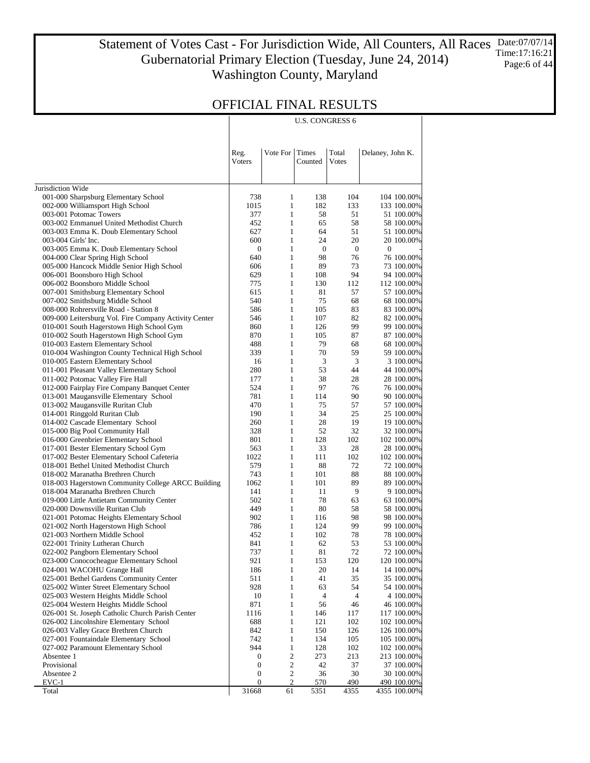Statement of Votes Cast - For Jurisdiction Wide, All Counters, All Races Date:07/07/14 Gubernatorial Primary Election (Tuesday, June 24, 2014) Washington County, Maryland Time:17:16:21 Page:6 of 44

U.S. CONGRESS 6

### OFFICIAL FINAL RESULTS

|                                                                                                | Reg.<br>Voters   | Vote For                     | Times<br>Counted | Total<br>Votes   | Delaney, John K.           |
|------------------------------------------------------------------------------------------------|------------------|------------------------------|------------------|------------------|----------------------------|
| Jurisdiction Wide                                                                              |                  |                              |                  |                  |                            |
| 001-000 Sharpsburg Elementary School                                                           | 738              | 1                            | 138              | 104              | 104 100.00%                |
| 002-000 Williamsport High School                                                               | 1015             | $\mathbf{1}$                 | 182              | 133              | 133 100.00%                |
| 003-001 Potomac Towers                                                                         | 377              | $\mathbf{1}$                 | 58               | 51               | 51 100.00%                 |
| 003-002 Emmanuel United Methodist Church                                                       | 452              | $\mathbf{1}$                 | 65               | 58               | 58 100.00%                 |
| 003-003 Emma K. Doub Elementary School                                                         | 627              | $\mathbf{1}$                 | 64               | 51               | 51 100.00%                 |
| 003-004 Girls' Inc.                                                                            | 600              | $\mathbf{1}$                 | 24               | 20               | 20 100.00%                 |
| 003-005 Emma K. Doub Elementary School                                                         | $\boldsymbol{0}$ | $\mathbf{1}$                 | $\boldsymbol{0}$ | $\boldsymbol{0}$ | $\boldsymbol{0}$           |
| 004-000 Clear Spring High School                                                               | 640              | $\mathbf{1}$                 | 98               | 76               | 76 100.00%                 |
| 005-000 Hancock Middle Senior High School                                                      | 606              | $\mathbf{1}$                 | 89               | 73               | 73 100.00%                 |
| 006-001 Boonsboro High School                                                                  | 629              | $\mathbf{1}$                 | 108              | 94               | 94 100.00%                 |
| 006-002 Boonsboro Middle School                                                                | 775              | $\mathbf{1}$                 | 130              | 112              | 112 100.00%                |
| 007-001 Smithsburg Elementary School                                                           | 615              | $\mathbf{1}$                 | 81               | 57               | 57 100.00%                 |
| 007-002 Smithsburg Middle School                                                               | 540<br>586       | $\mathbf{1}$<br>$\mathbf{1}$ | 75               | 68<br>83         | 68 100.00%                 |
| 008-000 Rohrersville Road - Station 8<br>009-000 Leitersburg Vol. Fire Company Activity Center | 546              | $\mathbf{1}$                 | 105<br>107       | 82               | 83 100.00%<br>82 100.00%   |
| 010-001 South Hagerstown High School Gym                                                       | 860              | $\mathbf{1}$                 | 126              | 99               | 99 100.00%                 |
| 010-002 South Hagerstown High School Gym                                                       | 870              | $\mathbf{1}$                 | 105              | 87               | 87 100.00%                 |
| 010-003 Eastern Elementary School                                                              | 488              | $\mathbf{1}$                 | 79               | 68               | 68 100.00%                 |
| 010-004 Washington County Technical High School                                                | 339              | $\mathbf{1}$                 | 70               | 59               | 59 100.00%                 |
| 010-005 Eastern Elementary School                                                              | 16               | $\mathbf{1}$                 | 3                | 3                | 3 100.00%                  |
| 011-001 Pleasant Valley Elementary School                                                      | 280              | $\mathbf{1}$                 | 53               | 44               | 44 100.00%                 |
| 011-002 Potomac Valley Fire Hall                                                               | 177              | $\mathbf{1}$                 | 38               | 28               | 28 100.00%                 |
| 012-000 Fairplay Fire Company Banquet Center                                                   | 524              | $\mathbf{1}$                 | 97               | 76               | 76 100.00%                 |
| 013-001 Maugansville Elementary School                                                         | 781              | $\mathbf{1}$                 | 114              | 90               | 90 100.00%                 |
| 013-002 Maugansville Ruritan Club                                                              | 470              | $\mathbf{1}$                 | 75               | 57               | 57 100.00%                 |
| 014-001 Ringgold Ruritan Club                                                                  | 190              | $\mathbf{1}$                 | 34               | 25               | 25 100.00%                 |
| 014-002 Cascade Elementary School                                                              | 260              | $\mathbf{1}$                 | 28               | 19               | 19 100.00%                 |
| 015-000 Big Pool Community Hall                                                                | 328              | $\mathbf{1}$                 | 52               | 32               | 32 100.00%                 |
| 016-000 Greenbrier Elementary School                                                           | 801              | $\mathbf{1}$                 | 128              | 102              | 102 100.00%                |
| 017-001 Bester Elementary School Gym                                                           | 563              | $\mathbf{1}$                 | 33               | 28               | 28 100.00%                 |
| 017-002 Bester Elementary School Cafeteria                                                     | 1022             | $\mathbf{1}$                 | 111              | 102              | 102 100.00%                |
| 018-001 Bethel United Methodist Church                                                         | 579<br>743       | $\mathbf{1}$<br>$\mathbf{1}$ | 88               | 72               | 72 100.00%                 |
| 018-002 Maranatha Brethren Church<br>018-003 Hagerstown Community College ARCC Building        | 1062             | $\mathbf{1}$                 | 101<br>101       | 88<br>89         | 88 100.00%<br>89 100.00%   |
| 018-004 Maranatha Brethren Church                                                              | 141              | $\mathbf{1}$                 | 11               | 9                | 9 100.00%                  |
| 019-000 Little Antietam Community Center                                                       | 502              | $\mathbf{1}$                 | 78               | 63               | 63 100.00%                 |
| 020-000 Downsville Ruritan Club                                                                | 449              | $\mathbf{1}$                 | 80               | 58               | 58 100.00%                 |
| 021-001 Potomac Heights Elementary School                                                      | 902              | $\mathbf{1}$                 | 116              | 98               | 98 100.00%                 |
| 021-002 North Hagerstown High School                                                           | 786              | $\mathbf{1}$                 | 124              | 99               | 99 100.00%                 |
| 021-003 Northern Middle School                                                                 | 452              | $\mathbf{1}$                 | 102              | 78               | 78 100.00%                 |
| 022-001 Trinity Lutheran Church                                                                | 841              | $\mathbf{1}$                 | 62               | 53               | 53 100.00%                 |
| 022-002 Pangborn Elementary School                                                             | 737              | $\mathbf{1}$                 | 81               | 72               | 72 100.00%                 |
| 023-000 Conococheague Elementary School                                                        | 921              | 1                            | 153              | 120              | 120 100.00%                |
| 024-001 WACOHU Grange Hall                                                                     | 186              | $\mathbf{1}$                 | 20               | 14               | 14 100.00%                 |
| 025-001 Bethel Gardens Community Center                                                        | 511              | $\mathbf{1}$                 | 41               | 35               | 35 100.00%                 |
| 025-002 Winter Street Elementary School                                                        | 928              | $\mathbf{1}$                 | 63               | 54               | 54 100.00%                 |
| 025-003 Western Heights Middle School                                                          | 10               | $\mathbf{1}$                 | 4                | 4                | 4 100.00%                  |
| 025-004 Western Heights Middle School                                                          | 871              | $\mathbf{1}$                 | 56               | 46               | 46 100.00%                 |
| 026-001 St. Joseph Catholic Church Parish Center                                               | 1116             | $\mathbf{1}$                 | 146              | 117              | 117 100.00%                |
| 026-002 Lincolnshire Elementary School                                                         | 688              | $\mathbf{1}$                 | 121              | 102              | 102 100.00%                |
| 026-003 Valley Grace Brethren Church<br>027-001 Fountaindale Elementary School                 | 842<br>742       | $\mathbf{1}$<br>$\mathbf{1}$ | 150<br>134       | 126<br>105       | 126 100.00%<br>105 100.00% |
| 027-002 Paramount Elementary School                                                            | 944              | $\mathbf{1}$                 | 128              | 102              | 102 100.00%                |
| Absentee 1                                                                                     | $\boldsymbol{0}$ | 2                            | 273              | 213              | 213 100.00%                |
| Provisional                                                                                    | $\boldsymbol{0}$ | $\sqrt{2}$                   | 42               | 37               | 37 100.00%                 |
| Absentee 2                                                                                     | $\boldsymbol{0}$ | $\sqrt{2}$                   | 36               | 30               | 30 100.00%                 |
| EVC-1                                                                                          | $\boldsymbol{0}$ | $\overline{2}$               | 570              | 490              | 490 100.00%                |
| Total                                                                                          | 31668            | 61                           | 5351             | 4355             | 4355 100.00%               |

 $\overline{1}$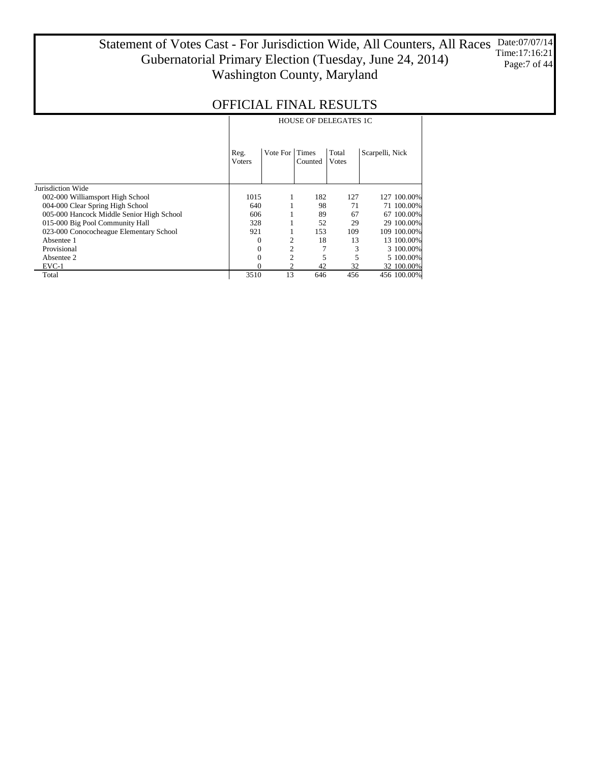#### Statement of Votes Cast - For Jurisdiction Wide, All Counters, All Races Gubernatorial Primary Election (Tuesday, June 24, 2014) Washington County, Maryland Date:07/07/14 Time:17:16:21 Page:7 of 44

|                                           | <b>HOUSE OF DELEGATES 1C</b> |                |                  |                        |                 |             |  |  |
|-------------------------------------------|------------------------------|----------------|------------------|------------------------|-----------------|-------------|--|--|
|                                           | Reg.<br><b>V</b> oters       | Vote For       | Times<br>Counted | Total<br><b>V</b> otes | Scarpelli, Nick |             |  |  |
| Jurisdiction Wide                         |                              |                |                  |                        |                 |             |  |  |
| 002-000 Williamsport High School          | 1015                         |                | 182              | 127                    |                 | 127 100.00% |  |  |
| 004-000 Clear Spring High School          | 640                          |                | 98               | 71                     |                 | 71 100.00%  |  |  |
| 005-000 Hancock Middle Senior High School | 606                          |                | 89               | 67                     |                 | 67 100.00%  |  |  |
| 015-000 Big Pool Community Hall           | 328                          |                | 52               | 29                     |                 | 29 100.00%  |  |  |
| 023-000 Conococheague Elementary School   | 921                          |                | 153              | 109                    |                 | 109 100.00% |  |  |
| Absentee 1                                | $\Omega$                     | 2              | 18               | 13                     |                 | 13 100.00%  |  |  |
| Provisional                               | 0                            | $\overline{2}$ | 7                | 3                      |                 | 3 100.00%   |  |  |
| Absentee 2                                | $\theta$                     | $\overline{c}$ | 5                | 5                      |                 | 5 100,00%   |  |  |
| $EVC-1$                                   | 0                            | $\overline{c}$ | 42               | 32                     |                 | 32 100.00%  |  |  |
| Total                                     | 3510                         | 13             | 646              | 456                    |                 | 456 100.00% |  |  |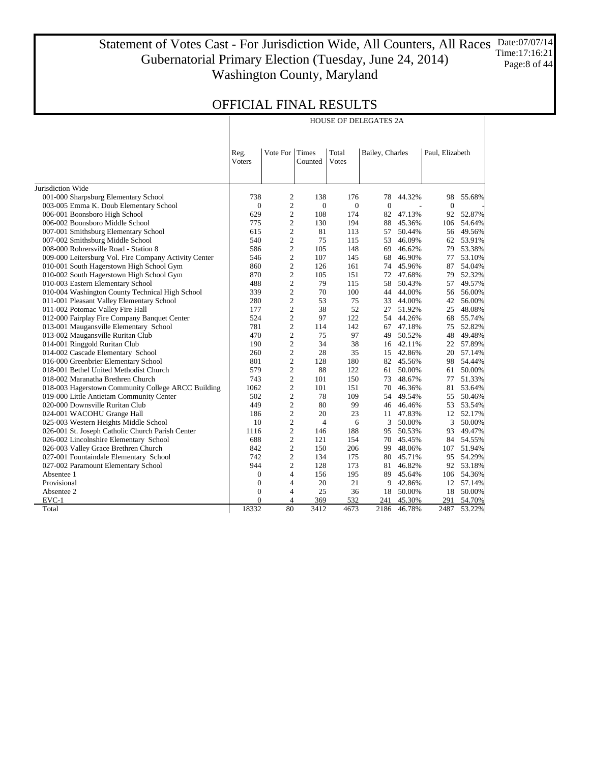#### Statement of Votes Cast - For Jurisdiction Wide, All Counters, All Races Date:07/07/14 Gubernatorial Primary Election (Tuesday, June 24, 2014) Washington County, Maryland Time:17:16:21 Page:8 of 44

HOUSE OF DELEGATES 2A

## OFFICIAL FINAL RESULTS

|                                                       | Reg.<br>Voters   | Vote For                | Times<br>Counted |                  | Total<br><b>Votes</b> |           | Bailey, Charles  |        | Paul, Elizabeth |  |
|-------------------------------------------------------|------------------|-------------------------|------------------|------------------|-----------------------|-----------|------------------|--------|-----------------|--|
| Jurisdiction Wide                                     |                  |                         |                  |                  |                       |           |                  |        |                 |  |
| 001-000 Sharpsburg Elementary School                  | 738              | $\overline{c}$          | 138              | 176              | 78                    | 44.32%    | 98               | 55.68% |                 |  |
| 003-005 Emma K. Doub Elementary School                | $\boldsymbol{0}$ | $\overline{c}$          | $\mathbf{0}$     | $\boldsymbol{0}$ | $\overline{0}$        |           | $\boldsymbol{0}$ |        |                 |  |
| 006-001 Boonsboro High School                         | 629              | 2                       | 108              | 174              | 82                    | 47.13%    | 92               | 52.87% |                 |  |
| 006-002 Boonsboro Middle School                       | 775              | $\overline{c}$          | 130              | 194              | 88                    | 45.36%    | 106              | 54.64% |                 |  |
| 007-001 Smithsburg Elementary School                  | 615              | $\overline{c}$          | 81               | 113              | 57                    | 50.44%    | 56               | 49.56% |                 |  |
| 007-002 Smithsburg Middle School                      | 540              | $\mathbf{c}$            | 75               | 115              | 53                    | 46.09%    | 62               | 53.91% |                 |  |
| 008-000 Rohrersville Road - Station 8                 | 586              | $\overline{c}$          | 105              | 148              | 69                    | 46.62%    | 79               | 53.38% |                 |  |
| 009-000 Leitersburg Vol. Fire Company Activity Center | 546              | $\overline{c}$          | 107              | 145              | 68                    | 46.90%    | 77               | 53.10% |                 |  |
| 010-001 South Hagerstown High School Gym              | 860              | $\overline{\mathbf{c}}$ | 126              | 161              | 74                    | 45.96%    | 87               | 54.04% |                 |  |
| 010-002 South Hagerstown High School Gym              | 870              | $\mathbf{2}$            | 105              | 151              | 72                    | 47.68%    | 79               | 52.32% |                 |  |
| 010-003 Eastern Elementary School                     | 488              | $\overline{c}$          | 79               | 115              | 58                    | 50.43%    | 57               | 49.57% |                 |  |
| 010-004 Washington County Technical High School       | 339              | $\overline{c}$          | 70               | 100              | 44                    | 44.00%    | 56               | 56.00% |                 |  |
| 011-001 Pleasant Valley Elementary School             | 280              | $\overline{c}$          | 53               | 75               | 33                    | 44.00%    | 42               | 56.00% |                 |  |
| 011-002 Potomac Valley Fire Hall                      | 177              | $\overline{c}$          | 38               | 52               | 27                    | 51.92%    | 25               | 48.08% |                 |  |
| 012-000 Fairplay Fire Company Banquet Center          | 524              | 2                       | 97               | 122              |                       | 54 44.26% | 68               | 55.74% |                 |  |
| 013-001 Maugansville Elementary School                | 781              | $\overline{c}$          | 114              | 142              | 67                    | 47.18%    | 75               | 52.82% |                 |  |
| 013-002 Maugansville Ruritan Club                     | 470              | $\overline{c}$          | 75               | 97               | 49                    | 50.52%    | 48               | 49.48% |                 |  |
| 014-001 Ringgold Ruritan Club                         | 190              | $\overline{c}$          | 34               | 38               | 16                    | 42.11%    | 22               | 57.89% |                 |  |
| 014-002 Cascade Elementary School                     | 260              | $\overline{c}$          | 28               | 35               |                       | 15 42.86% | 20               | 57.14% |                 |  |
| 016-000 Greenbrier Elementary School                  | 801              | $\overline{c}$          | 128              | 180              | 82                    | 45.56%    | 98               | 54.44% |                 |  |
| 018-001 Bethel United Methodist Church                | 579              | $\overline{c}$          | 88               | 122              | 61                    | 50.00%    | 61               | 50.00% |                 |  |
| 018-002 Maranatha Brethren Church                     | 743              | $\overline{c}$          | 101              | 150              | 73                    | 48.67%    | 77               | 51.33% |                 |  |
| 018-003 Hagerstown Community College ARCC Building    | 1062             | $\overline{c}$          | 101              | 151              | 70                    | 46.36%    | 81               | 53.64% |                 |  |
| 019-000 Little Antietam Community Center              | 502              | $\overline{c}$          | 78               | 109              | 54                    | 49.54%    | 55               | 50.46% |                 |  |
| 020-000 Downsville Ruritan Club                       | 449              | $\overline{c}$          | 80               | 99               |                       | 46 46.46% | 53               | 53.54% |                 |  |
| 024-001 WACOHU Grange Hall                            | 186              | $\overline{\mathbf{c}}$ | 20               | 23               | 11                    | 47.83%    | 12               | 52.17% |                 |  |
| 025-003 Western Heights Middle School                 | 10               | $\overline{c}$          | $\overline{4}$   | 6                | 3                     | 50.00%    | 3                | 50.00% |                 |  |
| 026-001 St. Joseph Catholic Church Parish Center      | 1116             | $\overline{c}$          | 146              | 188              | 95                    | 50.53%    | 93               | 49.47% |                 |  |
| 026-002 Lincolnshire Elementary School                | 688              | $\overline{c}$          | 121              | 154              | 70                    | 45.45%    | 84               | 54.55% |                 |  |
| 026-003 Valley Grace Brethren Church                  | 842              | $\overline{\mathbf{c}}$ | 150              | 206              | 99                    | 48.06%    | 107              | 51.94% |                 |  |
| 027-001 Fountaindale Elementary School                | 742              | $\overline{c}$          | 134              | 175              | 80                    | 45.71%    | 95               | 54.29% |                 |  |
| 027-002 Paramount Elementary School                   | 944              | $\overline{c}$          | 128              | 173              | 81                    | 46.82%    | 92               | 53.18% |                 |  |
| Absentee 1                                            | $\Omega$         | $\overline{4}$          | 156              | 195              | 89                    | 45.64%    | 106              | 54.36% |                 |  |
| Provisional                                           | $\mathbf{0}$     | $\overline{4}$          | 20               | 21               | 9                     | 42.86%    | 12               | 57.14% |                 |  |
| Absentee 2                                            | $\boldsymbol{0}$ | $\overline{4}$          | 25               | 36               | 18                    | 50.00%    | 18               | 50.00% |                 |  |
| $EVC-1$                                               | $\theta$         | 4                       | 369              | 532              | 241                   | 45.30%    | 291              | 54.70% |                 |  |
| Total                                                 | 18332            | 80                      | 3412             | 4673             | 2186                  | 46.78%    | 2487             | 53.22% |                 |  |

 $\mathbb{R}$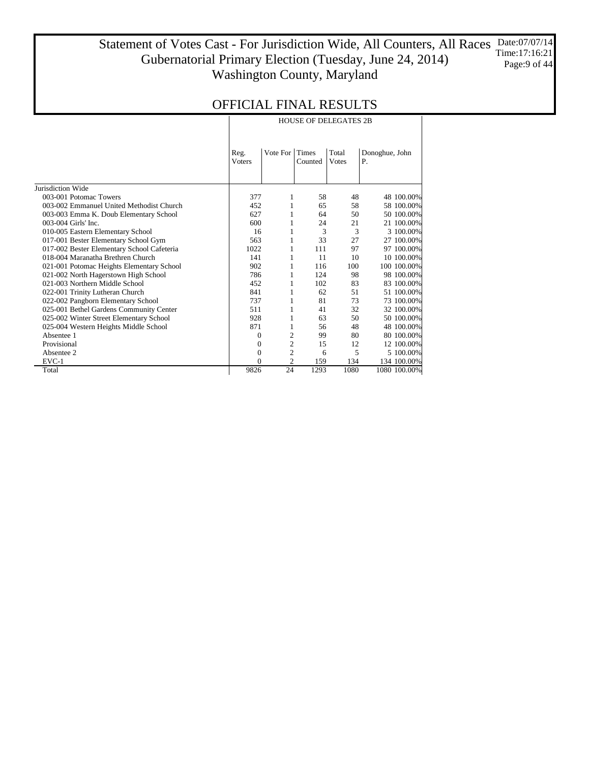Statement of Votes Cast - For Jurisdiction Wide, All Counters, All Races Gubernatorial Primary Election (Tuesday, June 24, 2014) Washington County, Maryland Date:07/07/14 Time:17:16:21 Page:9 of 44

|                                            |               | <b>HOUSE OF DELEGATES 2B</b>                 |         |       |              |  |  |  |  |  |
|--------------------------------------------|---------------|----------------------------------------------|---------|-------|--------------|--|--|--|--|--|
|                                            | Reg.          | Total<br>Vote For<br>Times<br>Donoghue, John |         |       |              |  |  |  |  |  |
|                                            | <b>Voters</b> |                                              | Counted | Votes | Ρ.           |  |  |  |  |  |
| Jurisdiction Wide                          |               |                                              |         |       |              |  |  |  |  |  |
| 003-001 Potomac Towers                     | 377           | 1                                            | 58      | 48    | 48 100.00%   |  |  |  |  |  |
| 003-002 Emmanuel United Methodist Church   | 452           | 1                                            | 65      | 58    | 58 100,00%   |  |  |  |  |  |
| 003-003 Emma K. Doub Elementary School     | 627           | 1                                            | 64      | 50    | 50 100.00%   |  |  |  |  |  |
| 003-004 Girls' Inc.                        | 600           | 1                                            | 24      | 21    | 21 100.00%   |  |  |  |  |  |
| 010-005 Eastern Elementary School          | 16            | 1                                            | 3       | 3     | 3 100.00%    |  |  |  |  |  |
| 017-001 Bester Elementary School Gym       | 563           | 1                                            | 33      | 27    | 27 100.00%   |  |  |  |  |  |
| 017-002 Bester Elementary School Cafeteria | 1022          | 1                                            | 111     | 97    | 97 100.00%   |  |  |  |  |  |
| 018-004 Maranatha Brethren Church          | 141           | 1                                            | 11      | 10    | 10 100.00%   |  |  |  |  |  |
| 021-001 Potomac Heights Elementary School  | 902           | 1                                            | 116     | 100   | 100 100.00%  |  |  |  |  |  |
| 021-002 North Hagerstown High School       | 786           | 1                                            | 124     | 98    | 98 100.00%   |  |  |  |  |  |
| 021-003 Northern Middle School             | 452           | 1                                            | 102     | 83    | 83 100.00%   |  |  |  |  |  |
| 022-001 Trinity Lutheran Church            | 841           | 1                                            | 62      | 51    | 51 100.00%   |  |  |  |  |  |
| 022-002 Pangborn Elementary School         | 737           | 1                                            | 81      | 73    | 73 100.00%   |  |  |  |  |  |
| 025-001 Bethel Gardens Community Center    | 511           | 1                                            | 41      | 32    | 32 100.00%   |  |  |  |  |  |
| 025-002 Winter Street Elementary School    | 928           | 1                                            | 63      | 50    | 50 100.00%   |  |  |  |  |  |
| 025-004 Western Heights Middle School      | 871           | 1                                            | 56      | 48    | 48 100.00%   |  |  |  |  |  |
| Absentee 1                                 | 0             | $\overline{2}$                               | 99      | 80    | 80 100.00%   |  |  |  |  |  |
| Provisional                                | 0             | 2                                            | 15      | 12    | 12 100.00%   |  |  |  |  |  |
| Absentee 2                                 | 0             | $\overline{c}$                               | 6       | 5     | 5 100.00%    |  |  |  |  |  |
| EVC-1                                      | 0             | 2                                            | 159     | 134   | 134 100.00%  |  |  |  |  |  |
| Total                                      | 9826          | 24                                           | 1293    | 1080  | 1080 100.00% |  |  |  |  |  |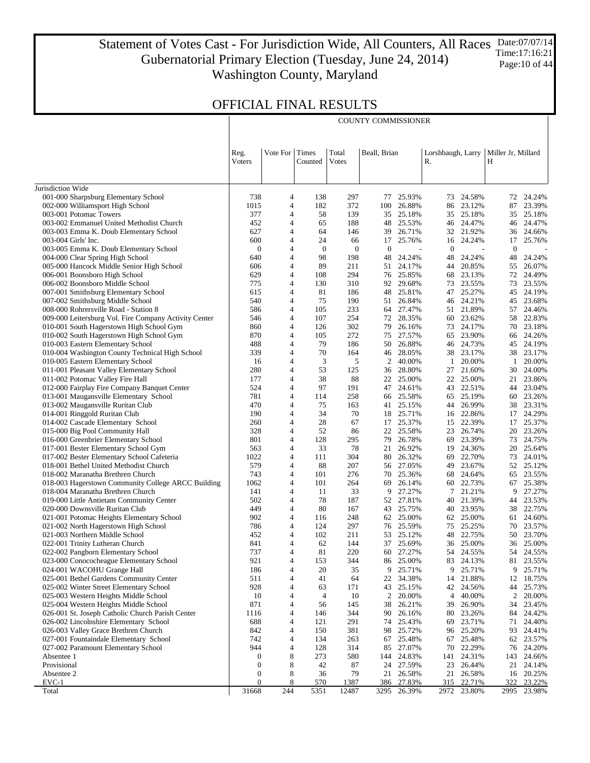Statement of Votes Cast - For Jurisdiction Wide, All Counters, All Races Gubernatorial Primary Election (Tuesday, June 24, 2014) Washington County, Maryland Date:07/07/14 Time:17:16:21 Page:10 of 44

COUNTY COMMISSIONER

### OFFICIAL FINAL RESULTS

 $\mathbb{R}$ 

|                                                                                      | Reg.                | Vote For                         | Times              | Total               | Beall, Brian       |                  | Lorshbaugh, Larry |                          | Miller Jr, Millard |                     |
|--------------------------------------------------------------------------------------|---------------------|----------------------------------|--------------------|---------------------|--------------------|------------------|-------------------|--------------------------|--------------------|---------------------|
|                                                                                      | <b>V</b> oters      |                                  | Counted            | <b>V</b> otes       |                    |                  | R.                |                          | Н                  |                     |
| Jurisdiction Wide                                                                    |                     |                                  |                    |                     |                    |                  |                   |                          |                    |                     |
| 001-000 Sharpsburg Elementary School                                                 | 738                 | 4                                | 138                | 297                 | 77                 | 25.93%           | 73                | 24.58%                   |                    | 72 24.24%           |
| 002-000 Williamsport High School                                                     | 1015                | $\overline{4}$                   | 182                | 372                 | 100                | 26.88%           | 86                | 23.12%                   | 87                 | 23.39%              |
| 003-001 Potomac Towers                                                               | 377                 | 4                                | 58                 | 139                 | 35                 | 25.18%           |                   | 35 25.18%                | 35                 | 25.18%              |
| 003-002 Emmanuel United Methodist Church                                             | 452                 | $\overline{4}$                   | 65                 | 188                 | 48                 | 25.53%           |                   | 46 24.47%                | 46                 | 24.47%              |
| 003-003 Emma K. Doub Elementary School                                               | 627                 | 4                                | 64                 | 146                 | 39                 | 26.71%           |                   | 32 21.92%                |                    | 36 24.66%           |
| 003-004 Girls' Inc.                                                                  | 600                 | $\overline{4}$<br>$\overline{4}$ | 24<br>$\mathbf{0}$ | 66                  | 17<br>$\mathbf{0}$ | 25.76%           | 16<br>$\theta$    | 24.24%                   | 17<br>$\mathbf{0}$ | 25.76%              |
| 003-005 Emma K. Doub Elementary School<br>004-000 Clear Spring High School           | $\theta$<br>640     | $\overline{4}$                   | 98                 | $\mathbf{0}$<br>198 | 48                 | ÷,<br>24.24%     | 48                | $\overline{a}$<br>24.24% | 48                 | 24.24%              |
| 005-000 Hancock Middle Senior High School                                            | 606                 | $\overline{4}$                   | 89                 | 211                 | 51                 | 24.17%           | 44                | 20.85%                   | 55                 | 26.07%              |
| 006-001 Boonsboro High School                                                        | 629                 | $\overline{4}$                   | 108                | 294                 | 76                 | 25.85%           | 68                | 23.13%                   | 72                 | 24.49%              |
| 006-002 Boonsboro Middle School                                                      | 775                 | $\overline{4}$                   | 130                | 310                 | 92                 | 29.68%           |                   | 73 23.55%                | 73                 | 23.55%              |
| 007-001 Smithsburg Elementary School                                                 | 615                 | $\overline{4}$                   | 81                 | 186                 | 48                 | 25.81%           | 47                | 25.27%                   | 45                 | 24.19%              |
| 007-002 Smithsburg Middle School                                                     | 540                 | 4                                | 75                 | 190                 | 51                 | 26.84%           |                   | 46 24.21%                | 45                 | 23.68%              |
| 008-000 Rohrersville Road - Station 8                                                | 586                 | $\overline{4}$                   | 105                | 233                 | 64                 | 27.47%           |                   | 51 21.89%                | 57                 | 24.46%              |
| 009-000 Leitersburg Vol. Fire Company Activity Center                                | 546                 | $\overline{4}$                   | 107                | 254                 | 72                 | 28.35%           |                   | 60 23.62%                |                    | 58 22.83%           |
| 010-001 South Hagerstown High School Gym                                             | 860                 | $\overline{4}$                   | 126                | 302                 | 79                 | 26.16%           | 73                | 24.17%                   | 70                 | 23.18%              |
| 010-002 South Hagerstown High School Gym                                             | 870<br>488          | $\overline{4}$<br>$\overline{4}$ | 105<br>79          | 272<br>186          | 75<br>50           | 27.57%<br>26.88% | 46                | 65 23.90%<br>24.73%      |                    | 66 24.26%<br>24.19% |
| 010-003 Eastern Elementary School<br>010-004 Washington County Technical High School | 339                 | $\overline{4}$                   | 70                 | 164                 | 46                 | 28.05%           |                   | 38 23.17%                | 45                 | 38 23.17%           |
| 010-005 Eastern Elementary School                                                    | 16                  | $\overline{4}$                   | 3                  | 5                   | 2                  | 40.00%           | $\mathbf{1}$      | 20.00%                   | 1                  | 20.00%              |
| 011-001 Pleasant Valley Elementary School                                            | 280                 | $\overline{4}$                   | 53                 | 125                 | 36                 | 28.80%           | 27                | 21.60%                   | 30                 | 24.00%              |
| 011-002 Potomac Valley Fire Hall                                                     | 177                 | $\overline{4}$                   | 38                 | 88                  | 22                 | 25.00%           | 22                | 25.00%                   | 21                 | 23.86%              |
| 012-000 Fairplay Fire Company Banquet Center                                         | 524                 | $\overline{4}$                   | 97                 | 191                 | 47                 | 24.61%           |                   | 43 22.51%                | 44                 | 23.04%              |
| 013-001 Maugansville Elementary School                                               | 781                 | $\overline{4}$                   | 114                | 258                 | 66                 | 25.58%           |                   | 65 25.19%                | 60                 | 23.26%              |
| 013-002 Maugansville Ruritan Club                                                    | 470                 | 4                                | 75                 | 163                 | 41                 | 25.15%           |                   | 44 26.99%                |                    | 38 23.31%           |
| 014-001 Ringgold Ruritan Club                                                        | 190                 | $\overline{4}$                   | 34                 | 70                  | 18                 | 25.71%           | 16                | 22.86%                   | 17                 | 24.29%              |
| 014-002 Cascade Elementary School                                                    | 260                 | 4                                | 28                 | 67                  | 17                 | 25.37%           |                   | 15 22.39%                | 17                 | 25.37%              |
| 015-000 Big Pool Community Hall                                                      | 328                 | $\overline{4}$<br>$\overline{4}$ | 52                 | 86                  | 22                 | 25.58%           | 23                | 26.74%                   | 20                 | 23.26%              |
| 016-000 Greenbrier Elementary School<br>017-001 Bester Elementary School Gym         | 801<br>563          | $\overline{4}$                   | 128<br>33          | 295<br>78           | 79<br>21           | 26.78%<br>26.92% | 19                | 69 23.39%<br>24.36%      | 73<br>20           | 24.75%<br>25.64%    |
| 017-002 Bester Elementary School Cafeteria                                           | 1022                | 4                                | 111                | 304                 | 80                 | 26.32%           |                   | 69 22.70%                | 73                 | 24.01%              |
| 018-001 Bethel United Methodist Church                                               | 579                 | $\overline{4}$                   | 88                 | 207                 | 56                 | 27.05%           | 49                | 23.67%                   | 52                 | 25.12%              |
| 018-002 Maranatha Brethren Church                                                    | 743                 | 4                                | 101                | 276                 | 70                 | 25.36%           |                   | 68 24.64%                |                    | 65 23.55%           |
| 018-003 Hagerstown Community College ARCC Building                                   | 1062                | $\overline{4}$                   | 101                | 264                 | 69                 | 26.14%           | 60                | 22.73%                   | 67                 | 25.38%              |
| 018-004 Maranatha Brethren Church                                                    | 141                 | 4                                | 11                 | 33                  | 9                  | 27.27%           |                   | 7 21.21%                 | 9                  | 27.27%              |
| 019-000 Little Antietam Community Center                                             | 502                 | $\overline{4}$                   | 78                 | 187                 | 52                 | 27.81%           | 40                | 21.39%                   | 44                 | 23.53%              |
| 020-000 Downsville Ruritan Club                                                      | 449                 | 4                                | 80                 | 167                 | 43                 | 25.75%           |                   | 40 23.95%                | 38                 | 22.75%              |
| 021-001 Potomac Heights Elementary School                                            | 902                 | $\overline{4}$                   | 116                | 248                 | 62                 | 25.00%           | 62                | 25.00%                   | 61                 | 24.60%              |
| 021-002 North Hagerstown High School                                                 | 786                 | 4                                | 124                | 297                 | 76                 | 25.59%           |                   | 75 25.25%                | 70                 | 23.57%              |
| 021-003 Northern Middle School                                                       | 452                 | $\overline{4}$<br>4              | 102                | 211<br>144          | 53<br>37           | 25.12%<br>25.69% | 48<br>36          | 22.75%                   | 50<br>36           | 23.70%              |
| 022-001 Trinity Lutheran Church<br>022-002 Pangborn Elementary School                | 841<br>737          | $\overline{4}$                   | 62<br>81           | 220                 | 60                 | 27.27%           |                   | 25.00%<br>54 24.55%      | 54                 | 25.00%<br>24.55%    |
| 023-000 Conococheague Elementary School                                              | 921                 | 4                                | 153                | 344                 | 86                 | 25.00%           | 83                | 24.13%                   | 81                 | 23.55%              |
| 024-001 WACOHU Grange Hall                                                           | 186                 | 4                                | 20                 | 35                  | 9                  | 25.71%           | 9                 | 25.71%                   | 9                  | 25.71%              |
| 025-001 Bethel Gardens Community Center                                              | 511                 | 4                                | 41                 | 64                  | 22                 | 34.38%           | 14                | 21.88%                   | 12                 | 18.75%              |
| 025-002 Winter Street Elementary School                                              | 928                 | 4                                | 63                 | 171                 | 43                 | 25.15%           | 42                | 24.56%                   | 44                 | 25.73%              |
| 025-003 Western Heights Middle School                                                | 10                  | 4                                | $\overline{4}$     | 10                  | 2                  | 20.00%           | $\overline{4}$    | 40.00%                   | $\overline{c}$     | 20.00%              |
| 025-004 Western Heights Middle School                                                | 871                 | 4                                | 56                 | 145                 | 38                 | 26.21%           | 39                | 26.90%                   | 34                 | 23.45%              |
| 026-001 St. Joseph Catholic Church Parish Center                                     | 1116                | 4                                | 146                | 344                 | 90                 | 26.16%           | 80                | 23.26%                   | 84                 | 24.42%              |
| 026-002 Lincolnshire Elementary School                                               | 688                 | 4                                | 121                | 291                 | 74                 | 25.43%           | 69                | 23.71%                   | 71                 | 24.40%              |
| 026-003 Valley Grace Brethren Church                                                 | 842                 | 4                                | 150                | 381                 | 98                 | 25.72%           |                   | 96 25.20%                | 93                 | 24.41%              |
| 027-001 Fountaindale Elementary School                                               | 742                 | 4                                | 134                | 263                 | 67                 | 25.48%           | 67                | 25.48%                   | 62                 | 23.57%              |
| 027-002 Paramount Elementary School<br>Absentee 1                                    | 944<br>$\mathbf{0}$ | 4<br>8                           | 128<br>273         | 314<br>580          | 85<br>144          | 27.07%<br>24.83% | 70<br>141         | 22.29%<br>24.31%         | 143                | 76 24.20%<br>24.66% |
| Provisional                                                                          | $\mathbf{0}$        | 8                                | 42                 | 87                  | 24                 | 27.59%           |                   | 23 26.44%                |                    | 21 24.14%           |
| Absentee 2                                                                           | $\boldsymbol{0}$    | 8                                | 36                 | 79                  | 21                 | 26.58%           | 21                | 26.58%                   | 16                 | 20.25%              |
| EVC-1                                                                                | $\boldsymbol{0}$    | 8                                | 570                | 1387                | 386                | 27.83%           | 315               | 22.71%                   | 322                | 23.22%              |
| Total                                                                                | 31668               | 244                              | 5351               | 12487               | 3295               | 26.39%           | 2972              | 23.80%                   | 2995               | 23.98%              |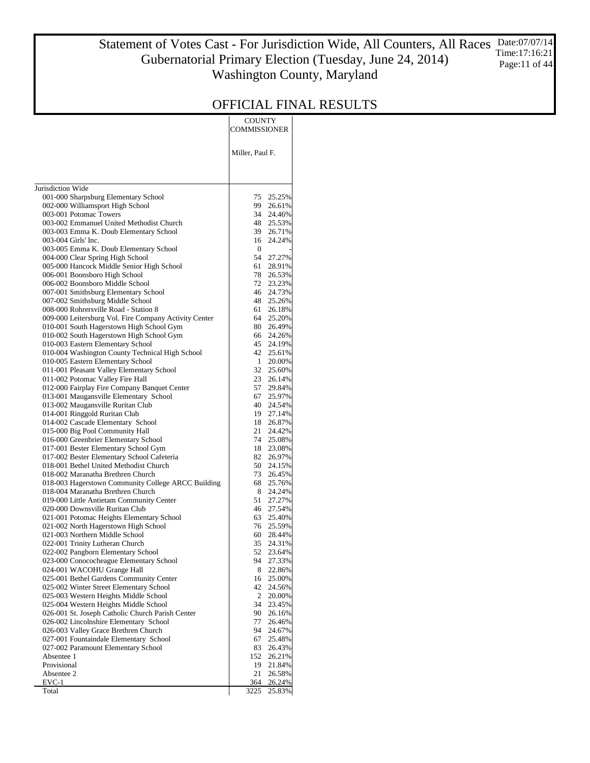#### Statement of Votes Cast - For Jurisdiction Wide, All Counters, All Races Gubernatorial Primary Election (Tuesday, June 24, 2014) Washington County, Maryland Date:07/07/14 Time:17:16:21 Page:11 of 44

|                                                                                    | COUNTY<br>COMMISSIONER       |
|------------------------------------------------------------------------------------|------------------------------|
|                                                                                    | Miller, Paul F.              |
| Jurisdiction Wide                                                                  |                              |
| 001-000 Sharpsburg Elementary School                                               | 75<br>25.25%                 |
| 002-000 Williamsport High School                                                   | 99<br>26.61%                 |
| 003-001 Potomac Towers                                                             | 34<br>24.46%                 |
| 003-002 Emmanuel United Methodist Church                                           | 48<br>25.53%                 |
| 003-003 Emma K. Doub Elementary School<br>003-004 Girls' Inc.                      | 39<br>26.71%<br>16<br>24.24% |
| 003-005 Emma K. Doub Elementary School                                             | $\mathbf{0}$                 |
| 004-000 Clear Spring High School                                                   | 54<br>27.27%                 |
| 005-000 Hancock Middle Senior High School                                          | 61<br>28.91%                 |
| 006-001 Boonsboro High School                                                      | 78<br>26.53%                 |
| 006-002 Boonsboro Middle School                                                    | 72<br>23.23%                 |
| 007-001 Smithsburg Elementary School                                               | 46<br>24.73%                 |
| 007-002 Smithsburg Middle School<br>008-000 Rohrersville Road - Station 8          | 48<br>25.26%<br>61<br>26.18% |
| 009-000 Leitersburg Vol. Fire Company Activity Center                              | 64<br>25.20%                 |
| 010-001 South Hagerstown High School Gym                                           | 80<br>26.49%                 |
| 010-002 South Hagerstown High School Gym                                           | 66<br>24.26%                 |
| 010-003 Eastern Elementary School                                                  | 45<br>24.19%                 |
| 010-004 Washington County Technical High School                                    | 42<br>25.61%                 |
| 010-005 Eastern Elementary School                                                  | 1<br>20.00%                  |
| 011-001 Pleasant Valley Elementary School<br>011-002 Potomac Valley Fire Hall      | 32<br>25.60%<br>23<br>26.14% |
| 012-000 Fairplay Fire Company Banquet Center                                       | 57<br>29.84%                 |
| 013-001 Maugansville Elementary School                                             | 67<br>25.97%                 |
| 013-002 Maugansville Ruritan Club                                                  | 40<br>24.54%                 |
| 014-001 Ringgold Ruritan Club                                                      | 19<br>27.14%                 |
| 014-002 Cascade Elementary School                                                  | 18<br>26.87%                 |
| 015-000 Big Pool Community Hall                                                    | 21<br>24.42%                 |
| 016-000 Greenbrier Elementary School<br>017-001 Bester Elementary School Gym       | 74<br>25.08%<br>18<br>23.08% |
| 017-002 Bester Elementary School Cafeteria                                         | 82<br>26.97%                 |
| 018-001 Bethel United Methodist Church                                             | 50<br>24.15%                 |
| 018-002 Maranatha Brethren Church                                                  | 73<br>26.45%                 |
| 018-003 Hagerstown Community College ARCC Building                                 | 68<br>25.76%                 |
| 018-004 Maranatha Brethren Church                                                  | 8<br>24.24%                  |
| 019-000 Little Antietam Community Center                                           | 51<br>27.27%<br>46<br>27.54% |
| 020-000 Downsville Ruritan Club<br>021-001 Potomac Heights Elementary School       | 63<br>25.40%                 |
| 021-002 North Hagerstown High School                                               | 76<br>25.59%                 |
| 021-003 Northern Middle School                                                     | 60<br>28.44%                 |
| 022-001 Trinity Lutheran Church                                                    | 35<br>24.31%                 |
| 022-002 Pangborn Elementary School                                                 | 52<br>23.64%                 |
| 023-000 Conococheague Elementary School                                            | 94<br>27.33%                 |
| 024-001 WACOHU Grange Hall                                                         | 22.86%<br>8                  |
| 025-001 Bethel Gardens Community Center<br>025-002 Winter Street Elementary School | 25.00%<br>16<br>42<br>24.56% |
| 025-003 Western Heights Middle School                                              | 2<br>20.00%                  |
| 025-004 Western Heights Middle School                                              | 34<br>23.45%                 |
| 026-001 St. Joseph Catholic Church Parish Center                                   | 90<br>26.16%                 |
| 026-002 Lincolnshire Elementary School                                             | 77<br>26.46%                 |
| 026-003 Valley Grace Brethren Church                                               | 94<br>24.67%                 |
| 027-001 Fountaindale Elementary School<br>027-002 Paramount Elementary School      | 67<br>25.48%<br>83<br>26.43% |
| Absentee 1                                                                         | 152<br>26.21%                |
| Provisional                                                                        | 19<br>21.84%                 |
| Absentee 2                                                                         | 21<br>26.58%                 |
| EVC-1                                                                              | 364<br>26.24%                |
| Total                                                                              | 3225<br>25.83%               |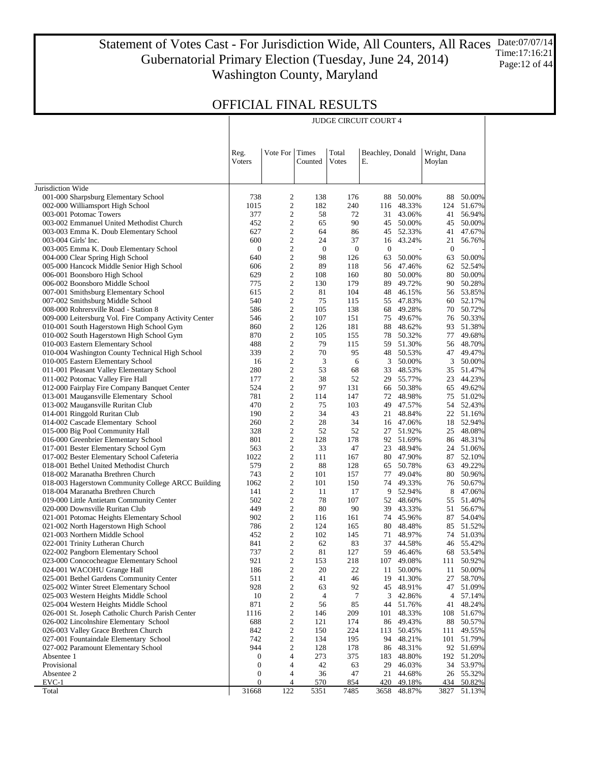#### Statement of Votes Cast - For Jurisdiction Wide, All Counters, All Races Date:07/07/14 Gubernatorial Primary Election (Tuesday, June 24, 2014) Washington County, Maryland Time:17:16:21 Page: 12 of 44

JUDGE CIRCUIT COURT 4

|                                                                                         | Reg.<br>Voters   | Vote For Times          | Counted          | Total<br>Votes   | Beachley, Donald<br>Е. |                        | Wright, Dana<br>Moylan |                  |
|-----------------------------------------------------------------------------------------|------------------|-------------------------|------------------|------------------|------------------------|------------------------|------------------------|------------------|
|                                                                                         |                  |                         |                  |                  |                        |                        |                        |                  |
| Jurisdiction Wide                                                                       |                  |                         |                  |                  |                        |                        |                        |                  |
| 001-000 Sharpsburg Elementary School                                                    | 738<br>1015      | 2<br>$\mathbf{2}$       | 138<br>182       | 176<br>240       | 88                     | 50.00%<br>116 48.33%   | 88                     | 50.00%           |
| 002-000 Williamsport High School<br>003-001 Potomac Towers                              | 377              | 2                       | 58               | 72               |                        | 31 43.06%              | 124<br>41              | 51.67%<br>56.94% |
| 003-002 Emmanuel United Methodist Church                                                | 452              | $\overline{c}$          | 65               | 90               |                        | 45 50.00%              | 45                     | 50.00%           |
| 003-003 Emma K. Doub Elementary School                                                  | 627              | 2                       | 64               | 86               |                        | 45 52.33%              | 41                     | 47.67%           |
| 003-004 Girls' Inc.                                                                     | 600              | $\overline{c}$          | 24               | 37               |                        | 16 43.24%              | 21                     | 56.76%           |
| 003-005 Emma K. Doub Elementary School                                                  | $\boldsymbol{0}$ | 2                       | $\boldsymbol{0}$ | $\boldsymbol{0}$ | $\boldsymbol{0}$       | $\overline{a}$         | $\boldsymbol{0}$       |                  |
| 004-000 Clear Spring High School                                                        | 640              | $\mathbf{2}$            | 98               | 126              | 63                     | 50.00%                 | 63                     | 50.00%           |
| 005-000 Hancock Middle Senior High School                                               | 606              | 2                       | 89               | 118              |                        | 56 47.46%              | 62                     | 52.54%           |
| 006-001 Boonsboro High School                                                           | 629              | $\overline{c}$          | 108              | 160              |                        | 80 50.00%              | 80                     | 50.00%           |
| 006-002 Boonsboro Middle School                                                         | 775              | 2                       | 130              | 179              | 89                     | 49.72%                 | 90                     | 50.28%           |
| 007-001 Smithsburg Elementary School                                                    | 615              | $\overline{c}$          | 81               | 104              |                        | 48 46.15%              | 56                     | 53.85%           |
| 007-002 Smithsburg Middle School                                                        | 540              | 2                       | 75               | 115              |                        | 55 47.83%              | 60                     | 52.17%           |
| 008-000 Rohrersville Road - Station 8                                                   | 586              | $\overline{c}$          | 105              | 138              | 68                     | 49.28%                 | 70                     | 50.72%           |
| 009-000 Leitersburg Vol. Fire Company Activity Center                                   | 546              | 2                       | 107              | 151              |                        | 75 49.67%              | 76                     | 50.33%           |
| 010-001 South Hagerstown High School Gym                                                | 860              | $\overline{c}$          | 126              | 181              |                        | 88 48.62%              | 93                     | 51.38%           |
| 010-002 South Hagerstown High School Gym                                                | 870              | 2                       | 105              | 155              |                        | 78 50.32%              | 77                     | 49.68%           |
| 010-003 Eastern Elementary School                                                       | 488              | $\overline{c}$          | 79               | 115              |                        | 59 51.30%              | 56                     | 48.70%           |
| 010-004 Washington County Technical High School                                         | 339              | 2                       | 70               | 95               |                        | 48 50.53%              | 47                     | 49.47%           |
| 010-005 Eastern Elementary School                                                       | 16               | $\mathbf{2}$            | 3                | 6                | 3                      | 50.00%                 | 3                      | 50.00%           |
| 011-001 Pleasant Valley Elementary School                                               | 280              | 2                       | 53               | 68               | 33                     | 48.53%                 | 35                     | 51.47%           |
| 011-002 Potomac Valley Fire Hall                                                        | 177              | $\overline{c}$          | 38               | 52               |                        | 29 55.77%              | 23                     | 44.23%           |
| 012-000 Fairplay Fire Company Banquet Center                                            | 524              | 2                       | 97               | 131              |                        | 66 50.38%              | 65                     | 49.62%           |
| 013-001 Maugansville Elementary School                                                  | 781              | $\overline{c}$          | 114              | 147              |                        | 72 48.98%              | 75                     | 51.02%           |
| 013-002 Maugansville Ruritan Club                                                       | 470              | 2                       | 75               | 103              | 49                     | 47.57%                 | 54                     | 52.43%           |
| 014-001 Ringgold Ruritan Club                                                           | 190              | $\overline{c}$          | 34               | 43               |                        | 21 48.84%              | 22                     | 51.16%           |
| 014-002 Cascade Elementary School                                                       | 260              | 2                       | 28               | 34               |                        | 16 47.06%              | 18                     | 52.94%           |
| 015-000 Big Pool Community Hall                                                         | 328              | $\overline{c}$          | 52               | 52               |                        | 27 51.92%              | 25                     | 48.08%           |
| 016-000 Greenbrier Elementary School                                                    | 801              | 2                       | 128              | 178              |                        | 92 51.69%              | 86                     | 48.31%           |
| 017-001 Bester Elementary School Gym                                                    | 563              | $\overline{c}$          | 33               | 47               |                        | 23 48.94%              | 24                     | 51.06%           |
| 017-002 Bester Elementary School Cafeteria                                              | 1022<br>579      | 2<br>$\overline{c}$     | 111<br>88        | 167<br>128       |                        | 80 47.90%<br>65 50.78% | 87                     | 52.10%<br>49.22% |
| 018-001 Bethel United Methodist Church                                                  | 743              | 2                       | 101              | 157              |                        | 77 49.04%              | 63<br>80               | 50.96%           |
| 018-002 Maranatha Brethren Church<br>018-003 Hagerstown Community College ARCC Building | 1062             | $\overline{c}$          | 101              | 150              |                        | 74 49.33%              | 76                     | 50.67%           |
| 018-004 Maranatha Brethren Church                                                       | 141              | 2                       | 11               | 17               |                        | 9 52.94%               | 8                      | 47.06%           |
| 019-000 Little Antietam Community Center                                                | 502              | $\overline{c}$          | 78               | 107              |                        | 52 48.60%              | 55                     | 51.40%           |
| 020-000 Downsville Ruritan Club                                                         | 449              | 2                       | 80               | 90               | 39                     | 43.33%                 | 51                     | 56.67%           |
| 021-001 Potomac Heights Elementary School                                               | 902              | $\overline{c}$          | 116              | 161              |                        | 74 45.96%              | 87                     | 54.04%           |
| 021-002 North Hagerstown High School                                                    | 786              | $\overline{c}$          | 124              | 165              |                        | 80 48.48%              | 85                     | 51.52%           |
| 021-003 Northern Middle School                                                          | 452              | $\overline{c}$          | 102              | 145              |                        | 71 48.97%              | 74                     | 51.03%           |
| 022-001 Trinity Lutheran Church                                                         | 841              | 2                       | 62               | 83               |                        | 37 44.58%              | 46                     | 55.42%           |
| 022-002 Pangborn Elementary School                                                      | 737              | $\overline{c}$          | 81               | 127              |                        | 59 46.46%              |                        | 68 53.54%        |
| 023-000 Conococheague Elementary School                                                 | 921              | $\overline{c}$          | 153              | 218              | 107                    | 49.08%                 |                        | 111 50.92%       |
| 024-001 WACOHU Grange Hall                                                              | 186              | $\overline{\mathbf{c}}$ | 20               | 22               | 11                     | 50.00%                 | 11                     | 50.00%           |
| 025-001 Bethel Gardens Community Center                                                 | 511              | 2                       | 41               | 46               | 19                     | 41.30%                 | 27                     | 58.70%           |
| 025-002 Winter Street Elementary School                                                 | 928              | 2                       | 63               | 92               |                        | 45 48.91%              | 47                     | 51.09%           |
| 025-003 Western Heights Middle School                                                   | 10               | 2                       | 4                | 7                | 3                      | 42.86%                 | 4                      | 57.14%           |
| 025-004 Western Heights Middle School                                                   | 871              | 2                       | 56               | 85               | 44                     | 51.76%                 | 41                     | 48.24%           |
| 026-001 St. Joseph Catholic Church Parish Center                                        | 1116             | 2                       | 146              | 209              | 101                    | 48.33%                 | 108                    | 51.67%           |
| 026-002 Lincolnshire Elementary School                                                  | 688              | 2                       | 121              | 174              |                        | 86 49.43%              | 88                     | 50.57%           |
| 026-003 Valley Grace Brethren Church                                                    | 842              | 2                       | 150              | 224              | 113                    | 50.45%                 | 111                    | 49.55%           |
| 027-001 Fountaindale Elementary School                                                  | 742              | 2                       | 134              | 195              | 94                     | 48.21%                 | 101                    | 51.79%           |
| 027-002 Paramount Elementary School                                                     | 944              | 2                       | 128              | 178              |                        | 86 48.31%              |                        | 92 51.69%        |
| Absentee 1                                                                              | $\boldsymbol{0}$ | 4                       | 273              | 375              | 183                    | 48.80%                 | 192                    | 51.20%           |
| Provisional                                                                             | $\boldsymbol{0}$ | 4                       | 42               | 63               | 29                     | 46.03%                 | 34                     | 53.97%           |
| Absentee 2                                                                              | 0                | 4                       | 36               | 47               | 21                     | 44.68%                 | 26                     | 55.32%           |
| $EVC-1$                                                                                 | $\boldsymbol{0}$ | 4                       | <u>570</u>       | 854              | 420                    | 49.18%                 | 434                    | 50.82%           |
| Total                                                                                   | 31668            | 122                     | 5351             | 7485             | 3658                   | 48.87%                 | 3827                   | 51.13%           |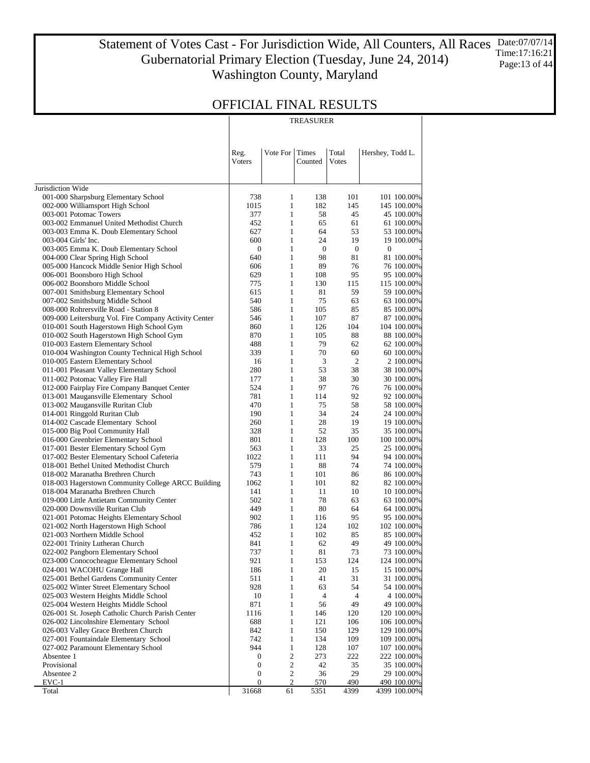Statement of Votes Cast - For Jurisdiction Wide, All Counters, All Races Gubernatorial Primary Election (Tuesday, June 24, 2014) Washington County, Maryland Date:07/07/14 Time:17:16:21 Page:13 of 44

### OFFICIAL FINAL RESULTS

|                                                                                | TREASURER        |                              |                  |                  |                            |  |  |  |
|--------------------------------------------------------------------------------|------------------|------------------------------|------------------|------------------|----------------------------|--|--|--|
|                                                                                | Reg.<br>Voters   | Vote For                     | Times<br>Counted | Total<br>Votes   | Hershey, Todd L.           |  |  |  |
|                                                                                |                  |                              |                  |                  |                            |  |  |  |
| Jurisdiction Wide                                                              |                  |                              |                  |                  |                            |  |  |  |
| 001-000 Sharpsburg Elementary School<br>002-000 Williamsport High School       | 738<br>1015      | $\mathbf{1}$<br>$\mathbf{1}$ | 138<br>182       | 101<br>145       | 101 100.00%                |  |  |  |
| 003-001 Potomac Towers                                                         | 377              | $\mathbf{1}$                 | 58               | 45               | 145 100.00%<br>45 100.00%  |  |  |  |
| 003-002 Emmanuel United Methodist Church                                       | 452              | $\mathbf{1}$                 | 65               | 61               | 61 100.00%                 |  |  |  |
| 003-003 Emma K. Doub Elementary School                                         | 627              | $\mathbf{1}$                 | 64               | 53               | 53 100.00%                 |  |  |  |
| 003-004 Girls' Inc.                                                            | 600              | $\mathbf{1}$                 | 24               | 19               | 19 100.00%                 |  |  |  |
| 003-005 Emma K. Doub Elementary School                                         | $\boldsymbol{0}$ | $\mathbf{1}$                 | $\mathbf{0}$     | $\boldsymbol{0}$ | 0                          |  |  |  |
| 004-000 Clear Spring High School                                               | 640              | $\mathbf{1}$                 | 98               | 81               | 81 100.00%                 |  |  |  |
| 005-000 Hancock Middle Senior High School                                      | 606              | $\mathbf{1}$                 | 89               | 76               | 76 100.00%                 |  |  |  |
| 006-001 Boonsboro High School                                                  | 629              | $\mathbf{1}$                 | 108              | 95               | 95 100.00%                 |  |  |  |
| 006-002 Boonsboro Middle School                                                | 775              | $\mathbf{1}$<br>$\mathbf{1}$ | 130              | 115<br>59        | 115 100.00%                |  |  |  |
| 007-001 Smithsburg Elementary School<br>007-002 Smithsburg Middle School       | 615<br>540       | $\mathbf{1}$                 | 81<br>75         | 63               | 59 100.00%<br>63 100.00%   |  |  |  |
| 008-000 Rohrersville Road - Station 8                                          | 586              | $\mathbf{1}$                 | 105              | 85               | 85 100.00%                 |  |  |  |
| 009-000 Leitersburg Vol. Fire Company Activity Center                          | 546              | $\mathbf{1}$                 | 107              | 87               | 87 100.00%                 |  |  |  |
| 010-001 South Hagerstown High School Gym                                       | 860              | $\mathbf{1}$                 | 126              | 104              | 104 100.00%                |  |  |  |
| 010-002 South Hagerstown High School Gym                                       | 870              | $\mathbf{1}$                 | 105              | 88               | 88 100.00%                 |  |  |  |
| 010-003 Eastern Elementary School                                              | 488              | $\mathbf{1}$                 | 79               | 62               | 62 100.00%                 |  |  |  |
| 010-004 Washington County Technical High School                                | 339              | $\mathbf{1}$                 | 70               | 60               | 60 100.00%                 |  |  |  |
| 010-005 Eastern Elementary School                                              | 16               | $\mathbf{1}$                 | 3                | $\sqrt{2}$       | 2 100.00%                  |  |  |  |
| 011-001 Pleasant Valley Elementary School                                      | 280              | $\mathbf{1}$                 | 53               | 38               | 38 100.00%                 |  |  |  |
| 011-002 Potomac Valley Fire Hall                                               | 177              | $\mathbf{1}$                 | 38               | 30               | 30 100.00%                 |  |  |  |
| 012-000 Fairplay Fire Company Banquet Center                                   | 524              | $\mathbf{1}$                 | 97               | 76               | 76 100.00%                 |  |  |  |
| 013-001 Maugansville Elementary School                                         | 781              | $\mathbf{1}$<br>$\mathbf{1}$ | 114              | 92               | 92 100.00%                 |  |  |  |
| 013-002 Maugansville Ruritan Club<br>014-001 Ringgold Ruritan Club             | 470<br>190       | $\mathbf{1}$                 | 75<br>34         | 58<br>24         | 58 100.00%<br>24 100.00%   |  |  |  |
| 014-002 Cascade Elementary School                                              | 260              | $\mathbf{1}$                 | 28               | 19               | 19 100.00%                 |  |  |  |
| 015-000 Big Pool Community Hall                                                | 328              | $\mathbf{1}$                 | 52               | 35               | 35 100.00%                 |  |  |  |
| 016-000 Greenbrier Elementary School                                           | 801              | $\mathbf{1}$                 | 128              | 100              | 100 100.00%                |  |  |  |
| 017-001 Bester Elementary School Gym                                           | 563              | $\mathbf{1}$                 | 33               | 25               | 25 100.00%                 |  |  |  |
| 017-002 Bester Elementary School Cafeteria                                     | 1022             | $\mathbf{1}$                 | 111              | 94               | 94 100.00%                 |  |  |  |
| 018-001 Bethel United Methodist Church                                         | 579              | $\mathbf{1}$                 | 88               | 74               | 74 100.00%                 |  |  |  |
| 018-002 Maranatha Brethren Church                                              | 743              | $\mathbf{1}$                 | 101              | 86               | 86 100.00%                 |  |  |  |
| 018-003 Hagerstown Community College ARCC Building                             | 1062             | $\mathbf{1}$                 | 101              | 82               | 82 100.00%                 |  |  |  |
| 018-004 Maranatha Brethren Church                                              | 141              | $\mathbf{1}$                 | 11               | 10               | 10 100.00%                 |  |  |  |
| 019-000 Little Antietam Community Center                                       | 502              | $\mathbf{1}$                 | 78               | 63               | 63 100.00%                 |  |  |  |
| 020-000 Downsville Ruritan Club<br>021-001 Potomac Heights Elementary School   | 449<br>902       | $\mathbf{1}$<br>$\mathbf{1}$ | 80<br>116        | 64<br>95         | 64 100.00%<br>95 100.00%   |  |  |  |
| 021-002 North Hagerstown High School                                           | 786              | $\mathbf{1}$                 | 124              | 102              | 102 100.00%                |  |  |  |
| 021-003 Northern Middle School                                                 | 452              | $\mathbf{1}$                 | 102              | 85               | 85 100.00%                 |  |  |  |
| 022-001 Trinity Lutheran Church                                                | 841              | 1                            | 62               | 49               | 49 100.00%                 |  |  |  |
| 022-002 Pangborn Elementary School                                             | 737              | $\mathbf{1}$                 | 81               | 73               | 73 100.00%                 |  |  |  |
| 023-000 Conococheague Elementary School                                        | 921              | $\mathbf{1}$                 | 153              | 124              | 124 100.00%                |  |  |  |
| 024-001 WACOHU Grange Hall                                                     | 186              | $\mathbf{1}$                 | 20               | 15               | 15 100.00%                 |  |  |  |
| 025-001 Bethel Gardens Community Center                                        | 511              | $\mathbf{1}$                 | 41               | 31               | 31 100.00%                 |  |  |  |
| 025-002 Winter Street Elementary School                                        | 928              | $\mathbf{1}$                 | 63               | 54               | 54 100.00%                 |  |  |  |
| 025-003 Western Heights Middle School                                          | 10               | $\mathbf{1}$                 | 4                | 4                | 4 100.00%                  |  |  |  |
| 025-004 Western Heights Middle School                                          | 871              | $\mathbf{1}$                 | 56               | 49               | 49 100.00%                 |  |  |  |
| 026-001 St. Joseph Catholic Church Parish Center                               | 1116<br>688      | $\mathbf{1}$<br>$\mathbf{1}$ | 146<br>121       | 120<br>106       | 120 100.00%                |  |  |  |
| 026-002 Lincolnshire Elementary School<br>026-003 Valley Grace Brethren Church | 842              | $\mathbf{1}$                 | 150              | 129              | 106 100.00%<br>129 100.00% |  |  |  |
| 027-001 Fountaindale Elementary School                                         | 742              | $\mathbf{1}$                 | 134              | 109              | 109 100.00%                |  |  |  |
| 027-002 Paramount Elementary School                                            | 944              | $\mathbf{1}$                 | 128              | 107              | 107 100.00%                |  |  |  |
| Absentee 1                                                                     | 0                | $\sqrt{2}$                   | 273              | 222              | 222 100.00%                |  |  |  |
| Provisional                                                                    | 0                | $\boldsymbol{2}$             | 42               | 35               | 35 100.00%                 |  |  |  |
| Absentee 2                                                                     | 0                | $\mathbf 2$                  | 36               | 29               | 29 100.00%                 |  |  |  |
| EVC-1                                                                          | 0                | 2                            | <u>570</u>       | 490              | 490 100.00%                |  |  |  |
| Total                                                                          | 31668            | 61                           | 5351             | 4399             | 4399 100.00%               |  |  |  |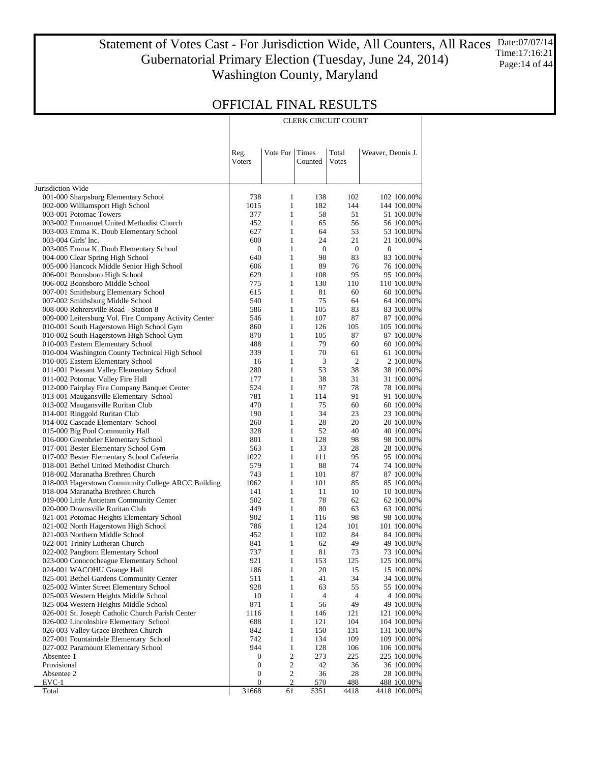Statement of Votes Cast - For Jurisdiction Wide, All Counters, All Races Gubernatorial Primary Election (Tuesday, June 24, 2014) Washington County, Maryland Date:07/07/14 Time:17:16:21 Page:14 of 44

CLERK CIRCUIT COURT

### OFFICIAL FINAL RESULTS

|                                                                                      | Reg.<br>Voters   | Vote For                     | Times<br>Counted | Total<br>Votes   | Weaver, Dennis J.         |
|--------------------------------------------------------------------------------------|------------------|------------------------------|------------------|------------------|---------------------------|
| Jurisdiction Wide                                                                    |                  |                              |                  |                  |                           |
| 001-000 Sharpsburg Elementary School                                                 | 738              | 1                            | 138              | 102              | 102 100.00%               |
| 002-000 Williamsport High School                                                     | 1015             | $\mathbf{1}$                 | 182              | 144              | 144 100.00%               |
| 003-001 Potomac Towers                                                               | 377              | $\mathbf{1}$                 | 58               | 51               | 51 100.00%                |
| 003-002 Emmanuel United Methodist Church                                             | 452              | $\mathbf{1}$                 | 65               | 56               | 56 100.00%                |
| 003-003 Emma K. Doub Elementary School                                               | 627              | $\mathbf{1}$                 | 64               | 53               | 53 100.00%                |
| 003-004 Girls' Inc.                                                                  | 600              | $\mathbf{1}$                 | 24               | 21               | 21 100.00%                |
| 003-005 Emma K. Doub Elementary School                                               | $\boldsymbol{0}$ | $\mathbf{1}$                 | $\boldsymbol{0}$ | $\boldsymbol{0}$ | $\boldsymbol{0}$          |
| 004-000 Clear Spring High School                                                     | 640              | $\mathbf{1}$                 | 98               | 83               | 83 100.00%                |
| 005-000 Hancock Middle Senior High School                                            | 606              | $\mathbf{1}$                 | 89               | 76               | 76 100.00%                |
| 006-001 Boonsboro High School                                                        | 629              | $\mathbf{1}$                 | 108              | 95               | 95 100.00%                |
| 006-002 Boonsboro Middle School                                                      | 775              | $\mathbf{1}$                 | 130              | 110              | 110 100.00%               |
| 007-001 Smithsburg Elementary School                                                 | 615              | $\mathbf{1}$                 | 81               | 60               | 60 100.00%                |
| 007-002 Smithsburg Middle School                                                     | 540              | $\mathbf{1}$                 | 75               | 64               | 64 100.00%                |
| 008-000 Rohrersville Road - Station 8                                                | 586              | $\mathbf{1}$<br>$\mathbf{1}$ | 105              | 83<br>87         | 83 100.00%                |
| 009-000 Leitersburg Vol. Fire Company Activity Center                                | 546<br>860       | $\mathbf{1}$                 | 107<br>126       | 105              | 87 100.00%                |
| 010-001 South Hagerstown High School Gym<br>010-002 South Hagerstown High School Gym | 870              | $\mathbf{1}$                 | 105              | 87               | 105 100.00%<br>87 100.00% |
| 010-003 Eastern Elementary School                                                    | 488              | $\mathbf{1}$                 | 79               | 60               | 60 100.00%                |
| 010-004 Washington County Technical High School                                      | 339              | $\mathbf{1}$                 | 70               | 61               | 61 100.00%                |
| 010-005 Eastern Elementary School                                                    | 16               | $\mathbf{1}$                 | 3                | $\overline{2}$   | 2 100.00%                 |
| 011-001 Pleasant Valley Elementary School                                            | 280              | $\mathbf{1}$                 | 53               | 38               | 38 100.00%                |
| 011-002 Potomac Valley Fire Hall                                                     | 177              | $\mathbf{1}$                 | 38               | 31               | 31 100.00%                |
| 012-000 Fairplay Fire Company Banquet Center                                         | 524              | $\mathbf{1}$                 | 97               | 78               | 78 100.00%                |
| 013-001 Maugansville Elementary School                                               | 781              | $\mathbf{1}$                 | 114              | 91               | 91 100.00%                |
| 013-002 Maugansville Ruritan Club                                                    | 470              | $\mathbf{1}$                 | 75               | 60               | 60 100.00%                |
| 014-001 Ringgold Ruritan Club                                                        | 190              | $\mathbf{1}$                 | 34               | 23               | 23 100.00%                |
| 014-002 Cascade Elementary School                                                    | 260              | $\mathbf{1}$                 | 28               | 20               | 20 100.00%                |
| 015-000 Big Pool Community Hall                                                      | 328              | $\mathbf{1}$                 | 52               | 40               | 40 100.00%                |
| 016-000 Greenbrier Elementary School                                                 | 801              | $\mathbf{1}$                 | 128              | 98               | 98 100.00%                |
| 017-001 Bester Elementary School Gym                                                 | 563              | $\mathbf{1}$                 | 33               | 28               | 28 100.00%                |
| 017-002 Bester Elementary School Cafeteria                                           | 1022             | $\mathbf{1}$                 | 111              | 95               | 95 100.00%                |
| 018-001 Bethel United Methodist Church                                               | 579              | $\mathbf{1}$                 | 88               | 74               | 74 100.00%                |
| 018-002 Maranatha Brethren Church                                                    | 743              | $\mathbf{1}$                 | 101              | 87               | 87 100.00%                |
| 018-003 Hagerstown Community College ARCC Building                                   | 1062             | $\mathbf{1}$                 | 101              | 85               | 85 100.00%                |
| 018-004 Maranatha Brethren Church                                                    | 141              | $\mathbf{1}$                 | 11               | 10               | 10 100.00%                |
| 019-000 Little Antietam Community Center                                             | 502              | $\mathbf{1}$                 | 78               | 62               | 62 100.00%                |
| 020-000 Downsville Ruritan Club                                                      | 449              | $\mathbf{1}$                 | 80               | 63               | 63 100.00%                |
| 021-001 Potomac Heights Elementary School                                            | 902              | $\mathbf{1}$                 | 116              | 98               | 98 100.00%                |
| 021-002 North Hagerstown High School                                                 | 786              | $\mathbf{1}$                 | 124              | 101              | 101 100.00%               |
| 021-003 Northern Middle School                                                       | 452              | $\mathbf{1}$                 | 102              | 84               | 84 100.00%                |
| 022-001 Trinity Lutheran Church                                                      | 841              | $\mathbf{1}$                 | 62               | 49               | 49 100.00%                |
| 022-002 Pangborn Elementary School                                                   | 737              | $\mathbf{1}$                 | 81               | 73               | 73 100.00%                |
| 023-000 Conococheague Elementary School<br>024-001 WACOHU Grange Hall                | 921<br>186       | 1<br>$\mathbf{1}$            | 153<br>20        | 125<br>15        | 125 100.00%<br>15 100.00% |
| 025-001 Bethel Gardens Community Center                                              | 511              | $\mathbf{1}$                 | 41               | 34               | 34 100.00%                |
| 025-002 Winter Street Elementary School                                              | 928              | $\mathbf{1}$                 | 63               | 55               | 55 100.00%                |
| 025-003 Western Heights Middle School                                                | $10\,$           | $\mathbf{1}$                 | 4                | $\overline{4}$   | 4 100.00%                 |
| 025-004 Western Heights Middle School                                                | 871              | $\mathbf{1}$                 | 56               | 49               | 49 100.00%                |
| 026-001 St. Joseph Catholic Church Parish Center                                     | 1116             | $\mathbf{1}$                 | 146              | 121              | 121 100.00%               |
| 026-002 Lincolnshire Elementary School                                               | 688              | $\mathbf{1}$                 | 121              | 104              | 104 100.00%               |
| 026-003 Valley Grace Brethren Church                                                 | 842              | $\mathbf{1}$                 | 150              | 131              | 131 100.00%               |
| 027-001 Fountaindale Elementary School                                               | 742              | $\mathbf{1}$                 | 134              | 109              | 109 100.00%               |
| 027-002 Paramount Elementary School                                                  | 944              | $\mathbf{1}$                 | 128              | 106              | 106 100.00%               |
| Absentee 1                                                                           | $\boldsymbol{0}$ | $\mathbf{2}$                 | 273              | 225              | 225 100.00%               |
| Provisional                                                                          | $\boldsymbol{0}$ | $\sqrt{2}$                   | 42               | 36               | 36 100.00%                |
| Absentee 2                                                                           | $\boldsymbol{0}$ | 2                            | 36               | 28               | 28 100.00%                |
| $EVC-1$                                                                              | $\boldsymbol{0}$ | 2                            | 570              | 488              | 488 100.00%               |
| Total                                                                                | 31668            | 61                           | 5351             | 4418             | 4418 100.00%              |

 $\overline{1}$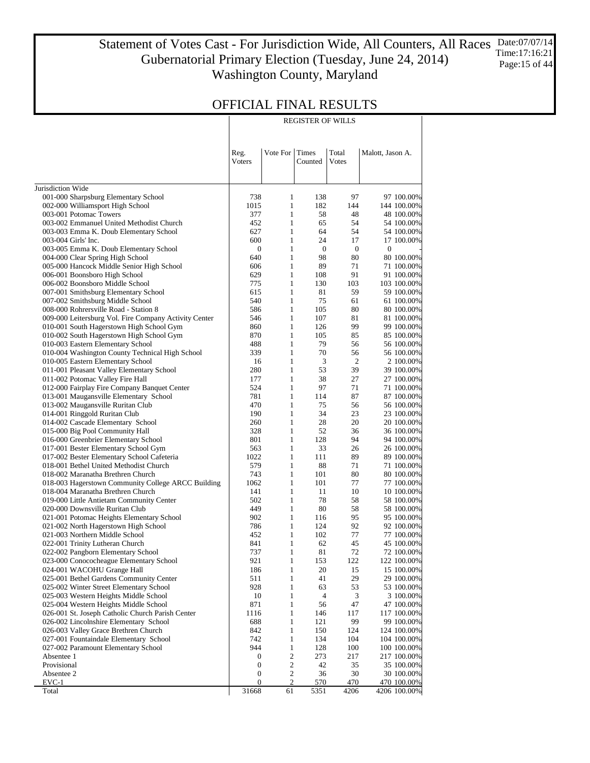Statement of Votes Cast - For Jurisdiction Wide, All Counters, All Races Gubernatorial Primary Election (Tuesday, June 24, 2014) Washington County, Maryland Date:07/07/14 Time:17:16:21 Page:15 of 44

REGISTER OF WILLS

### OFFICIAL FINAL RESULTS

|                                                                               | Reg.<br>Voters      | Vote For          | Times<br>Counted       | Total<br>Votes         | Malott, Jason A.               |
|-------------------------------------------------------------------------------|---------------------|-------------------|------------------------|------------------------|--------------------------------|
| Jurisdiction Wide                                                             |                     |                   |                        |                        |                                |
| 001-000 Sharpsburg Elementary School                                          | 738                 | 1                 | 138                    | 97                     | 97 100.00%                     |
| 002-000 Williamsport High School                                              | 1015                | $\mathbf{1}$      | 182                    | 144                    | 144 100.00%                    |
| 003-001 Potomac Towers                                                        | 377                 | 1                 | 58                     | 48                     | 48 100.00%                     |
| 003-002 Emmanuel United Methodist Church                                      | 452                 | $\mathbf{1}$      | 65                     | 54                     | 54 100.00%                     |
| 003-003 Emma K. Doub Elementary School                                        | 627                 | 1                 | 64                     | 54                     | 54 100.00%                     |
| 003-004 Girls' Inc.                                                           | 600                 | $\mathbf{1}$      | 24                     | 17                     | 17 100.00%                     |
| 003-005 Emma K. Doub Elementary School                                        | $\mathbf{0}$<br>640 | 1<br>$\mathbf{1}$ | $\boldsymbol{0}$<br>98 | $\boldsymbol{0}$<br>80 | $\boldsymbol{0}$<br>80 100.00% |
| 004-000 Clear Spring High School<br>005-000 Hancock Middle Senior High School | 606                 | 1                 | 89                     | 71                     | 71 100.00%                     |
| 006-001 Boonsboro High School                                                 | 629                 | $\mathbf{1}$      | 108                    | 91                     | 91 100.00%                     |
| 006-002 Boonsboro Middle School                                               | 775                 | 1                 | 130                    | 103                    | 103 100.00%                    |
| 007-001 Smithsburg Elementary School                                          | 615                 | $\mathbf{1}$      | 81                     | 59                     | 59 100.00%                     |
| 007-002 Smithsburg Middle School                                              | 540                 | 1                 | 75                     | 61                     | 61 100.00%                     |
| 008-000 Rohrersville Road - Station 8                                         | 586                 | $\mathbf{1}$      | 105                    | 80                     | 80 100.00%                     |
| 009-000 Leitersburg Vol. Fire Company Activity Center                         | 546                 | 1                 | 107                    | 81                     | 81 100.00%                     |
| 010-001 South Hagerstown High School Gym                                      | 860                 | $\mathbf{1}$      | 126                    | 99                     | 99 100.00%                     |
| 010-002 South Hagerstown High School Gym                                      | 870                 | 1                 | 105                    | 85                     | 85 100.00%                     |
| 010-003 Eastern Elementary School                                             | 488                 | $\mathbf{1}$      | 79                     | 56                     | 56 100.00%                     |
| 010-004 Washington County Technical High School                               | 339                 | $\mathbf{1}$      | 70                     | 56                     | 56 100.00%                     |
| 010-005 Eastern Elementary School                                             | 16                  | $\mathbf{1}$      | 3                      | $\overline{2}$         | 2 100.00%                      |
| 011-001 Pleasant Valley Elementary School                                     | 280                 | 1                 | 53                     | 39                     | 39 100.00%                     |
| 011-002 Potomac Valley Fire Hall                                              | 177                 | $\mathbf{1}$      | 38                     | 27                     | 27 100.00%                     |
| 012-000 Fairplay Fire Company Banquet Center                                  | 524                 | 1                 | 97                     | 71                     | 71 100.00%                     |
| 013-001 Maugansville Elementary School                                        | 781<br>470          | $\mathbf{1}$<br>1 | 114<br>75              | 87<br>56               | 87 100.00%<br>56 100.00%       |
| 013-002 Maugansville Ruritan Club<br>014-001 Ringgold Ruritan Club            | 190                 | $\mathbf{1}$      | 34                     | 23                     | 23 100.00%                     |
| 014-002 Cascade Elementary School                                             | 260                 | $\mathbf{1}$      | 28                     | 20                     | 20 100.00%                     |
| 015-000 Big Pool Community Hall                                               | 328                 | $\mathbf{1}$      | 52                     | 36                     | 36 100.00%                     |
| 016-000 Greenbrier Elementary School                                          | 801                 | 1                 | 128                    | 94                     | 94 100.00%                     |
| 017-001 Bester Elementary School Gym                                          | 563                 | $\mathbf{1}$      | 33                     | 26                     | 26 100.00%                     |
| 017-002 Bester Elementary School Cafeteria                                    | 1022                | 1                 | 111                    | 89                     | 89 100.00%                     |
| 018-001 Bethel United Methodist Church                                        | 579                 | $\mathbf{1}$      | 88                     | 71                     | 71 100.00%                     |
| 018-002 Maranatha Brethren Church                                             | 743                 | 1                 | 101                    | 80                     | 80 100.00%                     |
| 018-003 Hagerstown Community College ARCC Building                            | 1062                | $\mathbf{1}$      | 101                    | 77                     | 77 100.00%                     |
| 018-004 Maranatha Brethren Church                                             | 141                 | 1                 | 11                     | 10                     | 10 100.00%                     |
| 019-000 Little Antietam Community Center                                      | 502                 | $\mathbf{1}$      | 78                     | 58                     | 58 100.00%                     |
| 020-000 Downsville Ruritan Club                                               | 449                 | 1                 | 80                     | 58                     | 58 100.00%                     |
| 021-001 Potomac Heights Elementary School                                     | 902                 | $\mathbf{1}$      | 116                    | 95                     | 95 100.00%                     |
| 021-002 North Hagerstown High School                                          | 786                 | 1                 | 124                    | 92                     | 92 100.00%                     |
| 021-003 Northern Middle School                                                | 452                 | $\mathbf{1}$      | 102                    | 77                     | 77 100.00%                     |
| 022-001 Trinity Lutheran Church                                               | 841                 | 1<br>1            | 62<br>81               | 45<br>72               | 45 100.00%                     |
| 022-002 Pangborn Elementary School<br>023-000 Conococheague Elementary School | 737<br>921          | $\mathbf{1}$      | 153                    | 122                    | 72 100.00%<br>122 100.00%      |
| 024-001 WACOHU Grange Hall                                                    | 186                 | $\mathbf{1}$      | 20                     | 15                     | 15 100.00%                     |
| 025-001 Bethel Gardens Community Center                                       | 511                 | 1                 | 41                     | 29                     | 29 100.00%                     |
| 025-002 Winter Street Elementary School                                       | 928                 | $\mathbf{1}$      | 63                     | 53                     | 53 100.00%                     |
| 025-003 Western Heights Middle School                                         | 10                  | 1                 | 4                      | 3                      | 3 100.00%                      |
| 025-004 Western Heights Middle School                                         | 871                 | $\mathbf{1}$      | 56                     | 47                     | 47 100.00%                     |
| 026-001 St. Joseph Catholic Church Parish Center                              | 1116                | 1                 | 146                    | 117                    | 117 100.00%                    |
| 026-002 Lincolnshire Elementary School                                        | 688                 | $\mathbf{1}$      | 121                    | 99                     | 99 100.00%                     |
| 026-003 Valley Grace Brethren Church                                          | 842                 | 1                 | 150                    | 124                    | 124 100.00%                    |
| 027-001 Fountaindale Elementary School                                        | 742                 | $\mathbf{1}$      | 134                    | 104                    | 104 100.00%                    |
| 027-002 Paramount Elementary School                                           | 944                 | $\mathbf{1}$      | 128                    | 100                    | 100 100.00%                    |
| Absentee 1                                                                    | $\boldsymbol{0}$    | $\sqrt{2}$        | 273                    | 217                    | 217 100.00%                    |
| Provisional                                                                   | $\boldsymbol{0}$    | $\boldsymbol{2}$  | 42                     | 35                     | 35 100.00%                     |
| Absentee 2                                                                    | $\boldsymbol{0}$    | $\sqrt{2}$        | 36                     | 30                     | 30 100.00%                     |
| EVC-1                                                                         | $\boldsymbol{0}$    | $\overline{2}$    | 570                    | 470                    | 470 100.00%                    |
| Total                                                                         | 31668               | 61                | 5351                   | 4206                   | 4206 100.00%                   |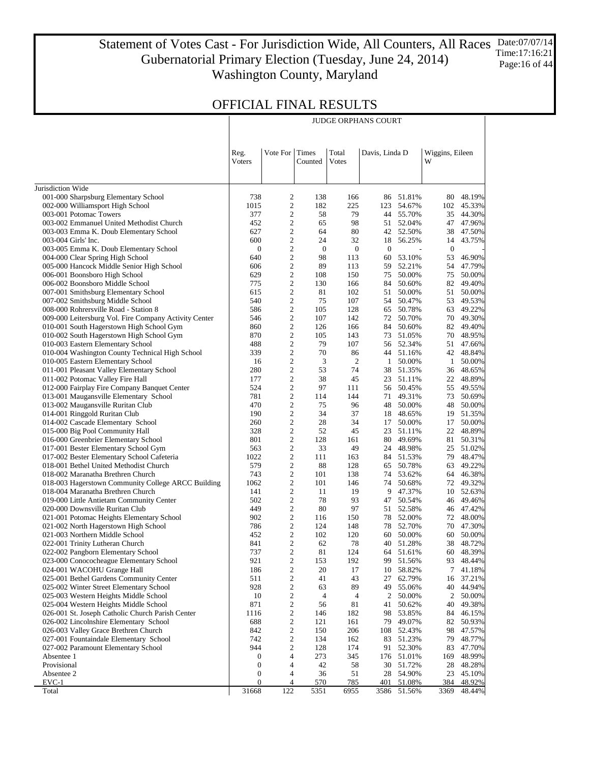#### Statement of Votes Cast - For Jurisdiction Wide, All Counters, All Races Date:07/07/14 Gubernatorial Primary Election (Tuesday, June 24, 2014) Washington County, Maryland Time:17:16:21 Page:16 of 44

JUDGE ORPHANS COURT

|                                                                                      | Reg.<br><b>V</b> oters | Vote For                         | Times<br>Counted | Total<br>Votes | Davis, Linda D |                        | Wiggins, Eileen<br>W |                       |
|--------------------------------------------------------------------------------------|------------------------|----------------------------------|------------------|----------------|----------------|------------------------|----------------------|-----------------------|
| Jurisdiction Wide                                                                    |                        |                                  |                  |                |                |                        |                      |                       |
| 001-000 Sharpsburg Elementary School                                                 | 738                    | 2                                | 138              | 166            |                | 86 51.81%              | 80                   | 48.19%                |
| 002-000 Williamsport High School                                                     | 1015                   | $\overline{c}$                   | 182              | 225            | 123            | 54.67%                 | 102                  | 45.33%                |
| 003-001 Potomac Towers                                                               | 377                    | $\mathbf{2}$                     | 58               | 79             |                | 44 55.70%              | 35                   | 44.30%                |
| 003-002 Emmanuel United Methodist Church                                             | 452                    | $\boldsymbol{2}$                 | 65               | 98             |                | 51 52.04%              | 47                   | 47.96%                |
| 003-003 Emma K. Doub Elementary School                                               | 627                    | $\mathbf{2}$                     | 64               | 80             | 42             | 52.50%                 | 38                   | 47.50%                |
| 003-004 Girls' Inc.                                                                  | 600                    | $\boldsymbol{2}$                 | 24               | 32             | 18             | 56.25%                 | 14                   | 43.75%                |
| 003-005 Emma K. Doub Elementary School                                               | $\boldsymbol{0}$       | $\mathbf{2}$                     | $\boldsymbol{0}$ | $\mathbf{0}$   | $\mathbf{0}$   |                        | $\mathbf{0}$         |                       |
| 004-000 Clear Spring High School                                                     | 640                    | $\boldsymbol{2}$                 | 98               | 113            | 60             | 53.10%                 | 53                   | 46.90%                |
| 005-000 Hancock Middle Senior High School                                            | 606                    | $\mathbf{2}$                     | 89               | 113            | 59             | 52.21%                 | 54                   | 47.79%                |
| 006-001 Boonsboro High School                                                        | 629                    | $\boldsymbol{2}$                 | 108              | 150            | 75             | 50.00%                 | 75                   | 50.00%                |
| 006-002 Boonsboro Middle School                                                      | 775                    | $\mathbf{2}$                     | 130              | 166            | 84             | 50.60%                 | 82                   | 49.40%                |
| 007-001 Smithsburg Elementary School                                                 | 615                    | $\boldsymbol{2}$                 | 81               | 102            | 51             | 50.00%                 | 51                   | 50.00%                |
| 007-002 Smithsburg Middle School                                                     | 540                    | $\mathbf{2}$                     | 75               | 107            | 54             | 50.47%                 | 53                   | 49.53%                |
| 008-000 Rohrersville Road - Station 8                                                | 586                    | $\boldsymbol{2}$                 | 105              | 128            | 65             | 50.78%                 | 63                   | 49.22%                |
| 009-000 Leitersburg Vol. Fire Company Activity Center                                | 546                    | $\mathbf{2}$                     | 107              | 142            | 72             | 50.70%                 | 70                   | 49.30%                |
| 010-001 South Hagerstown High School Gym                                             | 860                    | $\boldsymbol{2}$                 | 126              | 166            | 84             | 50.60%                 | 82                   | 49.40%                |
| 010-002 South Hagerstown High School Gym                                             | 870                    | $\mathbf{2}$                     | 105              | 143            | 73             | 51.05%                 | 70                   | 48.95%                |
| 010-003 Eastern Elementary School                                                    | 488<br>339             | $\boldsymbol{2}$<br>$\mathbf{2}$ | 79<br>70         | 107<br>86      |                | 56 52.34%<br>44 51.16% | 51                   | 47.66%<br>48.84%      |
| 010-004 Washington County Technical High School<br>010-005 Eastern Elementary School | 16                     | $\mathbf{2}$                     | 3                | 2              | 1              | 50.00%                 | 42<br>1              | 50.00%                |
| 011-001 Pleasant Valley Elementary School                                            | 280                    | $\sqrt{2}$                       | 53               | 74             | 38             | 51.35%                 | 36                   | 48.65%                |
| 011-002 Potomac Valley Fire Hall                                                     | 177                    | $\sqrt{2}$                       | 38               | 45             |                | 23 51.11%              | 22                   | 48.89%                |
| 012-000 Fairplay Fire Company Banquet Center                                         | 524                    | $\sqrt{2}$                       | 97               | 111            |                | 56 50.45%              | 55                   | 49.55%                |
| 013-001 Maugansville Elementary School                                               | 781                    | $\overline{c}$                   | 114              | 144            |                | 71 49.31%              | 73                   | 50.69%                |
| 013-002 Maugansville Ruritan Club                                                    | 470                    | $\mathbf{2}$                     | 75               | 96             | 48             | 50.00%                 | 48                   | 50.00%                |
| 014-001 Ringgold Ruritan Club                                                        | 190                    | $\overline{c}$                   | 34               | 37             |                | 18 48.65%              | 19                   | 51.35%                |
| 014-002 Cascade Elementary School                                                    | 260                    | $\sqrt{2}$                       | 28               | 34             | 17             | 50.00%                 | 17                   | 50.00%                |
| 015-000 Big Pool Community Hall                                                      | 328                    | $\boldsymbol{2}$                 | 52               | 45             | 23             | 51.11%                 | 22                   | 48.89%                |
| 016-000 Greenbrier Elementary School                                                 | 801                    | $\mathbf{2}$                     | 128              | 161            | 80             | 49.69%                 | 81                   | 50.31%                |
| 017-001 Bester Elementary School Gym                                                 | 563                    | $\boldsymbol{2}$                 | 33               | 49             |                | 24 48.98%              | 25                   | 51.02%                |
| 017-002 Bester Elementary School Cafeteria                                           | 1022                   | $\mathbf{2}$                     | 111              | 163            |                | 84 51.53%              | 79                   | 48.47%                |
| 018-001 Bethel United Methodist Church                                               | 579                    | $\boldsymbol{2}$                 | 88               | 128            | 65             | 50.78%                 | 63                   | 49.22%                |
| 018-002 Maranatha Brethren Church                                                    | 743                    | $\mathbf{2}$                     | 101              | 138            | 74             | 53.62%                 | 64                   | 46.38%                |
| 018-003 Hagerstown Community College ARCC Building                                   | 1062                   | $\boldsymbol{2}$                 | 101              | 146            |                | 74 50.68%              | 72                   | 49.32%                |
| 018-004 Maranatha Brethren Church                                                    | 141                    | $\mathfrak{2}$                   | 11               | 19             | 9              | 47.37%                 | 10                   | 52.63%                |
| 019-000 Little Antietam Community Center                                             | 502                    | $\boldsymbol{2}$                 | 78               | 93             | 47             | 50.54%                 | 46                   | 49.46%                |
| 020-000 Downsville Ruritan Club                                                      | 449                    | $\mathfrak{2}$                   | 80               | 97             | 51             | 52.58%                 | 46                   | 47.42%                |
| 021-001 Potomac Heights Elementary School                                            | 902                    | $\boldsymbol{2}$                 | 116              | 150            |                | 78 52.00%              | 72                   | 48.00%                |
| 021-002 North Hagerstown High School                                                 | 786                    | $\mathfrak{2}$                   | 124              | 148            |                | 78 52.70%              | 70                   | 47.30%                |
| 021-003 Northern Middle School                                                       | 452                    | 2                                | 102              | 120            |                | 60 50.00%              | 60                   | 50.00%                |
| 022-001 Trinity Lutheran Church                                                      | 841                    | $\boldsymbol{2}$                 | 62               | 78             |                | 40 51.28%              | 38                   | 48.72%                |
| 022-002 Pangborn Elementary School                                                   | 737                    | $\overline{c}$                   | 81               | 124<br>192     |                | 64 51.61%              |                      | 60 48.39%             |
| 023-000 Conococheague Elementary School                                              | 921                    | 2<br>2                           | 153<br>20        |                |                | 99 51.56%              |                      | 93 48.44%<br>7 41.18% |
| 024-001 WACOHU Grange Hall<br>025-001 Bethel Gardens Community Center                | 186<br>511             | $\boldsymbol{2}$                 | 41               | 17<br>43       | 10<br>27       | 58.82%<br>62.79%       | 16                   | 37.21%                |
| 025-002 Winter Street Elementary School                                              | 928                    | 2                                | 63               | 89             | 49             | 55.06%                 | 40                   | 44.94%                |
| 025-003 Western Heights Middle School                                                | 10                     | $\boldsymbol{2}$                 | 4                | 4              | 2              | 50.00%                 | 2                    | 50.00%                |
| 025-004 Western Heights Middle School                                                | 871                    | 2                                | 56               | 81             | 41             | 50.62%                 | 40                   | 49.38%                |
| 026-001 St. Joseph Catholic Church Parish Center                                     | 1116                   | $\overline{c}$                   | 146              | 182            | 98             | 53.85%                 | 84                   | 46.15%                |
| 026-002 Lincolnshire Elementary School                                               | 688                    | 2                                | 121              | 161            | 79             | 49.07%                 | 82                   | 50.93%                |
| 026-003 Valley Grace Brethren Church                                                 | 842                    | $\boldsymbol{2}$                 | 150              | 206            | 108            | 52.43%                 | 98                   | 47.57%                |
| 027-001 Fountaindale Elementary School                                               | 742                    | 2                                | 134              | 162            | 83             | 51.23%                 | 79                   | 48.77%                |
| 027-002 Paramount Elementary School                                                  | 944                    | $\boldsymbol{2}$                 | 128              | 174            | 91             | 52.30%                 | 83                   | 47.70%                |
| Absentee 1                                                                           | $\mathbf{0}$           | 4                                | 273              | 345            | 176            | 51.01%                 | 169                  | 48.99%                |
| Provisional                                                                          | $\mathbf{0}$           | 4                                | 42               | 58             | 30             | 51.72%                 | 28                   | 48.28%                |
| Absentee 2                                                                           | $\mathbf{0}$           | 4                                | 36               | 51             | 28             | 54.90%                 | 23                   | 45.10%                |
| $EVC-1$                                                                              | $\mathbf{0}$           | 4                                | 570              | <u>785</u>     | 401            | 51.08%                 | 384                  | 48.92%                |
| Total                                                                                | 31668                  | 122                              | 5351             | 6955           |                | 3586 51.56%            | 3369                 | 48.44%                |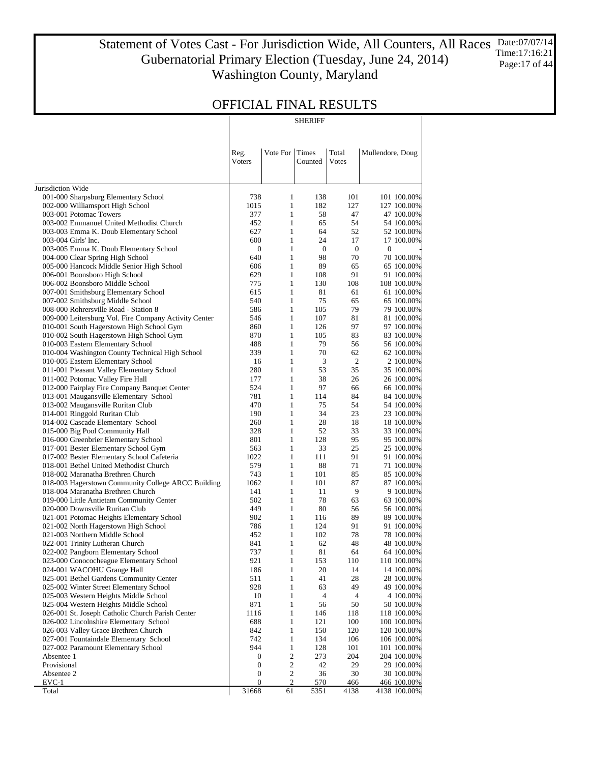Statement of Votes Cast - For Jurisdiction Wide, All Counters, All Races Gubernatorial Primary Election (Tuesday, June 24, 2014) Washington County, Maryland Date:07/07/14 Time:17:16:21 Page:17 of 44

## OFFICIAL FINAL RESULTS

SHERIFF

|                                                                                    | Reg.             | Vote For                     | Times            | Total            | Mullendore, Doug          |
|------------------------------------------------------------------------------------|------------------|------------------------------|------------------|------------------|---------------------------|
|                                                                                    | <b>V</b> oters   |                              | Counted          | Votes            |                           |
| Jurisdiction Wide                                                                  |                  |                              |                  |                  |                           |
| 001-000 Sharpsburg Elementary School                                               | 738              | 1                            | 138              | 101              | 101 100.00%               |
| 002-000 Williamsport High School                                                   | 1015             | $\mathbf{1}$                 | 182              | 127              | 127 100.00%               |
| 003-001 Potomac Towers                                                             | 377              | $\mathbf{1}$                 | 58               | 47               | 47 100.00%                |
| 003-002 Emmanuel United Methodist Church                                           | 452              | $\mathbf{1}$                 | 65               | 54               | 54 100.00%                |
| 003-003 Emma K. Doub Elementary School                                             | 627              | $\mathbf{1}$                 | 64               | 52               | 52 100.00%                |
| 003-004 Girls' Inc.                                                                | 600              | $\mathbf{1}$                 | 24               | 17               | 17 100.00%                |
| 003-005 Emma K. Doub Elementary School                                             | $\boldsymbol{0}$ | $\mathbf{1}$                 | $\boldsymbol{0}$ | $\boldsymbol{0}$ | $\boldsymbol{0}$          |
| 004-000 Clear Spring High School                                                   | 640              | $\mathbf{1}$                 | 98               | 70               | 70 100.00%                |
| 005-000 Hancock Middle Senior High School                                          | 606              | $\mathbf{1}$                 | 89               | 65               | 65 100.00%                |
| 006-001 Boonsboro High School                                                      | 629              | $\mathbf{1}$<br>$\mathbf{1}$ | 108              | 91<br>108        | 91 100.00%                |
| 006-002 Boonsboro Middle School<br>007-001 Smithsburg Elementary School            | 775<br>615       | $\mathbf{1}$                 | 130<br>81        | 61               | 108 100.00%<br>61 100.00% |
| 007-002 Smithsburg Middle School                                                   | 540              | $\mathbf{1}$                 | 75               | 65               | 65 100.00%                |
| 008-000 Rohrersville Road - Station 8                                              | 586              | $\mathbf{1}$                 | 105              | 79               | 79 100.00%                |
| 009-000 Leitersburg Vol. Fire Company Activity Center                              | 546              | $\mathbf{1}$                 | 107              | 81               | 81 100.00%                |
| 010-001 South Hagerstown High School Gym                                           | 860              | $\mathbf{1}$                 | 126              | 97               | 97 100.00%                |
| 010-002 South Hagerstown High School Gym                                           | 870              | $\mathbf{1}$                 | 105              | 83               | 83 100.00%                |
| 010-003 Eastern Elementary School                                                  | 488              | $\mathbf{1}$                 | 79               | 56               | 56 100.00%                |
| 010-004 Washington County Technical High School                                    | 339              | $\mathbf{1}$                 | 70               | 62               | 62 100.00%                |
| 010-005 Eastern Elementary School                                                  | 16               | $\mathbf{1}$                 | 3                | $\overline{2}$   | 2 100.00%                 |
| 011-001 Pleasant Valley Elementary School                                          | 280              | $\mathbf{1}$                 | 53               | 35               | 35 100.00%                |
| 011-002 Potomac Valley Fire Hall                                                   | 177              | $\mathbf{1}$                 | 38               | 26               | 26 100.00%                |
| 012-000 Fairplay Fire Company Banquet Center                                       | 524              | $\mathbf{1}$                 | 97               | 66               | 66 100.00%                |
| 013-001 Maugansville Elementary School                                             | 781              | $\mathbf{1}$                 | 114              | 84               | 84 100.00%                |
| 013-002 Maugansville Ruritan Club                                                  | 470              | $\mathbf{1}$                 | 75               | 54               | 54 100.00%                |
| 014-001 Ringgold Ruritan Club                                                      | 190              | $\mathbf{1}$                 | 34               | 23               | 23 100.00%                |
| 014-002 Cascade Elementary School                                                  | 260              | $\mathbf{1}$                 | 28               | 18               | 18 100.00%                |
| 015-000 Big Pool Community Hall                                                    | 328<br>801       | $\mathbf{1}$<br>$\mathbf{1}$ | 52<br>128        | 33<br>95         | 33 100.00%                |
| 016-000 Greenbrier Elementary School<br>017-001 Bester Elementary School Gym       | 563              | $\mathbf{1}$                 | 33               | 25               | 95 100.00%<br>25 100.00%  |
| 017-002 Bester Elementary School Cafeteria                                         | 1022             | $\mathbf{1}$                 | 111              | 91               | 91 100.00%                |
| 018-001 Bethel United Methodist Church                                             | 579              | $\mathbf{1}$                 | 88               | 71               | 71 100.00%                |
| 018-002 Maranatha Brethren Church                                                  | 743              | $\mathbf{1}$                 | 101              | 85               | 85 100.00%                |
| 018-003 Hagerstown Community College ARCC Building                                 | 1062             | $\mathbf{1}$                 | 101              | 87               | 87 100.00%                |
| 018-004 Maranatha Brethren Church                                                  | 141              | $\mathbf{1}$                 | 11               | 9                | 9 100.00%                 |
| 019-000 Little Antietam Community Center                                           | 502              | $\mathbf{1}$                 | 78               | 63               | 63 100.00%                |
| 020-000 Downsville Ruritan Club                                                    | 449              | $\mathbf{1}$                 | 80               | 56               | 56 100.00%                |
| 021-001 Potomac Heights Elementary School                                          | 902              | $\mathbf{1}$                 | 116              | 89               | 89 100.00%                |
| 021-002 North Hagerstown High School                                               | 786              | $\mathbf{1}$                 | 124              | 91               | 91 100.00%                |
| 021-003 Northern Middle School                                                     | 452              | $\mathbf{1}$                 | 102              | 78               | 78 100,00%                |
| 022-001 Trinity Lutheran Church                                                    | 841              | $\mathbf{1}$                 | 62               | 48               | 48 100.00%                |
| 022-002 Pangborn Elementary School                                                 | 737              | $\mathbf{1}$                 | 81               | 64               | 64 100.00%                |
| 023-000 Conococheague Elementary School                                            | 921              | $\mathbf{1}$                 | 153              | 110              | 110 100.00%               |
| 024-001 WACOHU Grange Hall                                                         | 186              | $\mathbf{1}$                 | 20               | 14               | 14 100.00%                |
| 025-001 Bethel Gardens Community Center<br>025-002 Winter Street Elementary School | 511<br>928       | $\mathbf{1}$<br>$\mathbf{1}$ | 41<br>63         | 28<br>49         | 28 100.00%<br>49 100.00%  |
| 025-003 Western Heights Middle School                                              | 10               | $\mathbf{1}$                 | 4                | 4                | 4 100.00%                 |
| 025-004 Western Heights Middle School                                              | 871              | $\mathbf{1}$                 | 56               | 50               | 50 100.00%                |
| 026-001 St. Joseph Catholic Church Parish Center                                   | 1116             | $\,1$                        | 146              | 118              | 118 100.00%               |
| 026-002 Lincolnshire Elementary School                                             | 688              | $\mathbf{1}$                 | 121              | 100              | 100 100.00%               |
| 026-003 Valley Grace Brethren Church                                               | 842              | $\mathbf{1}$                 | 150              | 120              | 120 100.00%               |
| 027-001 Fountaindale Elementary School                                             | 742              | $\mathbf{1}$                 | 134              | 106              | 106 100.00%               |
| 027-002 Paramount Elementary School                                                | 944              | $\mathbf{1}$                 | 128              | 101              | 101 100.00%               |
| Absentee 1                                                                         | $\boldsymbol{0}$ | 2                            | 273              | 204              | 204 100.00%               |
| Provisional                                                                        | $\boldsymbol{0}$ | 2                            | 42               | 29               | 29 100.00%                |
| Absentee 2                                                                         | $\boldsymbol{0}$ | $\mathbf{2}$                 | 36               | 30               | 30 100.00%                |
| $EVC-1$                                                                            | $\boldsymbol{0}$ | $\overline{\mathbf{c}}$      | 570              | 466              | 466 100.00%               |
| Total                                                                              | 31668            | 61                           | 5351             | 4138             | 4138 100.00%              |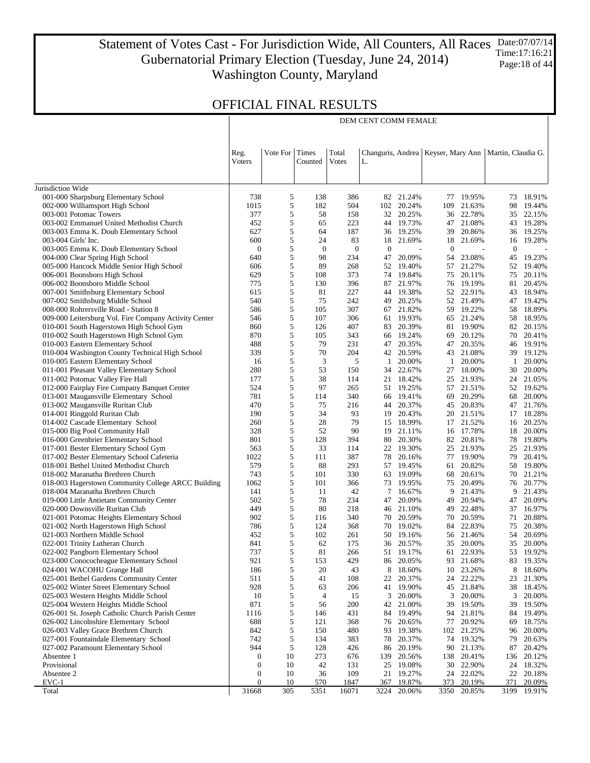Statement of Votes Cast - For Jurisdiction Wide, All Counters, All Races Gubernatorial Primary Election (Tuesday, June 24, 2014) Washington County, Maryland Date:07/07/14 Time:17:16:21 Page:18 of 44

DEM CENT COMM FEMALE

|                                                                                         | Reg.<br>Voters   | Vote For Times | Counted      | Total<br>Changuris, Andrea   Keyser, Mary Ann   Martin, Claudia G.<br>Votes<br>L. |              |                  |          |                  |          |                  |
|-----------------------------------------------------------------------------------------|------------------|----------------|--------------|-----------------------------------------------------------------------------------|--------------|------------------|----------|------------------|----------|------------------|
|                                                                                         |                  |                |              |                                                                                   |              |                  |          |                  |          |                  |
| Jurisdiction Wide                                                                       | 738              | 5              | 138          | 386                                                                               | 82           | 21.24%           | 77       | 19.95%           | 73       | 18.91%           |
| 001-000 Sharpsburg Elementary School<br>002-000 Williamsport High School                | 1015             | 5              | 182          | 504                                                                               | 102          | 20.24%           | 109      | 21.63%           | 98       | 19.44%           |
| 003-001 Potomac Towers                                                                  | 377              | 5              | 58           | 158                                                                               | 32           | 20.25%           |          | 36 22.78%        | 35       | 22.15%           |
| 003-002 Emmanuel United Methodist Church                                                | 452              | 5              | 65           | 223                                                                               | 44           | 19.73%           | 47       | 21.08%           | 43       | 19.28%           |
| 003-003 Emma K. Doub Elementary School                                                  | 627              | 5              | 64           | 187                                                                               | 36           | 19.25%           | 39       | 20.86%           | 36       | 19.25%           |
| 003-004 Girls' Inc.                                                                     | 600              | 5              | 24           | 83                                                                                | 18           | 21.69%           | 18       | 21.69%           | 16       | 19.28%           |
| 003-005 Emma K. Doub Elementary School                                                  | $\overline{0}$   | 5              | $\mathbf{0}$ | $\mathbf{0}$                                                                      | $\mathbf{0}$ |                  | $\theta$ |                  | $\bf{0}$ |                  |
| 004-000 Clear Spring High School                                                        | 640              | 5              | 98           | 234                                                                               | 47           | 20.09%           | 54       | 23.08%           | 45       | 19.23%           |
| 005-000 Hancock Middle Senior High School                                               | 606              | 5              | 89           | 268                                                                               | 52           | 19.40%           | 57       | 21.27%           | 52       | 19.40%           |
| 006-001 Boonsboro High School                                                           | 629              | 5              | 108          | 373                                                                               | 74           | 19.84%           | 75       | 20.11%           | 75       | 20.11%           |
| 006-002 Boonsboro Middle School                                                         | 775              | 5              | 130          | 396                                                                               | 87           | 21.97%           |          | 76 19.19%        | 81       | 20.45%           |
| 007-001 Smithsburg Elementary School                                                    | 615              | 5              | 81           | 227                                                                               | 44           | 19.38%           | 52       | 22.91%           | 43       | 18.94%           |
| 007-002 Smithsburg Middle School                                                        | 540              | 5              | 75           | 242                                                                               | 49           | 20.25%           |          | 52 21.49%        | 47       | 19.42%           |
| 008-000 Rohrersville Road - Station 8                                                   | 586              | 5              | 105          | 307                                                                               | 67           | 21.82%           |          | 59 19.22%        | 58       | 18.89%           |
| 009-000 Leitersburg Vol. Fire Company Activity Center                                   | 546              | 5              | 107          | 306                                                                               | 61           | 19.93%           |          | 65 21.24%        | 58       | 18.95%           |
| 010-001 South Hagerstown High School Gym                                                | 860<br>870       | 5<br>5         | 126<br>105   | 407<br>343                                                                        | 83           | 20.39%           | 81<br>69 | 19.90%<br>20.12% | 82<br>70 | 20.15%<br>20.41% |
| 010-002 South Hagerstown High School Gym<br>010-003 Eastern Elementary School           | 488              | 5              | 79           | 231                                                                               | 66<br>47     | 19.24%<br>20.35% | 47       | 20.35%           | 46       | 19.91%           |
| 010-004 Washington County Technical High School                                         | 339              | 5              | 70           | 204                                                                               |              | 42 20.59%        |          | 43 21.08%        |          | 39 19.12%        |
| 010-005 Eastern Elementary School                                                       | 16               | 5              | 3            | 5                                                                                 | 1            | 20.00%           | -1       | 20.00%           | 1        | 20.00%           |
| 011-001 Pleasant Valley Elementary School                                               | 280              | 5              | 53           | 150                                                                               | 34           | 22.67%           |          | 27 18.00%        | 30       | 20.00%           |
| 011-002 Potomac Valley Fire Hall                                                        | 177              | 5              | 38           | 114                                                                               | 21           | 18.42%           |          | 25 21.93%        | 24       | 21.05%           |
| 012-000 Fairplay Fire Company Banquet Center                                            | 524              | 5              | 97           | 265                                                                               | 51           | 19.25%           |          | 57 21.51%        | 52       | 19.62%           |
| 013-001 Maugansville Elementary School                                                  | 781              | 5              | 114          | 340                                                                               | 66           | 19.41%           | 69       | 20.29%           | 68       | 20.00%           |
| 013-002 Maugansville Ruritan Club                                                       | 470              | 5              | 75           | 216                                                                               | 44           | 20.37%           |          | 45 20.83%        | 47       | 21.76%           |
| 014-001 Ringgold Ruritan Club                                                           | 190              | 5              | 34           | 93                                                                                | 19           | 20.43%           |          | 20 21.51%        | 17       | 18.28%           |
| 014-002 Cascade Elementary School                                                       | 260              | 5              | 28           | 79                                                                                | 15           | 18.99%           | 17       | 21.52%           | 16       | 20.25%           |
| 015-000 Big Pool Community Hall                                                         | 328              | 5              | 52           | 90                                                                                | 19           | 21.11%           |          | 16 17.78%        | 18       | 20.00%           |
| 016-000 Greenbrier Elementary School                                                    | 801              | 5              | 128          | 394                                                                               | 80           | 20.30%           | 82       | 20.81%           | 78       | 19.80%           |
| 017-001 Bester Elementary School Gym                                                    | 563              | 5              | 33           | 114                                                                               | 22           | 19.30%           |          | 25 21.93%        | 25       | 21.93%           |
| 017-002 Bester Elementary School Cafeteria                                              | 1022             | 5              | 111          | 387                                                                               | 78           | 20.16%           |          | 77 19.90%        | 79       | 20.41%           |
| 018-001 Bethel United Methodist Church                                                  | 579<br>743       | 5<br>5         | 88<br>101    | 293<br>330                                                                        | 57<br>63     | 19.45%<br>19.09% | 61<br>68 | 20.82%<br>20.61% | 58<br>70 | 19.80%<br>21.21% |
| 018-002 Maranatha Brethren Church<br>018-003 Hagerstown Community College ARCC Building | 1062             | 5              | 101          | 366                                                                               | 73           | 19.95%           | 75       | 20.49%           | 76       | 20.77%           |
| 018-004 Maranatha Brethren Church                                                       | 141              | 5              | 11           | 42                                                                                | 7            | 16.67%           | 9        | 21.43%           | 9        | 21.43%           |
| 019-000 Little Antietam Community Center                                                | 502              | 5              | 78           | 234                                                                               | 47           | 20.09%           | 49       | 20.94%           | 47       | 20.09%           |
| 020-000 Downsville Ruritan Club                                                         | 449              | 5              | 80           | 218                                                                               | 46           | 21.10%           | 49       | 22.48%           | 37       | 16.97%           |
| 021-001 Potomac Heights Elementary School                                               | 902              | 5              | 116          | 340                                                                               | 70           | 20.59%           | 70       | 20.59%           | 71       | 20.88%           |
| 021-002 North Hagerstown High School                                                    | 786              | 5              | 124          | 368                                                                               | 70           | 19.02%           | 84       | 22.83%           | 75       | 20.38%           |
| 021-003 Northern Middle School                                                          | 452              | 5              | 102          | 261                                                                               | 50           | 19.16%           |          | 56 21.46%        | 54       | 20.69%           |
| 022-001 Trinity Lutheran Church                                                         | 841              | 5              | 62           | 175                                                                               | 36           | 20.57%           | 35       | 20.00%           | 35       | 20.00%           |
| 022-002 Pangborn Elementary School                                                      | 737              | 5              | 81           | 266                                                                               | 51           | 19.17%           | 61       | 22.93%           | 53       | 19.92%           |
| 023-000 Conococheague Elementary School                                                 | 921              | 5              | 153          | 429                                                                               | 86           | 20.05%           |          | 93 21.68%        | 83       | 19.35%           |
| 024-001 WACOHU Grange Hall                                                              | 186              | 5              | 20           | 43                                                                                | 8            | 18.60%           | 10       | 23.26%           | 8        | 18.60%           |
| 025-001 Bethel Gardens Community Center                                                 | 511              | 5<br>5         | 41           | 108                                                                               | 22           | 20.37%           | 24       | 22.22%           | 23       | 21.30%           |
| 025-002 Winter Street Elementary School<br>025-003 Western Heights Middle School        | 928<br>10        | 5              | 63<br>4      | 206<br>15                                                                         | 41<br>3      | 19.90%<br>20.00% | 45<br>3  | 21.84%<br>20.00% | 38<br>3  | 18.45%<br>20.00% |
| 025-004 Western Heights Middle School                                                   | 871              | 5              | 56           | 200                                                                               | 42           | 21.00%           | 39       | 19.50%           | 39       | 19.50%           |
| 026-001 St. Joseph Catholic Church Parish Center                                        | 1116             | 5              | 146          | 431                                                                               | 84           | 19.49%           | 94       | 21.81%           | 84       | 19.49%           |
| 026-002 Lincolnshire Elementary School                                                  | 688              | 5              | 121          | 368                                                                               | 76           | 20.65%           | 77       | 20.92%           | 69       | 18.75%           |
| 026-003 Valley Grace Brethren Church                                                    | 842              | 5              | 150          | 480                                                                               | 93           | 19.38%           | 102      | 21.25%           | 96       | 20.00%           |
| 027-001 Fountaindale Elementary School                                                  | 742              | 5              | 134          | 383                                                                               | 78           | 20.37%           | 74       | 19.32%           | 79       | 20.63%           |
| 027-002 Paramount Elementary School                                                     | 944              | 5              | 128          | 426                                                                               | 86           | 20.19%           | 90       | 21.13%           | 87       | 20.42%           |
| Absentee 1                                                                              | $\boldsymbol{0}$ | 10             | 273          | 676                                                                               | 139          | 20.56%           | 138      | 20.41%           | 136      | 20.12%           |
| Provisional                                                                             | $\boldsymbol{0}$ | 10             | 42           | 131                                                                               | 25           | 19.08%           | 30       | 22.90%           | 24       | 18.32%           |
| Absentee 2                                                                              | 0                | 10             | 36           | 109                                                                               | 21           | 19.27%           | 24       | 22.02%           | 22       | 20.18%           |
| EVC-1                                                                                   | $\boldsymbol{0}$ | 10             | 570          | 1847                                                                              | 367          | 19.87%           | 373      | 20.19%           | 371      | 20.09%           |
| Total                                                                                   | 31668            | 305            | 5351         | 16071                                                                             | 3224         | 20.06%           | 3350     | 20.85%           | 3199     | 19.91%           |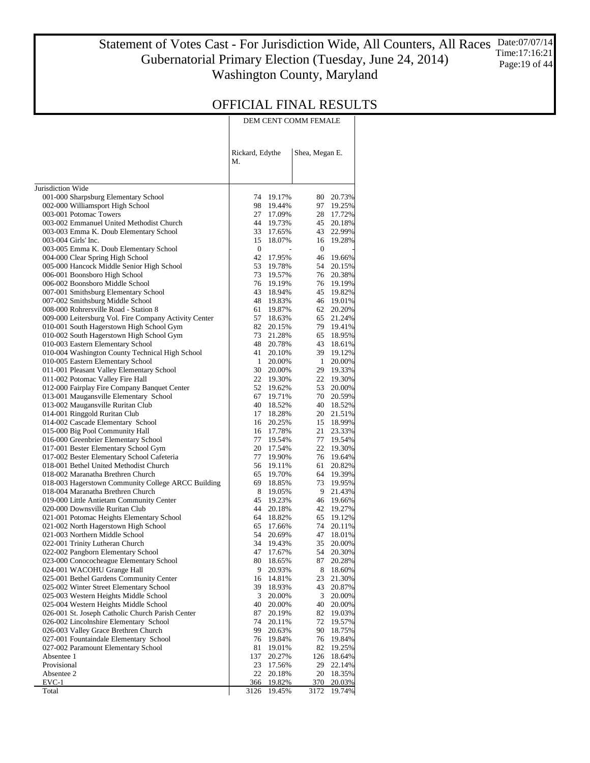#### Statement of Votes Cast - For Jurisdiction Wide, All Counters, All Races Gubernatorial Primary Election (Tuesday, June 24, 2014) Washington County, Maryland Date:07/07/14 Time:17:16:21 Page:19 of 44

|                                                                                            | Rickard, Edythe<br>М. |                  | Shea, Megan E. |                  |
|--------------------------------------------------------------------------------------------|-----------------------|------------------|----------------|------------------|
| Jurisdiction Wide                                                                          |                       |                  |                |                  |
| 001-000 Sharpsburg Elementary School                                                       | 74                    | 19.17%           | 80 -           | 20.73%           |
| 002-000 Williamsport High School                                                           | 98                    | 19.44%           | 97             | 19.25%           |
| 003-001 Potomac Towers                                                                     | 27                    | 17.09%           | 28             | 17.72%           |
| 003-002 Emmanuel United Methodist Church                                                   | 44                    | 19.73%           | 45             | 20.18%           |
| 003-003 Emma K. Doub Elementary School                                                     | 33                    | 17.65%           | 43             | 22.99%           |
| 003-004 Girls' Inc.                                                                        | 15                    | 18.07%           | 16             | 19.28%           |
| 003-005 Emma K. Doub Elementary School                                                     | $\boldsymbol{0}$      |                  | $\mathbf{0}$   |                  |
| 004-000 Clear Spring High School                                                           | 42                    | 17.95%           | 46             | 19.66%           |
| 005-000 Hancock Middle Senior High School                                                  | 53                    | 19.78%           | 54             | 20.15%           |
| 006-001 Boonsboro High School                                                              | 73                    | 19.57%           | 76             | 20.38%           |
| 006-002 Boonsboro Middle School                                                            | 76                    | 19.19%           |                | 76 19.19%        |
| 007-001 Smithsburg Elementary School                                                       | 43                    | 18.94%           | 45             | 19.82%           |
| 007-002 Smithsburg Middle School                                                           | 48                    | 19.83%           | 46             | 19.01%           |
| 008-000 Rohrersville Road - Station 8                                                      | 61                    | 19.87%           | 62             | 20.20%           |
| 009-000 Leitersburg Vol. Fire Company Activity Center                                      | 57                    | 18.63%           | 65             | 21.24%           |
| 010-001 South Hagerstown High School Gym                                                   | 82                    | 20.15%           | 79.            | 19.41%           |
| 010-002 South Hagerstown High School Gym                                                   | 73                    | 21.28%           | 65             | 18.95%           |
| 010-003 Eastern Elementary School                                                          | 48                    | 20.78%           | 43             | 18.61%           |
| 010-004 Washington County Technical High School                                            | 41                    | 20.10%           | 39             | 19.12%           |
| 010-005 Eastern Elementary School                                                          | 1                     | 20.00%           | $\mathbf{1}$   | 20.00%           |
| 011-001 Pleasant Valley Elementary School                                                  | 30                    | 20.00%           | 29             | 19.33%           |
| 011-002 Potomac Valley Fire Hall                                                           | 22<br>52              | 19.30%           | 22             | 19.30%           |
| 012-000 Fairplay Fire Company Banquet Center                                               |                       | 19.62%           | 53             | 20.00%           |
| 013-001 Maugansville Elementary School                                                     | 67<br>40              | 19.71%<br>18.52% | 70<br>40       | 20.59%<br>18.52% |
| 013-002 Maugansville Ruritan Club<br>014-001 Ringgold Ruritan Club                         | 17                    | 18.28%           | 20             | 21.51%           |
| 014-002 Cascade Elementary School                                                          | 16                    | 20.25%           |                | 15 18.99%        |
| 015-000 Big Pool Community Hall                                                            | 16                    | 17.78%           | 21             | 23.33%           |
| 016-000 Greenbrier Elementary School                                                       |                       | 77 19.54%        |                | 77 19.54%        |
| 017-001 Bester Elementary School Gym                                                       | 20                    | 17.54%           |                | 22 19.30%        |
| 017-002 Bester Elementary School Cafeteria                                                 | 77                    | 19.90%           |                | 76 19.64%        |
| 018-001 Bethel United Methodist Church                                                     | 56                    | 19.11%           | 61             | 20.82%           |
| 018-002 Maranatha Brethren Church                                                          | 65                    | 19.70%           |                | 64 19.39%        |
| 018-003 Hagerstown Community College ARCC Building                                         | 69                    | 18.85%           | 73             | 19.95%           |
| 018-004 Maranatha Brethren Church                                                          | 8                     | 19.05%           | 9              | 21.43%           |
| 019-000 Little Antietam Community Center                                                   | 45                    | 19.23%           |                | 46 19.66%        |
| 020-000 Downsville Ruritan Club                                                            | 44                    | 20.18%           | 42             | 19.27%           |
| 021-001 Potomac Heights Elementary School                                                  | 64                    | 18.82%           | 65             | 19.12%           |
| 021-002 North Hagerstown High School                                                       | 65                    | 17.66%           | 74             | 20.11%           |
| 021-003 Northern Middle School                                                             | 54                    | 20.69%           | 47             | 18.01%           |
| 022-001 Trinity Lutheran Church                                                            |                       | 34 19.43%        | 35             | 20.00%           |
| 022-002 Pangborn Elementary School                                                         | 47                    | 17.67%           | 54             | 20.30%           |
| 023-000 Conococheague Elementary School                                                    | 80                    | 18.65%           | 87             | 20.28%           |
| 024-001 WACOHU Grange Hall                                                                 | 9                     | 20.93%           |                | 8 18.60%         |
| 025-001 Bethel Gardens Community Center                                                    | 16                    | 14.81%           | 23             | 21.30%           |
| 025-002 Winter Street Elementary School                                                    | 39                    | 18.93%           | 43             | 20.87%           |
| 025-003 Western Heights Middle School                                                      | 3                     | 20.00%           | 3              | 20.00%           |
| 025-004 Western Heights Middle School                                                      | 40                    | 20.00%           | 40             | 20.00%           |
| 026-001 St. Joseph Catholic Church Parish Center<br>026-002 Lincolnshire Elementary School | 87<br>74              | 20.19%           | 82<br>72       | 19.03%<br>19.57% |
| 026-003 Valley Grace Brethren Church                                                       | 99                    | 20.11%<br>20.63% | 90             | 18.75%           |
| 027-001 Fountaindale Elementary School                                                     | 76                    | 19.84%           | 76             | 19.84%           |
| 027-002 Paramount Elementary School                                                        | 81                    | 19.01%           | 82             | 19.25%           |
| Absentee 1                                                                                 | 137                   | 20.27%           | 126            | 18.64%           |
| Provisional                                                                                | 23                    | 17.56%           | 29             | 22.14%           |
| Absentee 2                                                                                 | 22                    | 20.18%           | 20             | 18.35%           |
| $EVC-1$                                                                                    | 366                   | 19.82%           | <u>370</u>     | 20.03%           |
| Total                                                                                      | 3126                  | 19.45%           | 3172           | 19.74%           |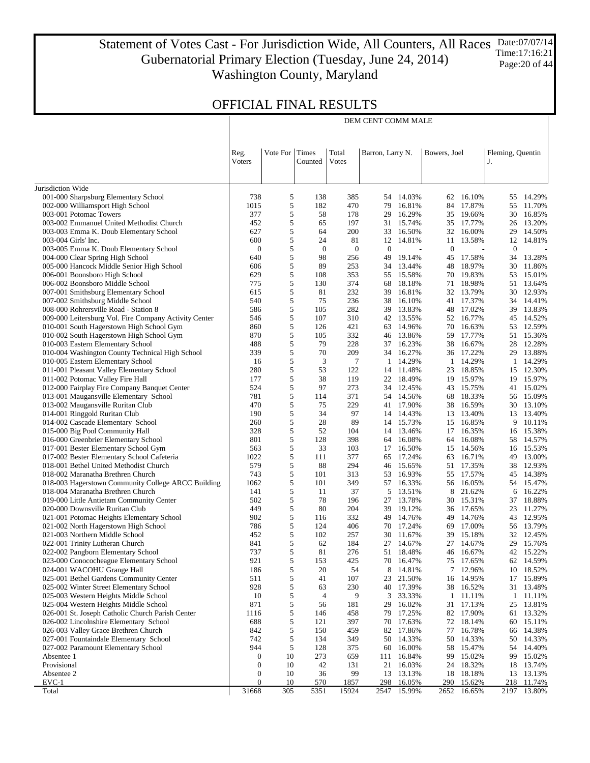Statement of Votes Cast - For Jurisdiction Wide, All Counters, All Races Gubernatorial Primary Election (Tuesday, June 24, 2014) Washington County, Maryland Date:07/07/14 Time:17:16:21 Page:20 of 44

DEM CENT COMM MALE

|                                                                                                | Reg.<br><b>V</b> oters | Vote For | Times<br>Counted | Total<br>Votes   | Barron, Larry N. |                  | Bowers, Joel |                  | Fleming, Quentin<br>J. |                  |
|------------------------------------------------------------------------------------------------|------------------------|----------|------------------|------------------|------------------|------------------|--------------|------------------|------------------------|------------------|
| Jurisdiction Wide                                                                              |                        |          |                  |                  |                  |                  |              |                  |                        |                  |
| 001-000 Sharpsburg Elementary School                                                           | 738                    | 5        | 138              | 385              | 54               | 14.03%           |              | 62 16.10%        | 55                     | 14.29%           |
| 002-000 Williamsport High School                                                               | 1015                   | 5        | 182              | 470              | 79               | 16.81%           | 84           | 17.87%           | 55                     | 11.70%           |
| 003-001 Potomac Towers                                                                         | 377                    | 5        | 58               | 178              | 29               | 16.29%           | 35           | 19.66%           | 30                     | 16.85%           |
| 003-002 Emmanuel United Methodist Church                                                       | 452                    | 5        | 65               | 197              | 31               | 15.74%           |              | 35 17.77%        | 26                     | 13.20%           |
| 003-003 Emma K. Doub Elementary School                                                         | 627                    | 5        | 64               | 200              | 33               | 16.50%           | 32           | 16.00%           | 29                     | 14.50%           |
| 003-004 Girls' Inc.                                                                            | 600                    | 5        | 24               | 81               | 12               | 14.81%           | 11           | 13.58%           | 12                     | 14.81%           |
| 003-005 Emma K. Doub Elementary School                                                         | $\mathbf{0}$           | 5        | $\boldsymbol{0}$ | $\boldsymbol{0}$ | $\mathbf{0}$     |                  | $\bf{0}$     |                  | $\mathbf{0}$           |                  |
| 004-000 Clear Spring High School                                                               | 640                    | 5        | 98               | 256              | 49               | 19.14%           | 45           | 17.58%           | 34                     | 13.28%           |
| 005-000 Hancock Middle Senior High School                                                      | 606                    | 5        | 89               | 253              | 34               | 13.44%           | 48           | 18.97%           | 30                     | 11.86%           |
| 006-001 Boonsboro High School                                                                  | 629                    | 5        | 108              | 353              | 55               | 15.58%           | 70           | 19.83%           | 53                     | 15.01%           |
| 006-002 Boonsboro Middle School                                                                | 775                    | 5        | 130              | 374              | 68               | 18.18%           | 71           | 18.98%           | 51                     | 13.64%           |
| 007-001 Smithsburg Elementary School                                                           | 615                    | 5        | 81               | 232              | 39               | 16.81%           |              | 32 13.79%        | 30                     | 12.93%           |
| 007-002 Smithsburg Middle School                                                               | 540                    | 5        | 75               | 236              | 38               | 16.10%           | 41           | 17.37%           | 34                     | 14.41%           |
| 008-000 Rohrersville Road - Station 8<br>009-000 Leitersburg Vol. Fire Company Activity Center | 586<br>546             | 5<br>5   | 105<br>107       | 282<br>310       | 39<br>42         | 13.83%<br>13.55% | 48<br>52     | 17.02%<br>16.77% | 39<br>45               | 13.83%<br>14.52% |
| 010-001 South Hagerstown High School Gym                                                       | 860                    | 5        | 126              | 421              | 63               | 14.96%           | 70           | 16.63%           | 53                     | 12.59%           |
| 010-002 South Hagerstown High School Gym                                                       | 870                    | 5        | 105              | 332              | 46               | 13.86%           | 59           | 17.77%           | 51                     | 15.36%           |
| 010-003 Eastern Elementary School                                                              | 488                    | 5        | 79               | 228              | 37               | 16.23%           | 38           | 16.67%           | 28                     | 12.28%           |
| 010-004 Washington County Technical High School                                                | 339                    | 5        | 70               | 209              | 34               | 16.27%           |              | 36 17.22%        | 29                     | 13.88%           |
| 010-005 Eastern Elementary School                                                              | 16                     | 5        | 3                | 7                | 1                | 14.29%           |              | 1 14.29%         | $\mathbf{1}$           | 14.29%           |
| 011-001 Pleasant Valley Elementary School                                                      | 280                    | 5        | 53               | 122              | 14               | 11.48%           | 23           | 18.85%           | 15                     | 12.30%           |
| 011-002 Potomac Valley Fire Hall                                                               | 177                    | 5        | 38               | 119              | 22               | 18.49%           | 19           | 15.97%           | 19                     | 15.97%           |
| 012-000 Fairplay Fire Company Banquet Center                                                   | 524                    | 5        | 97               | 273              | 34               | 12.45%           | 43           | 15.75%           | 41                     | 15.02%           |
| 013-001 Maugansville Elementary School                                                         | 781                    | 5        | 114              | 371              | 54               | 14.56%           | 68           | 18.33%           | 56                     | 15.09%           |
| 013-002 Maugansville Ruritan Club                                                              | 470                    | 5        | 75               | 229              | 41               | 17.90%           | 38           | 16.59%           | 30                     | 13.10%           |
| 014-001 Ringgold Ruritan Club                                                                  | 190                    | 5        | 34               | 97               | 14               | 14.43%           | 13           | 13.40%           | 13                     | 13.40%           |
| 014-002 Cascade Elementary School                                                              | 260                    | 5        | 28               | 89               | 14               | 15.73%           | 15           | 16.85%           | 9                      | 10.11%           |
| 015-000 Big Pool Community Hall                                                                | 328                    | 5        | 52               | 104              | 14               | 13.46%           | 17           | 16.35%           | 16                     | 15.38%           |
| 016-000 Greenbrier Elementary School                                                           | 801                    | 5        | 128              | 398              | 64               | 16.08%           | 64           | 16.08%           | 58                     | 14.57%           |
| 017-001 Bester Elementary School Gym                                                           | 563                    | 5        | 33               | 103              | 17               | 16.50%           | 15           | 14.56%           | 16                     | 15.53%           |
| 017-002 Bester Elementary School Cafeteria                                                     | 1022                   | 5        | 111              | 377              | 65               | 17.24%           | 63           | 16.71%           | 49                     | 13.00%           |
| 018-001 Bethel United Methodist Church                                                         | 579<br>743             | 5<br>5   | 88<br>101        | 294<br>313       | 46<br>53         | 15.65%<br>16.93% | 51<br>55     | 17.35%<br>17.57% | 38<br>45               | 12.93%<br>14.38% |
| 018-002 Maranatha Brethren Church<br>018-003 Hagerstown Community College ARCC Building        | 1062                   | 5        | 101              | 349              | 57               | 16.33%           | 56           | 16.05%           |                        | 54 15.47%        |
| 018-004 Maranatha Brethren Church                                                              | 141                    | 5        | 11               | 37               | 5                | 13.51%           | 8            | 21.62%           | 6                      | 16.22%           |
| 019-000 Little Antietam Community Center                                                       | 502                    | 5        | 78               | 196              | 27               | 13.78%           | 30           | 15.31%           | 37                     | 18.88%           |
| 020-000 Downsville Ruritan Club                                                                | 449                    | 5        | 80               | 204              | 39               | 19.12%           | 36           | 17.65%           | 23                     | 11.27%           |
| 021-001 Potomac Heights Elementary School                                                      | 902                    | 5        | 116              | 332              | 49               | 14.76%           | 49           | 14.76%           | 43                     | 12.95%           |
| 021-002 North Hagerstown High School                                                           | 786                    | 5        | 124              | 406              | 70               | 17.24%           | 69           | 17.00%           | 56                     | 13.79%           |
| 021-003 Northern Middle School                                                                 | 452                    | 5        | 102              | 257              | 30               | 11.67%           | 39           | 15.18%           |                        | 32 12.45%        |
| 022-001 Trinity Lutheran Church                                                                | 841                    | 5        | 62               | 184              | 27               | 14.67%           | 27           | 14.67%           | 29                     | 15.76%           |
| 022-002 Pangborn Elementary School                                                             | 737                    | 5        | 81               | 276              |                  | 51 18.48%        |              | 46 16.67%        |                        | 42 15.22%        |
| 023-000 Conococheague Elementary School                                                        | 921                    | 5        | 153              | 425              | 70               | 16.47%           | 75           | 17.65%           | 62                     | 14.59%           |
| 024-001 WACOHU Grange Hall                                                                     | 186                    | 5        | 20               | 54               | 8                | 14.81%           |              | 7 12.96%         |                        | 10 18.52%        |
| 025-001 Bethel Gardens Community Center                                                        | 511                    | 5        | 41               | 107              | 23               | 21.50%           | 16           | 14.95%           | 17                     | 15.89%           |
| 025-002 Winter Street Elementary School                                                        | 928                    | 5        | 63               | 230              | 40               | 17.39%           |              | 38 16.52%        |                        | 31 13.48%        |
| 025-003 Western Heights Middle School                                                          | 10                     | 5        | $\overline{4}$   | 9                | 3                | 33.33%           | $\mathbf{1}$ | 11.11%           | 1                      | 11.11%           |
| 025-004 Western Heights Middle School                                                          | 871                    | 5        | 56               | 181              | 29               | 16.02%           | 31           | 17.13%           | 25                     | 13.81%           |
| 026-001 St. Joseph Catholic Church Parish Center                                               | 1116                   | 5        | 146              | 458              | 79               | 17.25%           | 82           | 17.90%           | 61                     | 13.32%           |
| 026-002 Lincolnshire Elementary School                                                         | 688                    | 5        | 121              | 397              | 70               | 17.63%           | 72           | 18.14%<br>16.78% | 60                     | 15.11%           |
| 026-003 Valley Grace Brethren Church<br>027-001 Fountaindale Elementary School                 | 842<br>742             | 5<br>5   | 150<br>134       | 459<br>349       | 82<br>50         | 17.86%<br>14.33% | 77<br>50     | 14.33%           | 66<br>50               | 14.38%<br>14.33% |
| 027-002 Paramount Elementary School                                                            | 944                    | 5        | 128              | 375              | 60               | 16.00%           | 58           | 15.47%           |                        | 54 14.40%        |
| Absentee 1                                                                                     | $\mathbf{0}$           | 10       | 273              | 659              | 111              | 16.84%           | 99           | 15.02%           | 99                     | 15.02%           |
| Provisional                                                                                    | $\mathbf{0}$           | 10       | 42               | 131              | 21               | 16.03%           | 24           | 18.32%           | 18                     | 13.74%           |
| Absentee 2                                                                                     | 0                      | 10       | 36               | 99               | 13               | 13.13%           | 18           | 18.18%           |                        | 13 13.13%        |
| $EVC-1$                                                                                        | $\mathbf{0}$           | 10       | <u>570</u>       | 1857             | 298              | 16.05%           | 290          | 15.62%           | 218                    | 11.74%           |
| Total                                                                                          | 31668                  | 305      | 5351             | 15924            | 2547             | 15.99%           | 2652         | 16.65%           |                        | 2197 13.80%      |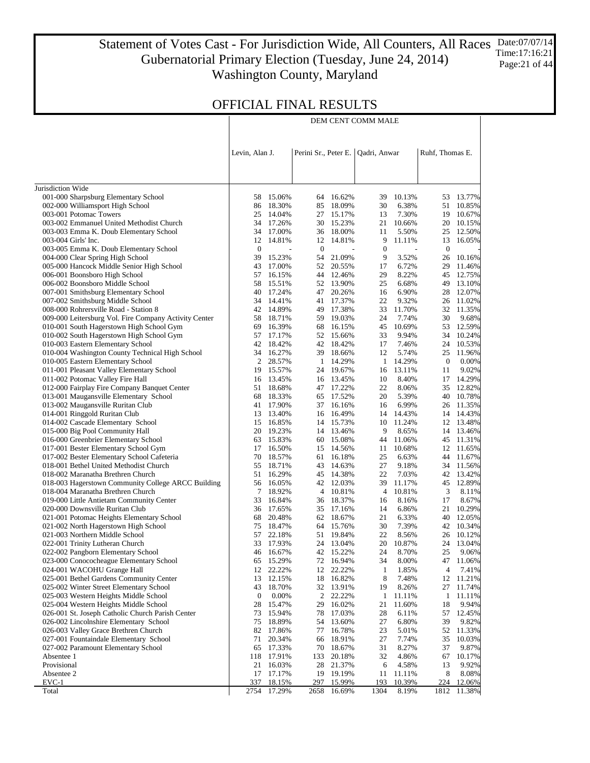#### Statement of Votes Cast - For Jurisdiction Wide, All Counters, All Races Date:07/07/14 Gubernatorial Primary Election (Tuesday, June 24, 2014) Washington County, Maryland Time:17:16:21 Page: 21 of 44

DEM CENT COMM MALE

|                                                                               | Levin, Alan J.   |                          | Perini Sr., Peter E. |                                    | Qadri, Anwar     |                 | Ruhf, Thomas E.  |                  |
|-------------------------------------------------------------------------------|------------------|--------------------------|----------------------|------------------------------------|------------------|-----------------|------------------|------------------|
|                                                                               |                  |                          |                      |                                    |                  |                 |                  |                  |
| Jurisdiction Wide                                                             |                  |                          |                      |                                    |                  |                 |                  |                  |
| 001-000 Sharpsburg Elementary School                                          | 58               | 15.06%                   | 64                   | 16.62%                             | 39               | 10.13%          | 53               | 13.77%           |
| 002-000 Williamsport High School                                              | 86               | 18.30%                   | 85                   | 18.09%                             | 30               | 6.38%           | 51               | 10.85%           |
| 003-001 Potomac Towers                                                        | 25               | 14.04%                   |                      | 27 15.17%                          | 13               | 7.30%           | 19               | 10.67%           |
| 003-002 Emmanuel United Methodist Church                                      | 34               | 17.26%                   |                      | 30 15.23%                          | 21               | 10.66%          | 20               | 10.15%           |
| 003-003 Emma K. Doub Elementary School                                        | 34<br>12         | 17.00%                   | 12                   | 36 18.00%                          | 11<br>9          | 5.50%<br>11.11% | 25<br>13         | 12.50%<br>16.05% |
| 003-004 Girls' Inc.<br>003-005 Emma K. Doub Elementary School                 | $\boldsymbol{0}$ | 14.81%<br>$\overline{a}$ | $\mathbf{0}$         | 14.81%<br>$\overline{\phantom{a}}$ | $\boldsymbol{0}$ | L,              | $\boldsymbol{0}$ |                  |
| 004-000 Clear Spring High School                                              | 39               | 15.23%                   | 54                   | 21.09%                             | 9                | 3.52%           | 26               | 10.16%           |
| 005-000 Hancock Middle Senior High School                                     | 43               | 17.00%                   | 52                   | 20.55%                             | 17               | 6.72%           | 29               | 11.46%           |
| 006-001 Boonsboro High School                                                 | 57               | 16.15%                   |                      | 44 12.46%                          | 29               | 8.22%           | 45               | 12.75%           |
| 006-002 Boonsboro Middle School                                               | 58               | 15.51%                   |                      | 52 13.90%                          | 25               | 6.68%           | 49               | 13.10%           |
| 007-001 Smithsburg Elementary School                                          | 40               | 17.24%                   | 47                   | 20.26%                             | 16               | 6.90%           | 28               | 12.07%           |
| 007-002 Smithsburg Middle School                                              |                  | 34 14.41%                | 41                   | 17.37%                             | 22               | 9.32%           | 26               | 11.02%           |
| 008-000 Rohrersville Road - Station 8                                         | 42               | 14.89%                   |                      | 49 17.38%                          | 33               | 11.70%          | 32               | 11.35%           |
| 009-000 Leitersburg Vol. Fire Company Activity Center                         |                  | 58 18.71%                |                      | 59 19.03%                          | 24               | 7.74%           | 30               | 9.68%            |
| 010-001 South Hagerstown High School Gym                                      | 69               | 16.39%                   | 68                   | 16.15%                             | 45               | 10.69%          | 53               | 12.59%           |
| 010-002 South Hagerstown High School Gym                                      | 57               | 17.17%                   | 52                   | 15.66%                             | 33               | 9.94%           | 34               | 10.24%           |
| 010-003 Eastern Elementary School                                             | 42               | 18.42%                   |                      | 42 18.42%                          | 17               | 7.46%           | 24               | 10.53%           |
| 010-004 Washington County Technical High School                               |                  | 34 16.27%                |                      | 39 18.66%                          | 12               | 5.74%           | 25               | 11.96%           |
| 010-005 Eastern Elementary School                                             | 2                | 28.57%                   | $\mathbf{1}$         | 14.29%                             | $\mathbf{1}$     | 14.29%          | $\mathbf{0}$     | 0.00%            |
| 011-001 Pleasant Valley Elementary School<br>011-002 Potomac Valley Fire Hall | 19<br>16         | 15.57%<br>13.45%         |                      | 24 19.67%                          | 16<br>10         | 13.11%<br>8.40% | 11               | 9.02%            |
| 012-000 Fairplay Fire Company Banquet Center                                  | 51               | 18.68%                   |                      | 16 13.45%<br>47 17.22%             | 22               | 8.06%           | 17<br>35         | 14.29%<br>12.82% |
| 013-001 Maugansville Elementary School                                        | 68               | 18.33%                   |                      | 65 17.52%                          | 20               | 5.39%           | 40               | 10.78%           |
| 013-002 Maugansville Ruritan Club                                             | 41               | 17.90%                   | 37                   | 16.16%                             | 16               | 6.99%           |                  | 26 11.35%        |
| 014-001 Ringgold Ruritan Club                                                 | 13               | 13.40%                   | 16                   | 16.49%                             |                  | 14 14.43%       | 14               | 14.43%           |
| 014-002 Cascade Elementary School                                             |                  | 15 16.85%                |                      | 14 15.73%                          | 10               | 11.24%          | 12               | 13.48%           |
| 015-000 Big Pool Community Hall                                               |                  | 20 19.23%                |                      | 14 13.46%                          | 9                | 8.65%           |                  | 14 13.46%        |
| 016-000 Greenbrier Elementary School                                          | 63               | 15.83%                   | 60                   | 15.08%                             | 44               | 11.06%          | 45               | 11.31%           |
| 017-001 Bester Elementary School Gym                                          | 17               | 16.50%                   | 15                   | 14.56%                             | 11               | 10.68%          | 12               | 11.65%           |
| 017-002 Bester Elementary School Cafeteria                                    | 70               | 18.57%                   | 61                   | 16.18%                             | 25               | 6.63%           | 44               | 11.67%           |
| 018-001 Bethel United Methodist Church                                        | 55               | 18.71%                   |                      | 43 14.63%                          | 27               | 9.18%           | 34               | 11.56%           |
| 018-002 Maranatha Brethren Church                                             | 51               | 16.29%                   |                      | 45 14.38%                          | 22               | 7.03%           | 42               | 13.42%           |
| 018-003 Hagerstown Community College ARCC Building                            | 56               | 16.05%                   |                      | 42 12.03%                          | 39               | 11.17%          | 45               | 12.89%           |
| 018-004 Maranatha Brethren Church                                             | 7                | 18.92%                   |                      | 4 10.81%                           | 4                | 10.81%          | 3                | 8.11%            |
| 019-000 Little Antietam Community Center                                      | 33               | 16.84%                   |                      | 36 18.37%                          | 16<br>14         | 8.16%           | 17<br>21         | 8.67%            |
| 020-000 Downsville Ruritan Club<br>021-001 Potomac Heights Elementary School  | 68               | 36 17.65%<br>20.48%      |                      | 35 17.16%<br>62 18.67%             | 21               | 6.86%<br>6.33%  | 40               | 10.29%<br>12.05% |
| 021-002 North Hagerstown High School                                          | 75               | 18.47%                   |                      | 64 15.76%                          | 30               | 7.39%           |                  | 42 10.34%        |
| 021-003 Northern Middle School                                                |                  | 57 22.18%                |                      | 51 19.84%                          | 22               | 8.56%           | 26               | 10.12%           |
| 022-001 Trinity Lutheran Church                                               |                  | 33 17.93%                |                      | 24 13.04%                          | 20               | 10.87%          | 24               | 13.04%           |
| 022-002 Pangborn Elementary School                                            |                  | 46 16.67%                |                      | 42 15.22%                          | 24               | 8.70%           | 25               | 9.06%            |
| 023-000 Conococheague Elementary School                                       |                  | 65 15.29%                |                      | 72 16.94%                          | 34               | 8.00%           |                  | 47 11.06%        |
| 024-001 WACOHU Grange Hall                                                    |                  | 12 22.22%                |                      | 12 22.22%                          | 1                | 1.85%           | 4                | 7.41%            |
| 025-001 Bethel Gardens Community Center                                       | 13               | 12.15%                   |                      | 18 16.82%                          | 8                | 7.48%           | 12               | 11.21%           |
| 025-002 Winter Street Elementary School                                       | 43               | 18.70%                   | 32                   | 13.91%                             | 19               | 8.26%           | 27               | 11.74%           |
| 025-003 Western Heights Middle School                                         | $\mathbf{0}$     | 0.00%                    | 2                    | 22.22%                             | 1                | 11.11%          | 1                | 11.11%           |
| 025-004 Western Heights Middle School                                         | 28               | 15.47%                   | 29                   | 16.02%                             | 21               | 11.60%          | 18               | 9.94%            |
| 026-001 St. Joseph Catholic Church Parish Center                              | 73               | 15.94%                   | 78                   | 17.03%                             | 28               | 6.11%           | 57               | 12.45%           |
| 026-002 Lincolnshire Elementary School                                        | 75               | 18.89%                   | 54                   | 13.60%                             | 27               | 6.80%           | 39               | 9.82%            |
| 026-003 Valley Grace Brethren Church                                          | 82               | 17.86%                   | 77                   | 16.78%                             | 23               | 5.01%           | 52               | 11.33%           |
| 027-001 Fountaindale Elementary School<br>027-002 Paramount Elementary School | 71<br>65         | 20.34%<br>17.33%         | 66<br>70             | 18.91%<br>18.67%                   | 27<br>31         | 7.74%<br>8.27%  | 35<br>37         | 10.03%<br>9.87%  |
| Absentee 1                                                                    | 118              | 17.91%                   | 133                  | 20.18%                             | 32               | 4.86%           | 67               | 10.17%           |
| Provisional                                                                   | 21               | 16.03%                   | 28                   | 21.37%                             | 6                | 4.58%           | 13               | 9.92%            |
| Absentee 2                                                                    | 17               | 17.17%                   | 19                   | 19.19%                             | 11               | 11.11%          | 8                | 8.08%            |
| $EVC-1$                                                                       | 337              | 18.15%                   | 297                  | 15.99%                             | 193              | 10.39%          | 224              | 12.06%           |
| Total                                                                         | 2754             | 17.29%                   | 2658                 | 16.69%                             | 1304             | 8.19%           | 1812             | 11.38%           |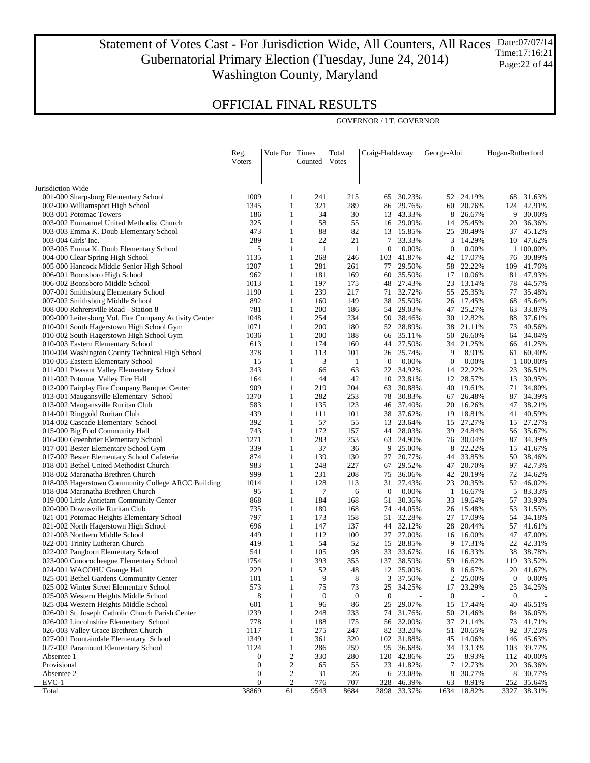Statement of Votes Cast - For Jurisdiction Wide, All Counters, All Races Gubernatorial Primary Election (Tuesday, June 24, 2014) Washington County, Maryland Date:07/07/14 Time:17:16:21 Page:22 of 44

GOVERNOR / LT. GOVERNOR

|                                                                                   | Reg.<br><b>Voters</b> | Vote For Times               | Counted            | Total<br>Votes     | Craig-Haddaway        |                  | George-Aloi      |                     | Hogan-Rutherford |                        |
|-----------------------------------------------------------------------------------|-----------------------|------------------------------|--------------------|--------------------|-----------------------|------------------|------------------|---------------------|------------------|------------------------|
|                                                                                   |                       |                              |                    |                    |                       |                  |                  |                     |                  |                        |
| Jurisdiction Wide                                                                 |                       |                              |                    |                    |                       |                  |                  |                     |                  |                        |
| 001-000 Sharpsburg Elementary School                                              | 1009                  | $\mathbf{1}$                 | 241                | 215                | 65                    | 30.23%           |                  | 52 24.19%           | 68               | 31.63%                 |
| 002-000 Williamsport High School                                                  | 1345                  | $\mathbf{1}$                 | 321                | 289                | 86                    | 29.76%           |                  | 60 20.76%           | 124              | 42.91%                 |
| 003-001 Potomac Towers                                                            | 186                   | $\mathbf{1}$                 | 34                 | 30                 | 13                    | 43.33%           | 8                | 26.67%              | 9                | 30.00%                 |
| 003-002 Emmanuel United Methodist Church                                          | 325                   | $\mathbf{1}$                 | 58                 | 55                 | 16                    | 29.09%           | 14               | 25.45%              | 20               | 36.36%                 |
| 003-003 Emma K. Doub Elementary School                                            | 473<br>289            | $\mathbf{1}$                 | 88                 | 82                 | 13                    | 15.85%           | 25               | 30.49%              | 37               | 45.12%                 |
| 003-004 Girls' Inc.<br>003-005 Emma K. Doub Elementary School                     | 5                     | $\mathbf{1}$<br>$\mathbf{1}$ | 22<br>$\mathbf{1}$ | 21<br>$\mathbf{1}$ | 7<br>$\boldsymbol{0}$ | 33.33%<br>0.00%  | 3<br>0           | 14.29%<br>0.00%     |                  | 10 47.62%<br>1 100.00% |
| 004-000 Clear Spring High School                                                  | 1135                  | $\mathbf{1}$                 | 268                | 246                | 103                   | 41.87%           | 42               | 17.07%              | 76               | 30.89%                 |
| 005-000 Hancock Middle Senior High School                                         | 1207                  | $\mathbf{1}$                 | 281                | 261                | 77                    | 29.50%           | 58               | 22.22%              | 109              | 41.76%                 |
| 006-001 Boonsboro High School                                                     | 962                   | $\mathbf{1}$                 | 181                | 169                | 60                    | 35.50%           | 17               | 10.06%              |                  | 81 47.93%              |
| 006-002 Boonsboro Middle School                                                   | 1013                  | $\mathbf{1}$                 | 197                | 175                | 48                    | 27.43%           | 23               | 13.14%              | 78               | 44.57%                 |
| 007-001 Smithsburg Elementary School                                              | 1190                  | $\mathbf{1}$                 | 239                | 217                | 71                    | 32.72%           | 55               | 25.35%              | 77               | 35.48%                 |
| 007-002 Smithsburg Middle School                                                  | 892                   | $\mathbf{1}$                 | 160                | 149                | 38                    | 25.50%           |                  | 26 17.45%           | 68               | 45.64%                 |
| 008-000 Rohrersville Road - Station 8                                             | 781                   | $\mathbf{1}$                 | 200                | 186                | 54                    | 29.03%           |                  | 47 25.27%           | 63               | 33.87%                 |
| 009-000 Leitersburg Vol. Fire Company Activity Center                             | 1048                  | $\mathbf{1}$                 | 254                | 234                | 90                    | 38.46%           |                  | 30 12.82%           | 88               | 37.61%                 |
| 010-001 South Hagerstown High School Gym                                          | 1071                  | $\mathbf{1}$                 | 200                | 180                | 52                    | 28.89%           | 38               | 21.11%              | 73               | 40.56%                 |
| 010-002 South Hagerstown High School Gym                                          | 1036                  | $\mathbf{1}$                 | 200                | 188                | 66                    | 35.11%           | 50               | 26.60%              | 64               | 34.04%                 |
| 010-003 Eastern Elementary School                                                 | 613                   | $\mathbf{1}$                 | 174                | 160                | 44                    | 27.50%           |                  | 34 21.25%           |                  | 66 41.25%              |
| 010-004 Washington County Technical High School                                   | 378                   | $\mathbf{1}$                 | 113                | 101                | 26                    | 25.74%           | 9                | 8.91%               |                  | 61 60.40%              |
| 010-005 Eastern Elementary School                                                 | 15                    | $\mathbf{1}$                 | 3                  | -1                 | $\bf{0}$              | 0.00%            | $\mathbf{0}$     | 0.00%               |                  | 1 100.00%              |
| 011-001 Pleasant Valley Elementary School<br>011-002 Potomac Valley Fire Hall     | 343                   | $\mathbf{1}$                 | 66<br>44           | 63<br>42           | 22<br>10              | 34.92%<br>23.81% | 14<br>12         | 22.22%<br>28.57%    | 23<br>13         | 36.51%<br>30.95%       |
| 012-000 Fairplay Fire Company Banquet Center                                      | 164<br>909            | $\mathbf{1}$<br>$\mathbf{1}$ | 219                | 204                | 63                    | 30.88%           |                  | 40 19.61%           | 71               | 34.80%                 |
| 013-001 Maugansville Elementary School                                            | 1370                  | $\mathbf{1}$                 | 282                | 253                | 78                    | 30.83%           | 67               | 26.48%              | 87               | 34.39%                 |
| 013-002 Maugansville Ruritan Club                                                 | 583                   | $\mathbf{1}$                 | 135                | 123                | 46                    | 37.40%           | 20               | 16.26%              | 47               | 38.21%                 |
| 014-001 Ringgold Ruritan Club                                                     | 439                   | $\mathbf{1}$                 | 111                | 101                | 38                    | 37.62%           |                  | 19 18.81%           | 41               | 40.59%                 |
| 014-002 Cascade Elementary School                                                 | 392                   | $\mathbf{1}$                 | 57                 | 55                 | 13                    | 23.64%           | 15               | 27.27%              | 15               | 27.27%                 |
| 015-000 Big Pool Community Hall                                                   | 743                   | $\mathbf{1}$                 | 172                | 157                | 44                    | 28.03%           |                  | 39 24.84%           | 56               | 35.67%                 |
| 016-000 Greenbrier Elementary School                                              | 1271                  | $\mathbf{1}$                 | 283                | 253                | 63                    | 24.90%           |                  | 76 30.04%           | 87               | 34.39%                 |
| 017-001 Bester Elementary School Gym                                              | 339                   | $\mathbf{1}$                 | 37                 | 36                 | 9                     | 25.00%           | 8                | 22.22%              | 15               | 41.67%                 |
| 017-002 Bester Elementary School Cafeteria                                        | 874                   | $\mathbf{1}$                 | 139                | 130                | 27                    | 20.77%           |                  | 44 33.85%           | 50               | 38.46%                 |
| 018-001 Bethel United Methodist Church                                            | 983                   | $\mathbf{1}$                 | 248                | 227                | 67                    | 29.52%           | 47               | 20.70%              | 97               | 42.73%                 |
| 018-002 Maranatha Brethren Church                                                 | 999                   | $\mathbf{1}$                 | 231                | 208                | 75                    | 36.06%           | 42               | 20.19%              | 72               | 34.62%                 |
| 018-003 Hagerstown Community College ARCC Building                                | 1014                  | $\mathbf{1}$                 | 128                | 113                | 31                    | 27.43%           | 23               | 20.35%              |                  | 52 46.02%              |
| 018-004 Maranatha Brethren Church                                                 | 95                    | $\mathbf{1}$                 | 7                  | 6                  | $\bf{0}$              | 0.00%            | -1               | 16.67%              | 5                | 83.33%                 |
| 019-000 Little Antietam Community Center                                          | 868                   | $\mathbf{1}$                 | 184                | 168                | 51                    | 30.36%           | 33               | 19.64%              | 57               | 33.93%                 |
| 020-000 Downsville Ruritan Club                                                   | 735<br>797            | $\mathbf{1}$                 | 189                | 168                | 74                    | 44.05%           |                  | 26 15.48%           | 53               | 31.55%                 |
| 021-001 Potomac Heights Elementary School<br>021-002 North Hagerstown High School | 696                   | $\mathbf{1}$<br>$\mathbf{1}$ | 173<br>147         | 158<br>137         | 51<br>44              | 32.28%<br>32.12% | 28               | 27 17.09%<br>20.44% | 54<br>57         | 34.18%<br>41.61%       |
| 021-003 Northern Middle School                                                    | 449                   | $\mathbf{1}$                 | 112                | 100                | 27                    | 27.00%           |                  | 16 16.00%           |                  | 47 47.00%              |
| 022-001 Trinity Lutheran Church                                                   | 419                   | $\mathbf{1}$                 | 54                 | 52                 | 15                    | 28.85%           | 9                | 17.31%              | 22               | 42.31%                 |
| 022-002 Pangborn Elementary School                                                | 541                   | $\mathbf{1}$                 | 105                | 98                 |                       | 33 33.67%        |                  | 16 16.33%           |                  | 38 38.78%              |
| 023-000 Conococheague Elementary School                                           | 1754                  | $\mathbf{1}$                 | 393                | 355                |                       | 137 38.59%       |                  | 59 16.62%           |                  | 119 33.52%             |
| 024-001 WACOHU Grange Hall                                                        | 229                   | 1                            | 52                 | 48                 | 12                    | 25.00%           | 8                | 16.67%              |                  | 20 41.67%              |
| 025-001 Bethel Gardens Community Center                                           | 101                   | 1                            | 9                  | 8                  | 3                     | 37.50%           | 2                | 25.00%              | $\boldsymbol{0}$ | 0.00%                  |
| 025-002 Winter Street Elementary School                                           | 573                   | 1                            | 75                 | 73                 | 25                    | 34.25%           | 17               | 23.29%              | 25               | 34.25%                 |
| 025-003 Western Heights Middle School                                             | 8                     | 1                            | $\boldsymbol{0}$   | $\mathbf{0}$       | $\mathbf{0}$          |                  | $\boldsymbol{0}$ |                     | $\mathbf{0}$     |                        |
| 025-004 Western Heights Middle School                                             | 601                   | 1                            | 96                 | 86                 | 25                    | 29.07%           | 15               | 17.44%              | 40               | 46.51%                 |
| 026-001 St. Joseph Catholic Church Parish Center                                  | 1239                  | $\mathbf{1}$                 | 248                | 233                | 74                    | 31.76%           | 50               | 21.46%              | 84               | 36.05%                 |
| 026-002 Lincolnshire Elementary School                                            | 778                   | 1                            | 188                | 175                | 56                    | 32.00%           | 37               | 21.14%              | 73               | 41.71%                 |
| 026-003 Valley Grace Brethren Church                                              | 1117                  | $\mathbf{1}$                 | 275                | 247                | 82                    | 33.20%           | 51               | 20.65%              | 92               | 37.25%                 |
| 027-001 Fountaindale Elementary School                                            | 1349                  | $\mathbf{1}$                 | 361                | 320                | 102                   | 31.88%           | 45               | 14.06%              | 146              | 45.63%                 |
| 027-002 Paramount Elementary School                                               | 1124                  | $\mathbf{1}$                 | 286                | 259                | 95                    | 36.68%           | 34               | 13.13%              | 103              | 39.77%                 |
| Absentee 1<br>Provisional                                                         | 0<br>0                | 2<br>$\overline{c}$          | 330                | 280                | 120<br>23             | 42.86%<br>41.82% | 25<br>7          | 8.93%               | 112              | 40.00%                 |
| Absentee 2                                                                        | 0                     | 2                            | 65<br>31           | 55<br>26           | 6                     | 23.08%           | 8                | 12.73%<br>30.77%    | 20<br>8          | 36.36%<br>30.77%       |
| $EVC-1$                                                                           | $\mathbf{0}$          | $\overline{2}$               | 776                | 707                | 328                   | 46.39%           | 63               | 8.91%               | 252              | 35.64%                 |
| Total                                                                             | 38869                 | 61                           | 9543               | 8684               | 2898                  | 33.37%           | 1634             | 18.82%              | 3327             | 38.31%                 |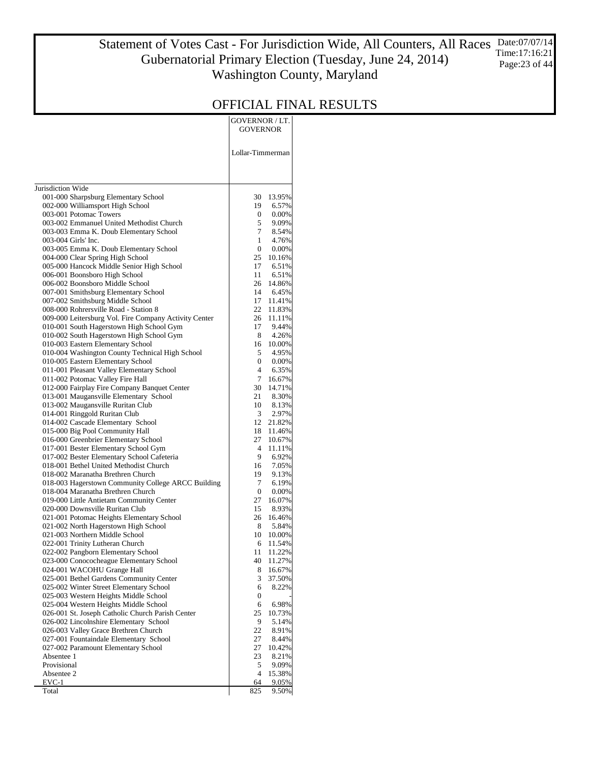#### Statement of Votes Cast - For Jurisdiction Wide, All Counters, All Races Gubernatorial Primary Election (Tuesday, June 24, 2014) Washington County, Maryland Date:07/07/14 Time:17:16:21 Page:23 of 44

|                                                                                           | <b>GOVERNOR / LT.</b><br><b>GOVERNOR</b> |
|-------------------------------------------------------------------------------------------|------------------------------------------|
|                                                                                           | Lollar-Timmerman                         |
| Jurisdiction Wide                                                                         |                                          |
| 001-000 Sharpsburg Elementary School                                                      | 30<br>13.95%                             |
| 002-000 Williamsport High School                                                          | 19<br>6.57%                              |
| 003-001 Potomac Towers<br>003-002 Emmanuel United Methodist Church                        | 0<br>$0.00\%$<br>5<br>9.09%              |
| 003-003 Emma K. Doub Elementary School                                                    | 7<br>8.54%                               |
| 003-004 Girls' Inc.                                                                       | 1<br>4.76%                               |
| 003-005 Emma K. Doub Elementary School                                                    | $\boldsymbol{0}$<br>$0.00\%$             |
| 004-000 Clear Spring High School                                                          | 25<br>10.16%                             |
| 005-000 Hancock Middle Senior High School                                                 | 17<br>6.51%                              |
| 006-001 Boonsboro High School                                                             | 11<br>6.51%                              |
| 006-002 Boonsboro Middle School<br>007-001 Smithsburg Elementary School                   | 26<br>14.86%<br>14<br>6.45%              |
| 007-002 Smithsburg Middle School                                                          | 17<br>11.41%                             |
| 008-000 Rohrersville Road - Station 8                                                     | 22<br>11.83%                             |
| 009-000 Leitersburg Vol. Fire Company Activity Center                                     | 26<br>11.11%                             |
| 010-001 South Hagerstown High School Gym                                                  | 17<br>9.44%                              |
| 010-002 South Hagerstown High School Gym                                                  | 8<br>4.26%                               |
| 010-003 Eastern Elementary School<br>010-004 Washington County Technical High School      | 16<br>10.00%<br>5<br>4.95%               |
| 010-005 Eastern Elementary School                                                         | 0<br>$0.00\%$                            |
| 011-001 Pleasant Valley Elementary School                                                 | $\overline{4}$<br>6.35%                  |
| 011-002 Potomac Valley Fire Hall                                                          | 7<br>16.67%                              |
| 012-000 Fairplay Fire Company Banquet Center                                              | 30<br>14.71%                             |
| 013-001 Maugansville Elementary School                                                    | 21<br>8.30%                              |
| 013-002 Maugansville Ruritan Club                                                         | 10<br>8.13%                              |
| 014-001 Ringgold Ruritan Club<br>014-002 Cascade Elementary School                        | 3<br>2.97%<br>12<br>21.82%               |
| 015-000 Big Pool Community Hall                                                           | 18<br>11.46%                             |
| 016-000 Greenbrier Elementary School                                                      | 27<br>10.67%                             |
| 017-001 Bester Elementary School Gym                                                      | 4<br>11.11%                              |
| 017-002 Bester Elementary School Cafeteria                                                | 9<br>6.92%                               |
| 018-001 Bethel United Methodist Church                                                    | 7.05%<br>16                              |
| 018-002 Maranatha Brethren Church<br>018-003 Hagerstown Community College ARCC Building   | 19<br>9.13%<br>7<br>6.19%                |
| 018-004 Maranatha Brethren Church                                                         | $\mathbf{0}$<br>$0.00\%$                 |
| 019-000 Little Antietam Community Center                                                  | 27<br>16.07%                             |
| 020-000 Downsville Ruritan Club                                                           | 15<br>8.93%                              |
| 021-001 Potomac Heights Elementary School                                                 | 26<br>16.46%                             |
| 021-002 North Hagerstown High School                                                      | 8<br>5.84%                               |
| 021-003 Northern Middle School                                                            | 10<br>10.00%<br>11.54%                   |
| 022-001 Trinity Lutheran Church<br>022-002 Pangborn Elementary School                     | 6<br>11<br>11.22%                        |
| 023-000 Conococheague Elementary School                                                   | 40<br>11.27%                             |
| 024-001 WACOHU Grange Hall                                                                | 8<br>16.67%                              |
| 025-001 Bethel Gardens Community Center                                                   | 3<br>37.50%                              |
| 025-002 Winter Street Elementary School                                                   | 6<br>8.22%                               |
| 025-003 Western Heights Middle School                                                     | 0                                        |
| 025-004 Western Heights Middle School<br>026-001 St. Joseph Catholic Church Parish Center | 6.98%<br>6<br>25<br>10.73%               |
| 026-002 Lincolnshire Elementary School                                                    | 9<br>5.14%                               |
| 026-003 Valley Grace Brethren Church                                                      | 22<br>8.91%                              |
| 027-001 Fountaindale Elementary School                                                    | 27<br>8.44%                              |
| 027-002 Paramount Elementary School                                                       | 27<br>10.42%                             |
| Absentee 1                                                                                | 23<br>8.21%                              |
| Provisional                                                                               | 5<br>9.09%<br>4                          |
| Absentee 2<br>EVC-1                                                                       | 15.38%<br>64<br>9.05%                    |
| Total                                                                                     | 825<br>9.50%                             |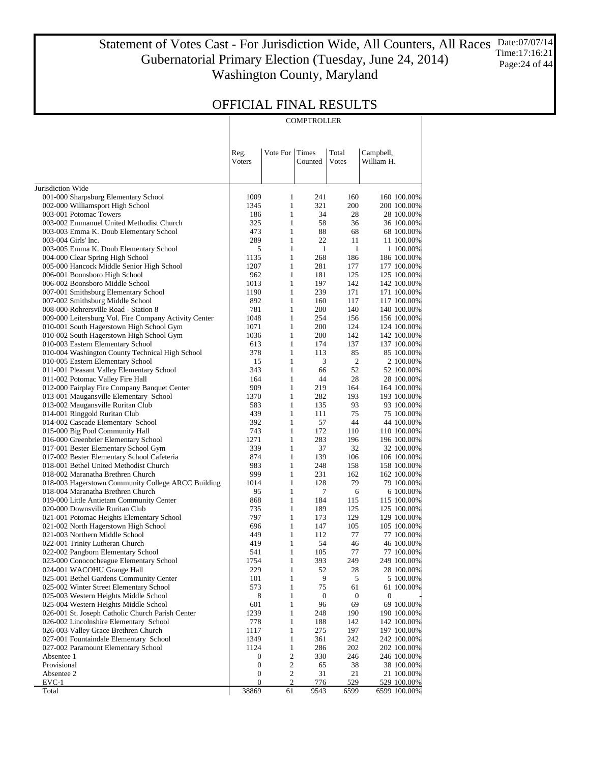Statement of Votes Cast - For Jurisdiction Wide, All Counters, All Races Date:07/07/14 Gubernatorial Primary Election (Tuesday, June 24, 2014) Washington County, Maryland Time:17:16:21 Page: 24 of 44

### OFFICIAL FINAL RESULTS

**COMPTROLLER** 

|                                                                                      | Reg.             | Vote For                     | Times            | Total            | Campbell,                 |
|--------------------------------------------------------------------------------------|------------------|------------------------------|------------------|------------------|---------------------------|
|                                                                                      | Voters           |                              | Counted          | Votes            | William H.                |
| Jurisdiction Wide                                                                    |                  |                              |                  |                  |                           |
| 001-000 Sharpsburg Elementary School                                                 | 1009             | 1                            | 241              | 160              | 160 100.00%               |
| 002-000 Williamsport High School                                                     | 1345             | $\mathbf{1}$                 | 321              | 200              | 200 100.00%               |
| 003-001 Potomac Towers                                                               | 186              | $\mathbf{1}$                 | 34               | 28               | 28 100.00%                |
| 003-002 Emmanuel United Methodist Church                                             | 325              | $\mathbf{1}$                 | 58               | 36               | 36 100.00%                |
| 003-003 Emma K. Doub Elementary School                                               | 473              | $\mathbf{1}$                 | 88               | 68               | 68 100.00%                |
| 003-004 Girls' Inc.                                                                  | 289              | $\mathbf{1}$                 | 22               | 11               | 11 100.00%                |
| 003-005 Emma K. Doub Elementary School                                               | 5                | $\mathbf{1}$                 | $\mathbf{1}$     | $\mathbf{1}$     | 1 100.00%                 |
| 004-000 Clear Spring High School                                                     | 1135             | $\mathbf{1}$                 | 268              | 186              | 186 100.00%               |
| 005-000 Hancock Middle Senior High School                                            | 1207             | $\mathbf{1}$                 | 281              | 177              | 177 100.00%               |
| 006-001 Boonsboro High School                                                        | 962              | $\mathbf{1}$                 | 181              | 125              | 125 100.00%               |
| 006-002 Boonsboro Middle School                                                      | 1013             | $\mathbf{1}$                 | 197              | 142              | 142 100.00%               |
| 007-001 Smithsburg Elementary School                                                 | 1190             | $\mathbf{1}$                 | 239              | 171              | 171 100.00%               |
| 007-002 Smithsburg Middle School                                                     | 892              | $\mathbf{1}$                 | 160              | 117              | 117 100.00%               |
| 008-000 Rohrersville Road - Station 8                                                | 781              | $\mathbf{1}$                 | 200              | 140              | 140 100.00%               |
| 009-000 Leitersburg Vol. Fire Company Activity Center                                | 1048             | $\mathbf{1}$                 | 254              | 156              | 156 100.00%               |
| 010-001 South Hagerstown High School Gym                                             | 1071             | $\mathbf{1}$                 | 200              | 124              | 124 100.00%               |
| 010-002 South Hagerstown High School Gym                                             | 1036             | $\mathbf{1}$                 | 200              | 142              | 142 100.00%               |
| 010-003 Eastern Elementary School<br>010-004 Washington County Technical High School | 613              | $\mathbf{1}$<br>$\mathbf{1}$ | 174              | 137              | 137 100.00%               |
| 010-005 Eastern Elementary School                                                    | 378<br>15        | $\mathbf{1}$                 | 113<br>3         | 85<br>$\sqrt{2}$ | 85 100.00%                |
| 011-001 Pleasant Valley Elementary School                                            | 343              | $\mathbf{1}$                 | 66               | 52               | 2 100.00%<br>52 100.00%   |
| 011-002 Potomac Valley Fire Hall                                                     | 164              | $\mathbf{1}$                 | 44               | 28               | 28 100.00%                |
| 012-000 Fairplay Fire Company Banquet Center                                         | 909              | $\mathbf{1}$                 | 219              | 164              | 164 100.00%               |
| 013-001 Maugansville Elementary School                                               | 1370             | $\mathbf{1}$                 | 282              | 193              | 193 100.00%               |
| 013-002 Maugansville Ruritan Club                                                    | 583              | $\mathbf{1}$                 | 135              | 93               | 93 100.00%                |
| 014-001 Ringgold Ruritan Club                                                        | 439              | $\mathbf{1}$                 | 111              | 75               | 75 100.00%                |
| 014-002 Cascade Elementary School                                                    | 392              | $\mathbf{1}$                 | 57               | 44               | 44 100.00%                |
| 015-000 Big Pool Community Hall                                                      | 743              | $\mathbf{1}$                 | 172              | 110              | 110 100.00%               |
| 016-000 Greenbrier Elementary School                                                 | 1271             | $\mathbf{1}$                 | 283              | 196              | 196 100.00%               |
| 017-001 Bester Elementary School Gym                                                 | 339              | $\mathbf{1}$                 | 37               | 32               | 32 100.00%                |
| 017-002 Bester Elementary School Cafeteria                                           | 874              | $\mathbf{1}$                 | 139              | 106              | 106 100.00%               |
| 018-001 Bethel United Methodist Church                                               | 983              | $\mathbf{1}$                 | 248              | 158              | 158 100.00%               |
| 018-002 Maranatha Brethren Church                                                    | 999              | $\mathbf{1}$                 | 231              | 162              | 162 100.00%               |
| 018-003 Hagerstown Community College ARCC Building                                   | 1014             | $\mathbf{1}$                 | 128              | 79               | 79 100.00%                |
| 018-004 Maranatha Brethren Church                                                    | 95               | $\mathbf{1}$                 | 7                | 6                | 6 100.00%                 |
| 019-000 Little Antietam Community Center                                             | 868              | $\mathbf{1}$                 | 184              | 115              | 115 100.00%               |
| 020-000 Downsville Ruritan Club                                                      | 735              | $\mathbf{1}$                 | 189              | 125              | 125 100.00%               |
| 021-001 Potomac Heights Elementary School                                            | 797              | $\mathbf{1}$                 | 173              | 129              | 129 100.00%               |
| 021-002 North Hagerstown High School                                                 | 696              | $\mathbf{1}$                 | 147              | 105              | 105 100.00%               |
| 021-003 Northern Middle School                                                       | 449              | $\mathbf{1}$                 | 112              | 77               | 77 100.00%                |
| 022-001 Trinity Lutheran Church                                                      | 419              | $\mathbf{1}$<br>$\mathbf{1}$ | 54<br>105        | 46<br>77         | 46 100.00%                |
| 022-002 Pangborn Elementary School                                                   | 541              |                              |                  | 249              | 77 100.00%                |
| 023-000 Conococheague Elementary School<br>024-001 WACOHU Grange Hall                | 1754<br>229      | 1<br>$\mathbf{1}$            | 393<br>52        | 28               | 249 100.00%<br>28 100.00% |
| 025-001 Bethel Gardens Community Center                                              | 101              | $\mathbf{1}$                 | 9                | 5                | 5 100.00%                 |
| 025-002 Winter Street Elementary School                                              | 573              | $\mathbf{1}$                 | 75               | 61               | 61 100.00%                |
| 025-003 Western Heights Middle School                                                | 8                | $\mathbf{1}$                 | $\boldsymbol{0}$ | 0                | $\boldsymbol{0}$          |
| 025-004 Western Heights Middle School                                                | 601              | $\mathbf{1}$                 | 96               | 69               | 69 100.00%                |
| 026-001 St. Joseph Catholic Church Parish Center                                     | 1239             | $\mathbf{1}$                 | 248              | 190              | 190 100.00%               |
| 026-002 Lincolnshire Elementary School                                               | 778              | $\mathbf{1}$                 | 188              | 142              | 142 100.00%               |
| 026-003 Valley Grace Brethren Church                                                 | 1117             | $\mathbf{1}$                 | 275              | 197              | 197 100.00%               |
| 027-001 Fountaindale Elementary School                                               | 1349             | $\mathbf{1}$                 | 361              | 242              | 242 100.00%               |
| 027-002 Paramount Elementary School                                                  | 1124             | $\mathbf{1}$                 | 286              | 202              | 202 100.00%               |
| Absentee 1                                                                           | 0                | $\mathbf{2}$                 | 330              | 246              | 246 100.00%               |
| Provisional                                                                          | $\boldsymbol{0}$ | $\mathbf{2}$                 | 65               | 38               | 38 100.00%                |
| Absentee 2                                                                           | $\boldsymbol{0}$ | $\overline{c}$               | 31               | 21               | 21 100.00%                |
| $EVC-1$                                                                              | $\boldsymbol{0}$ | $\overline{2}$               | 776              | 529              | 529 100.00%               |
| Total                                                                                | 38869            | 61                           | 9543             | 6599             | 6599 100.00%              |

 $\mathbb{R}$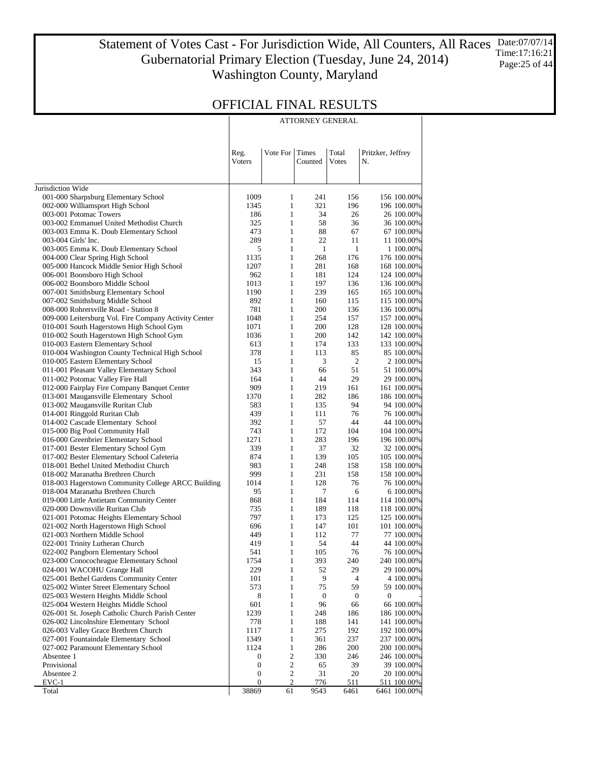Statement of Votes Cast - For Jurisdiction Wide, All Counters, All Races Gubernatorial Primary Election (Tuesday, June 24, 2014) Washington County, Maryland Date:07/07/14 Time:17:16:21 Page:25 of 44

ATTORNEY GENERAL

### OFFICIAL FINAL RESULTS

|                                                                                      | Reg.<br>Voters   | Vote For                     | Times<br>Counted       | Total<br>Votes         | Pritzker, Jeffrey<br>N.        |
|--------------------------------------------------------------------------------------|------------------|------------------------------|------------------------|------------------------|--------------------------------|
|                                                                                      |                  |                              |                        |                        |                                |
| Jurisdiction Wide                                                                    |                  |                              |                        |                        |                                |
| 001-000 Sharpsburg Elementary School                                                 | 1009             | $\mathbf{1}$                 | 241                    | 156                    | 156 100.00%                    |
| 002-000 Williamsport High School                                                     | 1345             | $\mathbf{1}$                 | 321                    | 196                    | 196 100.00%                    |
| 003-001 Potomac Towers                                                               | 186              | $\mathbf{1}$                 | 34                     | 26                     | 26 100.00%                     |
| 003-002 Emmanuel United Methodist Church<br>003-003 Emma K. Doub Elementary School   | 325<br>473       | $\mathbf{1}$<br>$\mathbf{1}$ | 58<br>88               | 36<br>67               | 36 100.00%<br>67 100.00%       |
| 003-004 Girls' Inc.                                                                  | 289              | $\mathbf{1}$                 | 22                     | 11                     | 11 100.00%                     |
| 003-005 Emma K. Doub Elementary School                                               | 5                | $\mathbf{1}$                 | $\mathbf{1}$           | 1                      | 1 100.00%                      |
| 004-000 Clear Spring High School                                                     | 1135             | $\mathbf{1}$                 | 268                    | 176                    | 176 100.00%                    |
| 005-000 Hancock Middle Senior High School                                            | 1207             | $\mathbf{1}$                 | 281                    | 168                    | 168 100.00%                    |
| 006-001 Boonsboro High School                                                        | 962              | $\mathbf{1}$                 | 181                    | 124                    | 124 100.00%                    |
| 006-002 Boonsboro Middle School                                                      | 1013             | $\mathbf{1}$                 | 197                    | 136                    | 136 100.00%                    |
| 007-001 Smithsburg Elementary School                                                 | 1190             | $\mathbf{1}$                 | 239                    | 165                    | 165 100.00%                    |
| 007-002 Smithsburg Middle School                                                     | 892              | $\mathbf{1}$                 | 160                    | 115                    | 115 100.00%                    |
| 008-000 Rohrersville Road - Station 8                                                | 781              | $\mathbf{1}$                 | 200                    | 136                    | 136 100.00%                    |
| 009-000 Leitersburg Vol. Fire Company Activity Center                                | 1048             | $\mathbf{1}$                 | 254                    | 157                    | 157 100.00%                    |
| 010-001 South Hagerstown High School Gym<br>010-002 South Hagerstown High School Gym | 1071             | $\mathbf{1}$<br>$\mathbf{1}$ | 200                    | 128<br>142             | 128 100.00%                    |
| 010-003 Eastern Elementary School                                                    | 1036<br>613      | $\mathbf{1}$                 | 200<br>174             | 133                    | 142 100.00%<br>133 100.00%     |
| 010-004 Washington County Technical High School                                      | 378              | $\mathbf{1}$                 | 113                    | 85                     | 85 100.00%                     |
| 010-005 Eastern Elementary School                                                    | 15               | $\mathbf{1}$                 | 3                      | $\mathfrak{2}$         | 2 100.00%                      |
| 011-001 Pleasant Valley Elementary School                                            | 343              | $\mathbf{1}$                 | 66                     | 51                     | 51 100.00%                     |
| 011-002 Potomac Valley Fire Hall                                                     | 164              | $\mathbf{1}$                 | 44                     | 29                     | 29 100.00%                     |
| 012-000 Fairplay Fire Company Banquet Center                                         | 909              | $\mathbf{1}$                 | 219                    | 161                    | 161 100.00%                    |
| 013-001 Maugansville Elementary School                                               | 1370             | $\mathbf{1}$                 | 282                    | 186                    | 186 100.00%                    |
| 013-002 Maugansville Ruritan Club                                                    | 583              | $\mathbf{1}$                 | 135                    | 94                     | 94 100.00%                     |
| 014-001 Ringgold Ruritan Club                                                        | 439              | $\mathbf{1}$                 | 111                    | 76                     | 76 100.00%                     |
| 014-002 Cascade Elementary School                                                    | 392              | $\mathbf{1}$                 | 57                     | 44                     | 44 100.00%                     |
| 015-000 Big Pool Community Hall                                                      | 743              | $\mathbf{1}$                 | 172                    | 104                    | 104 100.00%                    |
| 016-000 Greenbrier Elementary School                                                 | 1271             | $\mathbf{1}$                 | 283                    | 196                    | 196 100.00%                    |
| 017-001 Bester Elementary School Gym                                                 | 339              | $\mathbf{1}$                 | 37                     | 32                     | 32 100.00%                     |
| 017-002 Bester Elementary School Cafeteria                                           | 874              | $\mathbf{1}$                 | 139                    | 105                    | 105 100.00%                    |
| 018-001 Bethel United Methodist Church<br>018-002 Maranatha Brethren Church          | 983<br>999       | $\mathbf{1}$<br>$\mathbf{1}$ | 248<br>231             | 158<br>158             | 158 100.00%<br>158 100.00%     |
| 018-003 Hagerstown Community College ARCC Building                                   | 1014             | $\mathbf{1}$                 | 128                    | 76                     | 76 100.00%                     |
| 018-004 Maranatha Brethren Church                                                    | 95               | $\mathbf{1}$                 | 7                      | 6                      | 6 100.00%                      |
| 019-000 Little Antietam Community Center                                             | 868              | $\mathbf{1}$                 | 184                    | 114                    | 114 100.00%                    |
| 020-000 Downsville Ruritan Club                                                      | 735              | $\mathbf{1}$                 | 189                    | 118                    | 118 100.00%                    |
| 021-001 Potomac Heights Elementary School                                            | 797              | $\mathbf{1}$                 | 173                    | 125                    | 125 100.00%                    |
| 021-002 North Hagerstown High School                                                 | 696              | $\mathbf{1}$                 | 147                    | 101                    | 101 100.00%                    |
| 021-003 Northern Middle School                                                       | 449              | $\mathbf{1}$                 | 112                    | 77                     | 77 100.00%                     |
| 022-001 Trinity Lutheran Church                                                      | 419              | $\mathbf{1}$                 | 54                     | 44                     | 44 100.00%                     |
| 022-002 Pangborn Elementary School                                                   | 541              | $\mathbf{1}$                 | 105                    | 76                     | 76 100.00%                     |
| 023-000 Conococheague Elementary School                                              | 1754             | $\mathbf{1}$                 | 393                    | 240                    | 240 100.00%                    |
| 024-001 WACOHU Grange Hall                                                           | 229              | $\mathbf{1}$                 | 52                     | 29                     | 29 100.00%                     |
| 025-001 Bethel Gardens Community Center                                              | 101              | $\mathbf{1}$                 | 9                      | 4                      | 4 100.00%                      |
| 025-002 Winter Street Elementary School                                              | 573              | $\mathbf{1}$<br>$\mathbf{1}$ | 75                     | 59                     | 59 100.00%<br>$\boldsymbol{0}$ |
| 025-003 Western Heights Middle School<br>025-004 Western Heights Middle School       | 8<br>601         | $\mathbf{1}$                 | $\boldsymbol{0}$<br>96 | $\boldsymbol{0}$<br>66 | 66 100.00%                     |
| 026-001 St. Joseph Catholic Church Parish Center                                     | 1239             | $\mathbf{1}$                 | 248                    | 186                    | 186 100.00%                    |
| 026-002 Lincolnshire Elementary School                                               | 778              | $\mathbf{1}$                 | 188                    | 141                    | 141 100.00%                    |
| 026-003 Valley Grace Brethren Church                                                 | 1117             | $\mathbf{1}$                 | 275                    | 192                    | 192 100.00%                    |
| 027-001 Fountaindale Elementary School                                               | 1349             | $\mathbf{1}$                 | 361                    | 237                    | 237 100.00%                    |
| 027-002 Paramount Elementary School                                                  | 1124             | $\mathbf{1}$                 | 286                    | 200                    | 200 100.00%                    |
| Absentee 1                                                                           | $\boldsymbol{0}$ | $\mathbf{2}$                 | 330                    | 246                    | 246 100.00%                    |
| Provisional                                                                          | 0                | $\mathbf{2}$                 | 65                     | 39                     | 39 100.00%                     |
| Absentee 2                                                                           | 0                | $\mathbf{2}$                 | 31                     | 20                     | 20 100.00%                     |
| EVC-1                                                                                | $\boldsymbol{0}$ | $\overline{2}$               | 776                    | 511                    | 511 100.00%                    |
| Total                                                                                | 38869            | 61                           | 9543                   | 6461                   | 6461 100.00%                   |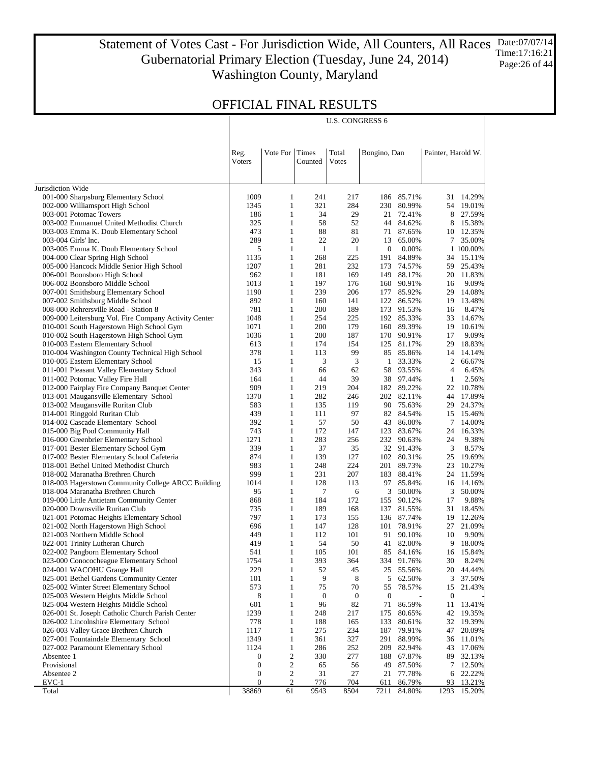#### Statement of Votes Cast - For Jurisdiction Wide, All Counters, All Races Gubernatorial Primary Election (Tuesday, June 24, 2014) Washington County, Maryland Date:07/07/14 Time:17:16:21 Page:26 of 44

U.S. CONGRESS 6

|                                                                                    | Reg.<br><b>V</b> oters | Vote For                     | Times<br>Counted | Total<br>Votes | Bongino, Dan     |                          | Painter, Harold W. |                    |
|------------------------------------------------------------------------------------|------------------------|------------------------------|------------------|----------------|------------------|--------------------------|--------------------|--------------------|
|                                                                                    |                        |                              |                  |                |                  |                          |                    |                    |
| Jurisdiction Wide                                                                  |                        |                              |                  |                |                  |                          |                    |                    |
| 001-000 Sharpsburg Elementary School                                               | 1009<br>1345           | 1<br>$\mathbf{1}$            | 241              | 217<br>284     | 186<br>230       | 85.71%<br>80.99%         | 31                 | 14.29%             |
| 002-000 Williamsport High School<br>003-001 Potomac Towers                         | 186                    | $\mathbf{1}$                 | 321<br>34        | 29             |                  | 21 72.41%                | 54<br>8            | 19.01%<br>27.59%   |
| 003-002 Emmanuel United Methodist Church                                           | 325                    | $\mathbf{1}$                 | 58               | 52             |                  | 44 84.62%                | 8                  | 15.38%             |
| 003-003 Emma K. Doub Elementary School                                             | 473                    | $\mathbf{1}$                 | 88               | 81             |                  | 71 87.65%                | 10                 | 12.35%             |
| 003-004 Girls' Inc.                                                                | 289                    | $\mathbf{1}$                 | 22               | 20             | 13               | 65.00%                   | 7                  | 35.00%             |
| 003-005 Emma K. Doub Elementary School                                             | 5                      | $\mathbf{1}$                 | $\mathbf{1}$     | $\mathbf{1}$   | $\boldsymbol{0}$ | 0.00%                    |                    | 1 100.00%          |
| 004-000 Clear Spring High School                                                   | 1135                   | $\mathbf{1}$                 | 268              | 225            | 191              | 84.89%                   | 34                 | 15.11%             |
| 005-000 Hancock Middle Senior High School                                          | 1207                   | $\mathbf{1}$                 | 281              | 232            | 173              | 74.57%                   | 59                 | 25.43%             |
| 006-001 Boonsboro High School                                                      | 962                    | $\mathbf{1}$                 | 181              | 169            | 149              | 88.17%                   | 20                 | 11.83%             |
| 006-002 Boonsboro Middle School                                                    | 1013                   | $\mathbf{1}$                 | 197              | 176            | 160              | 90.91%                   | 16                 | 9.09%              |
| 007-001 Smithsburg Elementary School                                               | 1190                   | $\mathbf{1}$                 | 239              | 206            |                  | 177 85.92%               | 29                 | 14.08%             |
| 007-002 Smithsburg Middle School                                                   | 892                    | $\mathbf{1}$                 | 160              | 141            | 122              | 86.52%                   | 19                 | 13.48%             |
| 008-000 Rohrersville Road - Station 8                                              | 781                    | $\mathbf{1}$                 | 200              | 189            |                  | 173 91.53%               | 16                 | 8.47%              |
| 009-000 Leitersburg Vol. Fire Company Activity Center                              | 1048                   | $\mathbf{1}$                 | 254              | 225            |                  | 192 85.33%               | 33                 | 14.67%             |
| 010-001 South Hagerstown High School Gym                                           | 1071                   | $\mathbf{1}$                 | 200              | 179            |                  | 160 89.39%               | 19                 | 10.61%             |
| 010-002 South Hagerstown High School Gym                                           | 1036                   | $\mathbf{1}$                 | 200              | 187            |                  | 170 90.91%               | 17                 | 9.09%              |
| 010-003 Eastern Elementary School                                                  | 613                    | $\mathbf{1}$                 | 174              | 154            |                  | 125 81.17%               | 29                 | 18.83%             |
| 010-004 Washington County Technical High School                                    | 378                    | $\mathbf{1}$                 | 113              | 99             |                  | 85 85.86%                | 14                 | 14.14%             |
| 010-005 Eastern Elementary School                                                  | 15                     | $\mathbf{1}$                 | 3                | 3              | $\mathbf{1}$     | 33.33%                   | 2                  | 66.67%             |
| 011-001 Pleasant Valley Elementary School                                          | 343                    | $\mathbf{1}$                 | 66               | 62             | 58               | 93.55%                   | 4                  | 6.45%              |
| 011-002 Potomac Valley Fire Hall                                                   | 164                    | $\mathbf{1}$                 | 44               | 39             |                  | 38 97.44%                | 1                  | 2.56%              |
| 012-000 Fairplay Fire Company Banquet Center                                       | 909<br>1370            | $\mathbf{1}$<br>$\mathbf{1}$ | 219<br>282       | 204<br>246     |                  | 182 89.22%<br>202 82.11% | 22<br>44           | 10.78%<br>17.89%   |
| 013-001 Maugansville Elementary School                                             | 583                    | $\mathbf{1}$                 | 135              | 119            |                  | 90 75.63%                | 29                 | 24.37%             |
| 013-002 Maugansville Ruritan Club<br>014-001 Ringgold Ruritan Club                 | 439                    | $\mathbf{1}$                 | 111              | 97             |                  | 82 84.54%                | 15                 | 15.46%             |
| 014-002 Cascade Elementary School                                                  | 392                    | $\mathbf{1}$                 | 57               | 50             | 43               | 86.00%                   | 7                  | 14.00%             |
| 015-000 Big Pool Community Hall                                                    | 743                    | $\mathbf{1}$                 | 172              | 147            | 123              | 83.67%                   | 24                 | 16.33%             |
| 016-000 Greenbrier Elementary School                                               | 1271                   | $\mathbf{1}$                 | 283              | 256            |                  | 232 90.63%               | 24                 | 9.38%              |
| 017-001 Bester Elementary School Gym                                               | 339                    | $\mathbf{1}$                 | 37               | 35             |                  | 32 91.43%                | 3                  | 8.57%              |
| 017-002 Bester Elementary School Cafeteria                                         | 874                    | $\mathbf{1}$                 | 139              | 127            |                  | 102 80.31%               | 25                 | 19.69%             |
| 018-001 Bethel United Methodist Church                                             | 983                    | $\mathbf{1}$                 | 248              | 224            |                  | 201 89.73%               | 23                 | 10.27%             |
| 018-002 Maranatha Brethren Church                                                  | 999                    | $\mathbf{1}$                 | 231              | 207            | 183              | 88.41%                   | 24                 | 11.59%             |
| 018-003 Hagerstown Community College ARCC Building                                 | 1014                   | $\mathbf{1}$                 | 128              | 113            | 97               | 85.84%                   | 16                 | 14.16%             |
| 018-004 Maranatha Brethren Church                                                  | 95                     | $\mathbf{1}$                 | 7                | 6              | 3                | 50.00%                   | 3                  | 50.00%             |
| 019-000 Little Antietam Community Center                                           | 868                    | 1                            | 184              | 172            | 155              | 90.12%                   | 17                 | 9.88%              |
| 020-000 Downsville Ruritan Club                                                    | 735                    | $\mathbf{1}$                 | 189              | 168            | 137              | 81.55%                   | 31                 | 18.45%             |
| 021-001 Potomac Heights Elementary School                                          | 797                    | $\mathbf{1}$                 | 173              | 155            |                  | 136 87.74%               | 19                 | 12.26%             |
| 021-002 North Hagerstown High School                                               | 696                    | $\mathbf{1}$                 | 147              | 128            |                  | 101 78.91%               | 27                 | 21.09%             |
| 021-003 Northern Middle School                                                     | 449                    | $\mathbf{1}$                 | 112              | 101            |                  | 91 90.10%                | 10                 | 9.90%              |
| 022-001 Trinity Lutheran Church                                                    | 419                    | $\mathbf{1}$                 | 54               | 50             |                  | 41 82.00%                | 9                  | 18.00%             |
| 022-002 Pangborn Elementary School                                                 | 541                    | $\mathbf{1}$                 | 105              | 101            |                  | 85 84.16%                | 16                 | 15.84%             |
| 023-000 Conococheague Elementary School                                            | 1754                   | 1                            | 393              | 364            |                  | 334 91.76%               |                    | 30 8.24%<br>44.44% |
| 024-001 WACOHU Grange Hall                                                         | 229<br>101             | 1<br>1                       | 52<br>9          | 45<br>8        | 25<br>5          | 55.56%<br>62.50%         | 20<br>3            | 37.50%             |
| 025-001 Bethel Gardens Community Center<br>025-002 Winter Street Elementary School | 573                    | 1                            | 75               | 70             | 55               | 78.57%                   | 15                 | 21.43%             |
| 025-003 Western Heights Middle School                                              | 8                      | 1                            | $\boldsymbol{0}$ | $\mathbf{0}$   | $\boldsymbol{0}$ |                          | $\bf{0}$           |                    |
| 025-004 Western Heights Middle School                                              | 601                    | 1                            | 96               | 82             | 71               | 86.59%                   | 11                 | 13.41%             |
| 026-001 St. Joseph Catholic Church Parish Center                                   | 1239                   | 1                            | 248              | 217            | 175              | 80.65%                   | 42                 | 19.35%             |
| 026-002 Lincolnshire Elementary School                                             | 778                    | 1                            | 188              | 165            | 133              | 80.61%                   | 32                 | 19.39%             |
| 026-003 Valley Grace Brethren Church                                               | 1117                   | 1                            | 275              | 234            | 187              | 79.91%                   | 47                 | 20.09%             |
| 027-001 Fountaindale Elementary School                                             | 1349                   | 1                            | 361              | 327            | 291              | 88.99%                   | 36                 | 11.01%             |
| 027-002 Paramount Elementary School                                                | 1124                   | 1                            | 286              | 252            | 209              | 82.94%                   | 43                 | 17.06%             |
| Absentee 1                                                                         | $\boldsymbol{0}$       | $\overline{c}$               | 330              | 277            | 188              | 67.87%                   | 89                 | 32.13%             |
| Provisional                                                                        | $\boldsymbol{0}$       | 2                            | 65               | 56             | 49               | 87.50%                   | 7                  | 12.50%             |
| Absentee 2                                                                         | 0                      | 2                            | 31               | 27             | 21               | 77.78%                   | 6                  | 22.22%             |
| $EVC-1$                                                                            | $\mathbf{0}$           | 2                            | <u>776</u>       | 704            | 611              | 86.79%                   | 93                 | 13.21%             |
| Total                                                                              | 38869                  | 61                           | 9543             | 8504           | 7211             | 84.80%                   | 1293               | 15.20%             |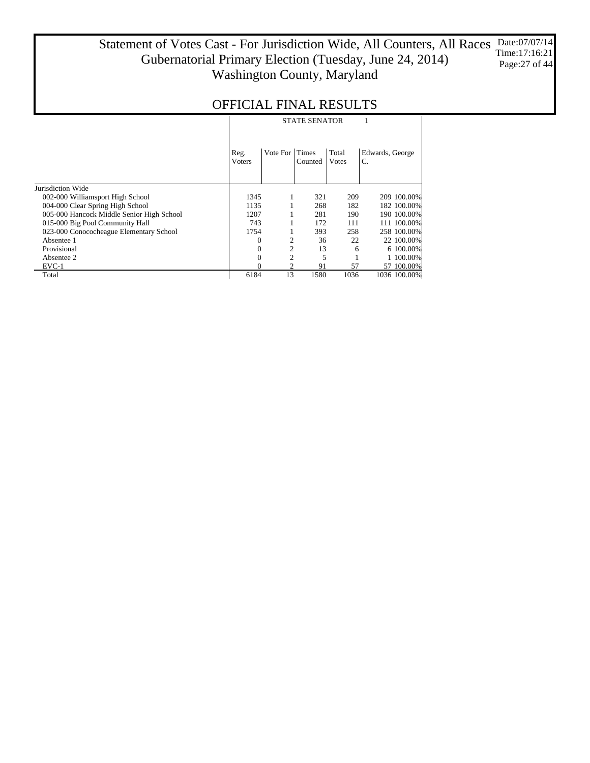#### Statement of Votes Cast - For Jurisdiction Wide, All Counters, All Races Gubernatorial Primary Election (Tuesday, June 24, 2014) Washington County, Maryland Date:07/07/14 Time:17:16:21 Page:27 of 44

|                                           | <b>STATE SENATOR</b>   |                |         |                |                       |  |  |  |  |
|-------------------------------------------|------------------------|----------------|---------|----------------|-----------------------|--|--|--|--|
|                                           | Reg.<br><b>V</b> oters | Vote For Times | Counted | Total<br>Votes | Edwards, George<br>C. |  |  |  |  |
| Jurisdiction Wide                         |                        |                |         |                |                       |  |  |  |  |
| 002-000 Williamsport High School          | 1345                   |                | 321     | 209            | 209 100,00%           |  |  |  |  |
| 004-000 Clear Spring High School          | 1135                   |                | 268     | 182            | 182 100.00%           |  |  |  |  |
| 005-000 Hancock Middle Senior High School | 1207                   |                | 281     | 190            | 190 100.00%           |  |  |  |  |
| 015-000 Big Pool Community Hall           | 743                    |                | 172     | 111            | 111 100.00%           |  |  |  |  |
| 023-000 Conococheague Elementary School   | 1754                   |                | 393     | 258            | 258 100,00%           |  |  |  |  |
| Absentee 1                                | 0                      | 2              | 36      | 22             | 22 100,00%            |  |  |  |  |
| Provisional                               |                        | 2              | 13      | 6              | 6 100,00%             |  |  |  |  |
| Absentee 2                                | 0                      | 2              | 5       |                | 1 100.00%             |  |  |  |  |
| $EVC-1$                                   |                        |                | 91      | 57             | 57 100.00%            |  |  |  |  |
| Total                                     | 6184                   | 13             | 1580    | 1036           | 1036 100.00%          |  |  |  |  |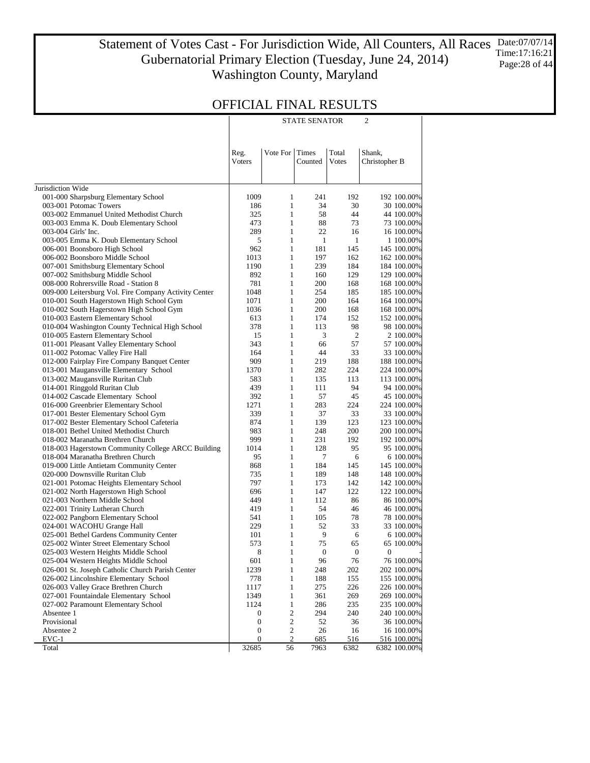Statement of Votes Cast - For Jurisdiction Wide, All Counters, All Races Gubernatorial Primary Election (Tuesday, June 24, 2014) Washington County, Maryland Date:07/07/14 Time:17:16:21 Page:28 of 44

STATE SENATOR 2

### OFFICIAL FINAL RESULTS

|                                                                           | Reg.<br>Voters                   | Vote For                     | Times<br>Counted | Total<br>Votes   | Shank,<br>Christopher B     |
|---------------------------------------------------------------------------|----------------------------------|------------------------------|------------------|------------------|-----------------------------|
|                                                                           |                                  |                              |                  |                  |                             |
| Jurisdiction Wide                                                         |                                  |                              |                  |                  |                             |
| 001-000 Sharpsburg Elementary School                                      | 1009                             | 1                            | 241              | 192              | 192 100.00%                 |
| 003-001 Potomac Towers                                                    | 186                              | $\mathbf{1}$                 | 34               | 30               | 30 100.00%                  |
| 003-002 Emmanuel United Methodist Church                                  | 325                              | $\mathbf{1}$                 | 58               | 44               | 44 100.00%                  |
| 003-003 Emma K. Doub Elementary School                                    | 473                              | $\mathbf{1}$                 | 88               | 73               | 73 100.00%                  |
| 003-004 Girls' Inc.                                                       | 289                              | $\mathbf{1}$                 | 22               | 16               | 16 100.00%                  |
| 003-005 Emma K. Doub Elementary School                                    | 5                                | $\mathbf{1}$                 | $\mathbf{1}$     | $\mathbf{1}$     | 1 100.00%                   |
| 006-001 Boonsboro High School                                             | 962                              | $\mathbf{1}$                 | 181              | 145              | 145 100.00%                 |
| 006-002 Boonsboro Middle School                                           | 1013                             | $\mathbf{1}$                 | 197              | 162              | 162 100.00%                 |
| 007-001 Smithsburg Elementary School                                      | 1190                             | $\mathbf{1}$                 | 239              | 184              | 184 100.00%                 |
| 007-002 Smithsburg Middle School                                          | 892                              | $\mathbf{1}$                 | 160              | 129              | 129 100.00%                 |
| 008-000 Rohrersville Road - Station 8                                     | 781                              | $\mathbf{1}$                 | 200              | 168              | 168 100.00%                 |
| 009-000 Leitersburg Vol. Fire Company Activity Center                     | 1048                             | $\mathbf{1}$                 | 254              | 185              | 185 100.00%                 |
| 010-001 South Hagerstown High School Gym                                  | 1071                             | $\mathbf{1}$                 | 200              | 164              | 164 100.00%                 |
| 010-002 South Hagerstown High School Gym                                  | 1036                             | $\mathbf{1}$                 | 200              | 168              | 168 100.00%                 |
| 010-003 Eastern Elementary School                                         | 613                              | $\mathbf{1}$                 | 174              | 152              | 152 100.00%                 |
| 010-004 Washington County Technical High School                           | 378                              | $\mathbf{1}$                 | 113              | 98               | 98 100.00%                  |
| 010-005 Eastern Elementary School                                         | 15                               | $\mathbf{1}$                 | 3                | $\mathbf{2}$     | 2 100.00%                   |
| 011-001 Pleasant Valley Elementary School                                 | 343                              | $\mathbf{1}$                 | 66               | 57               | 57 100.00%                  |
| 011-002 Potomac Valley Fire Hall                                          | 164                              | $\mathbf{1}$                 | 44               | 33               | 33 100.00%                  |
| 012-000 Fairplay Fire Company Banquet Center                              | 909                              | $\mathbf{1}$                 | 219              | 188              | 188 100.00%                 |
| 013-001 Maugansville Elementary School                                    | 1370                             | $\mathbf{1}$                 | 282              | 224              | 224 100.00%                 |
| 013-002 Maugansville Ruritan Club                                         | 583                              | $\mathbf{1}$                 | 135              | 113              | 113 100.00%                 |
| 014-001 Ringgold Ruritan Club                                             | 439<br>392                       | $\mathbf{1}$<br>$\mathbf{1}$ | 111<br>57        | 94<br>45         | 94 100.00%<br>45 100.00%    |
| 014-002 Cascade Elementary School<br>016-000 Greenbrier Elementary School | 1271                             | $\mathbf{1}$                 | 283              | 224              |                             |
| 017-001 Bester Elementary School Gym                                      | 339                              | $\mathbf{1}$                 | 37               | 33               | 224 100.00%<br>33 100.00%   |
| 017-002 Bester Elementary School Cafeteria                                | 874                              | $\mathbf{1}$                 | 139              | 123              | 123 100.00%                 |
| 018-001 Bethel United Methodist Church                                    | 983                              | $\mathbf{1}$                 | 248              | 200              | 200 100.00%                 |
| 018-002 Maranatha Brethren Church                                         | 999                              | $\mathbf{1}$                 | 231              | 192              | 192 100.00%                 |
| 018-003 Hagerstown Community College ARCC Building                        | 1014                             | $\mathbf{1}$                 | 128              | 95               | 95 100.00%                  |
| 018-004 Maranatha Brethren Church                                         | 95                               | $\mathbf{1}$                 | 7                | 6                | 6 100.00%                   |
| 019-000 Little Antietam Community Center                                  | 868                              | $\mathbf{1}$                 | 184              | 145              | 145 100.00%                 |
| 020-000 Downsville Ruritan Club                                           | 735                              | $\mathbf{1}$                 | 189              | 148              | 148 100.00%                 |
| 021-001 Potomac Heights Elementary School                                 | 797                              | $\mathbf{1}$                 | 173              | 142              | 142 100.00%                 |
| 021-002 North Hagerstown High School                                      | 696                              | $\mathbf{1}$                 | 147              | 122              | 122 100.00%                 |
| 021-003 Northern Middle School                                            | 449                              | $\mathbf{1}$                 | 112              | 86               | 86 100.00%                  |
| 022-001 Trinity Lutheran Church                                           | 419                              | $\mathbf{1}$                 | 54               | 46               | 46 100.00%                  |
| 022-002 Pangborn Elementary School                                        | 541                              | $\mathbf{1}$                 | 105              | 78               | 78 100.00%                  |
| 024-001 WACOHU Grange Hall                                                | 229                              | $\mathbf{1}$                 | 52               | 33               | 33 100.00%                  |
| 025-001 Bethel Gardens Community Center                                   | 101                              | $\mathbf{1}$                 | 9                | 6                | 6 100.00%                   |
| 025-002 Winter Street Elementary School                                   | 573                              | $\mathbf{1}$                 | 75               | 65               | 65 100.00%                  |
| 025-003 Western Heights Middle School                                     | 8                                | 1                            | $\boldsymbol{0}$ | $\boldsymbol{0}$ | 0                           |
| 025-004 Western Heights Middle School                                     | 601                              | 1                            | 96               | 76               | 76 100.00%                  |
| 026-001 St. Joseph Catholic Church Parish Center                          | 1239                             | $\mathbf{1}$                 | 248              | 202              | 202 100.00%                 |
| 026-002 Lincolnshire Elementary School                                    | 778                              | $\mathbf{1}$                 | 188              | 155              | 155 100.00%                 |
| 026-003 Valley Grace Brethren Church                                      | 1117                             | $\mathbf{1}$                 | 275              | 226              | 226 100.00%                 |
| 027-001 Fountaindale Elementary School                                    | 1349                             | $\mathbf{1}$                 | 361              | 269              | 269 100.00%                 |
| 027-002 Paramount Elementary School                                       | 1124                             | $\mathbf{1}$                 | 286              | 235              | 235 100.00%                 |
| Absentee 1                                                                | 0                                | $\sqrt{2}$                   | 294              | 240              | 240 100.00%                 |
| Provisional                                                               | $\boldsymbol{0}$                 | $\sqrt{2}$                   | 52               | 36               | 36 100.00%                  |
| Absentee 2                                                                | $\boldsymbol{0}$<br>$\mathbf{0}$ | $\sqrt{2}$                   | 26               | 16               | 16 100.00%                  |
| $EVC-1$<br>Total                                                          | 32685                            | $\mathfrak{2}$<br>56         | 685<br>7963      | 516<br>6382      | 516 100.00%<br>6382 100.00% |
|                                                                           |                                  |                              |                  |                  |                             |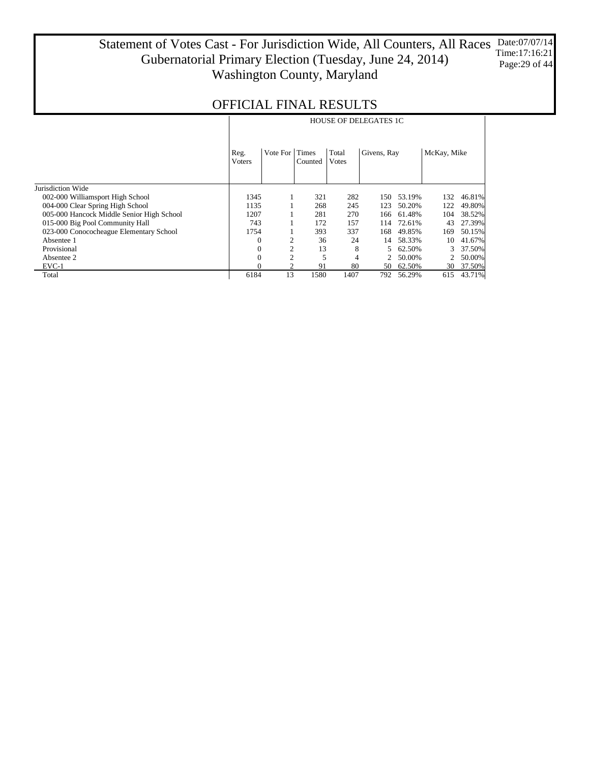#### Statement of Votes Cast - For Jurisdiction Wide, All Counters, All Races Gubernatorial Primary Election (Tuesday, June 24, 2014) Washington County, Maryland Date:07/07/14 Time:17:16:21 Page:29 of 44

|                                           |                        | <b>HOUSE OF DELEGATES 1C</b> |                         |                |             |        |                |        |  |  |  |
|-------------------------------------------|------------------------|------------------------------|-------------------------|----------------|-------------|--------|----------------|--------|--|--|--|
|                                           | Reg.<br><b>V</b> oters | Vote For                     | <b>Times</b><br>Counted | Total<br>Votes | Givens, Ray |        | McKay, Mike    |        |  |  |  |
| Jurisdiction Wide                         |                        |                              |                         |                |             |        |                |        |  |  |  |
| 002-000 Williamsport High School          | 1345                   |                              | 321                     | 282            | 150         | 53.19% | 132            | 46.81% |  |  |  |
| 004-000 Clear Spring High School          | 1135                   |                              | 268                     | 245            | 123         | 50.20% | 122            | 49.80% |  |  |  |
| 005-000 Hancock Middle Senior High School | 1207                   |                              | 281                     | 270            | 166         | 61.48% | 104            | 38.52% |  |  |  |
| 015-000 Big Pool Community Hall           | 743                    |                              | 172                     | 157            | 114         | 72.61% | 43             | 27.39% |  |  |  |
| 023-000 Conococheague Elementary School   | 1754                   |                              | 393                     | 337            | 168         | 49.85% | 169            | 50.15% |  |  |  |
| Absentee 1                                | $\Omega$               | 2                            | 36                      | 24             | 14          | 58.33% | 10             | 41.67% |  |  |  |
| Provisional                               | $\Omega$               | $\overline{c}$               | 13                      | 8              | 5           | 62.50% | 3              | 37.50% |  |  |  |
| Absentee 2                                | $\theta$               | $\overline{c}$               | 5                       | 4              |             | 50.00% | $\overline{2}$ | 50.00% |  |  |  |
| $EVC-1$                                   |                        | 2                            | 91                      | 80             | 50          | 62.50% | 30             | 37.50% |  |  |  |
| Total                                     | 6184                   | 13                           | 1580                    | 1407           | 792         | 56.29% | 615            | 43.71% |  |  |  |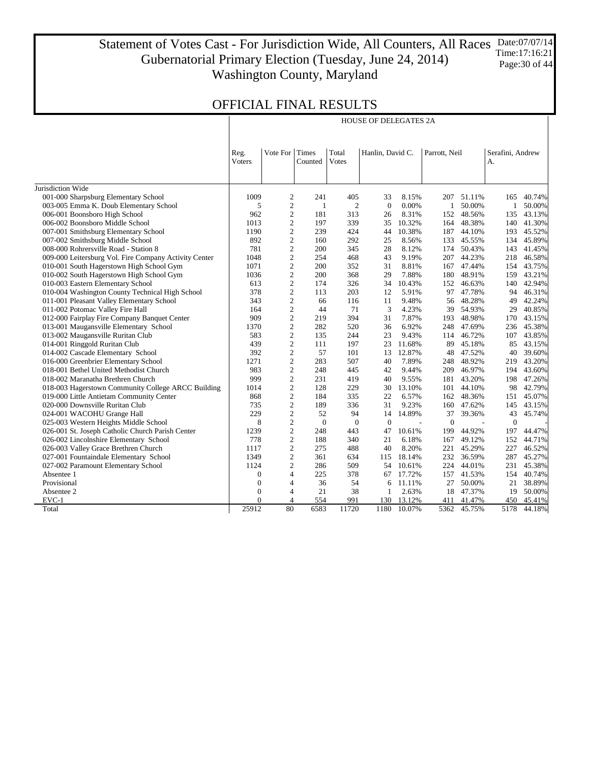Statement of Votes Cast - For Jurisdiction Wide, All Counters, All Races Gubernatorial Primary Election (Tuesday, June 24, 2014) Washington County, Maryland Date:07/07/14 Time:17:16:21 Page:30 of 44

HOUSE OF DELEGATES 2A

|                                                       | Reg.           | Vote For                         | Times        | Total          | Hanlin, David C. |                | Parrott, Neil |           | Serafini, Andrew |        |
|-------------------------------------------------------|----------------|----------------------------------|--------------|----------------|------------------|----------------|---------------|-----------|------------------|--------|
|                                                       | <b>V</b> oters |                                  | Counted      | Votes          |                  |                |               |           | A.               |        |
|                                                       |                |                                  |              |                |                  |                |               |           |                  |        |
|                                                       |                |                                  |              |                |                  |                |               |           |                  |        |
| Jurisdiction Wide                                     |                |                                  |              |                |                  |                |               |           |                  |        |
| 001-000 Sharpsburg Elementary School                  | 1009           | 2                                | 241          | 405            | 33               | 8.15%          | 207           | 51.11%    | 165              | 40.74% |
| 003-005 Emma K. Doub Elementary School                | 5              | $\overline{c}$<br>$\overline{c}$ | 1<br>181     | $\overline{2}$ | $\mathbf{0}$     | 0.00%<br>8.31% | $\mathbf{1}$  | 50.00%    | $\mathbf{1}$     | 50.00% |
| 006-001 Boonsboro High School                         | 962            |                                  |              | 313            | 26               |                | 152           | 48.56%    | 135              | 43.13% |
| 006-002 Boonsboro Middle School                       | 1013           | $\boldsymbol{2}$                 | 197          | 339            | 35               | 10.32%         | 164           | 48.38%    | 140              | 41.30% |
| 007-001 Smithsburg Elementary School                  | 1190           | $\sqrt{2}$                       | 239          | 424            | 44               | 10.38%         | 187           | 44.10%    | 193              | 45.52% |
| 007-002 Smithsburg Middle School                      | 892            | $\overline{c}$                   | 160          | 292            | 25               | 8.56%          | 133           | 45.55%    | 134              | 45.89% |
| 008-000 Rohrersville Road - Station 8                 | 781            | $\sqrt{2}$                       | 200          | 345            | 28               | 8.12%          | 174           | 50.43%    | 143              | 41.45% |
| 009-000 Leitersburg Vol. Fire Company Activity Center | 1048           | $\sqrt{2}$                       | 254          | 468            | 43               | 9.19%          | 207           | 44.23%    | 218              | 46.58% |
| 010-001 South Hagerstown High School Gym              | 1071           | $\overline{c}$                   | 200          | 352            | 31               | 8.81%          | 167           | 47.44%    | 154              | 43.75% |
| 010-002 South Hagerstown High School Gym              | 1036           | $\sqrt{2}$                       | 200          | 368            | 29               | 7.88%          | 180           | 48.91%    | 159              | 43.21% |
| 010-003 Eastern Elementary School                     | 613            | $\sqrt{2}$                       | 174          | 326            | 34               | 10.43%         | 152           | 46.63%    | 140              | 42.94% |
| 010-004 Washington County Technical High School       | 378            | $\sqrt{2}$                       | 113          | 203            | 12               | 5.91%          | 97            | 47.78%    | 94               | 46.31% |
| 011-001 Pleasant Valley Elementary School             | 343            | $\sqrt{2}$                       | 66           | 116            | 11               | 9.48%          |               | 56 48.28% | 49               | 42.24% |
| 011-002 Potomac Valley Fire Hall                      | 164            | $\mathbf{2}$                     | 44           | 71             | 3                | 4.23%          | 39            | 54.93%    | 29               | 40.85% |
| 012-000 Fairplay Fire Company Banquet Center          | 909            | $\overline{c}$                   | 219          | 394            | 31               | 7.87%          | 193           | 48.98%    | 170              | 43.15% |
| 013-001 Maugansville Elementary School                | 1370           | $\overline{c}$                   | 282          | 520            | 36               | 6.92%          | 248           | 47.69%    | 236              | 45.38% |
| 013-002 Maugansville Ruritan Club                     | 583            | $\mathbf{2}$                     | 135          | 244            | 23               | 9.43%          | 114           | 46.72%    | 107              | 43.85% |
| 014-001 Ringgold Ruritan Club                         | 439            | $\overline{c}$                   | 111          | 197            | 23               | 11.68%         | 89            | 45.18%    | 85               | 43.15% |
| 014-002 Cascade Elementary School                     | 392            | $\mathbf{2}$                     | 57           | 101            | 13               | 12.87%         | 48            | 47.52%    | 40               | 39.60% |
| 016-000 Greenbrier Elementary School                  | 1271           | $\mathbf{2}$                     | 283          | 507            | 40               | 7.89%          | 248           | 48.92%    | 219              | 43.20% |
| 018-001 Bethel United Methodist Church                | 983            | $\sqrt{2}$                       | 248          | 445            | 42               | 9.44%          | 209           | 46.97%    | 194              | 43.60% |
| 018-002 Maranatha Brethren Church                     | 999            | $\overline{c}$                   | 231          | 419            | 40               | 9.55%          | 181           | 43.20%    | 198              | 47.26% |
| 018-003 Hagerstown Community College ARCC Building    | 1014           | $\mathbf{2}$                     | 128          | 229            | 30               | 13.10%         | 101           | 44.10%    | 98               | 42.79% |
| 019-000 Little Antietam Community Center              | 868            | $\mathbf{2}$                     | 184          | 335            | 22               | 6.57%          | 162           | 48.36%    | 151              | 45.07% |
| 020-000 Downsville Ruritan Club                       | 735            | $\overline{c}$                   | 189          | 336            | 31               | 9.23%          | 160           | 47.62%    | 145              | 43.15% |
| 024-001 WACOHU Grange Hall                            | 229            | $\mathbf{2}$                     | 52           | 94             | 14               | 14.89%         | 37            | 39.36%    | 43               | 45.74% |
| 025-003 Western Heights Middle School                 | 8              | $\mathfrak{2}$                   | $\mathbf{0}$ | $\mathbf{0}$   | $\mathbf{0}$     |                | $\theta$      |           | $\mathbf{0}$     |        |
| 026-001 St. Joseph Catholic Church Parish Center      | 1239           | $\overline{c}$                   | 248          | 443            | 47               | 10.61%         | 199           | 44.92%    | 197              | 44.47% |
| 026-002 Lincolnshire Elementary School                | 778            | $\overline{c}$                   | 188          | 340            | 21               | 6.18%          | 167           | 49.12%    | 152              | 44.71% |
| 026-003 Valley Grace Brethren Church                  | 1117           | $\overline{c}$                   | 275          | 488            | 40               | 8.20%          | 221           | 45.29%    | 227              | 46.52% |
| 027-001 Fountaindale Elementary School                | 1349           | $\mathbf{2}$                     | 361          | 634            | 115              | 18.14%         | 232           | 36.59%    | 287              | 45.27% |
| 027-002 Paramount Elementary School                   | 1124           | $\overline{c}$                   | 286          | 509            | 54               | 10.61%         | 224           | 44.01%    | 231              | 45.38% |
| Absentee 1                                            | $\mathbf{0}$   | $\overline{4}$                   | 225          | 378            | 67               | 17.72%         | 157           | 41.53%    | 154              | 40.74% |
| Provisional                                           | $\mathbf{0}$   | $\overline{4}$                   | 36           | 54             | 6                | 11.11%         | 27            | 50.00%    | 21               | 38.89% |
| Absentee 2                                            | $\mathbf{0}$   | $\overline{4}$                   | 21           | 38             | $\mathbf{1}$     | 2.63%          | 18            | 47.37%    | 19               | 50.00% |
| EVC-1                                                 | $\Omega$       | $\overline{4}$                   | 554          | 991            | 130              | 13.12%         | 411           | 41.47%    | 450              | 45.41% |
| Total                                                 | 25912          | 80                               | 6583         | 11720          | 1180             | 10.07%         | 5362          | 45.75%    | 5178             | 44.18% |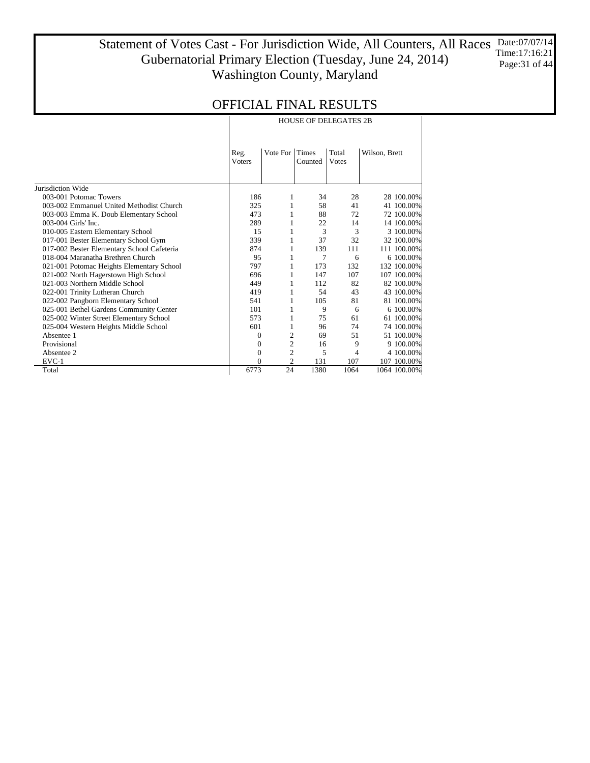Statement of Votes Cast - For Jurisdiction Wide, All Counters, All Races Gubernatorial Primary Election (Tuesday, June 24, 2014) Washington County, Maryland Date:07/07/14 Time:17:16:21 Page:31 of 44

|                                            |                       |                                                       | <b>HOUSE OF DELEGATES 2B</b> |               |              |  |
|--------------------------------------------|-----------------------|-------------------------------------------------------|------------------------------|---------------|--------------|--|
|                                            | Reg.<br><b>Voters</b> | Total<br>Vote For<br><b>Times</b><br>Votes<br>Counted |                              | Wilson, Brett |              |  |
|                                            |                       |                                                       |                              |               |              |  |
| Jurisdiction Wide                          |                       |                                                       |                              |               |              |  |
| 003-001 Potomac Towers                     | 186                   | 1                                                     | 34                           | 28            | 28 100.00%   |  |
| 003-002 Emmanuel United Methodist Church   | 325                   | 1                                                     | 58                           | 41            | 41 100.00%   |  |
| 003-003 Emma K. Doub Elementary School     | 473                   | 1                                                     | 88                           | 72            | 72 100.00%   |  |
| 003-004 Girls' Inc.                        | 289                   | 1                                                     | 22                           | 14            | 14 100.00%   |  |
| 010-005 Eastern Elementary School          | 15                    | 1                                                     | 3                            | 3             | 3 100.00%    |  |
| 017-001 Bester Elementary School Gym       | 339                   | 1                                                     | 37                           | 32            | 32 100.00%   |  |
| 017-002 Bester Elementary School Cafeteria | 874                   | 1                                                     | 139                          | 111           | 111 100.00%  |  |
| 018-004 Maranatha Brethren Church          | 95                    | 1                                                     | 7                            | 6             | 6 100.00%    |  |
| 021-001 Potomac Heights Elementary School  | 797                   | 1                                                     | 173                          | 132           | 132 100.00%  |  |
| 021-002 North Hagerstown High School       | 696                   | 1                                                     | 147                          | 107           | 107 100,00%  |  |
| 021-003 Northern Middle School             | 449                   | 1                                                     | 112                          | 82            | 82 100.00%   |  |
| 022-001 Trinity Lutheran Church            | 419                   | 1                                                     | 54                           | 43            | 43 100.00%   |  |
| 022-002 Pangborn Elementary School         | 541                   | 1                                                     | 105                          | 81            | 81 100.00%   |  |
| 025-001 Bethel Gardens Community Center    | 101                   | 1                                                     | 9                            | 6             | 6 100.00%    |  |
| 025-002 Winter Street Elementary School    | 573                   | 1                                                     | 75                           | 61            | 61 100.00%   |  |
| 025-004 Western Heights Middle School      | 601                   | 1                                                     | 96                           | 74            | 74 100.00%   |  |
| Absentee 1                                 | 0                     | $\overline{2}$                                        | 69                           | 51            | 51 100.00%   |  |
| Provisional                                | 0                     | 2                                                     | 16                           | 9             | 9 100.00%    |  |
| Absentee 2                                 | 0                     | $\overline{c}$                                        | 5                            | 4             | 4 100.00%    |  |
| EVC-1                                      | 0                     | 2                                                     | 131                          | 107           | 107 100.00%  |  |
| Total                                      | 6773                  | 24                                                    | 1380                         | 1064          | 1064 100.00% |  |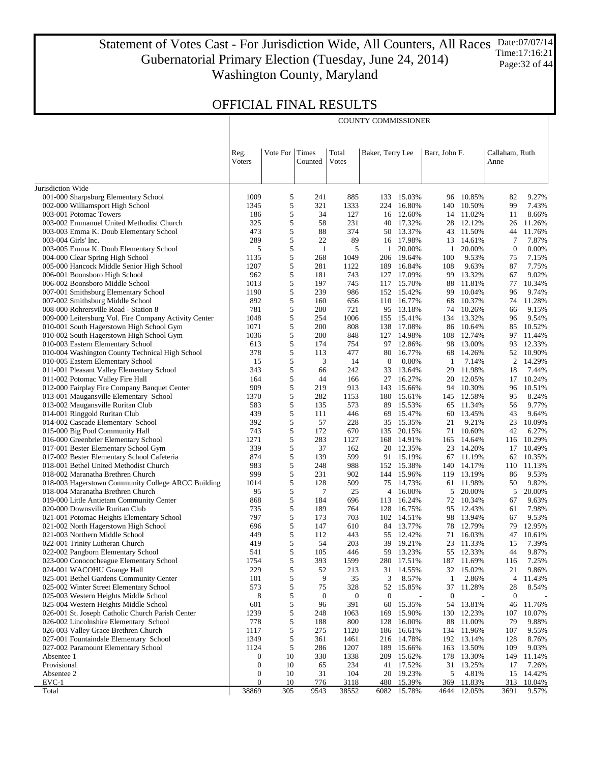Statement of Votes Cast - For Jurisdiction Wide, All Counters, All Races Gubernatorial Primary Election (Tuesday, June 24, 2014) Washington County, Maryland Date:07/07/14 Time:17:16:21 Page:32 of 44

COUNTY COMMISSIONER

## OFFICIAL FINAL RESULTS

 $\overline{\phantom{a}}$ 

|                                                                                | Reg.<br>Voters   | Vote For   | Times<br>Counted | Total<br>Votes   | Baker, Terry Lee |                  | Barr, John F. | Callaham, Ruth<br>Anne |                  |                 |
|--------------------------------------------------------------------------------|------------------|------------|------------------|------------------|------------------|------------------|---------------|------------------------|------------------|-----------------|
| Jurisdiction Wide                                                              |                  |            |                  |                  |                  |                  |               |                        |                  |                 |
| 001-000 Sharpsburg Elementary School                                           | 1009             | 5          | 241              | 885              | 133              | 15.03%           | 96            | 10.85%                 | 82               | 9.27%           |
| 002-000 Williamsport High School                                               | 1345             | 5          | 321              | 1333             | 224              | 16.80%           | 140           | 10.50%                 | 99               | 7.43%           |
| 003-001 Potomac Towers                                                         | 186              | 5          | 34               | 127              | 16               | 12.60%           | 14            | 11.02%                 | 11               | 8.66%           |
| 003-002 Emmanuel United Methodist Church                                       | 325              | 5          | 58               | 231              | 40               | 17.32%           | 28            | 12.12%                 | 26               | 11.26%          |
| 003-003 Emma K. Doub Elementary School                                         | 473              | 5          | 88               | 374              | 50               | 13.37%           |               | 43 11.50%              | 44               | 11.76%          |
| 003-004 Girls' Inc.                                                            | 289              | 5          | 22               | 89               | 16               | 17.98%           | 13            | 14.61%                 | $\tau$           | 7.87%           |
| 003-005 Emma K. Doub Elementary School                                         | 5                | 5          | $\mathbf{1}$     | 5                | 1                | 20.00%           | 1             | 20.00%                 | $\boldsymbol{0}$ | 0.00%           |
| 004-000 Clear Spring High School                                               | 1135             | 5          | 268              | 1049             | 206              | 19.64%           | 100           | 9.53%                  | 75               | 7.15%           |
| 005-000 Hancock Middle Senior High School                                      | 1207             | 5          | 281              | 1122             | 189              | 16.84%           | 108           | 9.63%                  | 87               | 7.75%           |
| 006-001 Boonsboro High School                                                  | 962<br>1013      | 5<br>5     | 181<br>197       | 743<br>745       | 127<br>117       | 17.09%<br>15.70% | 99<br>88      | 13.32%<br>11.81%       | 67<br>77         | 9.02%<br>10.34% |
| 006-002 Boonsboro Middle School<br>007-001 Smithsburg Elementary School        | 1190             | 5          | 239              | 986              | 152              | 15.42%           | 99            | 10.04%                 | 96               | 9.74%           |
| 007-002 Smithsburg Middle School                                               | 892              | 5          | 160              | 656              | 110              | 16.77%           | 68            | 10.37%                 | 74               | 11.28%          |
| 008-000 Rohrersville Road - Station 8                                          | 781              | 5          | 200              | 721              | 95               | 13.18%           | 74            | 10.26%                 | 66               | 9.15%           |
| 009-000 Leitersburg Vol. Fire Company Activity Center                          | 1048             | 5          | 254              | 1006             |                  | 155 15.41%       | 134           | 13.32%                 | 96               | 9.54%           |
| 010-001 South Hagerstown High School Gym                                       | 1071             | 5          | 200              | 808              | 138              | 17.08%           | 86            | 10.64%                 | 85               | 10.52%          |
| 010-002 South Hagerstown High School Gym                                       | 1036             | 5          | 200              | 848              | 127              | 14.98%           | 108           | 12.74%                 | 97               | 11.44%          |
| 010-003 Eastern Elementary School                                              | 613              | 5          | 174              | 754              | 97               | 12.86%           | 98            | 13.00%                 | 93               | 12.33%          |
| 010-004 Washington County Technical High School                                | 378              | 5          | 113              | 477              | 80               | 16.77%           | 68            | 14.26%                 | 52               | 10.90%          |
| 010-005 Eastern Elementary School                                              | 15               | 5          | 3                | 14               | $\mathbf{0}$     | 0.00%            | -1            | 7.14%                  | $\overline{c}$   | 14.29%          |
| 011-001 Pleasant Valley Elementary School                                      | 343              | 5          | 66               | 242              | 33               | 13.64%           | 29            | 11.98%                 | 18               | 7.44%           |
| 011-002 Potomac Valley Fire Hall                                               | 164              | 5          | 44               | 166              | 27               | 16.27%           | 20            | 12.05%                 | 17               | 10.24%          |
| 012-000 Fairplay Fire Company Banquet Center                                   | 909              | 5<br>5     | 219              | 913              | 143              | 15.66%           | 94            | 10.30%                 | 96               | 10.51%          |
| 013-001 Maugansville Elementary School<br>013-002 Maugansville Ruritan Club    | 1370<br>583      | 5          | 282<br>135       | 1153<br>573      | 180<br>89        | 15.61%<br>15.53% | 65            | 145 12.58%<br>11.34%   | 95<br>56         | 8.24%<br>9.77%  |
| 014-001 Ringgold Ruritan Club                                                  | 439              | 5          | 111              | 446              | 69               | 15.47%           | 60            | 13.45%                 | 43               | 9.64%           |
| 014-002 Cascade Elementary School                                              | 392              | 5          | 57               | 228              | 35               | 15.35%           | 21            | 9.21%                  | 23               | 10.09%          |
| 015-000 Big Pool Community Hall                                                | 743              | 5          | 172              | 670              | 135              | 20.15%           | 71            | 10.60%                 | 42               | 6.27%           |
| 016-000 Greenbrier Elementary School                                           | 1271             | 5          | 283              | 1127             | 168              | 14.91%           | 165           | 14.64%                 | 116              | 10.29%          |
| 017-001 Bester Elementary School Gym                                           | 339              | 5          | 37               | 162              | 20               | 12.35%           | 23            | 14.20%                 | 17               | 10.49%          |
| 017-002 Bester Elementary School Cafeteria                                     | 874              | 5          | 139              | 599              | 91               | 15.19%           |               | 67 11.19%              | 62               | 10.35%          |
| 018-001 Bethel United Methodist Church                                         | 983              | 5          | 248              | 988              | 152              | 15.38%           | 140           | 14.17%                 | 110              | 11.13%          |
| 018-002 Maranatha Brethren Church                                              | 999              | 5          | 231              | 902              | 144              | 15.96%           |               | 119 13.19%             | 86               | 9.53%           |
| 018-003 Hagerstown Community College ARCC Building                             | 1014             | 5          | 128              | 509              | 75               | 14.73%           | 61            | 11.98%                 | 50               | 9.82%           |
| 018-004 Maranatha Brethren Church                                              | 95               | 5          | $\overline{7}$   | 25               | 4                | 16.00%           | 5             | 20.00%                 | 5                | 20.00%          |
| 019-000 Little Antietam Community Center                                       | 868              | 5          | 184              | 696              | 113              | 16.24%           |               | 72 10.34%              | 67               | 9.63%           |
| 020-000 Downsville Ruritan Club<br>021-001 Potomac Heights Elementary School   | 735<br>797       | 5<br>5     | 189<br>173       | 764<br>703       | 128<br>102       | 16.75%<br>14.51% | 98            | 95 12.43%<br>13.94%    | 61<br>67         | 7.98%<br>9.53%  |
| 021-002 North Hagerstown High School                                           | 696              | 5          | 147              | 610              | 84               | 13.77%           | 78            | 12.79%                 | 79               | 12.95%          |
| 021-003 Northern Middle School                                                 | 449              | 5          | 112              | 443              | 55               | 12.42%           | 71            | 16.03%                 | 47               | 10.61%          |
| 022-001 Trinity Lutheran Church                                                | 419              | 5          | 54               | 203              | 39               | 19.21%           | 23            | 11.33%                 | 15               | 7.39%           |
| 022-002 Pangborn Elementary School                                             | 541              | 5          | 105              | 446              |                  | 59 13.23%        |               | 55 12.33%              | 44               | 9.87%           |
| 023-000 Conococheague Elementary School                                        | 1754             | 5          | 393              | 1599             | 280              | 17.51%           | 187           | 11.69%                 | 116              | 7.25%           |
| 024-001 WACOHU Grange Hall                                                     | 229              | $\sqrt{5}$ | 52               | 213              | 31               | 14.55%           |               | 32 15.02%              | 21               | 9.86%           |
| 025-001 Bethel Gardens Community Center                                        | 101              | 5          | 9                | 35               | 3                | 8.57%            | $\mathbf{1}$  | 2.86%                  | 4                | 11.43%          |
| 025-002 Winter Street Elementary School                                        | 573              | 5          | 75               | 328              | 52               | 15.85%           | 37            | 11.28%                 | 28               | 8.54%           |
| 025-003 Western Heights Middle School                                          | 8                | 5          | $\boldsymbol{0}$ | $\boldsymbol{0}$ | $\mathbf{0}$     |                  | $\mathbf{0}$  |                        | $\mathbf{0}$     |                 |
| 025-004 Western Heights Middle School                                          | 601              | 5          | 96               | 391              | 60               | 15.35%           | 54            | 13.81%                 | 46               | 11.76%          |
| 026-001 St. Joseph Catholic Church Parish Center                               | 1239<br>778      | 5<br>5     | 248              | 1063             | 169              | 15.90%           | 130           | 12.23%<br>11.00%       | 107              | 10.07%          |
| 026-002 Lincolnshire Elementary School<br>026-003 Valley Grace Brethren Church | 1117             | 5          | 188<br>275       | 800<br>1120      | 128<br>186       | 16.00%<br>16.61% | 88            | 134 11.96%             | 79<br>107        | 9.88%<br>9.55%  |
| 027-001 Fountaindale Elementary School                                         | 1349             | 5          | 361              | 1461             | 216              | 14.78%           | 192           | 13.14%                 | 128              | 8.76%           |
| 027-002 Paramount Elementary School                                            | 1124             | 5          | 286              | 1207             | 189              | 15.66%           | 163           | 13.50%                 | 109              | 9.03%           |
| Absentee 1                                                                     | 0                | 10         | 330              | 1338             | 209              | 15.62%           | 178           | 13.30%                 | 149              | 11.14%          |
| Provisional                                                                    | $\boldsymbol{0}$ | 10         | 65               | 234              | 41               | 17.52%           | 31            | 13.25%                 | 17               | 7.26%           |
| Absentee 2                                                                     | $\boldsymbol{0}$ | 10         | 31               | 104              | 20               | 19.23%           | 5             | 4.81%                  | 15               | 14.42%          |
| EVC-1                                                                          | $\boldsymbol{0}$ | 10         | 776              | 3118             | 480              | 15.39%           | 369           | 11.83%                 | 313              | 10.04%          |
| Total                                                                          | 38869            | 305        | 9543             | 38552            | 6082             | 15.78%           |               | 4644 12.05%            | 3691             | 9.57%           |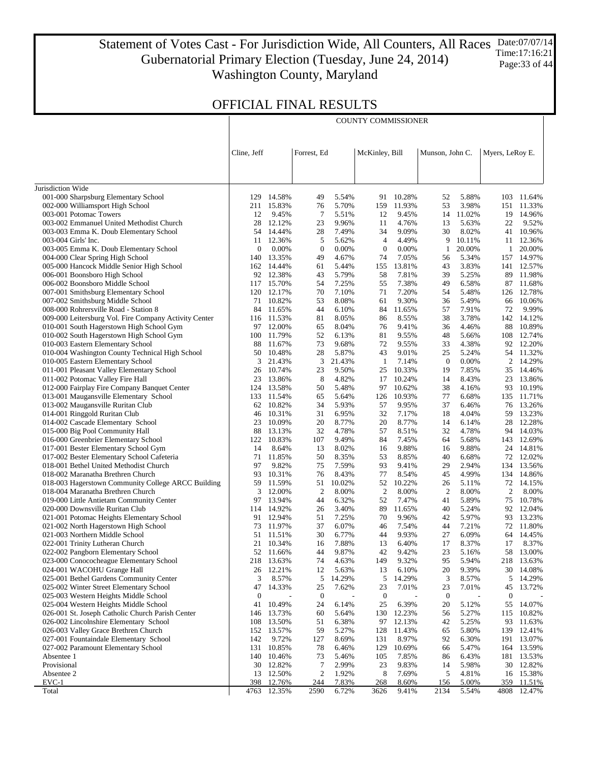Statement of Votes Cast - For Jurisdiction Wide, All Counters, All Races Gubernatorial Primary Election (Tuesday, June 24, 2014) Washington County, Maryland Date:07/07/14 Time:17:16:21 Page:33 of 44

## OFFICIAL FINAL RESULTS

|                                                                                           |                        |                      |                        |                | <b>COUNTY COMMISSIONER</b> |                 |                        |                 |                 |                     |
|-------------------------------------------------------------------------------------------|------------------------|----------------------|------------------------|----------------|----------------------------|-----------------|------------------------|-----------------|-----------------|---------------------|
|                                                                                           |                        |                      |                        |                |                            |                 |                        |                 |                 |                     |
|                                                                                           | Cline, Jeff            |                      | Forrest, Ed            |                | McKinley, Bill             |                 | Munson, John C.        |                 | Myers, LeRoy E. |                     |
|                                                                                           |                        |                      |                        |                |                            |                 |                        |                 |                 |                     |
| Jurisdiction Wide                                                                         |                        |                      |                        |                |                            |                 |                        |                 |                 |                     |
| 001-000 Sharpsburg Elementary School                                                      | 129                    | 14.58%               | 49                     | 5.54%          | 91                         | 10.28%          | 52                     | 5.88%           | 103             | 11.64%              |
| 002-000 Williamsport High School<br>003-001 Potomac Towers                                | 211<br>12              | 15.83%<br>9.45%      | 76<br>7                | 5.70%<br>5.51% | 159<br>12                  | 11.93%<br>9.45% | 53<br>14               | 3.98%<br>11.02% | 151             | 11.33%<br>19 14.96% |
| 003-002 Emmanuel United Methodist Church                                                  | 28                     | 12.12%               | 23                     | 9.96%          | 11                         | 4.76%           | 13                     | 5.63%           | 22              | 9.52%               |
| 003-003 Emma K. Doub Elementary School                                                    |                        | 54 14.44%            | 28                     | 7.49%          | 34                         | 9.09%           | 30                     | 8.02%           | 41              | 10.96%              |
| 003-004 Girls' Inc.                                                                       | 11                     | 12.36%               | 5                      | 5.62%          | 4                          | 4.49%           | 9                      | 10.11%          | 11              | 12.36%              |
| 003-005 Emma K. Doub Elementary School                                                    | 0                      | 0.00%                | $\mathbf{0}$           | 0.00%          | $\boldsymbol{0}$           | 0.00%           | 1                      | 20.00%          | $\mathbf{1}$    | 20.00%              |
| 004-000 Clear Spring High School                                                          | 140                    | 13.35%               | 49                     | 4.67%          | 74                         | 7.05%           | 56                     | 5.34%           | 157             | 14.97%              |
| 005-000 Hancock Middle Senior High School                                                 |                        | 162 14.44%           | 61                     | 5.44%          | 155                        | 13.81%          | 43                     | 3.83%           |                 | 141 12.57%          |
| 006-001 Boonsboro High School                                                             |                        | 92 12.38%            | 43                     | 5.79%          | 58                         | 7.81%           | 39                     | 5.25%           | 89              | 11.98%              |
| 006-002 Boonsboro Middle School                                                           |                        | 117 15.70%           | 54                     | 7.25%          | 55                         | 7.38%           | 49                     | 6.58%           | 87              | 11.68%              |
| 007-001 Smithsburg Elementary School<br>007-002 Smithsburg Middle School                  | 120                    | 12.17%<br>71 10.82%  | 70<br>53               | 7.10%<br>8.08% | 71<br>61                   | 7.20%<br>9.30%  | 54<br>36               | 5.48%<br>5.49%  | 126<br>66       | 12.78%<br>10.06%    |
| 008-000 Rohrersville Road - Station 8                                                     | 84                     | 11.65%               | 44                     | 6.10%          | 84                         | 11.65%          | 57                     | 7.91%           | 72              | 9.99%               |
| 009-000 Leitersburg Vol. Fire Company Activity Center                                     |                        | 116 11.53%           | 81                     | 8.05%          | 86                         | 8.55%           | 38                     | 3.78%           |                 | 142 14.12%          |
| 010-001 South Hagerstown High School Gym                                                  | 97                     | 12.00%               | 65                     | 8.04%          | 76                         | 9.41%           | 36                     | 4.46%           | 88              | 10.89%              |
| 010-002 South Hagerstown High School Gym                                                  | 100                    | 11.79%               | 52                     | 6.13%          | 81                         | 9.55%           | 48                     | 5.66%           | 108             | 12.74%              |
| 010-003 Eastern Elementary School                                                         | 88                     | 11.67%               | 73                     | 9.68%          | 72                         | 9.55%           | 33                     | 4.38%           |                 | 92 12.20%           |
| 010-004 Washington County Technical High School                                           | 50                     | 10.48%               | 28                     | 5.87%          | 43                         | 9.01%           | 25                     | 5.24%           |                 | 54 11.32%           |
| 010-005 Eastern Elementary School                                                         | 3                      | 21.43%               | 3                      | 21.43%         | 1                          | 7.14%           | $\boldsymbol{0}$       | 0.00%           |                 | 2 14.29%            |
| 011-001 Pleasant Valley Elementary School                                                 | 26                     | 10.74%               | 23                     | 9.50%          | 25                         | 10.33%          | 19                     | 7.85%           | 35              | 14.46%              |
| 011-002 Potomac Valley Fire Hall                                                          | 23                     | 13.86%               | 8                      | 4.82%          | 17                         | 10.24%          | 14                     | 8.43%           | 23              | 13.86%              |
| 012-000 Fairplay Fire Company Banquet Center                                              |                        | 124 13.58%           | 50                     | 5.48%          | 97                         | 10.62%          | 38                     | 4.16%           | 93              | 10.19%              |
| 013-001 Maugansville Elementary School                                                    | 133                    | 11.54%               | 65                     | 5.64%          | 126                        | 10.93%          | 77                     | 6.68%           |                 | 135 11.71%          |
| 013-002 Maugansville Ruritan Club<br>014-001 Ringgold Ruritan Club                        | 46                     | 62 10.82%<br>10.31%  | 34<br>31               | 5.93%<br>6.95% | 57<br>32                   | 9.95%<br>7.17%  | 37<br>18               | 6.46%<br>4.04%  | 59              | 76 13.26%<br>13.23% |
| 014-002 Cascade Elementary School                                                         | 23                     | 10.09%               | 20                     | 8.77%          | 20                         | 8.77%           | 14                     | 6.14%           | 28              | 12.28%              |
| 015-000 Big Pool Community Hall                                                           | 88                     | 13.13%               | 32                     | 4.78%          | 57                         | 8.51%           | 32                     | 4.78%           |                 | 94 14.03%           |
| 016-000 Greenbrier Elementary School                                                      |                        | 122 10.83%           | 107                    | 9.49%          | 84                         | 7.45%           | 64                     | 5.68%           |                 | 143 12.69%          |
| 017-001 Bester Elementary School Gym                                                      | 14                     | 8.64%                | 13                     | 8.02%          | 16                         | 9.88%           | 16                     | 9.88%           |                 | 24 14.81%           |
| 017-002 Bester Elementary School Cafeteria                                                | 71                     | 11.85%               | 50                     | 8.35%          | 53                         | 8.85%           | 40                     | 6.68%           |                 | 72 12.02%           |
| 018-001 Bethel United Methodist Church                                                    | 97                     | 9.82%                | 75                     | 7.59%          | 93                         | 9.41%           | 29                     | 2.94%           | 134             | 13.56%              |
| 018-002 Maranatha Brethren Church                                                         | 93                     | 10.31%               | 76                     | 8.43%          | 77                         | 8.54%           | 45                     | 4.99%           |                 | 134 14.86%          |
| 018-003 Hagerstown Community College ARCC Building                                        | 59                     | 11.59%               | 51                     | 10.02%         | 52                         | 10.22%          | 26                     | 5.11%           |                 | 72 14.15%           |
| 018-004 Maranatha Brethren Church                                                         | 3                      | 12.00%               | $\overline{2}$         | 8.00%          | 2                          | 8.00%           | $\overline{c}$         | 8.00%           | 2               | 8.00%               |
| 019-000 Little Antietam Community Center<br>020-000 Downsville Ruritan Club               | 97                     | 13.94%<br>114 14.92% | 44<br>26               | 6.32%<br>3.40% | 52<br>89                   | 7.47%<br>11.65% | 41<br>40               | 5.89%<br>5.24%  | 75              | 10.78%<br>92 12.04% |
| 021-001 Potomac Heights Elementary School                                                 | 91                     | 12.94%               | 51                     | 7.25%          | 70                         | 9.96%           | 42                     | 5.97%           |                 | 93 13.23%           |
| 021-002 North Hagerstown High School                                                      | 73                     | 11.97%               | 37                     | 6.07%          | 46                         | 7.54%           | 44                     | 7.21%           |                 | 72 11.80%           |
| 021-003 Northern Middle School                                                            | 51                     | 11.51%               | 30                     | 6.77%          | 44                         | 9.93%           | 27                     | 6.09%           |                 | 64 14.45%           |
| 022-001 Trinity Lutheran Church                                                           |                        | 21 10.34%            | 16                     | 7.88%          | 13                         | 6.40%           | 17                     | 8.37%           |                 | 17 8.37%            |
| 022-002 Pangborn Elementary School                                                        |                        | 52 11.66%            | 44                     | 9.87%          | 42                         | 9.42%           | 23                     | 5.16%           | 58              | 13.00%              |
| 023-000 Conococheague Elementary School                                                   | 218                    | 13.63%               | 74                     | 4.63%          | 149                        | 9.32%           | 95                     | 5.94%           | 218             | 13.63%              |
| 024-001 WACOHU Grange Hall                                                                | 26                     | 12.21%               | 12                     | 5.63%          | 13                         | 6.10%           | 20                     | 9.39%           | 30              | 14.08%              |
| 025-001 Bethel Gardens Community Center                                                   | 3                      | 8.57%                | 5                      | 14.29%         | 5                          | 14.29%          | 3                      | 8.57%           | 5               | 14.29%              |
| 025-002 Winter Street Elementary School                                                   | 47                     | 14.33%               | 25                     | 7.62%          | 23                         | 7.01%           | 23                     | 7.01%           | 45              | 13.72%              |
| 025-003 Western Heights Middle School                                                     | $\boldsymbol{0}$<br>41 | 10.49%               | $\boldsymbol{0}$<br>24 | 6.14%          | $\boldsymbol{0}$<br>25     | 6.39%           | $\boldsymbol{0}$<br>20 | 5.12%           | 0<br>55         | 14.07%              |
| 025-004 Western Heights Middle School<br>026-001 St. Joseph Catholic Church Parish Center | 146                    | 13.73%               | 60                     | 5.64%          | 130                        | 12.23%          | 56                     | 5.27%           | 115             | 10.82%              |
| 026-002 Lincolnshire Elementary School                                                    | 108                    | 13.50%               | 51                     | 6.38%          | 97                         | 12.13%          | 42                     | 5.25%           | 93              | 11.63%              |
| 026-003 Valley Grace Brethren Church                                                      |                        | 152 13.57%           | 59                     | 5.27%          | 128                        | 11.43%          | 65                     | 5.80%           | 139             | 12.41%              |
| 027-001 Fountaindale Elementary School                                                    | 142                    | 9.72%                | 127                    | 8.69%          | 131                        | 8.97%           | 92                     | 6.30%           | 191             | 13.07%              |
| 027-002 Paramount Elementary School                                                       | 131                    | 10.85%               | 78                     | 6.46%          | 129                        | 10.69%          | 66                     | 5.47%           |                 | 164 13.59%          |
| Absentee 1                                                                                | 140                    | 10.46%               | 73                     | 5.46%          | 105                        | 7.85%           | 86                     | 6.43%           | 181             | 13.53%              |
| Provisional                                                                               | 30                     | 12.82%               | 7                      | 2.99%          | 23                         | 9.83%           | 14                     | 5.98%           | 30              | 12.82%              |
| Absentee 2                                                                                | 13                     | 12.50%               | $\boldsymbol{2}$       | 1.92%          | 8                          | 7.69%           | 5                      | 4.81%           | 16              | 15.38%              |
| $EVC-1$                                                                                   | 398                    | 12.76%               | 244                    | 7.83%          | 268                        | 8.60%           | 156                    | 5.00%           | 359             | 11.51%              |
| Total                                                                                     |                        | 4763 12.35%          | 2590                   | 6.72%          | 3626                       | 9.41%           | 2134                   | 5.54%           | 4808            | 12.47%              |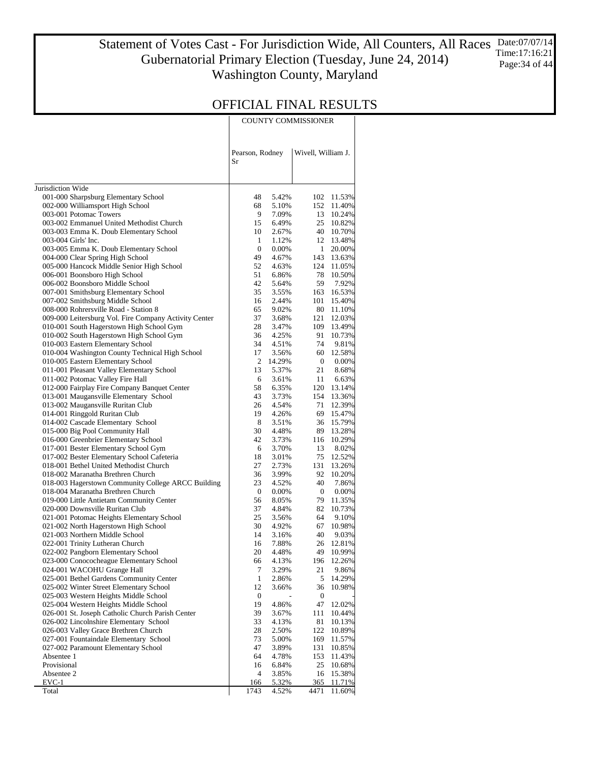#### Statement of Votes Cast - For Jurisdiction Wide, All Counters, All Races Date:07/07/14 Gubernatorial Primary Election (Tuesday, June 24, 2014) Washington County, Maryland Time:17:16:21 Page: 34 of 44

### OFFICIAL FINAL RESULTS

COUNTY COMMISSIONER

|                                                                                   | Pearson, Rodney<br>Sr |                | Wivell, William J. |                  |
|-----------------------------------------------------------------------------------|-----------------------|----------------|--------------------|------------------|
| Jurisdiction Wide                                                                 |                       |                |                    |                  |
| 001-000 Sharpsburg Elementary School                                              | 48                    | 5.42%          | 102                | 11.53%           |
| 002-000 Williamsport High School                                                  | 68                    | 5.10%          | 152                | 11.40%           |
| 003-001 Potomac Towers                                                            | 9                     | 7.09%          | 13                 | 10.24%           |
| 003-002 Emmanuel United Methodist Church                                          | 15                    | 6.49%          | 25                 | 10.82%           |
| 003-003 Emma K. Doub Elementary School                                            | 10                    | 2.67%          | 40                 | 10.70%           |
| 003-004 Girls' Inc.                                                               | 1                     | 1.12%          | 12                 | 13.48%           |
| 003-005 Emma K. Doub Elementary School                                            | $\boldsymbol{0}$      | 0.00%          | $\mathbf{1}$       | 20.00%           |
| 004-000 Clear Spring High School                                                  | 49                    | 4.67%          | 143                | 13.63%           |
| 005-000 Hancock Middle Senior High School                                         | 52                    | 4.63%          | 124                | 11.05%           |
| 006-001 Boonsboro High School                                                     | 51                    | 6.86%          | 78                 | 10.50%           |
| 006-002 Boonsboro Middle School                                                   | 42                    | 5.64%          | 59                 | 7.92%            |
| 007-001 Smithsburg Elementary School                                              | 35                    | 3.55%          | 163                | 16.53%           |
| 007-002 Smithsburg Middle School                                                  | 16                    | 2.44%          | 101                | 15.40%           |
| 008-000 Rohrersville Road - Station 8                                             | 65                    | 9.02%          | 80                 | 11.10%           |
| 009-000 Leitersburg Vol. Fire Company Activity Center                             | 37                    | 3.68%          | 121                | 12.03%           |
| 010-001 South Hagerstown High School Gym                                          | 28                    | 3.47%          | 109                | 13.49%           |
| 010-002 South Hagerstown High School Gym                                          | 36                    | 4.25%          | 91                 | 10.73%           |
| 010-003 Eastern Elementary School                                                 | 34                    | 4.51%          | 74                 | 9.81%            |
| 010-004 Washington County Technical High School                                   | 17                    | 3.56%          | 60                 | 12.58%           |
| 010-005 Eastern Elementary School                                                 | 2<br>13               | 14.29%         | $\overline{0}$     | 0.00%            |
| 011-001 Pleasant Valley Elementary School                                         | 6                     | 5.37%<br>3.61% | 21<br>11           | 8.68%<br>6.63%   |
| 011-002 Potomac Valley Fire Hall<br>012-000 Fairplay Fire Company Banquet Center  | 58                    | 6.35%          | 120                | 13.14%           |
| 013-001 Maugansville Elementary School                                            | 43                    | 3.73%          | 154                | 13.36%           |
| 013-002 Maugansville Ruritan Club                                                 | 26                    | 4.54%          | 71                 | 12.39%           |
| 014-001 Ringgold Ruritan Club                                                     | 19                    | 4.26%          | 69                 | 15.47%           |
| 014-002 Cascade Elementary School                                                 | 8                     | 3.51%          | 36                 | 15.79%           |
| 015-000 Big Pool Community Hall                                                   | 30                    | 4.48%          | 89                 | 13.28%           |
| 016-000 Greenbrier Elementary School                                              | 42                    | 3.73%          | 116                | 10.29%           |
| 017-001 Bester Elementary School Gym                                              | 6                     | 3.70%          | 13                 | 8.02%            |
| 017-002 Bester Elementary School Cafeteria                                        | 18                    | 3.01%          | 75                 | 12.52%           |
| 018-001 Bethel United Methodist Church                                            | 27                    | 2.73%          | 131                | 13.26%           |
| 018-002 Maranatha Brethren Church                                                 | 36                    | 3.99%          | 92                 | 10.20%           |
| 018-003 Hagerstown Community College ARCC Building                                | 23                    | 4.52%          | 40                 | 7.86%            |
| 018-004 Maranatha Brethren Church                                                 | $\mathbf 0$           | 0.00%          | $\bf{0}$           | 0.00%            |
| 019-000 Little Antietam Community Center                                          | 56                    | 8.05%          | 79                 | 11.35%           |
| 020-000 Downsville Ruritan Club                                                   | 37                    | 4.84%<br>3.56% | 82                 | 10.73%           |
| 021-001 Potomac Heights Elementary School<br>021-002 North Hagerstown High School | 25<br>30              | 4.92%          | 64<br>67           | 9.10%<br>10.98%  |
| 021-003 Northern Middle School                                                    | 14                    | 3.16%          | 40                 | 9.03%            |
| 022-001 Trinity Lutheran Church                                                   | 16                    | 7.88%          | 26                 | 12.81%           |
| 022-002 Pangborn Elementary School                                                | 20                    | 4.48%          | 49                 | 10.99%           |
| 023-000 Conococheague Elementary School                                           | 66                    | 4.13%          | 196                | 12.26%           |
| 024-001 WACOHU Grange Hall                                                        | 7                     | 3.29%          | 21                 | 9.86%            |
| 025-001 Bethel Gardens Community Center                                           | 1                     | 2.86%          | 5                  | 14.29%           |
| 025-002 Winter Street Elementary School                                           | 12                    | 3.66%          | 36                 | 10.98%           |
| 025-003 Western Heights Middle School                                             | $\boldsymbol{0}$      |                | $\bf{0}$           |                  |
| 025-004 Western Heights Middle School                                             | 19                    | 4.86%          | 47                 | 12.02%           |
| 026-001 St. Joseph Catholic Church Parish Center                                  | 39                    | 3.67%          | 111                | 10.44%           |
| 026-002 Lincolnshire Elementary School                                            | 33                    | 4.13%          | 81                 | 10.13%           |
| 026-003 Valley Grace Brethren Church                                              | 28                    | 2.50%          | 122                | 10.89%           |
| 027-001 Fountaindale Elementary School                                            | 73                    | 5.00%          | 169                | 11.57%           |
| 027-002 Paramount Elementary School                                               | 47                    | 3.89%          | 131                | 10.85%           |
| Absentee 1<br>Provisional                                                         | 64<br>16              | 4.78%<br>6.84% | 153<br>25          | 11.43%           |
| Absentee 2                                                                        | 4                     | 3.85%          | 16                 | 10.68%<br>15.38% |
| $EVC-1$                                                                           | <u> 166</u>           | 5.32%          | <u>365</u>         | 11.71%           |
| Total                                                                             | 1743                  | 4.52%          | 4471               | 11.60%           |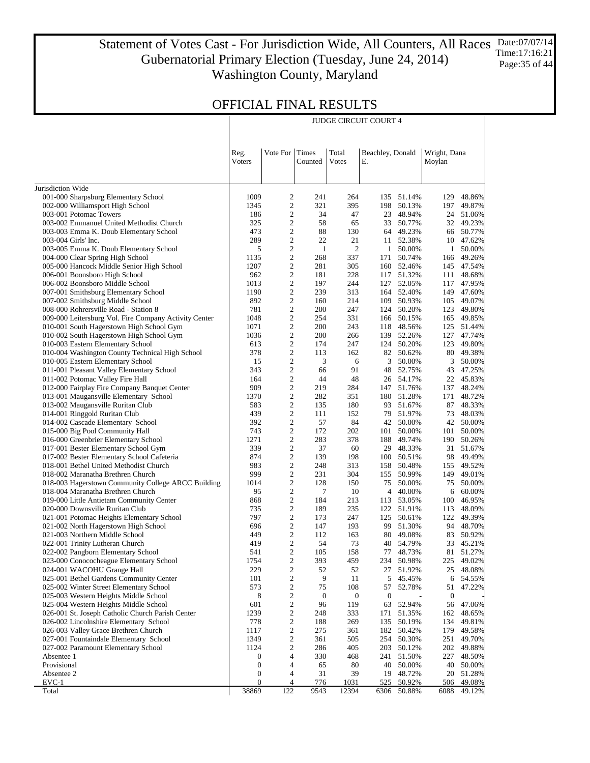#### Statement of Votes Cast - For Jurisdiction Wide, All Counters, All Races Date:07/07/14 Gubernatorial Primary Election (Tuesday, June 24, 2014) Washington County, Maryland Time:17:16:21 Page:35 of 44

JUDGE CIRCUIT COURT 4

| Vote For Times<br>Total<br>Beachley, Donald<br>Wright, Dana<br>Reg.<br>Votes<br>Voters<br>Counted<br>Е.<br>Moylan<br>Jurisdiction Wide<br>001-000 Sharpsburg Elementary School<br>1009<br>2<br>241<br>264<br>135 51.14%<br>129<br>$\overline{c}$<br>002-000 Williamsport High School<br>1345<br>321<br>395<br>198<br>50.13%<br>197<br>2<br>003-001 Potomac Towers<br>34<br>47<br>23 48.94%<br>186<br>$\overline{c}$<br>003-002 Emmanuel United Methodist Church<br>325<br>58<br>65<br>33 50.77%<br>2<br>003-003 Emma K. Doub Elementary School<br>473<br>88<br>130<br>64 49.23%<br>66<br>$\overline{c}$<br>289<br>22<br>21<br>11 52.38%<br>003-004 Girls' Inc.<br>10<br>2<br>$\mathfrak{2}$<br>003-005 Emma K. Doub Elementary School<br>5<br>$\mathbf{1}$<br>1 50.00%<br>$\mathbf{1}$<br>$\overline{c}$<br>004-000 Clear Spring High School<br>1135<br>268<br>337<br>50.74%<br>171<br>166<br>2<br>005-000 Hancock Middle Senior High School<br>1207<br>281<br>305<br>160 52.46%<br>$\overline{c}$<br>006-001 Boonsboro High School<br>962<br>181<br>228<br>117 51.32%<br>111<br>2<br>006-002 Boonsboro Middle School<br>1013<br>197<br>244<br>127 52.05%<br>117<br>$\overline{c}$<br>007-001 Smithsburg Elementary School<br>1190<br>239<br>313<br>164 52.40%<br>149<br>2<br>109 50.93%<br>007-002 Smithsburg Middle School<br>892<br>214<br>160<br>105<br>$\overline{c}$<br>008-000 Rohrersville Road - Station 8<br>781<br>200<br>247<br>124 50.20%<br>123<br>2<br>009-000 Leitersburg Vol. Fire Company Activity Center<br>1048<br>254<br>331<br>166 50.15%<br>165<br>$\overline{c}$<br>010-001 South Hagerstown High School Gym<br>1071<br>200<br>243<br>118 48.56%<br>2<br>010-002 South Hagerstown High School Gym<br>200<br>266<br>139 52.26%<br>1036<br>127<br>$\overline{c}$<br>010-003 Eastern Elementary School<br>613<br>174<br>247<br>124 50.20%<br>123<br>2<br>010-004 Washington County Technical High School<br>378<br>113<br>162<br>82 50.62%<br>$\overline{c}$<br>010-005 Eastern Elementary School<br>15<br>3<br>3<br>50.00%<br>6<br>2<br>011-001 Pleasant Valley Elementary School<br>343<br>91<br>48 52.75%<br>66<br>43<br>$\overline{c}$<br>011-002 Potomac Valley Fire Hall<br>164<br>44<br>48<br>26 54.17%<br>2<br>012-000 Fairplay Fire Company Banquet Center<br>909<br>219<br>284<br>147 51.76%<br>137<br>$\overline{c}$<br>013-001 Maugansville Elementary School<br>1370<br>282<br>351<br>180 51.28%<br>171<br>2<br>013-002 Maugansville Ruritan Club<br>583<br>135<br>180<br>93 51.67%<br>87<br>$\overline{c}$<br>014-001 Ringgold Ruritan Club<br>439<br>111<br>152<br>79 51.97%<br>73<br>2<br>014-002 Cascade Elementary School<br>392<br>57<br>84<br>42 50.00%<br>$\overline{c}$<br>015-000 Big Pool Community Hall<br>743<br>172<br>202<br>101 50.00%<br>101<br>2<br>016-000 Greenbrier Elementary School<br>1271<br>283<br>378<br>188 49.74%<br>190<br>$\overline{c}$<br>017-001 Bester Elementary School Gym<br>339<br>37<br>60<br>29 48.33%<br>31<br>2<br>017-002 Bester Elementary School Cafeteria<br>874<br>139<br>198<br>100 50.51%<br>98<br>$\overline{c}$<br>018-001 Bethel United Methodist Church<br>983<br>248<br>313<br>158 50.48%<br>155<br>2<br>999<br>231<br>304<br>50.99%<br>149<br>018-002 Maranatha Brethren Church<br>155<br>$\overline{c}$<br>018-003 Hagerstown Community College ARCC Building<br>128<br>150<br>75<br>50.00%<br>1014<br>75<br>2<br>018-004 Maranatha Brethren Church<br>95<br>7<br>10<br>4 40.00%<br>6<br>$\overline{c}$<br>019-000 Little Antietam Community Center<br>868<br>184<br>213<br>113 53.05%<br>100<br>2<br>020-000 Downsville Ruritan Club<br>189<br>235<br>122 51.91%<br>735<br>113<br>$\overline{c}$<br>021-001 Potomac Heights Elementary School<br>797<br>173<br>247<br>125 50.61%<br>2<br>021-002 North Hagerstown High School<br>696<br>147<br>193<br>99 51.30%<br>$\overline{c}$<br>021-003 Northern Middle School<br>449<br>112<br>163<br>80 49.08%<br>2<br>419<br>54<br>73<br>40 54.79%<br>022-001 Trinity Lutheran Church<br>33<br>$\overline{c}$<br>541<br>105<br>158<br>77 48.73%<br>022-002 Pangborn Elementary School<br>$\overline{c}$<br>023-000 Conococheague Elementary School<br>1754<br>393<br>459<br>234 50.98%<br>$\overline{\mathbf{c}}$<br>52<br>52<br>27 51.92%<br>024-001 WACOHU Grange Hall<br>229<br>25<br>025-001 Bethel Gardens Community Center<br>2<br>9<br>11<br>101<br>5<br>45.45%<br>6<br>2<br>75<br>108<br>52.78%<br>025-002 Winter Street Elementary School<br>573<br>57<br>51<br>8<br>2<br>025-003 Western Heights Middle School<br>$\boldsymbol{0}$<br>$\boldsymbol{0}$<br>$\mathbf{0}$<br>$\mathbf{0}$<br>025-004 Western Heights Middle School<br>2<br>119<br>52.94%<br>601<br>96<br>63<br>56<br>1239<br>2<br>026-001 St. Joseph Catholic Church Parish Center<br>248<br>333<br>171<br>51.35%<br>162<br>2<br>269<br>026-002 Lincolnshire Elementary School<br>778<br>188<br>135<br>50.19%<br>134<br>2<br>275<br>50.42%<br>026-003 Valley Grace Brethren Church<br>1117<br>361<br>182<br>179<br>2<br>505<br>254<br>50.30%<br>027-001 Fountaindale Elementary School<br>1349<br>361<br>251<br>2<br>405<br>203<br>50.12%<br>027-002 Paramount Elementary School<br>1124<br>286<br>202<br>4<br>Absentee 1<br>330<br>468<br>241<br>51.50%<br>227<br>0<br>Provisional<br>$\boldsymbol{0}$<br>4<br>65<br>80<br>40<br>50.00%<br>40<br>Absentee 2<br>4<br>39<br>0<br>31<br>19<br>48.72%<br>20<br>EVC-1<br>$\boldsymbol{0}$<br>50.92%<br>4<br><u>776</u><br>1031<br>525<br>506<br>38869<br>122<br>9543<br>12394<br>Total<br>6306<br>50.88%<br>6088 |  |  |  |  |  |
|-------------------------------------------------------------------------------------------------------------------------------------------------------------------------------------------------------------------------------------------------------------------------------------------------------------------------------------------------------------------------------------------------------------------------------------------------------------------------------------------------------------------------------------------------------------------------------------------------------------------------------------------------------------------------------------------------------------------------------------------------------------------------------------------------------------------------------------------------------------------------------------------------------------------------------------------------------------------------------------------------------------------------------------------------------------------------------------------------------------------------------------------------------------------------------------------------------------------------------------------------------------------------------------------------------------------------------------------------------------------------------------------------------------------------------------------------------------------------------------------------------------------------------------------------------------------------------------------------------------------------------------------------------------------------------------------------------------------------------------------------------------------------------------------------------------------------------------------------------------------------------------------------------------------------------------------------------------------------------------------------------------------------------------------------------------------------------------------------------------------------------------------------------------------------------------------------------------------------------------------------------------------------------------------------------------------------------------------------------------------------------------------------------------------------------------------------------------------------------------------------------------------------------------------------------------------------------------------------------------------------------------------------------------------------------------------------------------------------------------------------------------------------------------------------------------------------------------------------------------------------------------------------------------------------------------------------------------------------------------------------------------------------------------------------------------------------------------------------------------------------------------------------------------------------------------------------------------------------------------------------------------------------------------------------------------------------------------------------------------------------------------------------------------------------------------------------------------------------------------------------------------------------------------------------------------------------------------------------------------------------------------------------------------------------------------------------------------------------------------------------------------------------------------------------------------------------------------------------------------------------------------------------------------------------------------------------------------------------------------------------------------------------------------------------------------------------------------------------------------------------------------------------------------------------------------------------------------------------------------------------------------------------------------------------------------------------------------------------------------------------------------------------------------------------------------------------------------------------------------------------------------------------------------------------------------------------------------------------------------------------------------------------------------------------------------------------------------------------------------------------------------------------------------------------------------------------------------------------------------------------------------------------------------------------------------------------------------------------------------------------------------------------------------------------------------------------------------------------------------------------------------------------------------------------------------------------------------------------------------------------------------------------------------------------------------------------------------------------------------------------------------------------------------------------------------------------------------------------------------------------------------------------------------------------------------------------|--|--|--|--|--|
|                                                                                                                                                                                                                                                                                                                                                                                                                                                                                                                                                                                                                                                                                                                                                                                                                                                                                                                                                                                                                                                                                                                                                                                                                                                                                                                                                                                                                                                                                                                                                                                                                                                                                                                                                                                                                                                                                                                                                                                                                                                                                                                                                                                                                                                                                                                                                                                                                                                                                                                                                                                                                                                                                                                                                                                                                                                                                                                                                                                                                                                                                                                                                                                                                                                                                                                                                                                                                                                                                                                                                                                                                                                                                                                                                                                                                                                                                                                                                                                                                                                                                                                                                                                                                                                                                                                                                                                                                                                                                                                                                                                                                                                                                                                                                                                                                                                                                                                                                                                                                                                                                                                                                                                                                                                                                                                                                                                                                                                                                                                                                                         |  |  |  |  |  |
| 48.86%<br>49.87%<br>24 51.06%<br>32 49.23%<br>50.77%<br>47.62%<br>50.00%<br>49.26%<br>145 47.54%<br>48.68%<br>47.95%<br>47.60%<br>49.07%<br>49.80%<br>49.85%<br>125 51.44%<br>47.74%<br>49.80%<br>80 49.38%<br>3 50.00%<br>47.25%<br>22 45.83%<br>48.24%<br>48.72%<br>48.33%<br>48.03%<br>42 50.00%<br>50.00%<br>50.26%<br>51.67%<br>49.49%<br>49.52%<br>49.01%<br>50.00%<br>60.00%<br>46.95%<br>48.09%<br>122 49.39%<br>94 48.70%<br>83 50.92%<br>45.21%<br>81 51.27%<br>225 49.02%<br>48.08%<br>54.55%<br>47.22%<br>47.06%<br>48.65%<br>49.81%<br>49.58%<br>49.70%<br>49.88%<br>48.50%<br>50.00%<br>51.28%<br>49.08%<br>49.12%                                                                                                                                                                                                                                                                                                                                                                                                                                                                                                                                                                                                                                                                                                                                                                                                                                                                                                                                                                                                                                                                                                                                                                                                                                                                                                                                                                                                                                                                                                                                                                                                                                                                                                                                                                                                                                                                                                                                                                                                                                                                                                                                                                                                                                                                                                                                                                                                                                                                                                                                                                                                                                                                                                                                                                                                                                                                                                                                                                                                                                                                                                                                                                                                                                                                                                                                                                                                                                                                                                                                                                                                                                                                                                                                                                                                                                                                                                                                                                                                                                                                                                                                                                                                                                                                                                                                                                                                                                                                                                                                                                                                                                                                                                                                                                                                                                                                                                                                        |  |  |  |  |  |
|                                                                                                                                                                                                                                                                                                                                                                                                                                                                                                                                                                                                                                                                                                                                                                                                                                                                                                                                                                                                                                                                                                                                                                                                                                                                                                                                                                                                                                                                                                                                                                                                                                                                                                                                                                                                                                                                                                                                                                                                                                                                                                                                                                                                                                                                                                                                                                                                                                                                                                                                                                                                                                                                                                                                                                                                                                                                                                                                                                                                                                                                                                                                                                                                                                                                                                                                                                                                                                                                                                                                                                                                                                                                                                                                                                                                                                                                                                                                                                                                                                                                                                                                                                                                                                                                                                                                                                                                                                                                                                                                                                                                                                                                                                                                                                                                                                                                                                                                                                                                                                                                                                                                                                                                                                                                                                                                                                                                                                                                                                                                                                         |  |  |  |  |  |
|                                                                                                                                                                                                                                                                                                                                                                                                                                                                                                                                                                                                                                                                                                                                                                                                                                                                                                                                                                                                                                                                                                                                                                                                                                                                                                                                                                                                                                                                                                                                                                                                                                                                                                                                                                                                                                                                                                                                                                                                                                                                                                                                                                                                                                                                                                                                                                                                                                                                                                                                                                                                                                                                                                                                                                                                                                                                                                                                                                                                                                                                                                                                                                                                                                                                                                                                                                                                                                                                                                                                                                                                                                                                                                                                                                                                                                                                                                                                                                                                                                                                                                                                                                                                                                                                                                                                                                                                                                                                                                                                                                                                                                                                                                                                                                                                                                                                                                                                                                                                                                                                                                                                                                                                                                                                                                                                                                                                                                                                                                                                                                         |  |  |  |  |  |
|                                                                                                                                                                                                                                                                                                                                                                                                                                                                                                                                                                                                                                                                                                                                                                                                                                                                                                                                                                                                                                                                                                                                                                                                                                                                                                                                                                                                                                                                                                                                                                                                                                                                                                                                                                                                                                                                                                                                                                                                                                                                                                                                                                                                                                                                                                                                                                                                                                                                                                                                                                                                                                                                                                                                                                                                                                                                                                                                                                                                                                                                                                                                                                                                                                                                                                                                                                                                                                                                                                                                                                                                                                                                                                                                                                                                                                                                                                                                                                                                                                                                                                                                                                                                                                                                                                                                                                                                                                                                                                                                                                                                                                                                                                                                                                                                                                                                                                                                                                                                                                                                                                                                                                                                                                                                                                                                                                                                                                                                                                                                                                         |  |  |  |  |  |
|                                                                                                                                                                                                                                                                                                                                                                                                                                                                                                                                                                                                                                                                                                                                                                                                                                                                                                                                                                                                                                                                                                                                                                                                                                                                                                                                                                                                                                                                                                                                                                                                                                                                                                                                                                                                                                                                                                                                                                                                                                                                                                                                                                                                                                                                                                                                                                                                                                                                                                                                                                                                                                                                                                                                                                                                                                                                                                                                                                                                                                                                                                                                                                                                                                                                                                                                                                                                                                                                                                                                                                                                                                                                                                                                                                                                                                                                                                                                                                                                                                                                                                                                                                                                                                                                                                                                                                                                                                                                                                                                                                                                                                                                                                                                                                                                                                                                                                                                                                                                                                                                                                                                                                                                                                                                                                                                                                                                                                                                                                                                                                         |  |  |  |  |  |
|                                                                                                                                                                                                                                                                                                                                                                                                                                                                                                                                                                                                                                                                                                                                                                                                                                                                                                                                                                                                                                                                                                                                                                                                                                                                                                                                                                                                                                                                                                                                                                                                                                                                                                                                                                                                                                                                                                                                                                                                                                                                                                                                                                                                                                                                                                                                                                                                                                                                                                                                                                                                                                                                                                                                                                                                                                                                                                                                                                                                                                                                                                                                                                                                                                                                                                                                                                                                                                                                                                                                                                                                                                                                                                                                                                                                                                                                                                                                                                                                                                                                                                                                                                                                                                                                                                                                                                                                                                                                                                                                                                                                                                                                                                                                                                                                                                                                                                                                                                                                                                                                                                                                                                                                                                                                                                                                                                                                                                                                                                                                                                         |  |  |  |  |  |
|                                                                                                                                                                                                                                                                                                                                                                                                                                                                                                                                                                                                                                                                                                                                                                                                                                                                                                                                                                                                                                                                                                                                                                                                                                                                                                                                                                                                                                                                                                                                                                                                                                                                                                                                                                                                                                                                                                                                                                                                                                                                                                                                                                                                                                                                                                                                                                                                                                                                                                                                                                                                                                                                                                                                                                                                                                                                                                                                                                                                                                                                                                                                                                                                                                                                                                                                                                                                                                                                                                                                                                                                                                                                                                                                                                                                                                                                                                                                                                                                                                                                                                                                                                                                                                                                                                                                                                                                                                                                                                                                                                                                                                                                                                                                                                                                                                                                                                                                                                                                                                                                                                                                                                                                                                                                                                                                                                                                                                                                                                                                                                         |  |  |  |  |  |
|                                                                                                                                                                                                                                                                                                                                                                                                                                                                                                                                                                                                                                                                                                                                                                                                                                                                                                                                                                                                                                                                                                                                                                                                                                                                                                                                                                                                                                                                                                                                                                                                                                                                                                                                                                                                                                                                                                                                                                                                                                                                                                                                                                                                                                                                                                                                                                                                                                                                                                                                                                                                                                                                                                                                                                                                                                                                                                                                                                                                                                                                                                                                                                                                                                                                                                                                                                                                                                                                                                                                                                                                                                                                                                                                                                                                                                                                                                                                                                                                                                                                                                                                                                                                                                                                                                                                                                                                                                                                                                                                                                                                                                                                                                                                                                                                                                                                                                                                                                                                                                                                                                                                                                                                                                                                                                                                                                                                                                                                                                                                                                         |  |  |  |  |  |
|                                                                                                                                                                                                                                                                                                                                                                                                                                                                                                                                                                                                                                                                                                                                                                                                                                                                                                                                                                                                                                                                                                                                                                                                                                                                                                                                                                                                                                                                                                                                                                                                                                                                                                                                                                                                                                                                                                                                                                                                                                                                                                                                                                                                                                                                                                                                                                                                                                                                                                                                                                                                                                                                                                                                                                                                                                                                                                                                                                                                                                                                                                                                                                                                                                                                                                                                                                                                                                                                                                                                                                                                                                                                                                                                                                                                                                                                                                                                                                                                                                                                                                                                                                                                                                                                                                                                                                                                                                                                                                                                                                                                                                                                                                                                                                                                                                                                                                                                                                                                                                                                                                                                                                                                                                                                                                                                                                                                                                                                                                                                                                         |  |  |  |  |  |
|                                                                                                                                                                                                                                                                                                                                                                                                                                                                                                                                                                                                                                                                                                                                                                                                                                                                                                                                                                                                                                                                                                                                                                                                                                                                                                                                                                                                                                                                                                                                                                                                                                                                                                                                                                                                                                                                                                                                                                                                                                                                                                                                                                                                                                                                                                                                                                                                                                                                                                                                                                                                                                                                                                                                                                                                                                                                                                                                                                                                                                                                                                                                                                                                                                                                                                                                                                                                                                                                                                                                                                                                                                                                                                                                                                                                                                                                                                                                                                                                                                                                                                                                                                                                                                                                                                                                                                                                                                                                                                                                                                                                                                                                                                                                                                                                                                                                                                                                                                                                                                                                                                                                                                                                                                                                                                                                                                                                                                                                                                                                                                         |  |  |  |  |  |
|                                                                                                                                                                                                                                                                                                                                                                                                                                                                                                                                                                                                                                                                                                                                                                                                                                                                                                                                                                                                                                                                                                                                                                                                                                                                                                                                                                                                                                                                                                                                                                                                                                                                                                                                                                                                                                                                                                                                                                                                                                                                                                                                                                                                                                                                                                                                                                                                                                                                                                                                                                                                                                                                                                                                                                                                                                                                                                                                                                                                                                                                                                                                                                                                                                                                                                                                                                                                                                                                                                                                                                                                                                                                                                                                                                                                                                                                                                                                                                                                                                                                                                                                                                                                                                                                                                                                                                                                                                                                                                                                                                                                                                                                                                                                                                                                                                                                                                                                                                                                                                                                                                                                                                                                                                                                                                                                                                                                                                                                                                                                                                         |  |  |  |  |  |
|                                                                                                                                                                                                                                                                                                                                                                                                                                                                                                                                                                                                                                                                                                                                                                                                                                                                                                                                                                                                                                                                                                                                                                                                                                                                                                                                                                                                                                                                                                                                                                                                                                                                                                                                                                                                                                                                                                                                                                                                                                                                                                                                                                                                                                                                                                                                                                                                                                                                                                                                                                                                                                                                                                                                                                                                                                                                                                                                                                                                                                                                                                                                                                                                                                                                                                                                                                                                                                                                                                                                                                                                                                                                                                                                                                                                                                                                                                                                                                                                                                                                                                                                                                                                                                                                                                                                                                                                                                                                                                                                                                                                                                                                                                                                                                                                                                                                                                                                                                                                                                                                                                                                                                                                                                                                                                                                                                                                                                                                                                                                                                         |  |  |  |  |  |
|                                                                                                                                                                                                                                                                                                                                                                                                                                                                                                                                                                                                                                                                                                                                                                                                                                                                                                                                                                                                                                                                                                                                                                                                                                                                                                                                                                                                                                                                                                                                                                                                                                                                                                                                                                                                                                                                                                                                                                                                                                                                                                                                                                                                                                                                                                                                                                                                                                                                                                                                                                                                                                                                                                                                                                                                                                                                                                                                                                                                                                                                                                                                                                                                                                                                                                                                                                                                                                                                                                                                                                                                                                                                                                                                                                                                                                                                                                                                                                                                                                                                                                                                                                                                                                                                                                                                                                                                                                                                                                                                                                                                                                                                                                                                                                                                                                                                                                                                                                                                                                                                                                                                                                                                                                                                                                                                                                                                                                                                                                                                                                         |  |  |  |  |  |
|                                                                                                                                                                                                                                                                                                                                                                                                                                                                                                                                                                                                                                                                                                                                                                                                                                                                                                                                                                                                                                                                                                                                                                                                                                                                                                                                                                                                                                                                                                                                                                                                                                                                                                                                                                                                                                                                                                                                                                                                                                                                                                                                                                                                                                                                                                                                                                                                                                                                                                                                                                                                                                                                                                                                                                                                                                                                                                                                                                                                                                                                                                                                                                                                                                                                                                                                                                                                                                                                                                                                                                                                                                                                                                                                                                                                                                                                                                                                                                                                                                                                                                                                                                                                                                                                                                                                                                                                                                                                                                                                                                                                                                                                                                                                                                                                                                                                                                                                                                                                                                                                                                                                                                                                                                                                                                                                                                                                                                                                                                                                                                         |  |  |  |  |  |
|                                                                                                                                                                                                                                                                                                                                                                                                                                                                                                                                                                                                                                                                                                                                                                                                                                                                                                                                                                                                                                                                                                                                                                                                                                                                                                                                                                                                                                                                                                                                                                                                                                                                                                                                                                                                                                                                                                                                                                                                                                                                                                                                                                                                                                                                                                                                                                                                                                                                                                                                                                                                                                                                                                                                                                                                                                                                                                                                                                                                                                                                                                                                                                                                                                                                                                                                                                                                                                                                                                                                                                                                                                                                                                                                                                                                                                                                                                                                                                                                                                                                                                                                                                                                                                                                                                                                                                                                                                                                                                                                                                                                                                                                                                                                                                                                                                                                                                                                                                                                                                                                                                                                                                                                                                                                                                                                                                                                                                                                                                                                                                         |  |  |  |  |  |
|                                                                                                                                                                                                                                                                                                                                                                                                                                                                                                                                                                                                                                                                                                                                                                                                                                                                                                                                                                                                                                                                                                                                                                                                                                                                                                                                                                                                                                                                                                                                                                                                                                                                                                                                                                                                                                                                                                                                                                                                                                                                                                                                                                                                                                                                                                                                                                                                                                                                                                                                                                                                                                                                                                                                                                                                                                                                                                                                                                                                                                                                                                                                                                                                                                                                                                                                                                                                                                                                                                                                                                                                                                                                                                                                                                                                                                                                                                                                                                                                                                                                                                                                                                                                                                                                                                                                                                                                                                                                                                                                                                                                                                                                                                                                                                                                                                                                                                                                                                                                                                                                                                                                                                                                                                                                                                                                                                                                                                                                                                                                                                         |  |  |  |  |  |
|                                                                                                                                                                                                                                                                                                                                                                                                                                                                                                                                                                                                                                                                                                                                                                                                                                                                                                                                                                                                                                                                                                                                                                                                                                                                                                                                                                                                                                                                                                                                                                                                                                                                                                                                                                                                                                                                                                                                                                                                                                                                                                                                                                                                                                                                                                                                                                                                                                                                                                                                                                                                                                                                                                                                                                                                                                                                                                                                                                                                                                                                                                                                                                                                                                                                                                                                                                                                                                                                                                                                                                                                                                                                                                                                                                                                                                                                                                                                                                                                                                                                                                                                                                                                                                                                                                                                                                                                                                                                                                                                                                                                                                                                                                                                                                                                                                                                                                                                                                                                                                                                                                                                                                                                                                                                                                                                                                                                                                                                                                                                                                         |  |  |  |  |  |
|                                                                                                                                                                                                                                                                                                                                                                                                                                                                                                                                                                                                                                                                                                                                                                                                                                                                                                                                                                                                                                                                                                                                                                                                                                                                                                                                                                                                                                                                                                                                                                                                                                                                                                                                                                                                                                                                                                                                                                                                                                                                                                                                                                                                                                                                                                                                                                                                                                                                                                                                                                                                                                                                                                                                                                                                                                                                                                                                                                                                                                                                                                                                                                                                                                                                                                                                                                                                                                                                                                                                                                                                                                                                                                                                                                                                                                                                                                                                                                                                                                                                                                                                                                                                                                                                                                                                                                                                                                                                                                                                                                                                                                                                                                                                                                                                                                                                                                                                                                                                                                                                                                                                                                                                                                                                                                                                                                                                                                                                                                                                                                         |  |  |  |  |  |
|                                                                                                                                                                                                                                                                                                                                                                                                                                                                                                                                                                                                                                                                                                                                                                                                                                                                                                                                                                                                                                                                                                                                                                                                                                                                                                                                                                                                                                                                                                                                                                                                                                                                                                                                                                                                                                                                                                                                                                                                                                                                                                                                                                                                                                                                                                                                                                                                                                                                                                                                                                                                                                                                                                                                                                                                                                                                                                                                                                                                                                                                                                                                                                                                                                                                                                                                                                                                                                                                                                                                                                                                                                                                                                                                                                                                                                                                                                                                                                                                                                                                                                                                                                                                                                                                                                                                                                                                                                                                                                                                                                                                                                                                                                                                                                                                                                                                                                                                                                                                                                                                                                                                                                                                                                                                                                                                                                                                                                                                                                                                                                         |  |  |  |  |  |
|                                                                                                                                                                                                                                                                                                                                                                                                                                                                                                                                                                                                                                                                                                                                                                                                                                                                                                                                                                                                                                                                                                                                                                                                                                                                                                                                                                                                                                                                                                                                                                                                                                                                                                                                                                                                                                                                                                                                                                                                                                                                                                                                                                                                                                                                                                                                                                                                                                                                                                                                                                                                                                                                                                                                                                                                                                                                                                                                                                                                                                                                                                                                                                                                                                                                                                                                                                                                                                                                                                                                                                                                                                                                                                                                                                                                                                                                                                                                                                                                                                                                                                                                                                                                                                                                                                                                                                                                                                                                                                                                                                                                                                                                                                                                                                                                                                                                                                                                                                                                                                                                                                                                                                                                                                                                                                                                                                                                                                                                                                                                                                         |  |  |  |  |  |
|                                                                                                                                                                                                                                                                                                                                                                                                                                                                                                                                                                                                                                                                                                                                                                                                                                                                                                                                                                                                                                                                                                                                                                                                                                                                                                                                                                                                                                                                                                                                                                                                                                                                                                                                                                                                                                                                                                                                                                                                                                                                                                                                                                                                                                                                                                                                                                                                                                                                                                                                                                                                                                                                                                                                                                                                                                                                                                                                                                                                                                                                                                                                                                                                                                                                                                                                                                                                                                                                                                                                                                                                                                                                                                                                                                                                                                                                                                                                                                                                                                                                                                                                                                                                                                                                                                                                                                                                                                                                                                                                                                                                                                                                                                                                                                                                                                                                                                                                                                                                                                                                                                                                                                                                                                                                                                                                                                                                                                                                                                                                                                         |  |  |  |  |  |
|                                                                                                                                                                                                                                                                                                                                                                                                                                                                                                                                                                                                                                                                                                                                                                                                                                                                                                                                                                                                                                                                                                                                                                                                                                                                                                                                                                                                                                                                                                                                                                                                                                                                                                                                                                                                                                                                                                                                                                                                                                                                                                                                                                                                                                                                                                                                                                                                                                                                                                                                                                                                                                                                                                                                                                                                                                                                                                                                                                                                                                                                                                                                                                                                                                                                                                                                                                                                                                                                                                                                                                                                                                                                                                                                                                                                                                                                                                                                                                                                                                                                                                                                                                                                                                                                                                                                                                                                                                                                                                                                                                                                                                                                                                                                                                                                                                                                                                                                                                                                                                                                                                                                                                                                                                                                                                                                                                                                                                                                                                                                                                         |  |  |  |  |  |
|                                                                                                                                                                                                                                                                                                                                                                                                                                                                                                                                                                                                                                                                                                                                                                                                                                                                                                                                                                                                                                                                                                                                                                                                                                                                                                                                                                                                                                                                                                                                                                                                                                                                                                                                                                                                                                                                                                                                                                                                                                                                                                                                                                                                                                                                                                                                                                                                                                                                                                                                                                                                                                                                                                                                                                                                                                                                                                                                                                                                                                                                                                                                                                                                                                                                                                                                                                                                                                                                                                                                                                                                                                                                                                                                                                                                                                                                                                                                                                                                                                                                                                                                                                                                                                                                                                                                                                                                                                                                                                                                                                                                                                                                                                                                                                                                                                                                                                                                                                                                                                                                                                                                                                                                                                                                                                                                                                                                                                                                                                                                                                         |  |  |  |  |  |
|                                                                                                                                                                                                                                                                                                                                                                                                                                                                                                                                                                                                                                                                                                                                                                                                                                                                                                                                                                                                                                                                                                                                                                                                                                                                                                                                                                                                                                                                                                                                                                                                                                                                                                                                                                                                                                                                                                                                                                                                                                                                                                                                                                                                                                                                                                                                                                                                                                                                                                                                                                                                                                                                                                                                                                                                                                                                                                                                                                                                                                                                                                                                                                                                                                                                                                                                                                                                                                                                                                                                                                                                                                                                                                                                                                                                                                                                                                                                                                                                                                                                                                                                                                                                                                                                                                                                                                                                                                                                                                                                                                                                                                                                                                                                                                                                                                                                                                                                                                                                                                                                                                                                                                                                                                                                                                                                                                                                                                                                                                                                                                         |  |  |  |  |  |
|                                                                                                                                                                                                                                                                                                                                                                                                                                                                                                                                                                                                                                                                                                                                                                                                                                                                                                                                                                                                                                                                                                                                                                                                                                                                                                                                                                                                                                                                                                                                                                                                                                                                                                                                                                                                                                                                                                                                                                                                                                                                                                                                                                                                                                                                                                                                                                                                                                                                                                                                                                                                                                                                                                                                                                                                                                                                                                                                                                                                                                                                                                                                                                                                                                                                                                                                                                                                                                                                                                                                                                                                                                                                                                                                                                                                                                                                                                                                                                                                                                                                                                                                                                                                                                                                                                                                                                                                                                                                                                                                                                                                                                                                                                                                                                                                                                                                                                                                                                                                                                                                                                                                                                                                                                                                                                                                                                                                                                                                                                                                                                         |  |  |  |  |  |
|                                                                                                                                                                                                                                                                                                                                                                                                                                                                                                                                                                                                                                                                                                                                                                                                                                                                                                                                                                                                                                                                                                                                                                                                                                                                                                                                                                                                                                                                                                                                                                                                                                                                                                                                                                                                                                                                                                                                                                                                                                                                                                                                                                                                                                                                                                                                                                                                                                                                                                                                                                                                                                                                                                                                                                                                                                                                                                                                                                                                                                                                                                                                                                                                                                                                                                                                                                                                                                                                                                                                                                                                                                                                                                                                                                                                                                                                                                                                                                                                                                                                                                                                                                                                                                                                                                                                                                                                                                                                                                                                                                                                                                                                                                                                                                                                                                                                                                                                                                                                                                                                                                                                                                                                                                                                                                                                                                                                                                                                                                                                                                         |  |  |  |  |  |
|                                                                                                                                                                                                                                                                                                                                                                                                                                                                                                                                                                                                                                                                                                                                                                                                                                                                                                                                                                                                                                                                                                                                                                                                                                                                                                                                                                                                                                                                                                                                                                                                                                                                                                                                                                                                                                                                                                                                                                                                                                                                                                                                                                                                                                                                                                                                                                                                                                                                                                                                                                                                                                                                                                                                                                                                                                                                                                                                                                                                                                                                                                                                                                                                                                                                                                                                                                                                                                                                                                                                                                                                                                                                                                                                                                                                                                                                                                                                                                                                                                                                                                                                                                                                                                                                                                                                                                                                                                                                                                                                                                                                                                                                                                                                                                                                                                                                                                                                                                                                                                                                                                                                                                                                                                                                                                                                                                                                                                                                                                                                                                         |  |  |  |  |  |
|                                                                                                                                                                                                                                                                                                                                                                                                                                                                                                                                                                                                                                                                                                                                                                                                                                                                                                                                                                                                                                                                                                                                                                                                                                                                                                                                                                                                                                                                                                                                                                                                                                                                                                                                                                                                                                                                                                                                                                                                                                                                                                                                                                                                                                                                                                                                                                                                                                                                                                                                                                                                                                                                                                                                                                                                                                                                                                                                                                                                                                                                                                                                                                                                                                                                                                                                                                                                                                                                                                                                                                                                                                                                                                                                                                                                                                                                                                                                                                                                                                                                                                                                                                                                                                                                                                                                                                                                                                                                                                                                                                                                                                                                                                                                                                                                                                                                                                                                                                                                                                                                                                                                                                                                                                                                                                                                                                                                                                                                                                                                                                         |  |  |  |  |  |
|                                                                                                                                                                                                                                                                                                                                                                                                                                                                                                                                                                                                                                                                                                                                                                                                                                                                                                                                                                                                                                                                                                                                                                                                                                                                                                                                                                                                                                                                                                                                                                                                                                                                                                                                                                                                                                                                                                                                                                                                                                                                                                                                                                                                                                                                                                                                                                                                                                                                                                                                                                                                                                                                                                                                                                                                                                                                                                                                                                                                                                                                                                                                                                                                                                                                                                                                                                                                                                                                                                                                                                                                                                                                                                                                                                                                                                                                                                                                                                                                                                                                                                                                                                                                                                                                                                                                                                                                                                                                                                                                                                                                                                                                                                                                                                                                                                                                                                                                                                                                                                                                                                                                                                                                                                                                                                                                                                                                                                                                                                                                                                         |  |  |  |  |  |
|                                                                                                                                                                                                                                                                                                                                                                                                                                                                                                                                                                                                                                                                                                                                                                                                                                                                                                                                                                                                                                                                                                                                                                                                                                                                                                                                                                                                                                                                                                                                                                                                                                                                                                                                                                                                                                                                                                                                                                                                                                                                                                                                                                                                                                                                                                                                                                                                                                                                                                                                                                                                                                                                                                                                                                                                                                                                                                                                                                                                                                                                                                                                                                                                                                                                                                                                                                                                                                                                                                                                                                                                                                                                                                                                                                                                                                                                                                                                                                                                                                                                                                                                                                                                                                                                                                                                                                                                                                                                                                                                                                                                                                                                                                                                                                                                                                                                                                                                                                                                                                                                                                                                                                                                                                                                                                                                                                                                                                                                                                                                                                         |  |  |  |  |  |
|                                                                                                                                                                                                                                                                                                                                                                                                                                                                                                                                                                                                                                                                                                                                                                                                                                                                                                                                                                                                                                                                                                                                                                                                                                                                                                                                                                                                                                                                                                                                                                                                                                                                                                                                                                                                                                                                                                                                                                                                                                                                                                                                                                                                                                                                                                                                                                                                                                                                                                                                                                                                                                                                                                                                                                                                                                                                                                                                                                                                                                                                                                                                                                                                                                                                                                                                                                                                                                                                                                                                                                                                                                                                                                                                                                                                                                                                                                                                                                                                                                                                                                                                                                                                                                                                                                                                                                                                                                                                                                                                                                                                                                                                                                                                                                                                                                                                                                                                                                                                                                                                                                                                                                                                                                                                                                                                                                                                                                                                                                                                                                         |  |  |  |  |  |
|                                                                                                                                                                                                                                                                                                                                                                                                                                                                                                                                                                                                                                                                                                                                                                                                                                                                                                                                                                                                                                                                                                                                                                                                                                                                                                                                                                                                                                                                                                                                                                                                                                                                                                                                                                                                                                                                                                                                                                                                                                                                                                                                                                                                                                                                                                                                                                                                                                                                                                                                                                                                                                                                                                                                                                                                                                                                                                                                                                                                                                                                                                                                                                                                                                                                                                                                                                                                                                                                                                                                                                                                                                                                                                                                                                                                                                                                                                                                                                                                                                                                                                                                                                                                                                                                                                                                                                                                                                                                                                                                                                                                                                                                                                                                                                                                                                                                                                                                                                                                                                                                                                                                                                                                                                                                                                                                                                                                                                                                                                                                                                         |  |  |  |  |  |
|                                                                                                                                                                                                                                                                                                                                                                                                                                                                                                                                                                                                                                                                                                                                                                                                                                                                                                                                                                                                                                                                                                                                                                                                                                                                                                                                                                                                                                                                                                                                                                                                                                                                                                                                                                                                                                                                                                                                                                                                                                                                                                                                                                                                                                                                                                                                                                                                                                                                                                                                                                                                                                                                                                                                                                                                                                                                                                                                                                                                                                                                                                                                                                                                                                                                                                                                                                                                                                                                                                                                                                                                                                                                                                                                                                                                                                                                                                                                                                                                                                                                                                                                                                                                                                                                                                                                                                                                                                                                                                                                                                                                                                                                                                                                                                                                                                                                                                                                                                                                                                                                                                                                                                                                                                                                                                                                                                                                                                                                                                                                                                         |  |  |  |  |  |
|                                                                                                                                                                                                                                                                                                                                                                                                                                                                                                                                                                                                                                                                                                                                                                                                                                                                                                                                                                                                                                                                                                                                                                                                                                                                                                                                                                                                                                                                                                                                                                                                                                                                                                                                                                                                                                                                                                                                                                                                                                                                                                                                                                                                                                                                                                                                                                                                                                                                                                                                                                                                                                                                                                                                                                                                                                                                                                                                                                                                                                                                                                                                                                                                                                                                                                                                                                                                                                                                                                                                                                                                                                                                                                                                                                                                                                                                                                                                                                                                                                                                                                                                                                                                                                                                                                                                                                                                                                                                                                                                                                                                                                                                                                                                                                                                                                                                                                                                                                                                                                                                                                                                                                                                                                                                                                                                                                                                                                                                                                                                                                         |  |  |  |  |  |
|                                                                                                                                                                                                                                                                                                                                                                                                                                                                                                                                                                                                                                                                                                                                                                                                                                                                                                                                                                                                                                                                                                                                                                                                                                                                                                                                                                                                                                                                                                                                                                                                                                                                                                                                                                                                                                                                                                                                                                                                                                                                                                                                                                                                                                                                                                                                                                                                                                                                                                                                                                                                                                                                                                                                                                                                                                                                                                                                                                                                                                                                                                                                                                                                                                                                                                                                                                                                                                                                                                                                                                                                                                                                                                                                                                                                                                                                                                                                                                                                                                                                                                                                                                                                                                                                                                                                                                                                                                                                                                                                                                                                                                                                                                                                                                                                                                                                                                                                                                                                                                                                                                                                                                                                                                                                                                                                                                                                                                                                                                                                                                         |  |  |  |  |  |
|                                                                                                                                                                                                                                                                                                                                                                                                                                                                                                                                                                                                                                                                                                                                                                                                                                                                                                                                                                                                                                                                                                                                                                                                                                                                                                                                                                                                                                                                                                                                                                                                                                                                                                                                                                                                                                                                                                                                                                                                                                                                                                                                                                                                                                                                                                                                                                                                                                                                                                                                                                                                                                                                                                                                                                                                                                                                                                                                                                                                                                                                                                                                                                                                                                                                                                                                                                                                                                                                                                                                                                                                                                                                                                                                                                                                                                                                                                                                                                                                                                                                                                                                                                                                                                                                                                                                                                                                                                                                                                                                                                                                                                                                                                                                                                                                                                                                                                                                                                                                                                                                                                                                                                                                                                                                                                                                                                                                                                                                                                                                                                         |  |  |  |  |  |
|                                                                                                                                                                                                                                                                                                                                                                                                                                                                                                                                                                                                                                                                                                                                                                                                                                                                                                                                                                                                                                                                                                                                                                                                                                                                                                                                                                                                                                                                                                                                                                                                                                                                                                                                                                                                                                                                                                                                                                                                                                                                                                                                                                                                                                                                                                                                                                                                                                                                                                                                                                                                                                                                                                                                                                                                                                                                                                                                                                                                                                                                                                                                                                                                                                                                                                                                                                                                                                                                                                                                                                                                                                                                                                                                                                                                                                                                                                                                                                                                                                                                                                                                                                                                                                                                                                                                                                                                                                                                                                                                                                                                                                                                                                                                                                                                                                                                                                                                                                                                                                                                                                                                                                                                                                                                                                                                                                                                                                                                                                                                                                         |  |  |  |  |  |
|                                                                                                                                                                                                                                                                                                                                                                                                                                                                                                                                                                                                                                                                                                                                                                                                                                                                                                                                                                                                                                                                                                                                                                                                                                                                                                                                                                                                                                                                                                                                                                                                                                                                                                                                                                                                                                                                                                                                                                                                                                                                                                                                                                                                                                                                                                                                                                                                                                                                                                                                                                                                                                                                                                                                                                                                                                                                                                                                                                                                                                                                                                                                                                                                                                                                                                                                                                                                                                                                                                                                                                                                                                                                                                                                                                                                                                                                                                                                                                                                                                                                                                                                                                                                                                                                                                                                                                                                                                                                                                                                                                                                                                                                                                                                                                                                                                                                                                                                                                                                                                                                                                                                                                                                                                                                                                                                                                                                                                                                                                                                                                         |  |  |  |  |  |
|                                                                                                                                                                                                                                                                                                                                                                                                                                                                                                                                                                                                                                                                                                                                                                                                                                                                                                                                                                                                                                                                                                                                                                                                                                                                                                                                                                                                                                                                                                                                                                                                                                                                                                                                                                                                                                                                                                                                                                                                                                                                                                                                                                                                                                                                                                                                                                                                                                                                                                                                                                                                                                                                                                                                                                                                                                                                                                                                                                                                                                                                                                                                                                                                                                                                                                                                                                                                                                                                                                                                                                                                                                                                                                                                                                                                                                                                                                                                                                                                                                                                                                                                                                                                                                                                                                                                                                                                                                                                                                                                                                                                                                                                                                                                                                                                                                                                                                                                                                                                                                                                                                                                                                                                                                                                                                                                                                                                                                                                                                                                                                         |  |  |  |  |  |
|                                                                                                                                                                                                                                                                                                                                                                                                                                                                                                                                                                                                                                                                                                                                                                                                                                                                                                                                                                                                                                                                                                                                                                                                                                                                                                                                                                                                                                                                                                                                                                                                                                                                                                                                                                                                                                                                                                                                                                                                                                                                                                                                                                                                                                                                                                                                                                                                                                                                                                                                                                                                                                                                                                                                                                                                                                                                                                                                                                                                                                                                                                                                                                                                                                                                                                                                                                                                                                                                                                                                                                                                                                                                                                                                                                                                                                                                                                                                                                                                                                                                                                                                                                                                                                                                                                                                                                                                                                                                                                                                                                                                                                                                                                                                                                                                                                                                                                                                                                                                                                                                                                                                                                                                                                                                                                                                                                                                                                                                                                                                                                         |  |  |  |  |  |
|                                                                                                                                                                                                                                                                                                                                                                                                                                                                                                                                                                                                                                                                                                                                                                                                                                                                                                                                                                                                                                                                                                                                                                                                                                                                                                                                                                                                                                                                                                                                                                                                                                                                                                                                                                                                                                                                                                                                                                                                                                                                                                                                                                                                                                                                                                                                                                                                                                                                                                                                                                                                                                                                                                                                                                                                                                                                                                                                                                                                                                                                                                                                                                                                                                                                                                                                                                                                                                                                                                                                                                                                                                                                                                                                                                                                                                                                                                                                                                                                                                                                                                                                                                                                                                                                                                                                                                                                                                                                                                                                                                                                                                                                                                                                                                                                                                                                                                                                                                                                                                                                                                                                                                                                                                                                                                                                                                                                                                                                                                                                                                         |  |  |  |  |  |
|                                                                                                                                                                                                                                                                                                                                                                                                                                                                                                                                                                                                                                                                                                                                                                                                                                                                                                                                                                                                                                                                                                                                                                                                                                                                                                                                                                                                                                                                                                                                                                                                                                                                                                                                                                                                                                                                                                                                                                                                                                                                                                                                                                                                                                                                                                                                                                                                                                                                                                                                                                                                                                                                                                                                                                                                                                                                                                                                                                                                                                                                                                                                                                                                                                                                                                                                                                                                                                                                                                                                                                                                                                                                                                                                                                                                                                                                                                                                                                                                                                                                                                                                                                                                                                                                                                                                                                                                                                                                                                                                                                                                                                                                                                                                                                                                                                                                                                                                                                                                                                                                                                                                                                                                                                                                                                                                                                                                                                                                                                                                                                         |  |  |  |  |  |
|                                                                                                                                                                                                                                                                                                                                                                                                                                                                                                                                                                                                                                                                                                                                                                                                                                                                                                                                                                                                                                                                                                                                                                                                                                                                                                                                                                                                                                                                                                                                                                                                                                                                                                                                                                                                                                                                                                                                                                                                                                                                                                                                                                                                                                                                                                                                                                                                                                                                                                                                                                                                                                                                                                                                                                                                                                                                                                                                                                                                                                                                                                                                                                                                                                                                                                                                                                                                                                                                                                                                                                                                                                                                                                                                                                                                                                                                                                                                                                                                                                                                                                                                                                                                                                                                                                                                                                                                                                                                                                                                                                                                                                                                                                                                                                                                                                                                                                                                                                                                                                                                                                                                                                                                                                                                                                                                                                                                                                                                                                                                                                         |  |  |  |  |  |
|                                                                                                                                                                                                                                                                                                                                                                                                                                                                                                                                                                                                                                                                                                                                                                                                                                                                                                                                                                                                                                                                                                                                                                                                                                                                                                                                                                                                                                                                                                                                                                                                                                                                                                                                                                                                                                                                                                                                                                                                                                                                                                                                                                                                                                                                                                                                                                                                                                                                                                                                                                                                                                                                                                                                                                                                                                                                                                                                                                                                                                                                                                                                                                                                                                                                                                                                                                                                                                                                                                                                                                                                                                                                                                                                                                                                                                                                                                                                                                                                                                                                                                                                                                                                                                                                                                                                                                                                                                                                                                                                                                                                                                                                                                                                                                                                                                                                                                                                                                                                                                                                                                                                                                                                                                                                                                                                                                                                                                                                                                                                                                         |  |  |  |  |  |
|                                                                                                                                                                                                                                                                                                                                                                                                                                                                                                                                                                                                                                                                                                                                                                                                                                                                                                                                                                                                                                                                                                                                                                                                                                                                                                                                                                                                                                                                                                                                                                                                                                                                                                                                                                                                                                                                                                                                                                                                                                                                                                                                                                                                                                                                                                                                                                                                                                                                                                                                                                                                                                                                                                                                                                                                                                                                                                                                                                                                                                                                                                                                                                                                                                                                                                                                                                                                                                                                                                                                                                                                                                                                                                                                                                                                                                                                                                                                                                                                                                                                                                                                                                                                                                                                                                                                                                                                                                                                                                                                                                                                                                                                                                                                                                                                                                                                                                                                                                                                                                                                                                                                                                                                                                                                                                                                                                                                                                                                                                                                                                         |  |  |  |  |  |
|                                                                                                                                                                                                                                                                                                                                                                                                                                                                                                                                                                                                                                                                                                                                                                                                                                                                                                                                                                                                                                                                                                                                                                                                                                                                                                                                                                                                                                                                                                                                                                                                                                                                                                                                                                                                                                                                                                                                                                                                                                                                                                                                                                                                                                                                                                                                                                                                                                                                                                                                                                                                                                                                                                                                                                                                                                                                                                                                                                                                                                                                                                                                                                                                                                                                                                                                                                                                                                                                                                                                                                                                                                                                                                                                                                                                                                                                                                                                                                                                                                                                                                                                                                                                                                                                                                                                                                                                                                                                                                                                                                                                                                                                                                                                                                                                                                                                                                                                                                                                                                                                                                                                                                                                                                                                                                                                                                                                                                                                                                                                                                         |  |  |  |  |  |
|                                                                                                                                                                                                                                                                                                                                                                                                                                                                                                                                                                                                                                                                                                                                                                                                                                                                                                                                                                                                                                                                                                                                                                                                                                                                                                                                                                                                                                                                                                                                                                                                                                                                                                                                                                                                                                                                                                                                                                                                                                                                                                                                                                                                                                                                                                                                                                                                                                                                                                                                                                                                                                                                                                                                                                                                                                                                                                                                                                                                                                                                                                                                                                                                                                                                                                                                                                                                                                                                                                                                                                                                                                                                                                                                                                                                                                                                                                                                                                                                                                                                                                                                                                                                                                                                                                                                                                                                                                                                                                                                                                                                                                                                                                                                                                                                                                                                                                                                                                                                                                                                                                                                                                                                                                                                                                                                                                                                                                                                                                                                                                         |  |  |  |  |  |
|                                                                                                                                                                                                                                                                                                                                                                                                                                                                                                                                                                                                                                                                                                                                                                                                                                                                                                                                                                                                                                                                                                                                                                                                                                                                                                                                                                                                                                                                                                                                                                                                                                                                                                                                                                                                                                                                                                                                                                                                                                                                                                                                                                                                                                                                                                                                                                                                                                                                                                                                                                                                                                                                                                                                                                                                                                                                                                                                                                                                                                                                                                                                                                                                                                                                                                                                                                                                                                                                                                                                                                                                                                                                                                                                                                                                                                                                                                                                                                                                                                                                                                                                                                                                                                                                                                                                                                                                                                                                                                                                                                                                                                                                                                                                                                                                                                                                                                                                                                                                                                                                                                                                                                                                                                                                                                                                                                                                                                                                                                                                                                         |  |  |  |  |  |
|                                                                                                                                                                                                                                                                                                                                                                                                                                                                                                                                                                                                                                                                                                                                                                                                                                                                                                                                                                                                                                                                                                                                                                                                                                                                                                                                                                                                                                                                                                                                                                                                                                                                                                                                                                                                                                                                                                                                                                                                                                                                                                                                                                                                                                                                                                                                                                                                                                                                                                                                                                                                                                                                                                                                                                                                                                                                                                                                                                                                                                                                                                                                                                                                                                                                                                                                                                                                                                                                                                                                                                                                                                                                                                                                                                                                                                                                                                                                                                                                                                                                                                                                                                                                                                                                                                                                                                                                                                                                                                                                                                                                                                                                                                                                                                                                                                                                                                                                                                                                                                                                                                                                                                                                                                                                                                                                                                                                                                                                                                                                                                         |  |  |  |  |  |
|                                                                                                                                                                                                                                                                                                                                                                                                                                                                                                                                                                                                                                                                                                                                                                                                                                                                                                                                                                                                                                                                                                                                                                                                                                                                                                                                                                                                                                                                                                                                                                                                                                                                                                                                                                                                                                                                                                                                                                                                                                                                                                                                                                                                                                                                                                                                                                                                                                                                                                                                                                                                                                                                                                                                                                                                                                                                                                                                                                                                                                                                                                                                                                                                                                                                                                                                                                                                                                                                                                                                                                                                                                                                                                                                                                                                                                                                                                                                                                                                                                                                                                                                                                                                                                                                                                                                                                                                                                                                                                                                                                                                                                                                                                                                                                                                                                                                                                                                                                                                                                                                                                                                                                                                                                                                                                                                                                                                                                                                                                                                                                         |  |  |  |  |  |
|                                                                                                                                                                                                                                                                                                                                                                                                                                                                                                                                                                                                                                                                                                                                                                                                                                                                                                                                                                                                                                                                                                                                                                                                                                                                                                                                                                                                                                                                                                                                                                                                                                                                                                                                                                                                                                                                                                                                                                                                                                                                                                                                                                                                                                                                                                                                                                                                                                                                                                                                                                                                                                                                                                                                                                                                                                                                                                                                                                                                                                                                                                                                                                                                                                                                                                                                                                                                                                                                                                                                                                                                                                                                                                                                                                                                                                                                                                                                                                                                                                                                                                                                                                                                                                                                                                                                                                                                                                                                                                                                                                                                                                                                                                                                                                                                                                                                                                                                                                                                                                                                                                                                                                                                                                                                                                                                                                                                                                                                                                                                                                         |  |  |  |  |  |
|                                                                                                                                                                                                                                                                                                                                                                                                                                                                                                                                                                                                                                                                                                                                                                                                                                                                                                                                                                                                                                                                                                                                                                                                                                                                                                                                                                                                                                                                                                                                                                                                                                                                                                                                                                                                                                                                                                                                                                                                                                                                                                                                                                                                                                                                                                                                                                                                                                                                                                                                                                                                                                                                                                                                                                                                                                                                                                                                                                                                                                                                                                                                                                                                                                                                                                                                                                                                                                                                                                                                                                                                                                                                                                                                                                                                                                                                                                                                                                                                                                                                                                                                                                                                                                                                                                                                                                                                                                                                                                                                                                                                                                                                                                                                                                                                                                                                                                                                                                                                                                                                                                                                                                                                                                                                                                                                                                                                                                                                                                                                                                         |  |  |  |  |  |
|                                                                                                                                                                                                                                                                                                                                                                                                                                                                                                                                                                                                                                                                                                                                                                                                                                                                                                                                                                                                                                                                                                                                                                                                                                                                                                                                                                                                                                                                                                                                                                                                                                                                                                                                                                                                                                                                                                                                                                                                                                                                                                                                                                                                                                                                                                                                                                                                                                                                                                                                                                                                                                                                                                                                                                                                                                                                                                                                                                                                                                                                                                                                                                                                                                                                                                                                                                                                                                                                                                                                                                                                                                                                                                                                                                                                                                                                                                                                                                                                                                                                                                                                                                                                                                                                                                                                                                                                                                                                                                                                                                                                                                                                                                                                                                                                                                                                                                                                                                                                                                                                                                                                                                                                                                                                                                                                                                                                                                                                                                                                                                         |  |  |  |  |  |
|                                                                                                                                                                                                                                                                                                                                                                                                                                                                                                                                                                                                                                                                                                                                                                                                                                                                                                                                                                                                                                                                                                                                                                                                                                                                                                                                                                                                                                                                                                                                                                                                                                                                                                                                                                                                                                                                                                                                                                                                                                                                                                                                                                                                                                                                                                                                                                                                                                                                                                                                                                                                                                                                                                                                                                                                                                                                                                                                                                                                                                                                                                                                                                                                                                                                                                                                                                                                                                                                                                                                                                                                                                                                                                                                                                                                                                                                                                                                                                                                                                                                                                                                                                                                                                                                                                                                                                                                                                                                                                                                                                                                                                                                                                                                                                                                                                                                                                                                                                                                                                                                                                                                                                                                                                                                                                                                                                                                                                                                                                                                                                         |  |  |  |  |  |
|                                                                                                                                                                                                                                                                                                                                                                                                                                                                                                                                                                                                                                                                                                                                                                                                                                                                                                                                                                                                                                                                                                                                                                                                                                                                                                                                                                                                                                                                                                                                                                                                                                                                                                                                                                                                                                                                                                                                                                                                                                                                                                                                                                                                                                                                                                                                                                                                                                                                                                                                                                                                                                                                                                                                                                                                                                                                                                                                                                                                                                                                                                                                                                                                                                                                                                                                                                                                                                                                                                                                                                                                                                                                                                                                                                                                                                                                                                                                                                                                                                                                                                                                                                                                                                                                                                                                                                                                                                                                                                                                                                                                                                                                                                                                                                                                                                                                                                                                                                                                                                                                                                                                                                                                                                                                                                                                                                                                                                                                                                                                                                         |  |  |  |  |  |
|                                                                                                                                                                                                                                                                                                                                                                                                                                                                                                                                                                                                                                                                                                                                                                                                                                                                                                                                                                                                                                                                                                                                                                                                                                                                                                                                                                                                                                                                                                                                                                                                                                                                                                                                                                                                                                                                                                                                                                                                                                                                                                                                                                                                                                                                                                                                                                                                                                                                                                                                                                                                                                                                                                                                                                                                                                                                                                                                                                                                                                                                                                                                                                                                                                                                                                                                                                                                                                                                                                                                                                                                                                                                                                                                                                                                                                                                                                                                                                                                                                                                                                                                                                                                                                                                                                                                                                                                                                                                                                                                                                                                                                                                                                                                                                                                                                                                                                                                                                                                                                                                                                                                                                                                                                                                                                                                                                                                                                                                                                                                                                         |  |  |  |  |  |
|                                                                                                                                                                                                                                                                                                                                                                                                                                                                                                                                                                                                                                                                                                                                                                                                                                                                                                                                                                                                                                                                                                                                                                                                                                                                                                                                                                                                                                                                                                                                                                                                                                                                                                                                                                                                                                                                                                                                                                                                                                                                                                                                                                                                                                                                                                                                                                                                                                                                                                                                                                                                                                                                                                                                                                                                                                                                                                                                                                                                                                                                                                                                                                                                                                                                                                                                                                                                                                                                                                                                                                                                                                                                                                                                                                                                                                                                                                                                                                                                                                                                                                                                                                                                                                                                                                                                                                                                                                                                                                                                                                                                                                                                                                                                                                                                                                                                                                                                                                                                                                                                                                                                                                                                                                                                                                                                                                                                                                                                                                                                                                         |  |  |  |  |  |
|                                                                                                                                                                                                                                                                                                                                                                                                                                                                                                                                                                                                                                                                                                                                                                                                                                                                                                                                                                                                                                                                                                                                                                                                                                                                                                                                                                                                                                                                                                                                                                                                                                                                                                                                                                                                                                                                                                                                                                                                                                                                                                                                                                                                                                                                                                                                                                                                                                                                                                                                                                                                                                                                                                                                                                                                                                                                                                                                                                                                                                                                                                                                                                                                                                                                                                                                                                                                                                                                                                                                                                                                                                                                                                                                                                                                                                                                                                                                                                                                                                                                                                                                                                                                                                                                                                                                                                                                                                                                                                                                                                                                                                                                                                                                                                                                                                                                                                                                                                                                                                                                                                                                                                                                                                                                                                                                                                                                                                                                                                                                                                         |  |  |  |  |  |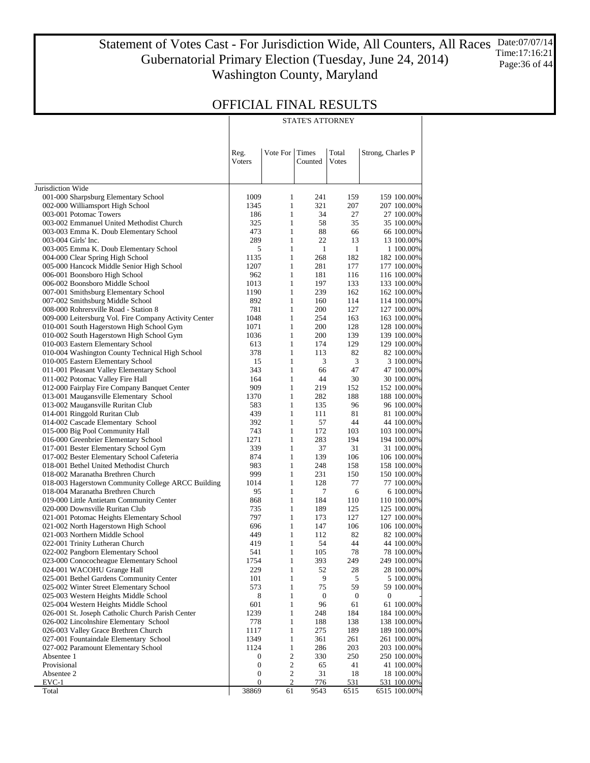Statement of Votes Cast - For Jurisdiction Wide, All Counters, All Races Gubernatorial Primary Election (Tuesday, June 24, 2014) Washington County, Maryland Date:07/07/14 Time:17:16:21 Page:36 of 44

STATE'S ATTORNEY

### OFFICIAL FINAL RESULTS

|                                                                            | Reg.<br>Voters                       | Vote For                     | <b>Times</b><br>Counted | Total<br>Votes   | Strong, Charles P           |
|----------------------------------------------------------------------------|--------------------------------------|------------------------------|-------------------------|------------------|-----------------------------|
|                                                                            |                                      |                              |                         |                  |                             |
| Jurisdiction Wide                                                          |                                      |                              |                         |                  |                             |
| 001-000 Sharpsburg Elementary School                                       | 1009                                 | 1                            | 241                     | 159              | 159 100.00%                 |
| 002-000 Williamsport High School                                           | 1345                                 | $\mathbf{1}$                 | 321                     | 207              | 207 100.00%                 |
| 003-001 Potomac Towers                                                     | 186                                  | $\mathbf{1}$                 | 34                      | 27               | 27 100.00%                  |
| 003-002 Emmanuel United Methodist Church                                   | 325                                  | $\mathbf{1}$                 | 58                      | 35               | 35 100.00%                  |
| 003-003 Emma K. Doub Elementary School                                     | 473                                  | $\mathbf{1}$                 | 88                      | 66               | 66 100.00%                  |
| 003-004 Girls' Inc.                                                        | 289                                  | $\mathbf{1}$                 | 22                      | 13               | 13 100.00%                  |
| 003-005 Emma K. Doub Elementary School                                     | 5                                    | $\mathbf{1}$                 | $\mathbf{1}$            | 1                | 1 100.00%                   |
| 004-000 Clear Spring High School                                           | 1135<br>1207                         | $\mathbf{1}$<br>$\mathbf{1}$ | 268<br>281              | 182<br>177       | 182 100.00%                 |
| 005-000 Hancock Middle Senior High School<br>006-001 Boonsboro High School | 962                                  | $\mathbf{1}$                 | 181                     | 116              | 177 100.00%<br>116 100.00%  |
| 006-002 Boonsboro Middle School                                            | 1013                                 | $\mathbf{1}$                 | 197                     | 133              | 133 100.00%                 |
| 007-001 Smithsburg Elementary School                                       | 1190                                 | $\mathbf{1}$                 | 239                     | 162              | 162 100.00%                 |
| 007-002 Smithsburg Middle School                                           | 892                                  | $\mathbf{1}$                 | 160                     | 114              | 114 100.00%                 |
| 008-000 Rohrersville Road - Station 8                                      | 781                                  | $\mathbf{1}$                 | 200                     | 127              | 127 100.00%                 |
| 009-000 Leitersburg Vol. Fire Company Activity Center                      | 1048                                 | $\mathbf{1}$                 | 254                     | 163              | 163 100.00%                 |
| 010-001 South Hagerstown High School Gym                                   | 1071                                 | $\mathbf{1}$                 | 200                     | 128              | 128 100.00%                 |
| 010-002 South Hagerstown High School Gym                                   | 1036                                 | $\mathbf{1}$                 | 200                     | 139              | 139 100.00%                 |
| 010-003 Eastern Elementary School                                          | 613                                  | $\mathbf{1}$                 | 174                     | 129              | 129 100.00%                 |
| 010-004 Washington County Technical High School                            | 378                                  | $\mathbf{1}$                 | 113                     | 82               | 82 100.00%                  |
| 010-005 Eastern Elementary School                                          | 15                                   | $\mathbf{1}$                 | 3                       | $\mathfrak{Z}$   | 3 100.00%                   |
| 011-001 Pleasant Valley Elementary School                                  | 343                                  | $\mathbf{1}$                 | 66                      | 47               | 47 100.00%                  |
| 011-002 Potomac Valley Fire Hall                                           | 164                                  | $\mathbf{1}$                 | 44                      | 30               | 30 100.00%                  |
| 012-000 Fairplay Fire Company Banquet Center                               | 909                                  | $\mathbf{1}$                 | 219                     | 152              | 152 100.00%                 |
| 013-001 Maugansville Elementary School                                     | 1370                                 | $\mathbf{1}$                 | 282                     | 188              | 188 100.00%                 |
| 013-002 Maugansville Ruritan Club                                          | 583                                  | $\mathbf{1}$<br>$\mathbf{1}$ | 135                     | 96               | 96 100.00%                  |
| 014-001 Ringgold Ruritan Club<br>014-002 Cascade Elementary School         | 439<br>392                           | $\mathbf{1}$                 | 111<br>57               | 81<br>44         | 81 100.00%<br>44 100.00%    |
| 015-000 Big Pool Community Hall                                            | 743                                  | $\mathbf{1}$                 | 172                     | 103              | 103 100.00%                 |
| 016-000 Greenbrier Elementary School                                       | 1271                                 | $\mathbf{1}$                 | 283                     | 194              | 194 100.00%                 |
| 017-001 Bester Elementary School Gym                                       | 339                                  | $\mathbf{1}$                 | 37                      | 31               | 31 100.00%                  |
| 017-002 Bester Elementary School Cafeteria                                 | 874                                  | $\mathbf{1}$                 | 139                     | 106              | 106 100.00%                 |
| 018-001 Bethel United Methodist Church                                     | 983                                  | $\mathbf{1}$                 | 248                     | 158              | 158 100.00%                 |
| 018-002 Maranatha Brethren Church                                          | 999                                  | $\mathbf{1}$                 | 231                     | 150              | 150 100.00%                 |
| 018-003 Hagerstown Community College ARCC Building                         | 1014                                 | $\mathbf{1}$                 | 128                     | 77               | 77 100.00%                  |
| 018-004 Maranatha Brethren Church                                          | 95                                   | $\mathbf{1}$                 | 7                       | 6                | 6 100.00%                   |
| 019-000 Little Antietam Community Center                                   | 868                                  | $\mathbf{1}$                 | 184                     | 110              | 110 100.00%                 |
| 020-000 Downsville Ruritan Club                                            | 735                                  | $\mathbf{1}$                 | 189                     | 125              | 125 100.00%                 |
| 021-001 Potomac Heights Elementary School                                  | 797                                  | $\mathbf{1}$                 | 173                     | 127              | 127 100.00%                 |
| 021-002 North Hagerstown High School                                       | 696                                  | $\mathbf{1}$                 | 147                     | 106              | 106 100.00%                 |
| 021-003 Northern Middle School                                             | 449                                  | $\mathbf{1}$<br>$\mathbf{1}$ | 112<br>54               | 82<br>44         | 82 100.00%                  |
| 022-001 Trinity Lutheran Church<br>022-002 Pangborn Elementary School      | 419<br>541                           | $\mathbf{1}$                 | 105                     | 78               | 44 100.00%<br>78 100.00%    |
| 023-000 Conococheague Elementary School                                    | 1754                                 | $\mathbf{1}$                 | 393                     | 249              | 249 100.00%                 |
| 024-001 WACOHU Grange Hall                                                 | 229                                  | $\mathbf{1}$                 | 52                      | 28               | 28 100.00%                  |
| 025-001 Bethel Gardens Community Center                                    | 101                                  | $\mathbf{1}$                 | 9                       | 5                | 5 100.00%                   |
| 025-002 Winter Street Elementary School                                    | 573                                  | $\mathbf{1}$                 | 75                      | 59               | 59 100.00%                  |
| 025-003 Western Heights Middle School                                      | 8                                    | $\mathbf{1}$                 | 0                       | $\boldsymbol{0}$ | $\boldsymbol{0}$            |
| 025-004 Western Heights Middle School                                      | 601                                  | $\mathbf{1}$                 | 96                      | 61               | 61 100.00%                  |
| 026-001 St. Joseph Catholic Church Parish Center                           | 1239                                 | 1                            | 248                     | 184              | 184 100.00%                 |
| 026-002 Lincolnshire Elementary School                                     | 778                                  | $\mathbf{1}$                 | 188                     | 138              | 138 100.00%                 |
| 026-003 Valley Grace Brethren Church                                       | 1117                                 | 1                            | 275                     | 189              | 189 100.00%                 |
| 027-001 Fountaindale Elementary School                                     | 1349                                 | $\mathbf{1}$                 | 361                     | 261              | 261 100.00%                 |
| 027-002 Paramount Elementary School                                        | 1124                                 | $\mathbf{1}$                 | 286                     | 203              | 203 100.00%                 |
| Absentee 1                                                                 | $\boldsymbol{0}$                     | $\sqrt{2}$                   | 330                     | 250              | 250 100.00%                 |
| Provisional                                                                | $\boldsymbol{0}$                     | $\sqrt{2}$                   | 65                      | 41               | 41 100.00%                  |
| Absentee 2<br>$EVC-1$                                                      | $\boldsymbol{0}$<br>$\boldsymbol{0}$ | $\sqrt{2}$<br>2              | 31<br>776               | 18<br>531        | 18 100.00%                  |
| Total                                                                      | 38869                                | 61                           | 9543                    | 6515             | 531 100.00%<br>6515 100.00% |
|                                                                            |                                      |                              |                         |                  |                             |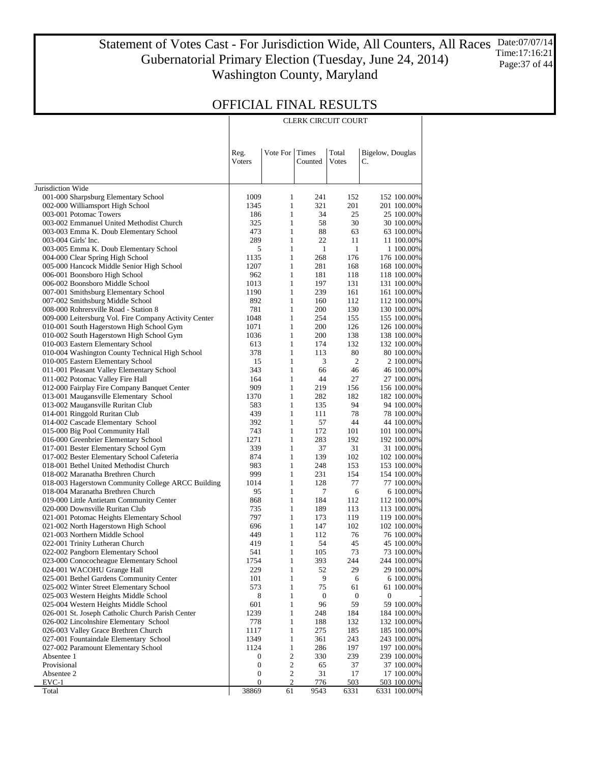Statement of Votes Cast - For Jurisdiction Wide, All Counters, All Races Gubernatorial Primary Election (Tuesday, June 24, 2014) Washington County, Maryland Date:07/07/14 Time:17:16:21 Page:37 of 44

CLERK CIRCUIT COURT

|                                                                               | Reg.<br>Voters   | Vote For                     | Times<br>Counted | Total<br>Votes   | Bigelow, Douglas<br>C.     |
|-------------------------------------------------------------------------------|------------------|------------------------------|------------------|------------------|----------------------------|
| Jurisdiction Wide                                                             |                  |                              |                  |                  |                            |
| 001-000 Sharpsburg Elementary School                                          | 1009             | 1                            | 241              | 152              | 152 100.00%                |
| 002-000 Williamsport High School                                              | 1345             | $\mathbf{1}$                 | 321              | 201              | 201 100.00%                |
| 003-001 Potomac Towers                                                        | 186              | $\mathbf{1}$                 | 34               | 25               | 25 100.00%                 |
| 003-002 Emmanuel United Methodist Church                                      | 325              | $\mathbf{1}$                 | 58               | 30               | 30 100.00%                 |
| 003-003 Emma K. Doub Elementary School                                        | 473              | $\mathbf{1}$                 | 88               | 63               | 63 100.00%                 |
| 003-004 Girls' Inc.                                                           | 289              | $\mathbf{1}$                 | 22               | 11               | 11 100.00%                 |
| 003-005 Emma K. Doub Elementary School                                        | 5                | $\mathbf{1}$                 | 1                | $\mathbf{1}$     | 1 100.00%                  |
| 004-000 Clear Spring High School                                              | 1135             | $\mathbf{1}$                 | 268              | 176              | 176 100.00%                |
| 005-000 Hancock Middle Senior High School                                     | 1207             | $\mathbf{1}$                 | 281              | 168              | 168 100.00%                |
| 006-001 Boonsboro High School<br>006-002 Boonsboro Middle School              | 962<br>1013      | $\mathbf{1}$<br>$\mathbf{1}$ | 181<br>197       | 118<br>131       | 118 100.00%<br>131 100.00% |
| 007-001 Smithsburg Elementary School                                          | 1190             | $\mathbf{1}$                 | 239              | 161              | 161 100.00%                |
| 007-002 Smithsburg Middle School                                              | 892              | $\mathbf{1}$                 | 160              | 112              | 112 100.00%                |
| 008-000 Rohrersville Road - Station 8                                         | 781              | $\mathbf{1}$                 | 200              | 130              | 130 100.00%                |
| 009-000 Leitersburg Vol. Fire Company Activity Center                         | 1048             | $\mathbf{1}$                 | 254              | 155              | 155 100.00%                |
| 010-001 South Hagerstown High School Gym                                      | 1071             | $\mathbf{1}$                 | 200              | 126              | 126 100.00%                |
| 010-002 South Hagerstown High School Gym                                      | 1036             | $\mathbf{1}$                 | 200              | 138              | 138 100.00%                |
| 010-003 Eastern Elementary School                                             | 613              | $\mathbf{1}$                 | 174              | 132              | 132 100.00%                |
| 010-004 Washington County Technical High School                               | 378              | $\mathbf{1}$                 | 113              | 80               | 80 100.00%                 |
| 010-005 Eastern Elementary School                                             | 15               | $\mathbf{1}$                 | 3                | $\overline{2}$   | 2 100.00%                  |
| 011-001 Pleasant Valley Elementary School<br>011-002 Potomac Valley Fire Hall | 343<br>164       | $\mathbf{1}$<br>$\mathbf{1}$ | 66<br>44         | 46<br>27         | 46 100.00%<br>27 100.00%   |
| 012-000 Fairplay Fire Company Banquet Center                                  | 909              | $\mathbf{1}$                 | 219              | 156              | 156 100.00%                |
| 013-001 Maugansville Elementary School                                        | 1370             | $\mathbf{1}$                 | 282              | 182              | 182 100.00%                |
| 013-002 Maugansville Ruritan Club                                             | 583              | $\mathbf{1}$                 | 135              | 94               | 94 100.00%                 |
| 014-001 Ringgold Ruritan Club                                                 | 439              | $\mathbf{1}$                 | 111              | 78               | 78 100.00%                 |
| 014-002 Cascade Elementary School                                             | 392              | $\mathbf{1}$                 | 57               | 44               | 44 100.00%                 |
| 015-000 Big Pool Community Hall                                               | 743              | $\mathbf{1}$                 | 172              | 101              | 101 100.00%                |
| 016-000 Greenbrier Elementary School                                          | 1271             | $\mathbf{1}$                 | 283              | 192              | 192 100.00%                |
| 017-001 Bester Elementary School Gym                                          | 339              | $\mathbf{1}$                 | 37               | 31               | 31 100.00%                 |
| 017-002 Bester Elementary School Cafeteria                                    | 874              | $\mathbf{1}$                 | 139              | 102              | 102 100.00%                |
| 018-001 Bethel United Methodist Church<br>018-002 Maranatha Brethren Church   | 983<br>999       | $\mathbf{1}$<br>$\mathbf{1}$ | 248<br>231       | 153<br>154       | 153 100.00%<br>154 100.00% |
| 018-003 Hagerstown Community College ARCC Building                            | 1014             | $\mathbf{1}$                 | 128              | 77               | 77 100.00%                 |
| 018-004 Maranatha Brethren Church                                             | 95               | $\mathbf{1}$                 | 7                | 6                | 6 100.00%                  |
| 019-000 Little Antietam Community Center                                      | 868              | $\mathbf{1}$                 | 184              | 112              | 112 100.00%                |
| 020-000 Downsville Ruritan Club                                               | 735              | $\mathbf{1}$                 | 189              | 113              | 113 100.00%                |
| 021-001 Potomac Heights Elementary School                                     | 797              | $\mathbf{1}$                 | 173              | 119              | 119 100.00%                |
| 021-002 North Hagerstown High School                                          | 696              | $\mathbf{1}$                 | 147              | 102              | 102 100.00%                |
| 021-003 Northern Middle School                                                | 449              | $\mathbf{1}$                 | 112              | 76               | 76 100.00%                 |
| 022-001 Trinity Lutheran Church                                               | 419              | $\mathbf{1}$                 | 54               | 45               | 45 100.00%                 |
| 022-002 Pangborn Elementary School                                            | 541              | $\mathbf{1}$                 | 105              | 73               | 73 100.00%                 |
| 023-000 Conococheague Elementary School<br>024-001 WACOHU Grange Hall         | 1754<br>229      | 1<br>1                       | 393<br>52        | 244<br>29        | 244 100.00%<br>29 100.00%  |
| 025-001 Bethel Gardens Community Center                                       | 101              | $\mathbf{1}$                 | 9                | 6                | 6 100.00%                  |
| 025-002 Winter Street Elementary School                                       | 573              | $\mathbf{1}$                 | 75               | 61               | 61 100.00%                 |
| 025-003 Western Heights Middle School                                         | 8                | $\mathbf{1}$                 | 0                | $\boldsymbol{0}$ | $\mathbf{0}$               |
| 025-004 Western Heights Middle School                                         | 601              | $\mathbf{1}$                 | 96               | 59               | 59 100.00%                 |
| 026-001 St. Joseph Catholic Church Parish Center                              | 1239             | $\mathbf{1}$                 | 248              | 184              | 184 100.00%                |
| 026-002 Lincolnshire Elementary School                                        | 778              | $\mathbf{1}$                 | 188              | 132              | 132 100.00%                |
| 026-003 Valley Grace Brethren Church                                          | 1117             | $\mathbf{1}$                 | 275              | 185              | 185 100.00%                |
| 027-001 Fountaindale Elementary School                                        | 1349             | $\mathbf{1}$                 | 361              | 243              | 243 100.00%                |
| 027-002 Paramount Elementary School<br>Absentee 1                             | 1124<br>0        | $\mathbf{1}$<br>2            | 286<br>330       | 197<br>239       | 197 100.00%<br>239 100.00% |
| Provisional                                                                   | $\boldsymbol{0}$ | $\sqrt{2}$                   | 65               | 37               | 37 100.00%                 |
| Absentee 2                                                                    | $\boldsymbol{0}$ | 2                            | 31               | 17               | 17 100.00%                 |
| $EVC-1$                                                                       | $\boldsymbol{0}$ | 2                            | 776              | 503              | 503 100.00%                |
| Total                                                                         | 38869            | 61                           | 9543             | 6331             | 6331 100.00%               |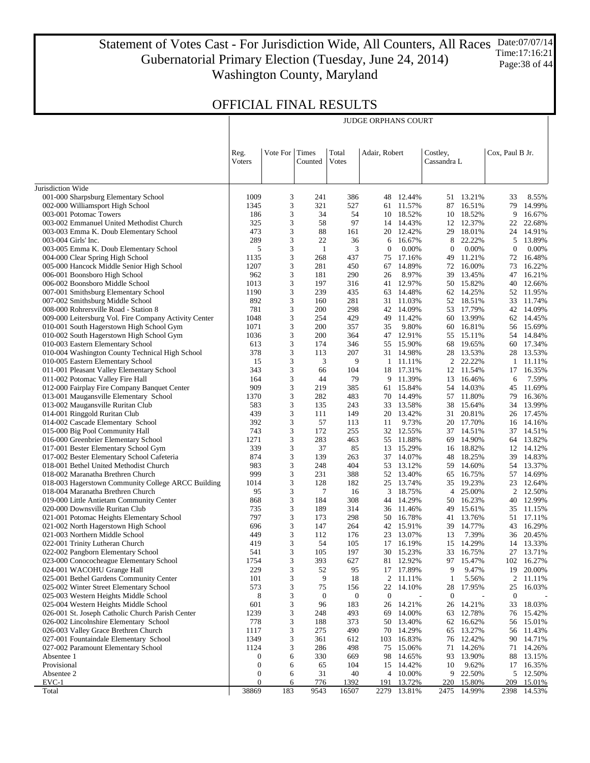Statement of Votes Cast - For Jurisdiction Wide, All Counters, All Races Gubernatorial Primary Election (Tuesday, June 24, 2014) Washington County, Maryland Date:07/07/14 Time:17:16:21 Page:38 of 44

JUDGE ORPHANS COURT

| Vote For<br>Times<br>Total<br>Adair, Robert<br>Costley,<br>Cox, Paul B Jr.<br>Reg.<br><b>V</b> oters<br>Counted<br>Votes<br>Cassandra L<br>Jurisdiction Wide<br>001-000 Sharpsburg Elementary School<br>1009<br>3<br>241<br>386<br>12.44%<br>51 13.21%<br>33<br>8.55%<br>48<br>3<br>002-000 Williamsport High School<br>1345<br>321<br>527<br>11.57%<br>87<br>16.51%<br>79<br>14.99%<br>61<br>3<br>9<br>003-001 Potomac Towers<br>186<br>34<br>54<br>18.52%<br>10<br>18.52%<br>16.67%<br>10<br>3<br>97<br>003-002 Emmanuel United Methodist Church<br>325<br>58<br>14.43%<br>12 12.37%<br>22<br>22.68%<br>14<br>3<br>003-003 Emma K. Doub Elementary School<br>473<br>88<br>161<br>20<br>12.42%<br>29 18.01%<br>14.91%<br>24<br>289<br>3<br>003-004 Girls' Inc.<br>22<br>36<br>6<br>16.67%<br>8<br>22.22%<br>5<br>13.89%<br>3<br>0.00%<br>003-005 Emma K. Doub Elementary School<br>5<br>1<br>3<br>$\boldsymbol{0}$<br>0.00%<br>$\boldsymbol{0}$<br>0.00%<br>$\boldsymbol{0}$<br>3<br>004-000 Clear Spring High School<br>1135<br>268<br>437<br>17.16%<br>49<br>11.21%<br>72<br>16.48%<br>75<br>1207<br>3<br>005-000 Hancock Middle Senior High School<br>281<br>450<br>67<br>14.89%<br>72<br>16.00%<br>73<br>16.22%<br>3<br>8.97%<br>006-001 Boonsboro High School<br>962<br>181<br>290<br>26<br>39<br>13.45%<br>47<br>16.21%<br>3<br>197<br>006-002 Boonsboro Middle School<br>1013<br>316<br>12.97%<br>50<br>15.82%<br>40<br>12.66%<br>41<br>3<br>239<br>007-001 Smithsburg Elementary School<br>1190<br>435<br>14.48%<br>62 14.25%<br>52 11.95%<br>63<br>892<br>3<br>007-002 Smithsburg Middle School<br>160<br>281<br>31<br>11.03%<br>52 18.51%<br>33<br>11.74%<br>3<br>008-000 Rohrersville Road - Station 8<br>781<br>200<br>298<br>42<br>14.09%<br>53 17.79%<br>42 14.09%<br>3<br>429<br>009-000 Leitersburg Vol. Fire Company Activity Center<br>1048<br>254<br>49<br>11.42%<br>60<br>13.99%<br>62<br>14.45%<br>3<br>010-001 South Hagerstown High School Gym<br>1071<br>200<br>357<br>35<br>9.80%<br>16.81%<br>15.69%<br>60<br>56<br>3<br>010-002 South Hagerstown High School Gym<br>1036<br>200<br>364<br>47<br>12.91%<br>55<br>15.11%<br>14.84%<br>54<br>3<br>010-003 Eastern Elementary School<br>613<br>174<br>346<br>15.90%<br>68<br>19.65%<br>60<br>17.34%<br>55<br>3<br>010-004 Washington County Technical High School<br>378<br>113<br>207<br>14.98%<br>28 13.53%<br>28<br>13.53%<br>31<br>3<br>3<br>2 22.22%<br>010-005 Eastern Elementary School<br>15<br>9<br>11.11%<br>11.11%<br>1<br>1<br>3<br>011-001 Pleasant Valley Elementary School<br>343<br>66<br>104<br>17.31%<br>12 11.54%<br>17<br>16.35%<br>18<br>3<br>011-002 Potomac Valley Fire Hall<br>164<br>44<br>79<br>9<br>11.39%<br>13<br>16.46%<br>7.59%<br>6<br>909<br>3<br>11.69%<br>012-000 Fairplay Fire Company Banquet Center<br>219<br>385<br>15.84%<br>54<br>14.03%<br>61<br>45<br>3<br>013-001 Maugansville Elementary School<br>1370<br>282<br>483<br>14.49%<br>57 11.80%<br>79<br>16.36%<br>70<br>3<br>13.99%<br>013-002 Maugansville Ruritan Club<br>583<br>135<br>243<br>33<br>13.58%<br>38<br>15.64%<br>34<br>3<br>014-001 Ringgold Ruritan Club<br>439<br>111<br>149<br>20<br>13.42%<br>31<br>20.81%<br>17.45%<br>26<br>392<br>3<br>57<br>014-002 Cascade Elementary School<br>113<br>9.73%<br>20 17.70%<br>14.16%<br>11<br>16<br>3<br>015-000 Big Pool Community Hall<br>743<br>172<br>255<br>32<br>12.55%<br>37 14.51%<br>37<br>14.51%<br>1271<br>3<br>283<br>016-000 Greenbrier Elementary School<br>463<br>11.88%<br>69<br>14.90%<br>13.82%<br>55<br>64<br>3<br>017-001 Bester Elementary School Gym<br>339<br>37<br>85<br>13<br>15.29%<br>18.82%<br>12<br>14.12%<br>16<br>874<br>3<br>017-002 Bester Elementary School Cafeteria<br>139<br>263<br>37<br>14.07%<br>48<br>18.25%<br>39<br>14.83%<br>983<br>3<br>018-001 Bethel United Methodist Church<br>248<br>404<br>53<br>13.12%<br>59<br>14.60%<br>13.37%<br>54<br>999<br>3<br>231<br>388<br>52<br>13.40%<br>65<br>16.75%<br>57<br>14.69%<br>018-002 Maranatha Brethren Church<br>3<br>1014<br>128<br>182<br>25<br>13.74%<br>35<br>19.23%<br>23<br>12.64%<br>018-003 Hagerstown Community College ARCC Building<br>95<br>3<br>7<br>$\overline{c}$<br>018-004 Maranatha Brethren Church<br>16<br>3<br>18.75%<br>$\overline{4}$<br>25.00%<br>12.50%<br>3<br>12.99%<br>868<br>184<br>308<br>14.29%<br>16.23%<br>019-000 Little Antietam Community Center<br>44<br>50<br>40<br>3<br>735<br>189<br>314<br>11.46%<br>49<br>15.61%<br>11.15%<br>020-000 Downsville Ruritan Club<br>36<br>35<br>3<br>797<br>173<br>298<br>16.78%<br>13.76%<br>17.11%<br>021-001 Potomac Heights Elementary School<br>50<br>41<br>51<br>3<br>16.29%<br>021-002 North Hagerstown High School<br>696<br>147<br>264<br>42 15.91%<br>39<br>14.77%<br>43<br>3<br>7.39%<br>021-003 Northern Middle School<br>449<br>112<br>176<br>23<br>13.07%<br>13<br>20.45%<br>36<br>3<br>14.29%<br>419<br>54<br>105<br>17<br>16.19%<br>15<br>13.33%<br>022-001 Trinity Lutheran Church<br>14<br>3<br>022-002 Pangborn Elementary School<br>541<br>105<br>197<br>30<br>15.23%<br>33 16.75%<br>27 13.71%<br>023-000 Conococheague Elementary School<br>393<br>627<br>97<br>3<br>81<br>102<br>16.27%<br>1754<br>12.92%<br>15.47%<br>3<br>024-001 WACOHU Grange Hall<br>229<br>52<br>95<br>17 17.89%<br>9<br>9.47%<br>19<br>20.00%<br>18<br>$\boldsymbol{2}$<br>101<br>3<br>9<br>2<br>$\mathbf{1}$<br>5.56%<br>025-001 Bethel Gardens Community Center<br>11.11%<br>11.11%<br>573<br>3<br>75<br>22<br>28<br>17.95%<br>25<br>025-002 Winter Street Elementary School<br>156<br>14.10%<br>16.03%<br>8<br>3<br>$\boldsymbol{0}$<br>$\boldsymbol{0}$<br>$\boldsymbol{0}$<br>$\boldsymbol{0}$<br>025-003 Western Heights Middle School<br>$\mathbf{0}$<br>601<br>3<br>183<br>14.21%<br>14.21%<br>18.03%<br>025-004 Western Heights Middle School<br>96<br>26<br>26<br>33<br>3<br>026-001 St. Joseph Catholic Church Parish Center<br>1239<br>248<br>493<br>14.00%<br>12.78%<br>69<br>63<br>15.42%<br>76<br>778<br>3<br>188<br>373<br>16.62%<br>026-002 Lincolnshire Elementary School<br>50<br>13.40%<br>62<br>15.01%<br>56<br>026-003 Valley Grace Brethren Church<br>1117<br>3<br>275<br>490<br>70<br>14.29%<br>13.27%<br>65<br>11.43%<br>56<br>3<br>1349<br>612<br>16.83%<br>76<br>12.42%<br>14.71%<br>027-001 Fountaindale Elementary School<br>361<br>103<br>90<br>1124<br>3<br>286<br>498<br>71<br>14.26%<br>14.26%<br>027-002 Paramount Elementary School<br>75<br>15.06%<br>71<br>6<br>330<br>669<br>93<br>13.90%<br>88<br>13.15%<br>Absentee 1<br>98<br>14.65%<br>0<br>Provisional<br>104<br>10<br>9.62%<br>16.35%<br>0<br>6<br>65<br>15<br>14.42%<br>17<br>31<br>40<br>10.00%<br>9 22.50%<br>5<br>12.50%<br>Absentee 2<br>0<br>6<br>4<br>$\overline{0}$<br>776<br>1392<br>191<br>220<br>15.80%<br>15.01%<br>$EVC-1$<br>6<br>13.72%<br>209<br>38869<br>183<br>9543<br>2279<br>14.99%<br>Total<br>16507<br>13.81%<br>2475<br>2398<br>14.53% |  |  |  |  |  |  |
|------------------------------------------------------------------------------------------------------------------------------------------------------------------------------------------------------------------------------------------------------------------------------------------------------------------------------------------------------------------------------------------------------------------------------------------------------------------------------------------------------------------------------------------------------------------------------------------------------------------------------------------------------------------------------------------------------------------------------------------------------------------------------------------------------------------------------------------------------------------------------------------------------------------------------------------------------------------------------------------------------------------------------------------------------------------------------------------------------------------------------------------------------------------------------------------------------------------------------------------------------------------------------------------------------------------------------------------------------------------------------------------------------------------------------------------------------------------------------------------------------------------------------------------------------------------------------------------------------------------------------------------------------------------------------------------------------------------------------------------------------------------------------------------------------------------------------------------------------------------------------------------------------------------------------------------------------------------------------------------------------------------------------------------------------------------------------------------------------------------------------------------------------------------------------------------------------------------------------------------------------------------------------------------------------------------------------------------------------------------------------------------------------------------------------------------------------------------------------------------------------------------------------------------------------------------------------------------------------------------------------------------------------------------------------------------------------------------------------------------------------------------------------------------------------------------------------------------------------------------------------------------------------------------------------------------------------------------------------------------------------------------------------------------------------------------------------------------------------------------------------------------------------------------------------------------------------------------------------------------------------------------------------------------------------------------------------------------------------------------------------------------------------------------------------------------------------------------------------------------------------------------------------------------------------------------------------------------------------------------------------------------------------------------------------------------------------------------------------------------------------------------------------------------------------------------------------------------------------------------------------------------------------------------------------------------------------------------------------------------------------------------------------------------------------------------------------------------------------------------------------------------------------------------------------------------------------------------------------------------------------------------------------------------------------------------------------------------------------------------------------------------------------------------------------------------------------------------------------------------------------------------------------------------------------------------------------------------------------------------------------------------------------------------------------------------------------------------------------------------------------------------------------------------------------------------------------------------------------------------------------------------------------------------------------------------------------------------------------------------------------------------------------------------------------------------------------------------------------------------------------------------------------------------------------------------------------------------------------------------------------------------------------------------------------------------------------------------------------------------------------------------------------------------------------------------------------------------------------------------------------------------------------------------------------------------------------------------------------------------------------------------------------------------------------------------------------------------------------------------------------------------------------------------------------------------------------------------------------------------------------------------------------------------------------------------------------------------------------------------------------------------------------------------------------------------------------------------------------------------------------------------------------------------------------------------------------------------------------------------------------------------------------------------------------------------------------------------------------------------------------------------------------------------------------------------------------------------------------------------------------------------------------------------------------------------------------------------------------------------------------------------------------------------------------------------------------------------------------------------------------------------------------------------------------------------------------------------------------------------------------------------------------------------------------------------------------|--|--|--|--|--|--|
|                                                                                                                                                                                                                                                                                                                                                                                                                                                                                                                                                                                                                                                                                                                                                                                                                                                                                                                                                                                                                                                                                                                                                                                                                                                                                                                                                                                                                                                                                                                                                                                                                                                                                                                                                                                                                                                                                                                                                                                                                                                                                                                                                                                                                                                                                                                                                                                                                                                                                                                                                                                                                                                                                                                                                                                                                                                                                                                                                                                                                                                                                                                                                                                                                                                                                                                                                                                                                                                                                                                                                                                                                                                                                                                                                                                                                                                                                                                                                                                                                                                                                                                                                                                                                                                                                                                                                                                                                                                                                                                                                                                                                                                                                                                                                                                                                                                                                                                                                                                                                                                                                                                                                                                                                                                                                                                                                                                                                                                                                                                                                                                                                                                                                                                                                                                                                                                                                                                                                                                                                                                                                                                                                                                                                                                                                                                                                                                                                                                                                                                                                                                                                                                                                                                                                                                                                                                                                                                                                      |  |  |  |  |  |  |
|                                                                                                                                                                                                                                                                                                                                                                                                                                                                                                                                                                                                                                                                                                                                                                                                                                                                                                                                                                                                                                                                                                                                                                                                                                                                                                                                                                                                                                                                                                                                                                                                                                                                                                                                                                                                                                                                                                                                                                                                                                                                                                                                                                                                                                                                                                                                                                                                                                                                                                                                                                                                                                                                                                                                                                                                                                                                                                                                                                                                                                                                                                                                                                                                                                                                                                                                                                                                                                                                                                                                                                                                                                                                                                                                                                                                                                                                                                                                                                                                                                                                                                                                                                                                                                                                                                                                                                                                                                                                                                                                                                                                                                                                                                                                                                                                                                                                                                                                                                                                                                                                                                                                                                                                                                                                                                                                                                                                                                                                                                                                                                                                                                                                                                                                                                                                                                                                                                                                                                                                                                                                                                                                                                                                                                                                                                                                                                                                                                                                                                                                                                                                                                                                                                                                                                                                                                                                                                                                                      |  |  |  |  |  |  |
|                                                                                                                                                                                                                                                                                                                                                                                                                                                                                                                                                                                                                                                                                                                                                                                                                                                                                                                                                                                                                                                                                                                                                                                                                                                                                                                                                                                                                                                                                                                                                                                                                                                                                                                                                                                                                                                                                                                                                                                                                                                                                                                                                                                                                                                                                                                                                                                                                                                                                                                                                                                                                                                                                                                                                                                                                                                                                                                                                                                                                                                                                                                                                                                                                                                                                                                                                                                                                                                                                                                                                                                                                                                                                                                                                                                                                                                                                                                                                                                                                                                                                                                                                                                                                                                                                                                                                                                                                                                                                                                                                                                                                                                                                                                                                                                                                                                                                                                                                                                                                                                                                                                                                                                                                                                                                                                                                                                                                                                                                                                                                                                                                                                                                                                                                                                                                                                                                                                                                                                                                                                                                                                                                                                                                                                                                                                                                                                                                                                                                                                                                                                                                                                                                                                                                                                                                                                                                                                                                      |  |  |  |  |  |  |
|                                                                                                                                                                                                                                                                                                                                                                                                                                                                                                                                                                                                                                                                                                                                                                                                                                                                                                                                                                                                                                                                                                                                                                                                                                                                                                                                                                                                                                                                                                                                                                                                                                                                                                                                                                                                                                                                                                                                                                                                                                                                                                                                                                                                                                                                                                                                                                                                                                                                                                                                                                                                                                                                                                                                                                                                                                                                                                                                                                                                                                                                                                                                                                                                                                                                                                                                                                                                                                                                                                                                                                                                                                                                                                                                                                                                                                                                                                                                                                                                                                                                                                                                                                                                                                                                                                                                                                                                                                                                                                                                                                                                                                                                                                                                                                                                                                                                                                                                                                                                                                                                                                                                                                                                                                                                                                                                                                                                                                                                                                                                                                                                                                                                                                                                                                                                                                                                                                                                                                                                                                                                                                                                                                                                                                                                                                                                                                                                                                                                                                                                                                                                                                                                                                                                                                                                                                                                                                                                                      |  |  |  |  |  |  |
|                                                                                                                                                                                                                                                                                                                                                                                                                                                                                                                                                                                                                                                                                                                                                                                                                                                                                                                                                                                                                                                                                                                                                                                                                                                                                                                                                                                                                                                                                                                                                                                                                                                                                                                                                                                                                                                                                                                                                                                                                                                                                                                                                                                                                                                                                                                                                                                                                                                                                                                                                                                                                                                                                                                                                                                                                                                                                                                                                                                                                                                                                                                                                                                                                                                                                                                                                                                                                                                                                                                                                                                                                                                                                                                                                                                                                                                                                                                                                                                                                                                                                                                                                                                                                                                                                                                                                                                                                                                                                                                                                                                                                                                                                                                                                                                                                                                                                                                                                                                                                                                                                                                                                                                                                                                                                                                                                                                                                                                                                                                                                                                                                                                                                                                                                                                                                                                                                                                                                                                                                                                                                                                                                                                                                                                                                                                                                                                                                                                                                                                                                                                                                                                                                                                                                                                                                                                                                                                                                      |  |  |  |  |  |  |
|                                                                                                                                                                                                                                                                                                                                                                                                                                                                                                                                                                                                                                                                                                                                                                                                                                                                                                                                                                                                                                                                                                                                                                                                                                                                                                                                                                                                                                                                                                                                                                                                                                                                                                                                                                                                                                                                                                                                                                                                                                                                                                                                                                                                                                                                                                                                                                                                                                                                                                                                                                                                                                                                                                                                                                                                                                                                                                                                                                                                                                                                                                                                                                                                                                                                                                                                                                                                                                                                                                                                                                                                                                                                                                                                                                                                                                                                                                                                                                                                                                                                                                                                                                                                                                                                                                                                                                                                                                                                                                                                                                                                                                                                                                                                                                                                                                                                                                                                                                                                                                                                                                                                                                                                                                                                                                                                                                                                                                                                                                                                                                                                                                                                                                                                                                                                                                                                                                                                                                                                                                                                                                                                                                                                                                                                                                                                                                                                                                                                                                                                                                                                                                                                                                                                                                                                                                                                                                                                                      |  |  |  |  |  |  |
|                                                                                                                                                                                                                                                                                                                                                                                                                                                                                                                                                                                                                                                                                                                                                                                                                                                                                                                                                                                                                                                                                                                                                                                                                                                                                                                                                                                                                                                                                                                                                                                                                                                                                                                                                                                                                                                                                                                                                                                                                                                                                                                                                                                                                                                                                                                                                                                                                                                                                                                                                                                                                                                                                                                                                                                                                                                                                                                                                                                                                                                                                                                                                                                                                                                                                                                                                                                                                                                                                                                                                                                                                                                                                                                                                                                                                                                                                                                                                                                                                                                                                                                                                                                                                                                                                                                                                                                                                                                                                                                                                                                                                                                                                                                                                                                                                                                                                                                                                                                                                                                                                                                                                                                                                                                                                                                                                                                                                                                                                                                                                                                                                                                                                                                                                                                                                                                                                                                                                                                                                                                                                                                                                                                                                                                                                                                                                                                                                                                                                                                                                                                                                                                                                                                                                                                                                                                                                                                                                      |  |  |  |  |  |  |
|                                                                                                                                                                                                                                                                                                                                                                                                                                                                                                                                                                                                                                                                                                                                                                                                                                                                                                                                                                                                                                                                                                                                                                                                                                                                                                                                                                                                                                                                                                                                                                                                                                                                                                                                                                                                                                                                                                                                                                                                                                                                                                                                                                                                                                                                                                                                                                                                                                                                                                                                                                                                                                                                                                                                                                                                                                                                                                                                                                                                                                                                                                                                                                                                                                                                                                                                                                                                                                                                                                                                                                                                                                                                                                                                                                                                                                                                                                                                                                                                                                                                                                                                                                                                                                                                                                                                                                                                                                                                                                                                                                                                                                                                                                                                                                                                                                                                                                                                                                                                                                                                                                                                                                                                                                                                                                                                                                                                                                                                                                                                                                                                                                                                                                                                                                                                                                                                                                                                                                                                                                                                                                                                                                                                                                                                                                                                                                                                                                                                                                                                                                                                                                                                                                                                                                                                                                                                                                                                                      |  |  |  |  |  |  |
|                                                                                                                                                                                                                                                                                                                                                                                                                                                                                                                                                                                                                                                                                                                                                                                                                                                                                                                                                                                                                                                                                                                                                                                                                                                                                                                                                                                                                                                                                                                                                                                                                                                                                                                                                                                                                                                                                                                                                                                                                                                                                                                                                                                                                                                                                                                                                                                                                                                                                                                                                                                                                                                                                                                                                                                                                                                                                                                                                                                                                                                                                                                                                                                                                                                                                                                                                                                                                                                                                                                                                                                                                                                                                                                                                                                                                                                                                                                                                                                                                                                                                                                                                                                                                                                                                                                                                                                                                                                                                                                                                                                                                                                                                                                                                                                                                                                                                                                                                                                                                                                                                                                                                                                                                                                                                                                                                                                                                                                                                                                                                                                                                                                                                                                                                                                                                                                                                                                                                                                                                                                                                                                                                                                                                                                                                                                                                                                                                                                                                                                                                                                                                                                                                                                                                                                                                                                                                                                                                      |  |  |  |  |  |  |
|                                                                                                                                                                                                                                                                                                                                                                                                                                                                                                                                                                                                                                                                                                                                                                                                                                                                                                                                                                                                                                                                                                                                                                                                                                                                                                                                                                                                                                                                                                                                                                                                                                                                                                                                                                                                                                                                                                                                                                                                                                                                                                                                                                                                                                                                                                                                                                                                                                                                                                                                                                                                                                                                                                                                                                                                                                                                                                                                                                                                                                                                                                                                                                                                                                                                                                                                                                                                                                                                                                                                                                                                                                                                                                                                                                                                                                                                                                                                                                                                                                                                                                                                                                                                                                                                                                                                                                                                                                                                                                                                                                                                                                                                                                                                                                                                                                                                                                                                                                                                                                                                                                                                                                                                                                                                                                                                                                                                                                                                                                                                                                                                                                                                                                                                                                                                                                                                                                                                                                                                                                                                                                                                                                                                                                                                                                                                                                                                                                                                                                                                                                                                                                                                                                                                                                                                                                                                                                                                                      |  |  |  |  |  |  |
|                                                                                                                                                                                                                                                                                                                                                                                                                                                                                                                                                                                                                                                                                                                                                                                                                                                                                                                                                                                                                                                                                                                                                                                                                                                                                                                                                                                                                                                                                                                                                                                                                                                                                                                                                                                                                                                                                                                                                                                                                                                                                                                                                                                                                                                                                                                                                                                                                                                                                                                                                                                                                                                                                                                                                                                                                                                                                                                                                                                                                                                                                                                                                                                                                                                                                                                                                                                                                                                                                                                                                                                                                                                                                                                                                                                                                                                                                                                                                                                                                                                                                                                                                                                                                                                                                                                                                                                                                                                                                                                                                                                                                                                                                                                                                                                                                                                                                                                                                                                                                                                                                                                                                                                                                                                                                                                                                                                                                                                                                                                                                                                                                                                                                                                                                                                                                                                                                                                                                                                                                                                                                                                                                                                                                                                                                                                                                                                                                                                                                                                                                                                                                                                                                                                                                                                                                                                                                                                                                      |  |  |  |  |  |  |
|                                                                                                                                                                                                                                                                                                                                                                                                                                                                                                                                                                                                                                                                                                                                                                                                                                                                                                                                                                                                                                                                                                                                                                                                                                                                                                                                                                                                                                                                                                                                                                                                                                                                                                                                                                                                                                                                                                                                                                                                                                                                                                                                                                                                                                                                                                                                                                                                                                                                                                                                                                                                                                                                                                                                                                                                                                                                                                                                                                                                                                                                                                                                                                                                                                                                                                                                                                                                                                                                                                                                                                                                                                                                                                                                                                                                                                                                                                                                                                                                                                                                                                                                                                                                                                                                                                                                                                                                                                                                                                                                                                                                                                                                                                                                                                                                                                                                                                                                                                                                                                                                                                                                                                                                                                                                                                                                                                                                                                                                                                                                                                                                                                                                                                                                                                                                                                                                                                                                                                                                                                                                                                                                                                                                                                                                                                                                                                                                                                                                                                                                                                                                                                                                                                                                                                                                                                                                                                                                                      |  |  |  |  |  |  |
|                                                                                                                                                                                                                                                                                                                                                                                                                                                                                                                                                                                                                                                                                                                                                                                                                                                                                                                                                                                                                                                                                                                                                                                                                                                                                                                                                                                                                                                                                                                                                                                                                                                                                                                                                                                                                                                                                                                                                                                                                                                                                                                                                                                                                                                                                                                                                                                                                                                                                                                                                                                                                                                                                                                                                                                                                                                                                                                                                                                                                                                                                                                                                                                                                                                                                                                                                                                                                                                                                                                                                                                                                                                                                                                                                                                                                                                                                                                                                                                                                                                                                                                                                                                                                                                                                                                                                                                                                                                                                                                                                                                                                                                                                                                                                                                                                                                                                                                                                                                                                                                                                                                                                                                                                                                                                                                                                                                                                                                                                                                                                                                                                                                                                                                                                                                                                                                                                                                                                                                                                                                                                                                                                                                                                                                                                                                                                                                                                                                                                                                                                                                                                                                                                                                                                                                                                                                                                                                                                      |  |  |  |  |  |  |
|                                                                                                                                                                                                                                                                                                                                                                                                                                                                                                                                                                                                                                                                                                                                                                                                                                                                                                                                                                                                                                                                                                                                                                                                                                                                                                                                                                                                                                                                                                                                                                                                                                                                                                                                                                                                                                                                                                                                                                                                                                                                                                                                                                                                                                                                                                                                                                                                                                                                                                                                                                                                                                                                                                                                                                                                                                                                                                                                                                                                                                                                                                                                                                                                                                                                                                                                                                                                                                                                                                                                                                                                                                                                                                                                                                                                                                                                                                                                                                                                                                                                                                                                                                                                                                                                                                                                                                                                                                                                                                                                                                                                                                                                                                                                                                                                                                                                                                                                                                                                                                                                                                                                                                                                                                                                                                                                                                                                                                                                                                                                                                                                                                                                                                                                                                                                                                                                                                                                                                                                                                                                                                                                                                                                                                                                                                                                                                                                                                                                                                                                                                                                                                                                                                                                                                                                                                                                                                                                                      |  |  |  |  |  |  |
|                                                                                                                                                                                                                                                                                                                                                                                                                                                                                                                                                                                                                                                                                                                                                                                                                                                                                                                                                                                                                                                                                                                                                                                                                                                                                                                                                                                                                                                                                                                                                                                                                                                                                                                                                                                                                                                                                                                                                                                                                                                                                                                                                                                                                                                                                                                                                                                                                                                                                                                                                                                                                                                                                                                                                                                                                                                                                                                                                                                                                                                                                                                                                                                                                                                                                                                                                                                                                                                                                                                                                                                                                                                                                                                                                                                                                                                                                                                                                                                                                                                                                                                                                                                                                                                                                                                                                                                                                                                                                                                                                                                                                                                                                                                                                                                                                                                                                                                                                                                                                                                                                                                                                                                                                                                                                                                                                                                                                                                                                                                                                                                                                                                                                                                                                                                                                                                                                                                                                                                                                                                                                                                                                                                                                                                                                                                                                                                                                                                                                                                                                                                                                                                                                                                                                                                                                                                                                                                                                      |  |  |  |  |  |  |
|                                                                                                                                                                                                                                                                                                                                                                                                                                                                                                                                                                                                                                                                                                                                                                                                                                                                                                                                                                                                                                                                                                                                                                                                                                                                                                                                                                                                                                                                                                                                                                                                                                                                                                                                                                                                                                                                                                                                                                                                                                                                                                                                                                                                                                                                                                                                                                                                                                                                                                                                                                                                                                                                                                                                                                                                                                                                                                                                                                                                                                                                                                                                                                                                                                                                                                                                                                                                                                                                                                                                                                                                                                                                                                                                                                                                                                                                                                                                                                                                                                                                                                                                                                                                                                                                                                                                                                                                                                                                                                                                                                                                                                                                                                                                                                                                                                                                                                                                                                                                                                                                                                                                                                                                                                                                                                                                                                                                                                                                                                                                                                                                                                                                                                                                                                                                                                                                                                                                                                                                                                                                                                                                                                                                                                                                                                                                                                                                                                                                                                                                                                                                                                                                                                                                                                                                                                                                                                                                                      |  |  |  |  |  |  |
|                                                                                                                                                                                                                                                                                                                                                                                                                                                                                                                                                                                                                                                                                                                                                                                                                                                                                                                                                                                                                                                                                                                                                                                                                                                                                                                                                                                                                                                                                                                                                                                                                                                                                                                                                                                                                                                                                                                                                                                                                                                                                                                                                                                                                                                                                                                                                                                                                                                                                                                                                                                                                                                                                                                                                                                                                                                                                                                                                                                                                                                                                                                                                                                                                                                                                                                                                                                                                                                                                                                                                                                                                                                                                                                                                                                                                                                                                                                                                                                                                                                                                                                                                                                                                                                                                                                                                                                                                                                                                                                                                                                                                                                                                                                                                                                                                                                                                                                                                                                                                                                                                                                                                                                                                                                                                                                                                                                                                                                                                                                                                                                                                                                                                                                                                                                                                                                                                                                                                                                                                                                                                                                                                                                                                                                                                                                                                                                                                                                                                                                                                                                                                                                                                                                                                                                                                                                                                                                                                      |  |  |  |  |  |  |
|                                                                                                                                                                                                                                                                                                                                                                                                                                                                                                                                                                                                                                                                                                                                                                                                                                                                                                                                                                                                                                                                                                                                                                                                                                                                                                                                                                                                                                                                                                                                                                                                                                                                                                                                                                                                                                                                                                                                                                                                                                                                                                                                                                                                                                                                                                                                                                                                                                                                                                                                                                                                                                                                                                                                                                                                                                                                                                                                                                                                                                                                                                                                                                                                                                                                                                                                                                                                                                                                                                                                                                                                                                                                                                                                                                                                                                                                                                                                                                                                                                                                                                                                                                                                                                                                                                                                                                                                                                                                                                                                                                                                                                                                                                                                                                                                                                                                                                                                                                                                                                                                                                                                                                                                                                                                                                                                                                                                                                                                                                                                                                                                                                                                                                                                                                                                                                                                                                                                                                                                                                                                                                                                                                                                                                                                                                                                                                                                                                                                                                                                                                                                                                                                                                                                                                                                                                                                                                                                                      |  |  |  |  |  |  |
|                                                                                                                                                                                                                                                                                                                                                                                                                                                                                                                                                                                                                                                                                                                                                                                                                                                                                                                                                                                                                                                                                                                                                                                                                                                                                                                                                                                                                                                                                                                                                                                                                                                                                                                                                                                                                                                                                                                                                                                                                                                                                                                                                                                                                                                                                                                                                                                                                                                                                                                                                                                                                                                                                                                                                                                                                                                                                                                                                                                                                                                                                                                                                                                                                                                                                                                                                                                                                                                                                                                                                                                                                                                                                                                                                                                                                                                                                                                                                                                                                                                                                                                                                                                                                                                                                                                                                                                                                                                                                                                                                                                                                                                                                                                                                                                                                                                                                                                                                                                                                                                                                                                                                                                                                                                                                                                                                                                                                                                                                                                                                                                                                                                                                                                                                                                                                                                                                                                                                                                                                                                                                                                                                                                                                                                                                                                                                                                                                                                                                                                                                                                                                                                                                                                                                                                                                                                                                                                                                      |  |  |  |  |  |  |
|                                                                                                                                                                                                                                                                                                                                                                                                                                                                                                                                                                                                                                                                                                                                                                                                                                                                                                                                                                                                                                                                                                                                                                                                                                                                                                                                                                                                                                                                                                                                                                                                                                                                                                                                                                                                                                                                                                                                                                                                                                                                                                                                                                                                                                                                                                                                                                                                                                                                                                                                                                                                                                                                                                                                                                                                                                                                                                                                                                                                                                                                                                                                                                                                                                                                                                                                                                                                                                                                                                                                                                                                                                                                                                                                                                                                                                                                                                                                                                                                                                                                                                                                                                                                                                                                                                                                                                                                                                                                                                                                                                                                                                                                                                                                                                                                                                                                                                                                                                                                                                                                                                                                                                                                                                                                                                                                                                                                                                                                                                                                                                                                                                                                                                                                                                                                                                                                                                                                                                                                                                                                                                                                                                                                                                                                                                                                                                                                                                                                                                                                                                                                                                                                                                                                                                                                                                                                                                                                                      |  |  |  |  |  |  |
|                                                                                                                                                                                                                                                                                                                                                                                                                                                                                                                                                                                                                                                                                                                                                                                                                                                                                                                                                                                                                                                                                                                                                                                                                                                                                                                                                                                                                                                                                                                                                                                                                                                                                                                                                                                                                                                                                                                                                                                                                                                                                                                                                                                                                                                                                                                                                                                                                                                                                                                                                                                                                                                                                                                                                                                                                                                                                                                                                                                                                                                                                                                                                                                                                                                                                                                                                                                                                                                                                                                                                                                                                                                                                                                                                                                                                                                                                                                                                                                                                                                                                                                                                                                                                                                                                                                                                                                                                                                                                                                                                                                                                                                                                                                                                                                                                                                                                                                                                                                                                                                                                                                                                                                                                                                                                                                                                                                                                                                                                                                                                                                                                                                                                                                                                                                                                                                                                                                                                                                                                                                                                                                                                                                                                                                                                                                                                                                                                                                                                                                                                                                                                                                                                                                                                                                                                                                                                                                                                      |  |  |  |  |  |  |
|                                                                                                                                                                                                                                                                                                                                                                                                                                                                                                                                                                                                                                                                                                                                                                                                                                                                                                                                                                                                                                                                                                                                                                                                                                                                                                                                                                                                                                                                                                                                                                                                                                                                                                                                                                                                                                                                                                                                                                                                                                                                                                                                                                                                                                                                                                                                                                                                                                                                                                                                                                                                                                                                                                                                                                                                                                                                                                                                                                                                                                                                                                                                                                                                                                                                                                                                                                                                                                                                                                                                                                                                                                                                                                                                                                                                                                                                                                                                                                                                                                                                                                                                                                                                                                                                                                                                                                                                                                                                                                                                                                                                                                                                                                                                                                                                                                                                                                                                                                                                                                                                                                                                                                                                                                                                                                                                                                                                                                                                                                                                                                                                                                                                                                                                                                                                                                                                                                                                                                                                                                                                                                                                                                                                                                                                                                                                                                                                                                                                                                                                                                                                                                                                                                                                                                                                                                                                                                                                                      |  |  |  |  |  |  |
|                                                                                                                                                                                                                                                                                                                                                                                                                                                                                                                                                                                                                                                                                                                                                                                                                                                                                                                                                                                                                                                                                                                                                                                                                                                                                                                                                                                                                                                                                                                                                                                                                                                                                                                                                                                                                                                                                                                                                                                                                                                                                                                                                                                                                                                                                                                                                                                                                                                                                                                                                                                                                                                                                                                                                                                                                                                                                                                                                                                                                                                                                                                                                                                                                                                                                                                                                                                                                                                                                                                                                                                                                                                                                                                                                                                                                                                                                                                                                                                                                                                                                                                                                                                                                                                                                                                                                                                                                                                                                                                                                                                                                                                                                                                                                                                                                                                                                                                                                                                                                                                                                                                                                                                                                                                                                                                                                                                                                                                                                                                                                                                                                                                                                                                                                                                                                                                                                                                                                                                                                                                                                                                                                                                                                                                                                                                                                                                                                                                                                                                                                                                                                                                                                                                                                                                                                                                                                                                                                      |  |  |  |  |  |  |
|                                                                                                                                                                                                                                                                                                                                                                                                                                                                                                                                                                                                                                                                                                                                                                                                                                                                                                                                                                                                                                                                                                                                                                                                                                                                                                                                                                                                                                                                                                                                                                                                                                                                                                                                                                                                                                                                                                                                                                                                                                                                                                                                                                                                                                                                                                                                                                                                                                                                                                                                                                                                                                                                                                                                                                                                                                                                                                                                                                                                                                                                                                                                                                                                                                                                                                                                                                                                                                                                                                                                                                                                                                                                                                                                                                                                                                                                                                                                                                                                                                                                                                                                                                                                                                                                                                                                                                                                                                                                                                                                                                                                                                                                                                                                                                                                                                                                                                                                                                                                                                                                                                                                                                                                                                                                                                                                                                                                                                                                                                                                                                                                                                                                                                                                                                                                                                                                                                                                                                                                                                                                                                                                                                                                                                                                                                                                                                                                                                                                                                                                                                                                                                                                                                                                                                                                                                                                                                                                                      |  |  |  |  |  |  |
|                                                                                                                                                                                                                                                                                                                                                                                                                                                                                                                                                                                                                                                                                                                                                                                                                                                                                                                                                                                                                                                                                                                                                                                                                                                                                                                                                                                                                                                                                                                                                                                                                                                                                                                                                                                                                                                                                                                                                                                                                                                                                                                                                                                                                                                                                                                                                                                                                                                                                                                                                                                                                                                                                                                                                                                                                                                                                                                                                                                                                                                                                                                                                                                                                                                                                                                                                                                                                                                                                                                                                                                                                                                                                                                                                                                                                                                                                                                                                                                                                                                                                                                                                                                                                                                                                                                                                                                                                                                                                                                                                                                                                                                                                                                                                                                                                                                                                                                                                                                                                                                                                                                                                                                                                                                                                                                                                                                                                                                                                                                                                                                                                                                                                                                                                                                                                                                                                                                                                                                                                                                                                                                                                                                                                                                                                                                                                                                                                                                                                                                                                                                                                                                                                                                                                                                                                                                                                                                                                      |  |  |  |  |  |  |
|                                                                                                                                                                                                                                                                                                                                                                                                                                                                                                                                                                                                                                                                                                                                                                                                                                                                                                                                                                                                                                                                                                                                                                                                                                                                                                                                                                                                                                                                                                                                                                                                                                                                                                                                                                                                                                                                                                                                                                                                                                                                                                                                                                                                                                                                                                                                                                                                                                                                                                                                                                                                                                                                                                                                                                                                                                                                                                                                                                                                                                                                                                                                                                                                                                                                                                                                                                                                                                                                                                                                                                                                                                                                                                                                                                                                                                                                                                                                                                                                                                                                                                                                                                                                                                                                                                                                                                                                                                                                                                                                                                                                                                                                                                                                                                                                                                                                                                                                                                                                                                                                                                                                                                                                                                                                                                                                                                                                                                                                                                                                                                                                                                                                                                                                                                                                                                                                                                                                                                                                                                                                                                                                                                                                                                                                                                                                                                                                                                                                                                                                                                                                                                                                                                                                                                                                                                                                                                                                                      |  |  |  |  |  |  |
|                                                                                                                                                                                                                                                                                                                                                                                                                                                                                                                                                                                                                                                                                                                                                                                                                                                                                                                                                                                                                                                                                                                                                                                                                                                                                                                                                                                                                                                                                                                                                                                                                                                                                                                                                                                                                                                                                                                                                                                                                                                                                                                                                                                                                                                                                                                                                                                                                                                                                                                                                                                                                                                                                                                                                                                                                                                                                                                                                                                                                                                                                                                                                                                                                                                                                                                                                                                                                                                                                                                                                                                                                                                                                                                                                                                                                                                                                                                                                                                                                                                                                                                                                                                                                                                                                                                                                                                                                                                                                                                                                                                                                                                                                                                                                                                                                                                                                                                                                                                                                                                                                                                                                                                                                                                                                                                                                                                                                                                                                                                                                                                                                                                                                                                                                                                                                                                                                                                                                                                                                                                                                                                                                                                                                                                                                                                                                                                                                                                                                                                                                                                                                                                                                                                                                                                                                                                                                                                                                      |  |  |  |  |  |  |
|                                                                                                                                                                                                                                                                                                                                                                                                                                                                                                                                                                                                                                                                                                                                                                                                                                                                                                                                                                                                                                                                                                                                                                                                                                                                                                                                                                                                                                                                                                                                                                                                                                                                                                                                                                                                                                                                                                                                                                                                                                                                                                                                                                                                                                                                                                                                                                                                                                                                                                                                                                                                                                                                                                                                                                                                                                                                                                                                                                                                                                                                                                                                                                                                                                                                                                                                                                                                                                                                                                                                                                                                                                                                                                                                                                                                                                                                                                                                                                                                                                                                                                                                                                                                                                                                                                                                                                                                                                                                                                                                                                                                                                                                                                                                                                                                                                                                                                                                                                                                                                                                                                                                                                                                                                                                                                                                                                                                                                                                                                                                                                                                                                                                                                                                                                                                                                                                                                                                                                                                                                                                                                                                                                                                                                                                                                                                                                                                                                                                                                                                                                                                                                                                                                                                                                                                                                                                                                                                                      |  |  |  |  |  |  |
|                                                                                                                                                                                                                                                                                                                                                                                                                                                                                                                                                                                                                                                                                                                                                                                                                                                                                                                                                                                                                                                                                                                                                                                                                                                                                                                                                                                                                                                                                                                                                                                                                                                                                                                                                                                                                                                                                                                                                                                                                                                                                                                                                                                                                                                                                                                                                                                                                                                                                                                                                                                                                                                                                                                                                                                                                                                                                                                                                                                                                                                                                                                                                                                                                                                                                                                                                                                                                                                                                                                                                                                                                                                                                                                                                                                                                                                                                                                                                                                                                                                                                                                                                                                                                                                                                                                                                                                                                                                                                                                                                                                                                                                                                                                                                                                                                                                                                                                                                                                                                                                                                                                                                                                                                                                                                                                                                                                                                                                                                                                                                                                                                                                                                                                                                                                                                                                                                                                                                                                                                                                                                                                                                                                                                                                                                                                                                                                                                                                                                                                                                                                                                                                                                                                                                                                                                                                                                                                                                      |  |  |  |  |  |  |
|                                                                                                                                                                                                                                                                                                                                                                                                                                                                                                                                                                                                                                                                                                                                                                                                                                                                                                                                                                                                                                                                                                                                                                                                                                                                                                                                                                                                                                                                                                                                                                                                                                                                                                                                                                                                                                                                                                                                                                                                                                                                                                                                                                                                                                                                                                                                                                                                                                                                                                                                                                                                                                                                                                                                                                                                                                                                                                                                                                                                                                                                                                                                                                                                                                                                                                                                                                                                                                                                                                                                                                                                                                                                                                                                                                                                                                                                                                                                                                                                                                                                                                                                                                                                                                                                                                                                                                                                                                                                                                                                                                                                                                                                                                                                                                                                                                                                                                                                                                                                                                                                                                                                                                                                                                                                                                                                                                                                                                                                                                                                                                                                                                                                                                                                                                                                                                                                                                                                                                                                                                                                                                                                                                                                                                                                                                                                                                                                                                                                                                                                                                                                                                                                                                                                                                                                                                                                                                                                                      |  |  |  |  |  |  |
|                                                                                                                                                                                                                                                                                                                                                                                                                                                                                                                                                                                                                                                                                                                                                                                                                                                                                                                                                                                                                                                                                                                                                                                                                                                                                                                                                                                                                                                                                                                                                                                                                                                                                                                                                                                                                                                                                                                                                                                                                                                                                                                                                                                                                                                                                                                                                                                                                                                                                                                                                                                                                                                                                                                                                                                                                                                                                                                                                                                                                                                                                                                                                                                                                                                                                                                                                                                                                                                                                                                                                                                                                                                                                                                                                                                                                                                                                                                                                                                                                                                                                                                                                                                                                                                                                                                                                                                                                                                                                                                                                                                                                                                                                                                                                                                                                                                                                                                                                                                                                                                                                                                                                                                                                                                                                                                                                                                                                                                                                                                                                                                                                                                                                                                                                                                                                                                                                                                                                                                                                                                                                                                                                                                                                                                                                                                                                                                                                                                                                                                                                                                                                                                                                                                                                                                                                                                                                                                                                      |  |  |  |  |  |  |
|                                                                                                                                                                                                                                                                                                                                                                                                                                                                                                                                                                                                                                                                                                                                                                                                                                                                                                                                                                                                                                                                                                                                                                                                                                                                                                                                                                                                                                                                                                                                                                                                                                                                                                                                                                                                                                                                                                                                                                                                                                                                                                                                                                                                                                                                                                                                                                                                                                                                                                                                                                                                                                                                                                                                                                                                                                                                                                                                                                                                                                                                                                                                                                                                                                                                                                                                                                                                                                                                                                                                                                                                                                                                                                                                                                                                                                                                                                                                                                                                                                                                                                                                                                                                                                                                                                                                                                                                                                                                                                                                                                                                                                                                                                                                                                                                                                                                                                                                                                                                                                                                                                                                                                                                                                                                                                                                                                                                                                                                                                                                                                                                                                                                                                                                                                                                                                                                                                                                                                                                                                                                                                                                                                                                                                                                                                                                                                                                                                                                                                                                                                                                                                                                                                                                                                                                                                                                                                                                                      |  |  |  |  |  |  |
|                                                                                                                                                                                                                                                                                                                                                                                                                                                                                                                                                                                                                                                                                                                                                                                                                                                                                                                                                                                                                                                                                                                                                                                                                                                                                                                                                                                                                                                                                                                                                                                                                                                                                                                                                                                                                                                                                                                                                                                                                                                                                                                                                                                                                                                                                                                                                                                                                                                                                                                                                                                                                                                                                                                                                                                                                                                                                                                                                                                                                                                                                                                                                                                                                                                                                                                                                                                                                                                                                                                                                                                                                                                                                                                                                                                                                                                                                                                                                                                                                                                                                                                                                                                                                                                                                                                                                                                                                                                                                                                                                                                                                                                                                                                                                                                                                                                                                                                                                                                                                                                                                                                                                                                                                                                                                                                                                                                                                                                                                                                                                                                                                                                                                                                                                                                                                                                                                                                                                                                                                                                                                                                                                                                                                                                                                                                                                                                                                                                                                                                                                                                                                                                                                                                                                                                                                                                                                                                                                      |  |  |  |  |  |  |
|                                                                                                                                                                                                                                                                                                                                                                                                                                                                                                                                                                                                                                                                                                                                                                                                                                                                                                                                                                                                                                                                                                                                                                                                                                                                                                                                                                                                                                                                                                                                                                                                                                                                                                                                                                                                                                                                                                                                                                                                                                                                                                                                                                                                                                                                                                                                                                                                                                                                                                                                                                                                                                                                                                                                                                                                                                                                                                                                                                                                                                                                                                                                                                                                                                                                                                                                                                                                                                                                                                                                                                                                                                                                                                                                                                                                                                                                                                                                                                                                                                                                                                                                                                                                                                                                                                                                                                                                                                                                                                                                                                                                                                                                                                                                                                                                                                                                                                                                                                                                                                                                                                                                                                                                                                                                                                                                                                                                                                                                                                                                                                                                                                                                                                                                                                                                                                                                                                                                                                                                                                                                                                                                                                                                                                                                                                                                                                                                                                                                                                                                                                                                                                                                                                                                                                                                                                                                                                                                                      |  |  |  |  |  |  |
|                                                                                                                                                                                                                                                                                                                                                                                                                                                                                                                                                                                                                                                                                                                                                                                                                                                                                                                                                                                                                                                                                                                                                                                                                                                                                                                                                                                                                                                                                                                                                                                                                                                                                                                                                                                                                                                                                                                                                                                                                                                                                                                                                                                                                                                                                                                                                                                                                                                                                                                                                                                                                                                                                                                                                                                                                                                                                                                                                                                                                                                                                                                                                                                                                                                                                                                                                                                                                                                                                                                                                                                                                                                                                                                                                                                                                                                                                                                                                                                                                                                                                                                                                                                                                                                                                                                                                                                                                                                                                                                                                                                                                                                                                                                                                                                                                                                                                                                                                                                                                                                                                                                                                                                                                                                                                                                                                                                                                                                                                                                                                                                                                                                                                                                                                                                                                                                                                                                                                                                                                                                                                                                                                                                                                                                                                                                                                                                                                                                                                                                                                                                                                                                                                                                                                                                                                                                                                                                                                      |  |  |  |  |  |  |
|                                                                                                                                                                                                                                                                                                                                                                                                                                                                                                                                                                                                                                                                                                                                                                                                                                                                                                                                                                                                                                                                                                                                                                                                                                                                                                                                                                                                                                                                                                                                                                                                                                                                                                                                                                                                                                                                                                                                                                                                                                                                                                                                                                                                                                                                                                                                                                                                                                                                                                                                                                                                                                                                                                                                                                                                                                                                                                                                                                                                                                                                                                                                                                                                                                                                                                                                                                                                                                                                                                                                                                                                                                                                                                                                                                                                                                                                                                                                                                                                                                                                                                                                                                                                                                                                                                                                                                                                                                                                                                                                                                                                                                                                                                                                                                                                                                                                                                                                                                                                                                                                                                                                                                                                                                                                                                                                                                                                                                                                                                                                                                                                                                                                                                                                                                                                                                                                                                                                                                                                                                                                                                                                                                                                                                                                                                                                                                                                                                                                                                                                                                                                                                                                                                                                                                                                                                                                                                                                                      |  |  |  |  |  |  |
|                                                                                                                                                                                                                                                                                                                                                                                                                                                                                                                                                                                                                                                                                                                                                                                                                                                                                                                                                                                                                                                                                                                                                                                                                                                                                                                                                                                                                                                                                                                                                                                                                                                                                                                                                                                                                                                                                                                                                                                                                                                                                                                                                                                                                                                                                                                                                                                                                                                                                                                                                                                                                                                                                                                                                                                                                                                                                                                                                                                                                                                                                                                                                                                                                                                                                                                                                                                                                                                                                                                                                                                                                                                                                                                                                                                                                                                                                                                                                                                                                                                                                                                                                                                                                                                                                                                                                                                                                                                                                                                                                                                                                                                                                                                                                                                                                                                                                                                                                                                                                                                                                                                                                                                                                                                                                                                                                                                                                                                                                                                                                                                                                                                                                                                                                                                                                                                                                                                                                                                                                                                                                                                                                                                                                                                                                                                                                                                                                                                                                                                                                                                                                                                                                                                                                                                                                                                                                                                                                      |  |  |  |  |  |  |
|                                                                                                                                                                                                                                                                                                                                                                                                                                                                                                                                                                                                                                                                                                                                                                                                                                                                                                                                                                                                                                                                                                                                                                                                                                                                                                                                                                                                                                                                                                                                                                                                                                                                                                                                                                                                                                                                                                                                                                                                                                                                                                                                                                                                                                                                                                                                                                                                                                                                                                                                                                                                                                                                                                                                                                                                                                                                                                                                                                                                                                                                                                                                                                                                                                                                                                                                                                                                                                                                                                                                                                                                                                                                                                                                                                                                                                                                                                                                                                                                                                                                                                                                                                                                                                                                                                                                                                                                                                                                                                                                                                                                                                                                                                                                                                                                                                                                                                                                                                                                                                                                                                                                                                                                                                                                                                                                                                                                                                                                                                                                                                                                                                                                                                                                                                                                                                                                                                                                                                                                                                                                                                                                                                                                                                                                                                                                                                                                                                                                                                                                                                                                                                                                                                                                                                                                                                                                                                                                                      |  |  |  |  |  |  |
|                                                                                                                                                                                                                                                                                                                                                                                                                                                                                                                                                                                                                                                                                                                                                                                                                                                                                                                                                                                                                                                                                                                                                                                                                                                                                                                                                                                                                                                                                                                                                                                                                                                                                                                                                                                                                                                                                                                                                                                                                                                                                                                                                                                                                                                                                                                                                                                                                                                                                                                                                                                                                                                                                                                                                                                                                                                                                                                                                                                                                                                                                                                                                                                                                                                                                                                                                                                                                                                                                                                                                                                                                                                                                                                                                                                                                                                                                                                                                                                                                                                                                                                                                                                                                                                                                                                                                                                                                                                                                                                                                                                                                                                                                                                                                                                                                                                                                                                                                                                                                                                                                                                                                                                                                                                                                                                                                                                                                                                                                                                                                                                                                                                                                                                                                                                                                                                                                                                                                                                                                                                                                                                                                                                                                                                                                                                                                                                                                                                                                                                                                                                                                                                                                                                                                                                                                                                                                                                                                      |  |  |  |  |  |  |
|                                                                                                                                                                                                                                                                                                                                                                                                                                                                                                                                                                                                                                                                                                                                                                                                                                                                                                                                                                                                                                                                                                                                                                                                                                                                                                                                                                                                                                                                                                                                                                                                                                                                                                                                                                                                                                                                                                                                                                                                                                                                                                                                                                                                                                                                                                                                                                                                                                                                                                                                                                                                                                                                                                                                                                                                                                                                                                                                                                                                                                                                                                                                                                                                                                                                                                                                                                                                                                                                                                                                                                                                                                                                                                                                                                                                                                                                                                                                                                                                                                                                                                                                                                                                                                                                                                                                                                                                                                                                                                                                                                                                                                                                                                                                                                                                                                                                                                                                                                                                                                                                                                                                                                                                                                                                                                                                                                                                                                                                                                                                                                                                                                                                                                                                                                                                                                                                                                                                                                                                                                                                                                                                                                                                                                                                                                                                                                                                                                                                                                                                                                                                                                                                                                                                                                                                                                                                                                                                                      |  |  |  |  |  |  |
|                                                                                                                                                                                                                                                                                                                                                                                                                                                                                                                                                                                                                                                                                                                                                                                                                                                                                                                                                                                                                                                                                                                                                                                                                                                                                                                                                                                                                                                                                                                                                                                                                                                                                                                                                                                                                                                                                                                                                                                                                                                                                                                                                                                                                                                                                                                                                                                                                                                                                                                                                                                                                                                                                                                                                                                                                                                                                                                                                                                                                                                                                                                                                                                                                                                                                                                                                                                                                                                                                                                                                                                                                                                                                                                                                                                                                                                                                                                                                                                                                                                                                                                                                                                                                                                                                                                                                                                                                                                                                                                                                                                                                                                                                                                                                                                                                                                                                                                                                                                                                                                                                                                                                                                                                                                                                                                                                                                                                                                                                                                                                                                                                                                                                                                                                                                                                                                                                                                                                                                                                                                                                                                                                                                                                                                                                                                                                                                                                                                                                                                                                                                                                                                                                                                                                                                                                                                                                                                                                      |  |  |  |  |  |  |
|                                                                                                                                                                                                                                                                                                                                                                                                                                                                                                                                                                                                                                                                                                                                                                                                                                                                                                                                                                                                                                                                                                                                                                                                                                                                                                                                                                                                                                                                                                                                                                                                                                                                                                                                                                                                                                                                                                                                                                                                                                                                                                                                                                                                                                                                                                                                                                                                                                                                                                                                                                                                                                                                                                                                                                                                                                                                                                                                                                                                                                                                                                                                                                                                                                                                                                                                                                                                                                                                                                                                                                                                                                                                                                                                                                                                                                                                                                                                                                                                                                                                                                                                                                                                                                                                                                                                                                                                                                                                                                                                                                                                                                                                                                                                                                                                                                                                                                                                                                                                                                                                                                                                                                                                                                                                                                                                                                                                                                                                                                                                                                                                                                                                                                                                                                                                                                                                                                                                                                                                                                                                                                                                                                                                                                                                                                                                                                                                                                                                                                                                                                                                                                                                                                                                                                                                                                                                                                                                                      |  |  |  |  |  |  |
|                                                                                                                                                                                                                                                                                                                                                                                                                                                                                                                                                                                                                                                                                                                                                                                                                                                                                                                                                                                                                                                                                                                                                                                                                                                                                                                                                                                                                                                                                                                                                                                                                                                                                                                                                                                                                                                                                                                                                                                                                                                                                                                                                                                                                                                                                                                                                                                                                                                                                                                                                                                                                                                                                                                                                                                                                                                                                                                                                                                                                                                                                                                                                                                                                                                                                                                                                                                                                                                                                                                                                                                                                                                                                                                                                                                                                                                                                                                                                                                                                                                                                                                                                                                                                                                                                                                                                                                                                                                                                                                                                                                                                                                                                                                                                                                                                                                                                                                                                                                                                                                                                                                                                                                                                                                                                                                                                                                                                                                                                                                                                                                                                                                                                                                                                                                                                                                                                                                                                                                                                                                                                                                                                                                                                                                                                                                                                                                                                                                                                                                                                                                                                                                                                                                                                                                                                                                                                                                                                      |  |  |  |  |  |  |
|                                                                                                                                                                                                                                                                                                                                                                                                                                                                                                                                                                                                                                                                                                                                                                                                                                                                                                                                                                                                                                                                                                                                                                                                                                                                                                                                                                                                                                                                                                                                                                                                                                                                                                                                                                                                                                                                                                                                                                                                                                                                                                                                                                                                                                                                                                                                                                                                                                                                                                                                                                                                                                                                                                                                                                                                                                                                                                                                                                                                                                                                                                                                                                                                                                                                                                                                                                                                                                                                                                                                                                                                                                                                                                                                                                                                                                                                                                                                                                                                                                                                                                                                                                                                                                                                                                                                                                                                                                                                                                                                                                                                                                                                                                                                                                                                                                                                                                                                                                                                                                                                                                                                                                                                                                                                                                                                                                                                                                                                                                                                                                                                                                                                                                                                                                                                                                                                                                                                                                                                                                                                                                                                                                                                                                                                                                                                                                                                                                                                                                                                                                                                                                                                                                                                                                                                                                                                                                                                                      |  |  |  |  |  |  |
|                                                                                                                                                                                                                                                                                                                                                                                                                                                                                                                                                                                                                                                                                                                                                                                                                                                                                                                                                                                                                                                                                                                                                                                                                                                                                                                                                                                                                                                                                                                                                                                                                                                                                                                                                                                                                                                                                                                                                                                                                                                                                                                                                                                                                                                                                                                                                                                                                                                                                                                                                                                                                                                                                                                                                                                                                                                                                                                                                                                                                                                                                                                                                                                                                                                                                                                                                                                                                                                                                                                                                                                                                                                                                                                                                                                                                                                                                                                                                                                                                                                                                                                                                                                                                                                                                                                                                                                                                                                                                                                                                                                                                                                                                                                                                                                                                                                                                                                                                                                                                                                                                                                                                                                                                                                                                                                                                                                                                                                                                                                                                                                                                                                                                                                                                                                                                                                                                                                                                                                                                                                                                                                                                                                                                                                                                                                                                                                                                                                                                                                                                                                                                                                                                                                                                                                                                                                                                                                                                      |  |  |  |  |  |  |
|                                                                                                                                                                                                                                                                                                                                                                                                                                                                                                                                                                                                                                                                                                                                                                                                                                                                                                                                                                                                                                                                                                                                                                                                                                                                                                                                                                                                                                                                                                                                                                                                                                                                                                                                                                                                                                                                                                                                                                                                                                                                                                                                                                                                                                                                                                                                                                                                                                                                                                                                                                                                                                                                                                                                                                                                                                                                                                                                                                                                                                                                                                                                                                                                                                                                                                                                                                                                                                                                                                                                                                                                                                                                                                                                                                                                                                                                                                                                                                                                                                                                                                                                                                                                                                                                                                                                                                                                                                                                                                                                                                                                                                                                                                                                                                                                                                                                                                                                                                                                                                                                                                                                                                                                                                                                                                                                                                                                                                                                                                                                                                                                                                                                                                                                                                                                                                                                                                                                                                                                                                                                                                                                                                                                                                                                                                                                                                                                                                                                                                                                                                                                                                                                                                                                                                                                                                                                                                                                                      |  |  |  |  |  |  |
|                                                                                                                                                                                                                                                                                                                                                                                                                                                                                                                                                                                                                                                                                                                                                                                                                                                                                                                                                                                                                                                                                                                                                                                                                                                                                                                                                                                                                                                                                                                                                                                                                                                                                                                                                                                                                                                                                                                                                                                                                                                                                                                                                                                                                                                                                                                                                                                                                                                                                                                                                                                                                                                                                                                                                                                                                                                                                                                                                                                                                                                                                                                                                                                                                                                                                                                                                                                                                                                                                                                                                                                                                                                                                                                                                                                                                                                                                                                                                                                                                                                                                                                                                                                                                                                                                                                                                                                                                                                                                                                                                                                                                                                                                                                                                                                                                                                                                                                                                                                                                                                                                                                                                                                                                                                                                                                                                                                                                                                                                                                                                                                                                                                                                                                                                                                                                                                                                                                                                                                                                                                                                                                                                                                                                                                                                                                                                                                                                                                                                                                                                                                                                                                                                                                                                                                                                                                                                                                                                      |  |  |  |  |  |  |
|                                                                                                                                                                                                                                                                                                                                                                                                                                                                                                                                                                                                                                                                                                                                                                                                                                                                                                                                                                                                                                                                                                                                                                                                                                                                                                                                                                                                                                                                                                                                                                                                                                                                                                                                                                                                                                                                                                                                                                                                                                                                                                                                                                                                                                                                                                                                                                                                                                                                                                                                                                                                                                                                                                                                                                                                                                                                                                                                                                                                                                                                                                                                                                                                                                                                                                                                                                                                                                                                                                                                                                                                                                                                                                                                                                                                                                                                                                                                                                                                                                                                                                                                                                                                                                                                                                                                                                                                                                                                                                                                                                                                                                                                                                                                                                                                                                                                                                                                                                                                                                                                                                                                                                                                                                                                                                                                                                                                                                                                                                                                                                                                                                                                                                                                                                                                                                                                                                                                                                                                                                                                                                                                                                                                                                                                                                                                                                                                                                                                                                                                                                                                                                                                                                                                                                                                                                                                                                                                                      |  |  |  |  |  |  |
|                                                                                                                                                                                                                                                                                                                                                                                                                                                                                                                                                                                                                                                                                                                                                                                                                                                                                                                                                                                                                                                                                                                                                                                                                                                                                                                                                                                                                                                                                                                                                                                                                                                                                                                                                                                                                                                                                                                                                                                                                                                                                                                                                                                                                                                                                                                                                                                                                                                                                                                                                                                                                                                                                                                                                                                                                                                                                                                                                                                                                                                                                                                                                                                                                                                                                                                                                                                                                                                                                                                                                                                                                                                                                                                                                                                                                                                                                                                                                                                                                                                                                                                                                                                                                                                                                                                                                                                                                                                                                                                                                                                                                                                                                                                                                                                                                                                                                                                                                                                                                                                                                                                                                                                                                                                                                                                                                                                                                                                                                                                                                                                                                                                                                                                                                                                                                                                                                                                                                                                                                                                                                                                                                                                                                                                                                                                                                                                                                                                                                                                                                                                                                                                                                                                                                                                                                                                                                                                                                      |  |  |  |  |  |  |
|                                                                                                                                                                                                                                                                                                                                                                                                                                                                                                                                                                                                                                                                                                                                                                                                                                                                                                                                                                                                                                                                                                                                                                                                                                                                                                                                                                                                                                                                                                                                                                                                                                                                                                                                                                                                                                                                                                                                                                                                                                                                                                                                                                                                                                                                                                                                                                                                                                                                                                                                                                                                                                                                                                                                                                                                                                                                                                                                                                                                                                                                                                                                                                                                                                                                                                                                                                                                                                                                                                                                                                                                                                                                                                                                                                                                                                                                                                                                                                                                                                                                                                                                                                                                                                                                                                                                                                                                                                                                                                                                                                                                                                                                                                                                                                                                                                                                                                                                                                                                                                                                                                                                                                                                                                                                                                                                                                                                                                                                                                                                                                                                                                                                                                                                                                                                                                                                                                                                                                                                                                                                                                                                                                                                                                                                                                                                                                                                                                                                                                                                                                                                                                                                                                                                                                                                                                                                                                                                                      |  |  |  |  |  |  |
|                                                                                                                                                                                                                                                                                                                                                                                                                                                                                                                                                                                                                                                                                                                                                                                                                                                                                                                                                                                                                                                                                                                                                                                                                                                                                                                                                                                                                                                                                                                                                                                                                                                                                                                                                                                                                                                                                                                                                                                                                                                                                                                                                                                                                                                                                                                                                                                                                                                                                                                                                                                                                                                                                                                                                                                                                                                                                                                                                                                                                                                                                                                                                                                                                                                                                                                                                                                                                                                                                                                                                                                                                                                                                                                                                                                                                                                                                                                                                                                                                                                                                                                                                                                                                                                                                                                                                                                                                                                                                                                                                                                                                                                                                                                                                                                                                                                                                                                                                                                                                                                                                                                                                                                                                                                                                                                                                                                                                                                                                                                                                                                                                                                                                                                                                                                                                                                                                                                                                                                                                                                                                                                                                                                                                                                                                                                                                                                                                                                                                                                                                                                                                                                                                                                                                                                                                                                                                                                                                      |  |  |  |  |  |  |
|                                                                                                                                                                                                                                                                                                                                                                                                                                                                                                                                                                                                                                                                                                                                                                                                                                                                                                                                                                                                                                                                                                                                                                                                                                                                                                                                                                                                                                                                                                                                                                                                                                                                                                                                                                                                                                                                                                                                                                                                                                                                                                                                                                                                                                                                                                                                                                                                                                                                                                                                                                                                                                                                                                                                                                                                                                                                                                                                                                                                                                                                                                                                                                                                                                                                                                                                                                                                                                                                                                                                                                                                                                                                                                                                                                                                                                                                                                                                                                                                                                                                                                                                                                                                                                                                                                                                                                                                                                                                                                                                                                                                                                                                                                                                                                                                                                                                                                                                                                                                                                                                                                                                                                                                                                                                                                                                                                                                                                                                                                                                                                                                                                                                                                                                                                                                                                                                                                                                                                                                                                                                                                                                                                                                                                                                                                                                                                                                                                                                                                                                                                                                                                                                                                                                                                                                                                                                                                                                                      |  |  |  |  |  |  |
|                                                                                                                                                                                                                                                                                                                                                                                                                                                                                                                                                                                                                                                                                                                                                                                                                                                                                                                                                                                                                                                                                                                                                                                                                                                                                                                                                                                                                                                                                                                                                                                                                                                                                                                                                                                                                                                                                                                                                                                                                                                                                                                                                                                                                                                                                                                                                                                                                                                                                                                                                                                                                                                                                                                                                                                                                                                                                                                                                                                                                                                                                                                                                                                                                                                                                                                                                                                                                                                                                                                                                                                                                                                                                                                                                                                                                                                                                                                                                                                                                                                                                                                                                                                                                                                                                                                                                                                                                                                                                                                                                                                                                                                                                                                                                                                                                                                                                                                                                                                                                                                                                                                                                                                                                                                                                                                                                                                                                                                                                                                                                                                                                                                                                                                                                                                                                                                                                                                                                                                                                                                                                                                                                                                                                                                                                                                                                                                                                                                                                                                                                                                                                                                                                                                                                                                                                                                                                                                                                      |  |  |  |  |  |  |
|                                                                                                                                                                                                                                                                                                                                                                                                                                                                                                                                                                                                                                                                                                                                                                                                                                                                                                                                                                                                                                                                                                                                                                                                                                                                                                                                                                                                                                                                                                                                                                                                                                                                                                                                                                                                                                                                                                                                                                                                                                                                                                                                                                                                                                                                                                                                                                                                                                                                                                                                                                                                                                                                                                                                                                                                                                                                                                                                                                                                                                                                                                                                                                                                                                                                                                                                                                                                                                                                                                                                                                                                                                                                                                                                                                                                                                                                                                                                                                                                                                                                                                                                                                                                                                                                                                                                                                                                                                                                                                                                                                                                                                                                                                                                                                                                                                                                                                                                                                                                                                                                                                                                                                                                                                                                                                                                                                                                                                                                                                                                                                                                                                                                                                                                                                                                                                                                                                                                                                                                                                                                                                                                                                                                                                                                                                                                                                                                                                                                                                                                                                                                                                                                                                                                                                                                                                                                                                                                                      |  |  |  |  |  |  |
|                                                                                                                                                                                                                                                                                                                                                                                                                                                                                                                                                                                                                                                                                                                                                                                                                                                                                                                                                                                                                                                                                                                                                                                                                                                                                                                                                                                                                                                                                                                                                                                                                                                                                                                                                                                                                                                                                                                                                                                                                                                                                                                                                                                                                                                                                                                                                                                                                                                                                                                                                                                                                                                                                                                                                                                                                                                                                                                                                                                                                                                                                                                                                                                                                                                                                                                                                                                                                                                                                                                                                                                                                                                                                                                                                                                                                                                                                                                                                                                                                                                                                                                                                                                                                                                                                                                                                                                                                                                                                                                                                                                                                                                                                                                                                                                                                                                                                                                                                                                                                                                                                                                                                                                                                                                                                                                                                                                                                                                                                                                                                                                                                                                                                                                                                                                                                                                                                                                                                                                                                                                                                                                                                                                                                                                                                                                                                                                                                                                                                                                                                                                                                                                                                                                                                                                                                                                                                                                                                      |  |  |  |  |  |  |
|                                                                                                                                                                                                                                                                                                                                                                                                                                                                                                                                                                                                                                                                                                                                                                                                                                                                                                                                                                                                                                                                                                                                                                                                                                                                                                                                                                                                                                                                                                                                                                                                                                                                                                                                                                                                                                                                                                                                                                                                                                                                                                                                                                                                                                                                                                                                                                                                                                                                                                                                                                                                                                                                                                                                                                                                                                                                                                                                                                                                                                                                                                                                                                                                                                                                                                                                                                                                                                                                                                                                                                                                                                                                                                                                                                                                                                                                                                                                                                                                                                                                                                                                                                                                                                                                                                                                                                                                                                                                                                                                                                                                                                                                                                                                                                                                                                                                                                                                                                                                                                                                                                                                                                                                                                                                                                                                                                                                                                                                                                                                                                                                                                                                                                                                                                                                                                                                                                                                                                                                                                                                                                                                                                                                                                                                                                                                                                                                                                                                                                                                                                                                                                                                                                                                                                                                                                                                                                                                                      |  |  |  |  |  |  |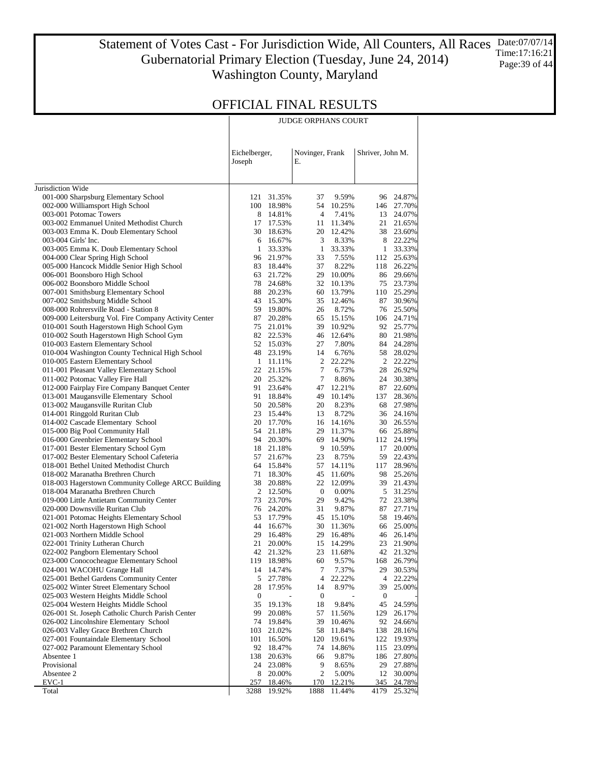Statement of Votes Cast - For Jurisdiction Wide, All Counters, All Races Gubernatorial Primary Election (Tuesday, June 24, 2014) Washington County, Maryland Date:07/07/14 Time:17:16:21 Page:39 of 44

JUDGE ORPHANS COURT

|                                                                               | Eichelberger,<br>Joseph |                      | Е.               | Novinger, Frank |                  | Shriver, John M.    |
|-------------------------------------------------------------------------------|-------------------------|----------------------|------------------|-----------------|------------------|---------------------|
| Jurisdiction Wide                                                             |                         |                      |                  |                 |                  |                     |
| 001-000 Sharpsburg Elementary School                                          | 121                     | 31.35%               | 37               | 9.59%           | 96               | 24.87%              |
| 002-000 Williamsport High School                                              | 100                     | 18.98%               | 54               | 10.25%          | 146              | 27.70%              |
| 003-001 Potomac Towers                                                        | 8                       | 14.81%               | 4                | 7.41%           | 13               | 24.07%              |
| 003-002 Emmanuel United Methodist Church                                      | 17                      | 17.53%               | 11               | 11.34%          | 21               | 21.65%              |
| 003-003 Emma K. Doub Elementary School                                        | 30-                     | 18.63%               | 20               | 12.42%          | 38               | 23.60%              |
| 003-004 Girls' Inc.                                                           | 6                       | 16.67%               | 3                | 8.33%           |                  | 8 22.22%            |
| 003-005 Emma K. Doub Elementary School                                        | $\mathbf{1}$            | 33.33%               | 1                | 33.33%          | $\mathbf{1}$     | 33.33%              |
| 004-000 Clear Spring High School                                              | 96                      | 21.97%               | 33               | 7.55%           |                  | 112 25.63%          |
| 005-000 Hancock Middle Senior High School                                     | 83                      | 18.44%               | 37               | 8.22%           | 118              | 26.22%              |
| 006-001 Boonsboro High School                                                 | 63                      | 21.72%               | 29               | 10.00%          | 86               | 29.66%              |
| 006-002 Boonsboro Middle School                                               | 78                      | 24.68%               | 32               | 10.13%          | 75               | 23.73%              |
| 007-001 Smithsburg Elementary School                                          | 88                      | 20.23%               | 60               | 13.79%          |                  | 110 25.29%          |
| 007-002 Smithsburg Middle School                                              | 43                      | 15.30%               | 35               | 12.46%          | 87               | 30.96%              |
| 008-000 Rohrersville Road - Station 8                                         | 59                      | 19.80%               | 26               | 8.72%           | 76               | 25.50%              |
| 009-000 Leitersburg Vol. Fire Company Activity Center                         | 87                      | 20.28%               | 65               | 15.15%          | 106              | 24.71%              |
| 010-001 South Hagerstown High School Gym                                      | 75                      | 21.01%               | 39               | 10.92%          |                  | 92 25.77%           |
| 010-002 South Hagerstown High School Gym                                      | 82                      | 22.53%               | 46               | 12.64%          | 80               | 21.98%              |
| 010-003 Eastern Elementary School                                             |                         | 52 15.03%            | 27               | 7.80%           | 84               | 24.28%              |
| 010-004 Washington County Technical High School                               | 48                      | 23.19%               | 14               | 6.76%           | 58               | 28.02%<br>22.22%    |
| 010-005 Eastern Elementary School                                             | 1<br>22                 | 11.11%<br>21.15%     | 2<br>7           | 22.22%          | $\mathbf{2}$     | 26.92%              |
| 011-001 Pleasant Valley Elementary School<br>011-002 Potomac Valley Fire Hall | 20                      | 25.32%               | 7                | 6.73%<br>8.86%  | 28<br>24         | 30.38%              |
| 012-000 Fairplay Fire Company Banquet Center                                  | 91                      | 23.64%               | 47               | 12.21%          | 87               | 22.60%              |
| 013-001 Maugansville Elementary School                                        | 91                      | 18.84%               | 49               | 10.14%          | 137              | 28.36%              |
| 013-002 Maugansville Ruritan Club                                             | 50                      | 20.58%               | 20               | 8.23%           | 68               | 27.98%              |
| 014-001 Ringgold Ruritan Club                                                 | 23                      | 15.44%               | 13               | 8.72%           | 36               | 24.16%              |
| 014-002 Cascade Elementary School                                             | 20                      | 17.70%               | 16               | 14.16%          | 30               | 26.55%              |
| 015-000 Big Pool Community Hall                                               | 54                      | 21.18%               | 29               | 11.37%          |                  | 66 25.88%           |
| 016-000 Greenbrier Elementary School                                          | 94                      | 20.30%               | 69               | 14.90%          | 112              | 24.19%              |
| 017-001 Bester Elementary School Gym                                          | 18                      | 21.18%               | 9                | 10.59%          | 17               | 20.00%              |
| 017-002 Bester Elementary School Cafeteria                                    | 57                      | 21.67%               | 23               | 8.75%           |                  | 59 22.43%           |
| 018-001 Bethel United Methodist Church                                        | 64                      | 15.84%               | 57               | 14.11%          | 117              | 28.96%              |
| 018-002 Maranatha Brethren Church                                             | 71                      | 18.30%               | 45               | 11.60%          | 98               | 25.26%              |
| 018-003 Hagerstown Community College ARCC Building                            | 38                      | 20.88%               | 22               | 12.09%          | 39               | 21.43%              |
| 018-004 Maranatha Brethren Church                                             | 2                       | 12.50%               | $\bf{0}$         | 0.00%           |                  | 5 31.25%            |
| 019-000 Little Antietam Community Center                                      | 73                      | 23.70%               | 29               | 9.42%           |                  | 72 23.38%           |
| 020-000 Downsville Ruritan Club                                               | 76                      | 24.20%               | 31               | 9.87%           | 87               | 27.71%              |
| 021-001 Potomac Heights Elementary School                                     | 53                      | 17.79%               | 45               | 15.10%          | 58               | 19.46%              |
| 021-002 North Hagerstown High School                                          | 44                      | 16.67%               | 30               | 11.36%          | 66               | 25.00%              |
| 021-003 Northern Middle School                                                | 29                      | 16.48%               | 29               | 16.48%          | 46               | 26.14%              |
| 022-001 Trinity Lutheran Church                                               | 21<br>42                | 20.00%               | 15               | 14.29%          | 23               | 21.90%<br>42 21.32% |
| 022-002 Pangborn Elementary School<br>023-000 Conococheague Elementary School |                         | 21.32%<br>119 18.98% | 23<br>60         | 11.68%<br>9.57% |                  | 168 26.79%          |
| 024-001 WACOHU Grange Hall                                                    |                         | 14 14.74%            | 7                | 7.37%           | 29               | 30.53%              |
| 025-001 Bethel Gardens Community Center                                       | 5                       | 27.78%               | 4                | 22.22%          | 4                | 22.22%              |
| 025-002 Winter Street Elementary School                                       | 28                      | 17.95%               | 14               | 8.97%           | 39               | 25.00%              |
| 025-003 Western Heights Middle School                                         | 0                       |                      | $\boldsymbol{0}$ |                 | $\boldsymbol{0}$ |                     |
| 025-004 Western Heights Middle School                                         | 35                      | 19.13%               | 18               | 9.84%           | 45               | 24.59%              |
| 026-001 St. Joseph Catholic Church Parish Center                              | 99                      | 20.08%               | 57               | 11.56%          | 129              | 26.17%              |
| 026-002 Lincolnshire Elementary School                                        | 74                      | 19.84%               | 39               | 10.46%          | 92               | 24.66%              |
| 026-003 Valley Grace Brethren Church                                          | 103                     | 21.02%               | 58               | 11.84%          | 138              | 28.16%              |
| 027-001 Fountaindale Elementary School                                        | 101                     | 16.50%               | 120              | 19.61%          | 122              | 19.93%              |
| 027-002 Paramount Elementary School                                           | 92                      | 18.47%               | 74               | 14.86%          | 115              | 23.09%              |
| Absentee 1                                                                    | 138                     | 20.63%               | 66               | 9.87%           | 186              | 27.80%              |
| Provisional                                                                   | 24                      | 23.08%               | 9                | 8.65%           | 29               | 27.88%              |
| Absentee 2                                                                    | 8                       | 20.00%               | 2                | 5.00%           | 12               | 30.00%              |
| $EVC-1$                                                                       | 257                     | 18.46%               | 170              | 12.21%          | 345              | 24.78%              |
| Total                                                                         | 3288                    | 19.92%               | 1888             | 11.44%          | 4179             | 25.32%              |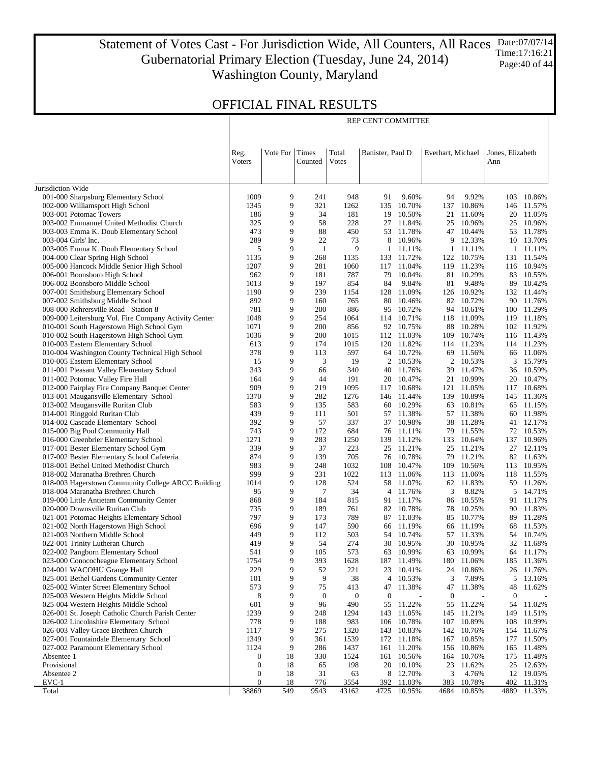Statement of Votes Cast - For Jurisdiction Wide, All Counters, All Races Gubernatorial Primary Election (Tuesday, June 24, 2014) Washington County, Maryland Date:07/07/14 Time:17:16:21 Page:40 of 44

REP CENT COMMITTEE

|                                                                                   | Reg.<br>Voters | Vote For Times | Counted      | Total<br><b>V</b> otes | Banister, Paul D |                        | Everhart, Michael |                          | Jones, Elizabeth<br>Ann |                          |
|-----------------------------------------------------------------------------------|----------------|----------------|--------------|------------------------|------------------|------------------------|-------------------|--------------------------|-------------------------|--------------------------|
|                                                                                   |                |                |              |                        |                  |                        |                   |                          |                         |                          |
| Jurisdiction Wide                                                                 |                |                |              |                        |                  |                        |                   |                          |                         |                          |
| 001-000 Sharpsburg Elementary School                                              | 1009           | 9              | 241          | 948                    | 91               | 9.60%                  | 94                | 9.92%                    | 103                     | 10.86%                   |
| 002-000 Williamsport High School                                                  | 1345           | 9              | 321          | 1262                   | 135              | 10.70%                 |                   | 137 10.86%               |                         | 146 11.57%               |
| 003-001 Potomac Towers                                                            | 186            | 9              | 34           | 181                    | 19               | 10.50%                 | 21                | 11.60%                   |                         | 20 11.05%                |
| 003-002 Emmanuel United Methodist Church                                          | 325            | 9              | 58           | 228                    | 27               | 11.84%                 |                   | 25 10.96%                |                         | 25 10.96%                |
| 003-003 Emma K. Doub Elementary School                                            | 473            | 9              | 88           | 450                    | 53               | 11.78%                 |                   | 47 10.44%                |                         | 53 11.78%                |
| 003-004 Girls' Inc.                                                               | 289            | 9              | 22           | 73                     | 8                | 10.96%                 |                   | 9 12.33%                 |                         | 10 13.70%                |
| 003-005 Emma K. Doub Elementary School                                            | 5              | 9              | $\mathbf{1}$ | 9                      | 1                | 11.11%                 |                   | 1 11.11%                 | 1                       | 11.11%                   |
| 004-000 Clear Spring High School                                                  | 1135<br>1207   | 9<br>9         | 268<br>281   | 1135<br>1060           | 117              | 133 11.72%<br>11.04%   |                   | 122 10.75%<br>119 11.23% |                         | 131 11.54%<br>116 10.94% |
| 005-000 Hancock Middle Senior High School<br>006-001 Boonsboro High School        | 962            | 9              | 181          | 787                    | 79               | 10.04%                 |                   | 81 10.29%                |                         | 83 10.55%                |
| 006-002 Boonsboro Middle School                                                   | 1013           | 9              | 197          | 854                    | 84               | 9.84%                  | 81                | 9.48%                    |                         | 89 10.42%                |
| 007-001 Smithsburg Elementary School                                              | 1190           | 9              | 239          | 1154                   |                  | 128 11.09%             |                   | 126 10.92%               |                         | 132 11.44%               |
| 007-002 Smithsburg Middle School                                                  | 892            | 9              | 160          | 765                    | 80               | 10.46%                 | 82                | 10.72%                   |                         | 90 11.76%                |
| 008-000 Rohrersville Road - Station 8                                             | 781            | 9              | 200          | 886                    | 95               | 10.72%                 | 94                | 10.61%                   |                         | 100 11.29%               |
| 009-000 Leitersburg Vol. Fire Company Activity Center                             | 1048           | 9              | 254          | 1064                   | 114              | 10.71%                 |                   | 118 11.09%               |                         | 119 11.18%               |
| 010-001 South Hagerstown High School Gym                                          | 1071           | 9              | 200          | 856                    |                  | 92 10.75%              |                   | 88 10.28%                |                         | 102 11.92%               |
| 010-002 South Hagerstown High School Gym                                          | 1036           | 9              | 200          | 1015                   |                  | 112 11.03%             | 109               | 10.74%                   |                         | 116 11.43%               |
| 010-003 Eastern Elementary School                                                 | 613            | 9              | 174          | 1015                   |                  | 120 11.82%             |                   | 114 11.23%               |                         | 114 11.23%               |
| 010-004 Washington County Technical High School                                   | 378            | 9              | 113          | 597                    |                  | 64 10.72%              |                   | 69 11.56%                |                         | 66 11.06%                |
| 010-005 Eastern Elementary School                                                 | 15             | 9              | 3            | 19                     | 2                | 10.53%                 | 2                 | 10.53%                   | 3                       | 15.79%                   |
| 011-001 Pleasant Valley Elementary School                                         | 343            | 9              | 66           | 340                    | 40               | 11.76%                 |                   | 39 11.47%                | 36                      | 10.59%                   |
| 011-002 Potomac Valley Fire Hall                                                  | 164            | 9              | 44           | 191                    | 20               | 10.47%                 | 21                | 10.99%                   |                         | 20 10.47%                |
| 012-000 Fairplay Fire Company Banquet Center                                      | 909            | 9              | 219          | 1095                   | 117              | 10.68%                 |                   | 121 11.05%               |                         | 117 10.68%               |
| 013-001 Maugansville Elementary School<br>013-002 Maugansville Ruritan Club       | 1370<br>583    | 9<br>9         | 282<br>135   | 1276<br>583            | 60               | 146 11.44%<br>10.29%   | 63                | 139 10.89%<br>10.81%     | 65                      | 145 11.36%<br>11.15%     |
| 014-001 Ringgold Ruritan Club                                                     | 439            | 9              | 111          | 501                    |                  | 57 11.38%              |                   | 57 11.38%                |                         | 60 11.98%                |
| 014-002 Cascade Elementary School                                                 | 392            | 9              | 57           | 337                    | 37               | 10.98%                 | 38                | 11.28%                   | 41                      | 12.17%                   |
| 015-000 Big Pool Community Hall                                                   | 743            | 9              | 172          | 684                    |                  | 76 11.11%              |                   | 79 11.55%                |                         | 72 10.53%                |
| 016-000 Greenbrier Elementary School                                              | 1271           | 9              | 283          | 1250                   | 139              | 11.12%                 | 133               | 10.64%                   | 137                     | 10.96%                   |
| 017-001 Bester Elementary School Gym                                              | 339            | 9              | 37           | 223                    |                  | 25 11.21%              |                   | 25 11.21%                |                         | 27 12.11%                |
| 017-002 Bester Elementary School Cafeteria                                        | 874            | 9              | 139          | 705                    | 76               | 10.78%                 | 79                | 11.21%                   |                         | 82 11.63%                |
| 018-001 Bethel United Methodist Church                                            | 983            | 9              | 248          | 1032                   | 108              | 10.47%                 | 109               | 10.56%                   |                         | 113 10.95%               |
| 018-002 Maranatha Brethren Church                                                 | 999            | 9              | 231          | 1022                   | 113              | 11.06%                 | 113               | 11.06%                   |                         | 118 11.55%               |
| 018-003 Hagerstown Community College ARCC Building                                | 1014           | 9              | 128          | 524                    | 58               | 11.07%                 |                   | 62 11.83%                |                         | 59 11.26%                |
| 018-004 Maranatha Brethren Church                                                 | 95             | 9              | 7            | 34                     | 4                | 11.76%                 | 3                 | 8.82%                    | 5                       | 14.71%                   |
| 019-000 Little Antietam Community Center                                          | 868            | 9              | 184          | 815                    |                  | 91 11.17%              |                   | 86 10.55%                |                         | 91 11.17%                |
| 020-000 Downsville Ruritan Club                                                   | 735<br>797     | 9<br>9         | 189<br>173   | 761<br>789             | 82               | 10.78%                 | 78                | 10.25%                   | 90                      | 11.83%                   |
| 021-001 Potomac Heights Elementary School<br>021-002 North Hagerstown High School | 696            | 9              | 147          | 590                    |                  | 87 11.03%<br>66 11.19% |                   | 85 10.77%<br>66 11.19%   | 68                      | 89 11.28%<br>11.53%      |
| 021-003 Northern Middle School                                                    | 449            | 9              | 112          | 503                    | 54               | 10.74%                 |                   | 57 11.33%                |                         | 54 10.74%                |
| 022-001 Trinity Lutheran Church                                                   | 419            | 9              | 54           | 274                    | 30               | 10.95%                 | 30                | 10.95%                   |                         | 32 11.68%                |
| 022-002 Pangborn Elementary School                                                | 541            | 9              | 105          | 573                    |                  | 63 10.99%              |                   | 63 10.99%                |                         | 64 11.17%                |
| 023-000 Conococheague Elementary School                                           | 1754           | 9              | 393          | 1628                   |                  | 187 11.49%             |                   | 180 11.06%               |                         | 185 11.36%               |
| 024-001 WACOHU Grange Hall                                                        | 229            | 9              | 52           | 221                    |                  | 23 10.41%              | 24                | 10.86%                   |                         | 26 11.76%                |
| 025-001 Bethel Gardens Community Center                                           | 101            | 9              | 9            | 38                     | 4                | 10.53%                 | 3                 | 7.89%                    | 5                       | 13.16%                   |
| 025-002 Winter Street Elementary School                                           | 573            | 9              | 75           | 413                    | 47               | 11.38%                 | 47                | 11.38%                   | 48                      | 11.62%                   |
| 025-003 Western Heights Middle School                                             | 8              | 9              | $\mathbf{0}$ | $\mathbf{0}$           | $\boldsymbol{0}$ |                        | $\boldsymbol{0}$  |                          | $\mathbf{0}$            |                          |
| 025-004 Western Heights Middle School                                             | 601            | 9              | 96           | 490                    | 55               | 11.22%                 | 55                | 11.22%                   | 54                      | 11.02%                   |
| 026-001 St. Joseph Catholic Church Parish Center                                  | 1239           | 9              | 248          | 1294                   | 143              | 11.05%                 | 145               | 11.21%                   | 149                     | 11.51%                   |
| 026-002 Lincolnshire Elementary School                                            | 778            | 9              | 188          | 983                    | 106              | 10.78%                 | 107               | 10.89%                   | 108                     | 10.99%                   |
| 026-003 Valley Grace Brethren Church                                              | 1117           | 9              | 275          | 1320                   | 143              | 10.83%                 | 142               | 10.76%                   | 154                     | 11.67%                   |
| 027-001 Fountaindale Elementary School                                            | 1349<br>1124   | 9<br>9         | 361<br>286   | 1539<br>1437           | 172              | 11.18%<br>11.20%       | 167<br>156        | 10.85%<br>10.86%         | 177                     | 11.50%<br>11.48%         |
| 027-002 Paramount Elementary School<br>Absentee 1                                 | 0              | 18             | 330          | 1524                   | 161<br>161       | 10.56%                 | 164               | 10.76%                   | 165<br>175              | 11.48%                   |
| Provisional                                                                       | $\mathbf{0}$   | 18             | 65           | 198                    | 20               | 10.10%                 | 23                | 11.62%                   | 25                      | 12.63%                   |
| Absentee 2                                                                        | $\mathbf{0}$   | 18             | 31           | 63                     | 8                | 12.70%                 | 3                 | 4.76%                    | 12                      | 19.05%                   |
| $EVC-1$                                                                           | $\mathbf{0}$   | 18             | 776          | 3554                   | 392              | 11.03%                 | 383               | 10.78%                   | 402                     | 11.31%                   |
| Total                                                                             | 38869          | 549            | 9543         | 43162                  | 4725             | 10.95%                 | 4684              | 10.85%                   | 4889                    | 11.33%                   |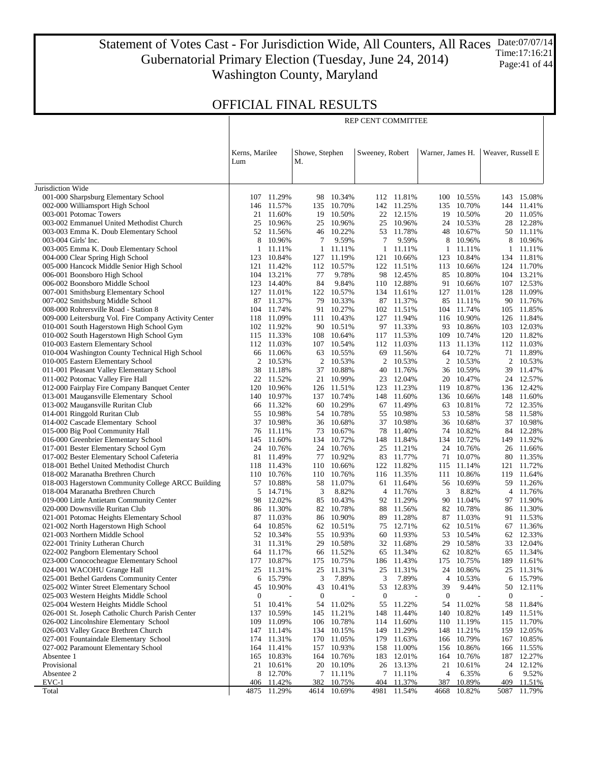Statement of Votes Cast - For Jurisdiction Wide, All Counters, All Races Gubernatorial Primary Election (Tuesday, June 24, 2014) Washington County, Maryland Date:07/07/14 Time:17:16:21 Page:41 of 44

# OFFICIAL FINAL RESULTS

|                                                                                           |                       |                          |                      |                      | REP CENT COMMITTEE  |                          |                  |                        |                   |                          |
|-------------------------------------------------------------------------------------------|-----------------------|--------------------------|----------------------|----------------------|---------------------|--------------------------|------------------|------------------------|-------------------|--------------------------|
|                                                                                           | Kerns, Marilee<br>Lum |                          | Showe, Stephen<br>M. |                      | Sweeney, Robert     |                          | Warner, James H. |                        | Weaver, Russell E |                          |
|                                                                                           |                       |                          |                      |                      |                     |                          |                  |                        |                   |                          |
| Jurisdiction Wide                                                                         |                       |                          |                      |                      |                     |                          |                  |                        |                   |                          |
| 001-000 Sharpsburg Elementary School                                                      |                       | 107 11.29%               | 98                   | 10.34%               |                     | 112 11.81%               |                  | 100 10.55%             | 143               | 15.08%                   |
| 002-000 Williamsport High School                                                          | 146                   | 11.57%                   | 135                  | 10.70%               |                     | 142 11.25%               | 135              | 10.70%                 |                   | 144 11.41%               |
| 003-001 Potomac Towers                                                                    |                       | 21 11.60%                | 19                   | 10.50%               |                     | 22 12.15%                |                  | 19 10.50%              |                   | 20 11.05%                |
| 003-002 Emmanuel United Methodist Church                                                  | 25                    | 10.96%                   | 25                   | 10.96%               | 25                  | 10.96%                   |                  | 24 10.53%              |                   | 28 12.28%                |
| 003-003 Emma K. Doub Elementary School                                                    |                       | 52 11.56%                |                      | 46 10.22%            |                     | 53 11.78%                |                  | 48 10.67%              |                   | 50 11.11%                |
| 003-004 Girls' Inc.                                                                       | 8<br>$\mathbf{1}$     | 10.96%                   | 7                    | 9.59%<br>1 11.11%    | 7                   | 9.59%<br>11.11%          | 8                | 10.96%<br>11.11%       | 8                 | 10.96%<br>1 11.11%       |
| 003-005 Emma K. Doub Elementary School<br>004-000 Clear Spring High School                | 123                   | 11.11%<br>10.84%         | 127                  | 11.19%               | $\mathbf{1}$<br>121 | 10.66%                   | $\mathbf{1}$     | 123 10.84%             |                   | 134 11.81%               |
| 005-000 Hancock Middle Senior High School                                                 |                       | 121 11.42%               |                      | 112 10.57%           |                     | 122 11.51%               |                  | 113 10.66%             |                   | 124 11.70%               |
| 006-001 Boonsboro High School                                                             | 104                   | 13.21%                   | 77                   | 9.78%                | 98                  | 12.45%                   | 85               | 10.80%                 |                   | 104 13.21%               |
| 006-002 Boonsboro Middle School                                                           |                       | 123 14.40%               | 84                   | 9.84%                |                     | 110 12.88%               | 91               | 10.66%                 |                   | 107 12.53%               |
| 007-001 Smithsburg Elementary School                                                      |                       | 127 11.01%               | 122                  | 10.57%               |                     | 134 11.61%               |                  | 127 11.01%             |                   | 128 11.09%               |
| 007-002 Smithsburg Middle School                                                          |                       | 87 11.37%                | 79                   | 10.33%               |                     | 87 11.37%                |                  | 85 11.11%              |                   | 90 11.76%                |
| 008-000 Rohrersville Road - Station 8                                                     | 104                   | 11.74%                   | 91                   | 10.27%               |                     | 102 11.51%               |                  | 104 11.74%             |                   | 105 11.85%               |
| 009-000 Leitersburg Vol. Fire Company Activity Center                                     |                       | 118 11.09%               |                      | 111 10.43%           |                     | 127 11.94%               |                  | 116 10.90%             |                   | 126 11.84%               |
| 010-001 South Hagerstown High School Gym                                                  |                       | 102 11.92%               | 90                   | 10.51%               |                     | 97 11.33%                |                  | 93 10.86%              | 103               | 12.03%                   |
| 010-002 South Hagerstown High School Gym<br>010-003 Eastern Elementary School             |                       | 115 11.33%<br>112 11.03% | 108                  | 10.64%<br>107 10.54% |                     | 117 11.53%<br>112 11.03% | 109              | 10.74%<br>113 11.13%   |                   | 120 11.82%<br>112 11.03% |
| 010-004 Washington County Technical High School                                           |                       | 66 11.06%                | 63                   | 10.55%               | 69                  | 11.56%                   |                  | 64 10.72%              |                   | 71 11.89%                |
| 010-005 Eastern Elementary School                                                         | 2                     | 10.53%                   | 2                    | 10.53%               |                     | 2 10.53%                 |                  | 2 10.53%               |                   | 2 10.53%                 |
| 011-001 Pleasant Valley Elementary School                                                 | 38                    | 11.18%                   |                      | 37 10.88%            | 40                  | 11.76%                   |                  | 36 10.59%              | 39                | 11.47%                   |
| 011-002 Potomac Valley Fire Hall                                                          |                       | 22 11.52%                |                      | 21 10.99%            | 23                  | 12.04%                   |                  | 20 10.47%              |                   | 24 12.57%                |
| 012-000 Fairplay Fire Company Banquet Center                                              | 120                   | 10.96%                   |                      | 126 11.51%           |                     | 123 11.23%               |                  | 119 10.87%             |                   | 136 12.42%               |
| 013-001 Maugansville Elementary School                                                    | 140                   | 10.97%                   | 137                  | 10.74%               |                     | 148 11.60%               |                  | 136 10.66%             |                   | 148 11.60%               |
| 013-002 Maugansville Ruritan Club                                                         |                       | 66 11.32%                | 60                   | 10.29%               |                     | 67 11.49%                |                  | 63 10.81%              |                   | 72 12.35%                |
| 014-001 Ringgold Ruritan Club                                                             | 55                    | 10.98%                   | 54                   | 10.78%               | 55                  | 10.98%                   | 53               | 10.58%                 | 58                | 11.58%                   |
| 014-002 Cascade Elementary School<br>015-000 Big Pool Community Hall                      | 76                    | 37 10.98%<br>11.11%      | 36<br>73             | 10.68%<br>10.67%     | 37<br>78            | 10.98%<br>11.40%         |                  | 36 10.68%<br>74 10.82% | 37                | 10.98%<br>84 12.28%      |
| 016-000 Greenbrier Elementary School                                                      | 145                   | 11.60%                   | 134                  | 10.72%               |                     | 148 11.84%               |                  | 134 10.72%             |                   | 149 11.92%               |
| 017-001 Bester Elementary School Gym                                                      | 24                    | 10.76%                   | 24                   | 10.76%               | 25                  | 11.21%                   |                  | 24 10.76%              |                   | 26 11.66%                |
| 017-002 Bester Elementary School Cafeteria                                                | 81                    | 11.49%                   | 77                   | 10.92%               | 83                  | 11.77%                   | 71               | 10.07%                 | 80                | 11.35%                   |
| 018-001 Bethel United Methodist Church                                                    |                       | 118 11.43%               | 110                  | 10.66%               |                     | 122 11.82%               | 115              | 11.14%                 |                   | 121 11.72%               |
| 018-002 Maranatha Brethren Church                                                         |                       | 110 10.76%               |                      | 110 10.76%           |                     | 116 11.35%               | 111              | 10.86%                 |                   | 119 11.64%               |
| 018-003 Hagerstown Community College ARCC Building                                        | 57                    | 10.88%                   | 58                   | 11.07%               | 61                  | 11.64%                   | 56               | 10.69%                 | 59                | 11.26%                   |
| 018-004 Maranatha Brethren Church                                                         | 5                     | 14.71%                   | 3                    | 8.82%                | 4                   | 11.76%                   | 3                | 8.82%                  |                   | 4 11.76%                 |
| 019-000 Little Antietam Community Center                                                  | 98                    | 12.02%                   | 85                   | 10.43%               |                     | 92 11.29%                |                  | 90 11.04%              |                   | 97 11.90%                |
| 020-000 Downsville Ruritan Club                                                           | 86                    | 11.30%                   |                      | 82 10.78%            |                     | 88 11.56%                |                  | 82 10.78%              |                   | 86 11.30%                |
| 021-001 Potomac Heights Elementary School<br>021-002 North Hagerstown High School         | 87<br>64              | 11.03%<br>10.85%         | 86                   | 10.90%<br>62 10.51%  | 89                  | 11.28%<br>75 12.71%      |                  | 87 11.03%<br>62 10.51% |                   | 91 11.53%<br>67 11.36%   |
| 021-003 Northern Middle School                                                            |                       | 52 10.34%                | 55                   | 10.93%               |                     | 60 11.93%                |                  | 53 10.54%              |                   | 62 12.33%                |
| 022-001 Trinity Lutheran Church                                                           |                       | 31 11.31%                | 29                   | 10.58%               |                     | 32 11.68%                |                  | 29 10.58%              |                   | 33 12.04%                |
| 022-002 Pangborn Elementary School                                                        | 64                    | 11.17%                   | 66                   | 11.52%               | 65                  | 11.34%                   |                  | 62 10.82%              | 65                | 11.34%                   |
| 023-000 Conococheague Elementary School                                                   | 177                   | 10.87%                   | 175                  | 10.75%               | 186                 | 11.43%                   | 175              | 10.75%                 | 189               | 11.61%                   |
| 024-001 WACOHU Grange Hall                                                                | 25                    | 11.31%                   | 25                   | 11.31%               | 25                  | 11.31%                   | 24               | 10.86%                 | 25                | 11.31%                   |
| 025-001 Bethel Gardens Community Center                                                   | 6                     | 15.79%                   | 3                    | 7.89%                | 3                   | 7.89%                    | 4                | 10.53%                 | 6                 | 15.79%                   |
| 025-002 Winter Street Elementary School                                                   | 45                    | 10.90%                   | 43                   | 10.41%               | 53                  | 12.83%                   | 39               | 9.44%                  | 50                | 12.11%                   |
| 025-003 Western Heights Middle School                                                     | $\boldsymbol{0}$      | $\overline{a}$           | $\boldsymbol{0}$     | $\overline{a}$       | $\boldsymbol{0}$    |                          | $\mathbf{0}$     | $\overline{a}$         | 0                 |                          |
| 025-004 Western Heights Middle School<br>026-001 St. Joseph Catholic Church Parish Center | 51                    | 10.41%<br>10.59%         | 54                   | 11.02%               | 55                  | 11.22%                   | 54               | 11.02%                 | 58                | 11.84%<br>11.51%         |
| 026-002 Lincolnshire Elementary School                                                    | 137<br>109            | 11.09%                   | 145<br>106           | 11.21%<br>10.78%     | 148<br>114          | 11.44%<br>11.60%         | 140              | 10.82%<br>110 11.19%   | 149<br>115        | 11.70%                   |
| 026-003 Valley Grace Brethren Church                                                      | 147                   | 11.14%                   | 134                  | 10.15%               | 149                 | 11.29%                   |                  | 148 11.21%             | 159               | 12.05%                   |
| 027-001 Fountaindale Elementary School                                                    | 174                   | 11.31%                   | 170                  | 11.05%               | 179                 | 11.63%                   | 166              | 10.79%                 |                   | 167 10.85%               |
| 027-002 Paramount Elementary School                                                       | 164                   | 11.41%                   | 157                  | 10.93%               | 158                 | 11.00%                   |                  | 156 10.86%             | 166               | 11.55%                   |
| Absentee 1                                                                                | 165                   | 10.83%                   | 164                  | 10.76%               | 183                 | 12.01%                   | 164              | 10.76%                 | 187               | 12.27%                   |
| Provisional                                                                               |                       | 21 10.61%                |                      | 20 10.10%            |                     | 26 13.13%                | 21               | 10.61%                 |                   | 24 12.12%                |
| Absentee 2                                                                                | 8                     | 12.70%                   | 7                    | 11.11%               | 7                   | 11.11%                   | 4                | 6.35%                  | 6                 | 9.52%                    |
| EVC-1                                                                                     | 406                   | 11.42%                   | 382                  | 10.75%               | 404                 | 11.37%                   | 387              | 10.89%                 | 409               | 11.51%                   |
| Total                                                                                     |                       | 4875 11.29%              |                      | 4614 10.69%          | 4981                | 11.54%                   |                  | 4668 10.82%            | 5087              | 11.79%                   |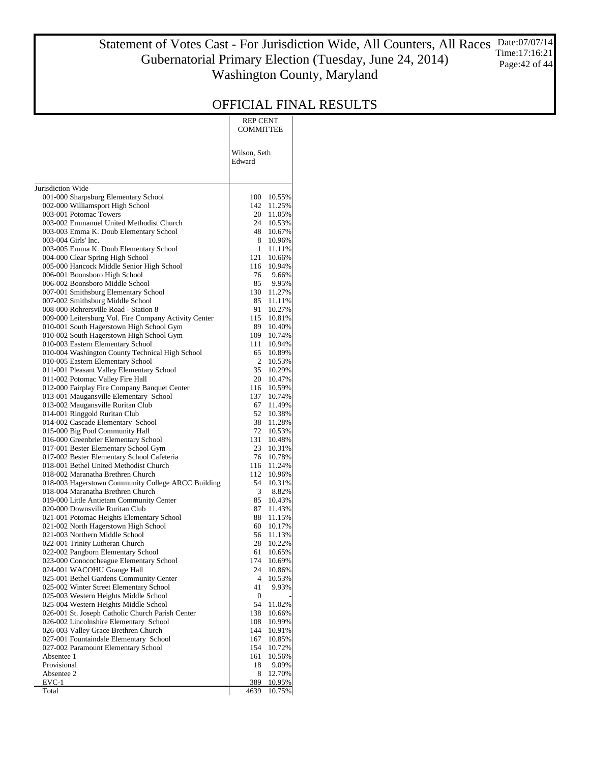#### Statement of Votes Cast - For Jurisdiction Wide, All Counters, All Races Gubernatorial Primary Election (Tuesday, June 24, 2014) Washington County, Maryland Date:07/07/14 Time:17:16:21 Page:42 of 44

|                                                                                         | REP CENT<br>COMMITTEE  |                  |
|-----------------------------------------------------------------------------------------|------------------------|------------------|
|                                                                                         | Wilson, Seth<br>Edward |                  |
| Jurisdiction Wide                                                                       |                        |                  |
| 001-000 Sharpsburg Elementary School                                                    | 100                    | 10.55%           |
| 002-000 Williamsport High School                                                        | 142                    | 11.25%           |
| 003-001 Potomac Towers                                                                  | 20                     | 11.05%           |
| 003-002 Emmanuel United Methodist Church<br>003-003 Emma K. Doub Elementary School      | 24<br>48               | 10.53%<br>10.67% |
| 003-004 Girls' Inc.                                                                     | 8                      | 10.96%           |
| 003-005 Emma K. Doub Elementary School                                                  | $\mathbf{1}$           | 11.11%           |
| 004-000 Clear Spring High School                                                        | 121                    | 10.66%           |
| 005-000 Hancock Middle Senior High School                                               | 116                    | 10.94%           |
| 006-001 Boonsboro High School                                                           | 76                     | 9.66%            |
| 006-002 Boonsboro Middle School<br>007-001 Smithsburg Elementary School                 | 85<br>130              | 9.95%<br>11.27%  |
| 007-002 Smithsburg Middle School                                                        | 85                     | 11.11%           |
| 008-000 Rohrersville Road - Station 8                                                   | 91                     | 10.27%           |
| 009-000 Leitersburg Vol. Fire Company Activity Center                                   | 115                    | 10.81%           |
| 010-001 South Hagerstown High School Gym                                                | 89                     | 10.40%           |
| 010-002 South Hagerstown High School Gym<br>010-003 Eastern Elementary School           | 109                    | 10.74%           |
| 010-004 Washington County Technical High School                                         | 111<br>65              | 10.94%<br>10.89% |
| 010-005 Eastern Elementary School                                                       | 2                      | 10.53%           |
| 011-001 Pleasant Valley Elementary School                                               | 35                     | 10.29%           |
| 011-002 Potomac Valley Fire Hall                                                        | 20                     | 10.47%           |
| 012-000 Fairplay Fire Company Banquet Center                                            | 116                    | 10.59%           |
| 013-001 Maugansville Elementary School                                                  | 137                    | 10.74%           |
| 013-002 Maugansville Ruritan Club<br>014-001 Ringgold Ruritan Club                      | 67<br>52               | 11.49%           |
| 014-002 Cascade Elementary School                                                       | 38                     | 10.38%<br>11.28% |
| 015-000 Big Pool Community Hall                                                         | 72                     | 10.53%           |
| 016-000 Greenbrier Elementary School                                                    | 131                    | 10.48%           |
| 017-001 Bester Elementary School Gym                                                    | 23                     | 10.31%           |
| 017-002 Bester Elementary School Cafeteria                                              | 76                     | 10.78%           |
| 018-001 Bethel United Methodist Church                                                  | 116                    | 11.24%           |
| 018-002 Maranatha Brethren Church<br>018-003 Hagerstown Community College ARCC Building | 112<br>54              | 10.96%<br>10.31% |
| 018-004 Maranatha Brethren Church                                                       | 3                      | 8.82%            |
| 019-000 Little Antietam Community Center                                                | 85                     | 10.43%           |
| 020-000 Downsville Ruritan Club                                                         | 87                     | 11.43%           |
| 021-001 Potomac Heights Elementary School                                               | 88                     | 11.15%           |
| 021-002 North Hagerstown High School                                                    | 60                     | 10.17%           |
| 021-003 Northern Middle School<br>022-001 Trinity Lutheran Church                       | 56<br>28               | 11.13%<br>10.22% |
| 022-002 Pangborn Elementary School                                                      | 61                     | 10.65%           |
| 023-000 Conococheague Elementary School                                                 | 174                    | 10.69%           |
| 024-001 WACOHU Grange Hall                                                              | 24                     | 10.86%           |
| 025-001 Bethel Gardens Community Center                                                 | 4                      | 10.53%           |
| 025-002 Winter Street Elementary School                                                 | 41                     | 9.93%            |
| 025-003 Western Heights Middle School<br>025-004 Western Heights Middle School          | $\boldsymbol{0}$<br>54 | 11.02%           |
| 026-001 St. Joseph Catholic Church Parish Center                                        | 138                    | 10.66%           |
| 026-002 Lincolnshire Elementary School                                                  | 108                    | 10.99%           |
| 026-003 Valley Grace Brethren Church                                                    | 144                    | 10.91%           |
| 027-001 Fountaindale Elementary School                                                  | 167                    | 10.85%           |
| 027-002 Paramount Elementary School                                                     | 154                    | 10.72%           |
| Absentee 1<br>Provisional                                                               | 161<br>18              | 10.56%<br>9.09%  |
| Absentee 2                                                                              | 8                      | 12.70%           |
| EVC-1                                                                                   | 389                    | 10.95%           |
| Total                                                                                   | 4639                   | 10.75%           |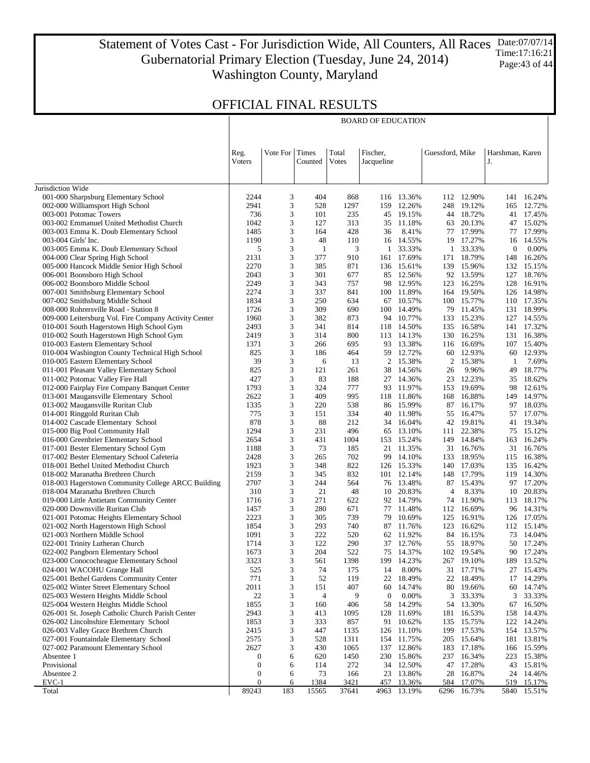Statement of Votes Cast - For Jurisdiction Wide, All Counters, All Races Gubernatorial Primary Election (Tuesday, June 24, 2014) Washington County, Maryland Date:07/07/14 Time:17:16:21 Page:43 of 44

### OFFICIAL FINAL RESULTS

|                                                                                      |                  |          |            |              | <b>BOARD OF EDUCATION</b> |                          |                 |                          |                 |                          |
|--------------------------------------------------------------------------------------|------------------|----------|------------|--------------|---------------------------|--------------------------|-----------------|--------------------------|-----------------|--------------------------|
|                                                                                      |                  |          |            |              |                           |                          |                 |                          |                 |                          |
|                                                                                      |                  |          |            |              |                           |                          |                 |                          |                 |                          |
|                                                                                      | Reg.             | Vote For | Times      | Total        | Fischer,                  |                          | Guessford, Mike |                          | Harshman, Karen |                          |
|                                                                                      | Voters           |          | Counted    | Votes        | Jacqueline                |                          |                 |                          | J.              |                          |
|                                                                                      |                  |          |            |              |                           |                          |                 |                          |                 |                          |
| Jurisdiction Wide                                                                    |                  |          |            |              |                           |                          |                 |                          |                 |                          |
| 001-000 Sharpsburg Elementary School                                                 | 2244             | 3        | 404        | 868          |                           | 116 13.36%               |                 | 112 12.90%               |                 | 141 16.24%               |
| 002-000 Williamsport High School<br>003-001 Potomac Towers                           | 2941<br>736      | 3<br>3   | 528<br>101 | 1297<br>235  | 159                       | 12.26%<br>45 19.15%      |                 | 248 19.12%<br>44 18.72%  | 165             | 12.72%<br>41 17.45%      |
| 003-002 Emmanuel United Methodist Church                                             | 1042             | 3        | 127        | 313          | 35                        | 11.18%                   |                 | 63 20.13%                |                 | 47 15.02%                |
| 003-003 Emma K. Doub Elementary School                                               | 1485             | 3        | 164        | 428          | 36                        | 8.41%                    |                 | 77 17.99%                |                 | 77 17.99%                |
| 003-004 Girls' Inc.                                                                  | 1190             | 3        | 48         | 110          | 16                        | 14.55%                   |                 | 19 17.27%                | 16              | 14.55%                   |
| 003-005 Emma K. Doub Elementary School                                               | 5                | 3        | -1         | 3            | 1                         | 33.33%                   |                 | 1 33.33%                 | $\mathbf{0}$    | 0.00%                    |
| 004-000 Clear Spring High School                                                     | 2131             | 3<br>3   | 377        | 910<br>871   |                           | 161 17.69%<br>136 15.61% |                 | 171 18.79%               | 148             | 16.26%<br>132 15.15%     |
| 005-000 Hancock Middle Senior High School<br>006-001 Boonsboro High School           | 2270<br>2043     | 3        | 385<br>301 | 677          | 85                        | 12.56%                   |                 | 139 15.96%<br>92 13.59%  | 127             | 18.76%                   |
| 006-002 Boonsboro Middle School                                                      | 2249             | 3        | 343        | 757          |                           | 98 12.95%                |                 | 123 16.25%               |                 | 128 16.91%               |
| 007-001 Smithsburg Elementary School                                                 | 2274             | 3        | 337        | 841          |                           | 100 11.89%               |                 | 164 19.50%               |                 | 126 14.98%               |
| 007-002 Smithsburg Middle School                                                     | 1834             | 3        | 250        | 634          |                           | 67 10.57%                |                 | 100 15.77%               |                 | 110 17.35%               |
| 008-000 Rohrersville Road - Station 8                                                | 1726             | 3        | 309        | 690          | 100                       | 14.49%                   |                 | 79 11.45%                |                 | 131 18.99%               |
| 009-000 Leitersburg Vol. Fire Company Activity Center                                | 1960             | 3        | 382        | 873          |                           | 94 10.77%                |                 | 133 15.23%               |                 | 127 14.55%               |
| 010-001 South Hagerstown High School Gym<br>010-002 South Hagerstown High School Gym | 2493<br>2419     | 3<br>3   | 341<br>314 | 814<br>800   |                           | 118 14.50%<br>113 14.13% |                 | 135 16.58%<br>130 16.25% |                 | 141 17.32%<br>131 16.38% |
| 010-003 Eastern Elementary School                                                    | 1371             | 3        | 266        | 695          | 93                        | 13.38%                   |                 | 116 16.69%               |                 | 107 15.40%               |
| 010-004 Washington County Technical High School                                      | 825              | 3        | 186        | 464          |                           | 59 12.72%                |                 | 60 12.93%                | 60              | 12.93%                   |
| 010-005 Eastern Elementary School                                                    | 39               | 3        | 6          | 13           |                           | 2 15.38%                 |                 | 2 15.38%                 | -1              | 7.69%                    |
| 011-001 Pleasant Valley Elementary School                                            | 825              | 3        | 121        | 261          | 38                        | 14.56%                   | 26              | 9.96%                    | 49              | 18.77%                   |
| 011-002 Potomac Valley Fire Hall                                                     | 427              | 3        | 83         | 188          | 27                        | 14.36%                   |                 | 23 12.23%                | 35              | 18.62%                   |
| 012-000 Fairplay Fire Company Banquet Center                                         | 1793             | 3<br>3   | 324        | 777          | 93                        | 11.97%                   |                 | 153 19.69%               | 98              | 12.61%                   |
| 013-001 Maugansville Elementary School<br>013-002 Maugansville Ruritan Club          | 2622<br>1335     | 3        | 409<br>220 | 995<br>538   | 118                       | 11.86%<br>86 15.99%      | 168             | 16.88%<br>87 16.17%      | 149             | 14.97%<br>97 18.03%      |
| 014-001 Ringgold Ruritan Club                                                        | 775              | 3        | 151        | 334          | 40                        | 11.98%                   |                 | 55 16.47%                |                 | 57 17.07%                |
| 014-002 Cascade Elementary School                                                    | 878              | 3        | 88         | 212          |                           | 34 16.04%                |                 | 42 19.81%                |                 | 41 19.34%                |
| 015-000 Big Pool Community Hall                                                      | 1294             | 3        | 231        | 496          |                           | 65 13.10%                | 111             | 22.38%                   |                 | 75 15.12%                |
| 016-000 Greenbrier Elementary School                                                 | 2654             | 3        | 431        | 1004         |                           | 153 15.24%               |                 | 149 14.84%               |                 | 163 16.24%               |
| 017-001 Bester Elementary School Gym                                                 | 1188             | 3        | 73         | 185          | 21                        | 11.35%                   |                 | 31 16.76%                |                 | 31 16.76%                |
| 017-002 Bester Elementary School Cafeteria<br>018-001 Bethel United Methodist Church | 2428<br>1923     | 3<br>3   | 265<br>348 | 702<br>822   | 99                        | 14.10%<br>126 15.33%     |                 | 133 18.95%<br>140 17.03% | 135             | 115 16.38%<br>16.42%     |
| 018-002 Maranatha Brethren Church                                                    | 2159             | 3        | 345        | 832          |                           | 101 12.14%               |                 | 148 17.79%               |                 | 119 14.30%               |
| 018-003 Hagerstown Community College ARCC Building                                   | 2707             | 3        | 244        | 564          | 76                        | 13.48%                   |                 | 87 15.43%                |                 | 97 17.20%                |
| 018-004 Maranatha Brethren Church                                                    | 310              | 3        | 21         | 48           | 10                        | 20.83%                   | 4               | 8.33%                    |                 | 10 20.83%                |
| 019-000 Little Antietam Community Center                                             | 1716             | 3        | 271        | 622          |                           | 92 14.79%                |                 | 74 11.90%                |                 | 113 18.17%               |
| 020-000 Downsville Ruritan Club                                                      | 1457             | 3        | 280        | 671          |                           | 77 11.48%                |                 | 112 16.69%               |                 | 96 14.31%                |
| 021-001 Potomac Heights Elementary School                                            | 2223<br>1854     | 3<br>3   | 305<br>293 | 739<br>740   |                           | 79 10.69%<br>87 11.76%   |                 | 125 16.91%<br>123 16.62% |                 | 126 17.05%<br>112 15.14% |
| 021-002 North Hagerstown High School<br>021-003 Northern Middle School               | 1091             | 3        | 222        | 520          |                           | 62 11.92%                |                 | 84 16.15%                |                 | 73 14.04%                |
| 022-001 Trinity Lutheran Church                                                      | 1714             | 3        | 122        | 290          |                           | 37 12.76%                |                 | 55 18.97%                |                 | 50 17.24%                |
| 022-002 Pangborn Elementary School                                                   | 1673             | 3        | 204        | 522          | 75                        | 14.37%                   |                 | 102 19.54%               | 90              | 17.24%                   |
| 023-000 Conococheague Elementary School                                              | 3323             | 3        | 561        | 1398         | 199                       | 14.23%                   |                 | 267 19.10%               | 189             | 13.52%                   |
| 024-001 WACOHU Grange Hall                                                           | 525              | 3        | 74         | 175          | 14                        | 8.00%                    | 31              | 17.71%                   | 27              | 15.43%                   |
| 025-001 Bethel Gardens Community Center                                              | 771              | 3        | 52         | 119          | 22                        | 18.49%                   |                 | 22 18.49%                |                 | 17 14.29%                |
| 025-002 Winter Street Elementary School<br>025-003 Western Heights Middle School     | 2011<br>22       | 3<br>3   | 151<br>4   | 407<br>9     | 60<br>$\boldsymbol{0}$    | 14.74%<br>0.00%          | 80<br>3         | 19.66%<br>33.33%         | 60<br>3         | 14.74%<br>33.33%         |
| 025-004 Western Heights Middle School                                                | 1855             | 3        | 160        | 406          | 58                        | 14.29%                   |                 | 54 13.30%                | 67              | 16.50%                   |
| 026-001 St. Joseph Catholic Church Parish Center                                     | 2943             | 3        | 413        | 1095         | 128                       | 11.69%                   |                 | 181 16.53%               |                 | 158 14.43%               |
| 026-002 Lincolnshire Elementary School                                               | 1853             | 3        | 333        | 857          | 91                        | 10.62%                   | 135             | 15.75%                   |                 | 122 14.24%               |
| 026-003 Valley Grace Brethren Church                                                 | 2415             | 3        | 447        | 1135         |                           | 126 11.10%               |                 | 199 17.53%               |                 | 154 13.57%               |
| 027-001 Fountaindale Elementary School                                               | 2575             | 3        | 528        | 1311         | 154                       | 11.75%                   | 205             | 15.64%                   | 181             | 13.81%                   |
| 027-002 Paramount Elementary School<br>Absentee 1                                    | 2627<br>0        | 3<br>6   | 430<br>620 | 1065<br>1450 | 230                       | 137 12.86%<br>15.86%     | 183<br>237      | 17.18%<br>16.34%         | 223             | 166 15.59%<br>15.38%     |
| Provisional                                                                          | $\boldsymbol{0}$ | 6        | 114        | 272          | 34                        | 12.50%                   |                 | 47 17.28%                |                 | 43 15.81%                |
| Absentee 2                                                                           | $\boldsymbol{0}$ | 6        | 73         | 166          | 23                        | 13.86%                   | 28              | 16.87%                   | 24              | 14.46%                   |
| $EVC-1$                                                                              | $\mathbf{0}$     | 6        | 1384       | 3421         | 457                       | 13.36%                   | 584             | 17.07%                   | 519             | 15.17%                   |
| Total                                                                                | 89243            | 183      | 15565      | 37641        | 4963                      | 13.19%                   | 6296            | 16.73%                   | 5840            | 15.51%                   |